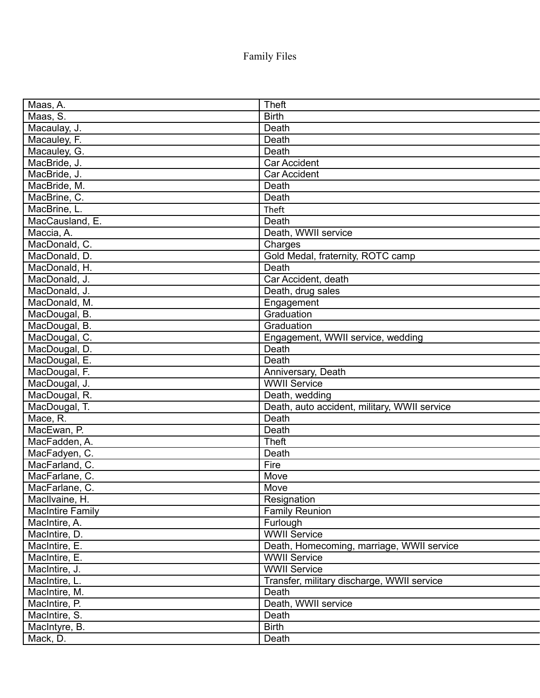Family Files

| Maas, A.                | <b>Theft</b>                                 |
|-------------------------|----------------------------------------------|
| Maas, S.                | <b>Birth</b>                                 |
| Macaulay, J.            | Death                                        |
| Macauley, F.            | Death                                        |
| Macauley, G.            | Death                                        |
| MacBride, J.            | <b>Car Accident</b>                          |
| MacBride, J.            | <b>Car Accident</b>                          |
| MacBride, M.            | Death                                        |
| MacBrine, C.            | Death                                        |
| MacBrine, L.            | Theft                                        |
| MacCausland, E.         | Death                                        |
| Maccia, A.              | Death, WWII service                          |
| MacDonald, C.           | Charges                                      |
| MacDonald, D.           | Gold Medal, fraternity, ROTC camp            |
| MacDonald, H.           | Death                                        |
| MacDonald, J.           | Car Accident, death                          |
| MacDonald, J.           | Death, drug sales                            |
| MacDonald, M.           | Engagement                                   |
| MacDougal, B.           | Graduation                                   |
| MacDougal, B.           | Graduation                                   |
| MacDougal, C.           | Engagement, WWII service, wedding            |
| MacDougal, D.           | Death                                        |
| MacDougal, E.           | Death                                        |
| MacDougal, F.           | Anniversary, Death                           |
| MacDougal, J.           | <b>WWII Service</b>                          |
| MacDougal, R.           | Death, wedding                               |
| MacDougal, T.           | Death, auto accident, military, WWII service |
| Mace, R.                | Death                                        |
| MacEwan, P.             | Death                                        |
| MacFadden, A.           | <b>Theft</b>                                 |
| MacFadyen, C.           | Death                                        |
| MacFarland, C.          | Fire                                         |
| MacFarlane, C.          | Move                                         |
| MacFarlane, C           | Move                                         |
| MacIlvaine, H.          | Resignation                                  |
| <b>MacIntire Family</b> | <b>Family Reunion</b>                        |
| MacIntire, A.           | Furlough                                     |
| MacIntire, D.           | <b>WWII Service</b>                          |
| MacIntire, E.           | Death, Homecoming, marriage, WWII service    |
| MacIntire, E.           | <b>WWII Service</b>                          |
| MacIntire, J.           | <b>WWII Service</b>                          |
| MacIntire, L.           | Transfer, military discharge, WWII service   |
| MacIntire, M.           | Death                                        |
| MacIntire, P.           | Death, WWII service                          |
| MacIntire, S.           | Death                                        |
| MacIntyre, B.           | <b>Birth</b>                                 |
| Mack, D.                | Death                                        |
|                         |                                              |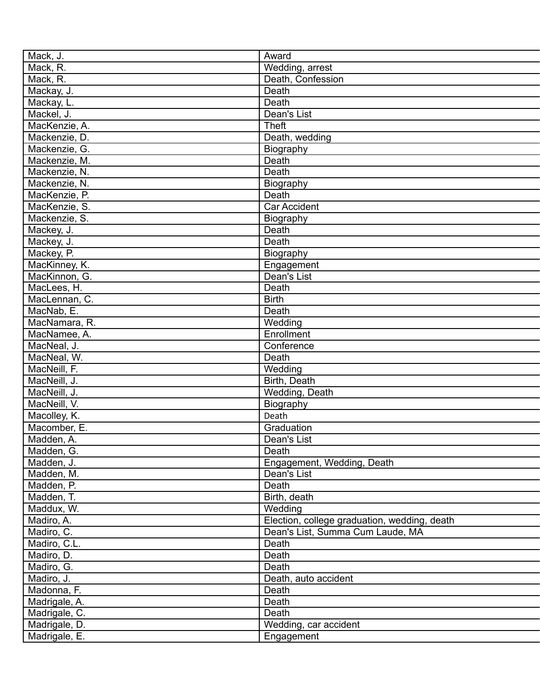| Mack, J.                     | Award                                        |
|------------------------------|----------------------------------------------|
| Mack, R.                     | Wedding, arrest                              |
| Mack, R.                     | Death, Confession                            |
| Mackay, J.                   | Death                                        |
| Mackay, L.                   | Death                                        |
| Mackel, J.                   | Dean's List                                  |
| MacKenzie, A.                | <b>Theft</b>                                 |
| Mackenzie, D.                | Death, wedding                               |
| Mackenzie, G.                | Biography                                    |
| Mackenzie, M.                | Death                                        |
| Mackenzie, N.                | Death                                        |
| Mackenzie, N.                | Biography                                    |
| MacKenzie, P.                | Death                                        |
| MacKenzie, S.                | Car Accident                                 |
| Mackenzie, S.                | Biography                                    |
| Mackey, J.                   | Death                                        |
| Mackey, J.                   | Death                                        |
| Mackey, P.                   | Biography                                    |
| MacKinney, K.                | Engagement                                   |
| MacKinnon, G.                | Dean's List                                  |
| MacLees, H.                  | Death                                        |
| MacLennan, C.                | <b>Birth</b>                                 |
| MacNab, E.                   | Death                                        |
| MacNamara, R.                | Wedding                                      |
| MacNamee, A.                 | Enrollment                                   |
| MacNeal, J.                  | Conference                                   |
| MacNeal, W.                  | Death                                        |
| MacNeill, F.                 | Wedding                                      |
| MacNeill, J.                 | Birth, Death                                 |
|                              |                                              |
| MacNeill, J.                 | Wedding, Death                               |
| MacNeill, V.<br>Macolley, K. | Biography                                    |
|                              | Death                                        |
| Macomber, E.                 | Graduation                                   |
| Madden, A.                   | Dean's List                                  |
| Madden, G.                   | Death                                        |
| Madden, J.                   | Engagement, Wedding, Death                   |
| Madden, M.                   | Dean's List                                  |
| Madden, P.                   | Death                                        |
| Madden, T.                   | Birth, death                                 |
| Maddux, W.                   | Wedding                                      |
| Madiro, A.                   | Election, college graduation, wedding, death |
| Madiro, C.                   | Dean's List, Summa Cum Laude, MA             |
| Madiro, C.L.                 | Death                                        |
| Madiro, D.                   | Death                                        |
| Madiro, G.                   | Death                                        |
| Madiro, J.                   | Death, auto accident                         |
| Madonna, F.                  | Death                                        |
| Madrigale, A.                | Death                                        |
| Madrigale, C.                | Death                                        |
| Madrigale, D.                | Wedding, car accident                        |
| Madrigale, E.                | Engagement                                   |
|                              |                                              |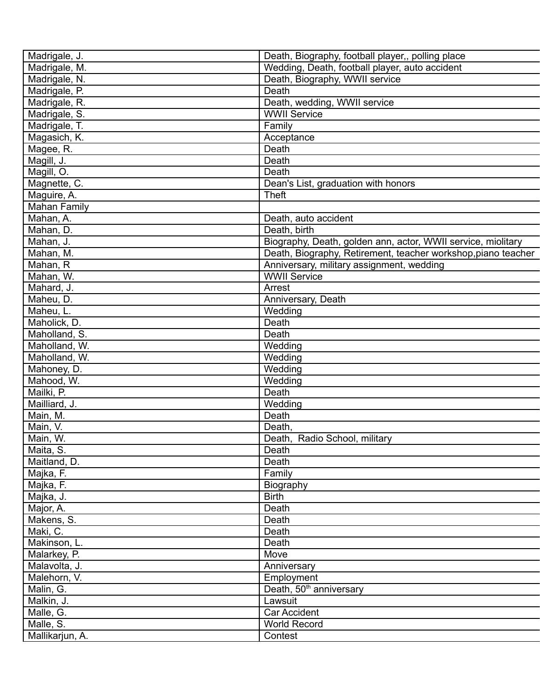| Madrigale, J.       | Death, Biography, football player,, polling place             |
|---------------------|---------------------------------------------------------------|
| Madrigale, M.       | Wedding, Death, football player, auto accident                |
| Madrigale, N.       | Death, Biography, WWII service                                |
| Madrigale, P.       | Death                                                         |
| Madrigale, R.       | Death, wedding, WWII service                                  |
| Madrigale, S.       | <b>WWII Service</b>                                           |
| Madrigale, T.       | Family                                                        |
| Magasich, K.        | Acceptance                                                    |
| Magee, R.           | Death                                                         |
| Magill, J.          | Death                                                         |
| Magill, O.          | Death                                                         |
| Magnette, C.        | Dean's List, graduation with honors                           |
| Maguire, A.         | <b>Theft</b>                                                  |
| <b>Mahan Family</b> |                                                               |
| Mahan, A.           | Death, auto accident                                          |
| Mahan, D.           | Death, birth                                                  |
| Mahan, J.           | Biography, Death, golden ann, actor, WWII service, miolitary  |
| Mahan, M.           | Death, Biography, Retirement, teacher workshop, piano teacher |
| Mahan, R            | Anniversary, military assignment, wedding                     |
| Mahan, W.           | <b>WWII Service</b>                                           |
| Mahard, J.          | Arrest                                                        |
| Maheu, D.           | Anniversary, Death                                            |
| Maheu, L.           | Wedding                                                       |
| Maholick, D.        | Death                                                         |
| Maholland, S.       | Death                                                         |
| Maholland, W.       | Wedding                                                       |
| Maholland, W.       | Wedding                                                       |
| Mahoney, D.         | Wedding                                                       |
| Mahood, W.          | Wedding                                                       |
| Mailki, P.          | Death                                                         |
| Mailliard, J.       | Wedding                                                       |
| Main, M.            | Death                                                         |
| Main, V.            | Death,                                                        |
| Main, W.            | Death, Radio School, military                                 |
|                     |                                                               |
| Maita, S.           | Death<br>Death                                                |
| Maitland, D.        | Family                                                        |
| Majka, F.           |                                                               |
| Majka, F.           | Biography                                                     |
| Majka, J.           | <b>Birth</b>                                                  |
| Major, A.           | Death                                                         |
| Makens, S.          | Death                                                         |
| Maki, C.            | Death                                                         |
| Makinson, L.        | Death                                                         |
| Malarkey, P.        | Move                                                          |
| Malavolta, J.       | Anniversary                                                   |
| Malehorn, V.        | Employment                                                    |
| Malin, G.           | Death, 50 <sup>th</sup> anniversary                           |
| Malkin, J.          | Lawsuit                                                       |
| Malle, G.           | Car Accident                                                  |
| Malle, S.           | <b>World Record</b>                                           |
| Mallikarjun, A.     | Contest                                                       |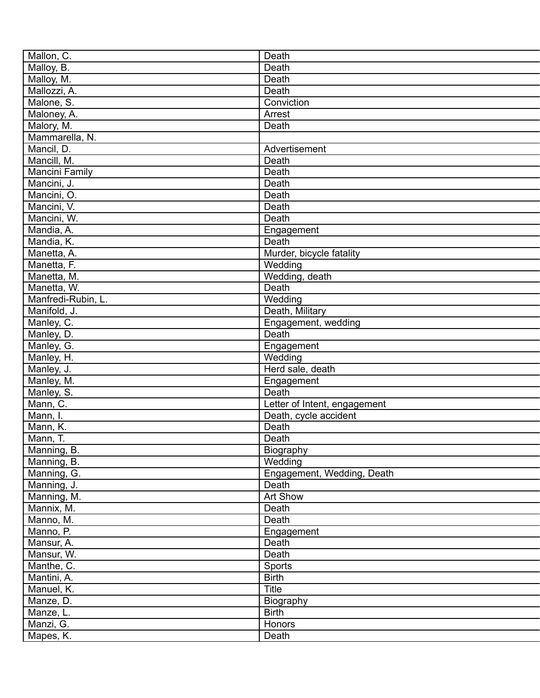| Mallon, C.             | Death                          |
|------------------------|--------------------------------|
| Malloy, B.             | Death                          |
| Malloy, M.             | Death                          |
| Mallozzi, A.           | Death                          |
| Malone, S.             | Conviction                     |
| Maloney, A.            | Arrest                         |
| Malory, M.             | Death                          |
| Mammarella, N.         |                                |
| Mancil, D.             | Advertisement                  |
| Mancill, M.            | Death                          |
| Mancini Family         | Death                          |
| Mancini, J.            | Death                          |
| Mancini, O.            | Death                          |
| Mancini, V.            | Death                          |
| Mancini, W.            | Death                          |
| Mandia, A.             | Engagement                     |
| Mandia, K.             | Death                          |
| Manetta, A.            | Murder, bicycle fatality       |
| Manetta, F.            | Wedding                        |
| Manetta, M.            | Wedding, death                 |
| Manetta, W.            | Death                          |
| Manfredi-Rubin, L.     | Wedding                        |
| Manifold, J.           | Death, Military                |
| Manley, C.             | Engagement, wedding            |
| Manley, D.             | Death                          |
| Manley, G.             | Engagement                     |
| Manley, H.             | Wedding                        |
| Manley, J.             | Herd sale, death               |
| Manley, M.             | Engagement                     |
|                        | Death                          |
| Manley, S.<br>Mann, C. | Letter of Intent, engagement   |
| Mann, I.               |                                |
|                        | Death, cycle accident<br>Death |
| Mann, K.               |                                |
| Mann, T.               | Death                          |
| Manning, B.            | Biography                      |
| Manning, B.            | Wedding                        |
| Manning, G.            | Engagement, Wedding, Death     |
| Manning, J.            | Death                          |
| Manning, M.            | Art Show                       |
| Mannix, M.             | Death                          |
| Manno, M.              | Death                          |
| Manno, P.              | Engagement                     |
| Mansur, A.             | Death                          |
| Mansur, W.             | Death                          |
| Manthe, C.             | Sports                         |
| Mantini, A.            | <b>Birth</b>                   |
| Manuel, K.             | <b>Title</b>                   |
| Manze, D.              | Biography                      |
| Manze, L.              | <b>Birth</b>                   |
| Manzi, G.              | <b>Honors</b>                  |
| Mapes, K.              | Death                          |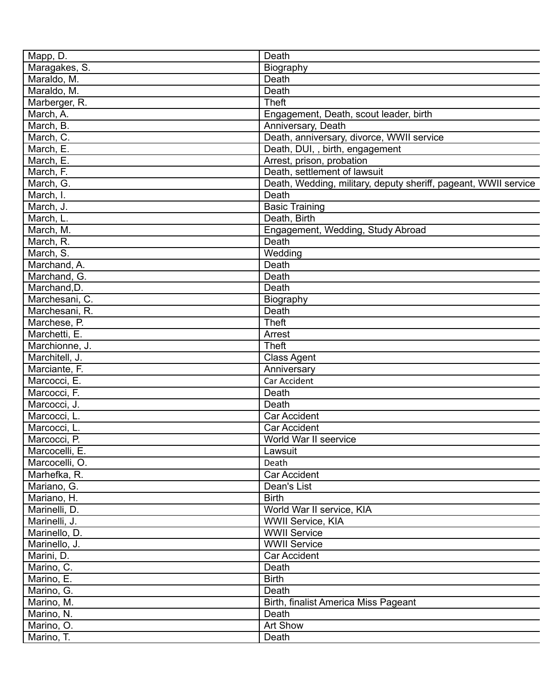| Mapp, D.       | Death                                                           |
|----------------|-----------------------------------------------------------------|
| Maragakes, S.  | Biography                                                       |
| Maraldo, M.    | Death                                                           |
| Maraldo, M.    | Death                                                           |
| Marberger, R.  | <b>Theft</b>                                                    |
| March, A.      | Engagement, Death, scout leader, birth                          |
| March, B.      | Anniversary, Death                                              |
| March, C.      | Death, anniversary, divorce, WWII service                       |
| March, E.      | Death, DUI,, birth, engagement                                  |
| March, E.      | Arrest, prison, probation                                       |
| March, F.      | Death, settlement of lawsuit                                    |
| March, G.      | Death, Wedding, military, deputy sheriff, pageant, WWII service |
| March, I.      | Death                                                           |
| March, J.      | <b>Basic Training</b>                                           |
| March, L.      | Death, Birth                                                    |
| March, M.      | Engagement, Wedding, Study Abroad                               |
| March, R.      | Death                                                           |
| March, S.      | Wedding                                                         |
| Marchand, A.   | Death                                                           |
| Marchand, G.   | Death                                                           |
| Marchand, D.   | Death                                                           |
| Marchesani, C. | Biography                                                       |
| Marchesani, R. | Death                                                           |
| Marchese, P.   | <b>Theft</b>                                                    |
| Marchetti, E.  | Arrest                                                          |
| Marchionne, J. | <b>Theft</b>                                                    |
| Marchitell, J. | <b>Class Agent</b>                                              |
| Marciante, F.  | Anniversary                                                     |
| Marcocci, E.   | Car Accident                                                    |
| Marcocci, F.   | Death                                                           |
| Marcocci, J.   | Death                                                           |
| Marcocci, L.   | <b>Car Accident</b>                                             |
| Marcocci, L.   | <b>Car Accident</b>                                             |
| Marcocci, P.   | World War II seervice                                           |
| Marcocelli, E. | Lawsuit                                                         |
| Marcocelli, O. | Death                                                           |
| Marhefka, R.   | Car Accident                                                    |
| Mariano, G.    | Dean's List                                                     |
| Mariano, H.    | <b>Birth</b>                                                    |
| Marinelli, D.  | World War II service, KIA                                       |
| Marinelli, J.  | <b>WWII Service, KIA</b>                                        |
| Marinello, D.  | <b>WWII Service</b>                                             |
| Marinello, J.  | <b>WWII Service</b>                                             |
| Marini, D.     | <b>Car Accident</b>                                             |
| Marino, C.     | Death                                                           |
| Marino, E.     | <b>Birth</b>                                                    |
| Marino, G.     | Death                                                           |
| Marino, M.     | Birth, finalist America Miss Pageant                            |
| Marino, N.     | Death                                                           |
| Marino, O.     | Art Show                                                        |
| Marino, T.     |                                                                 |
|                | Death                                                           |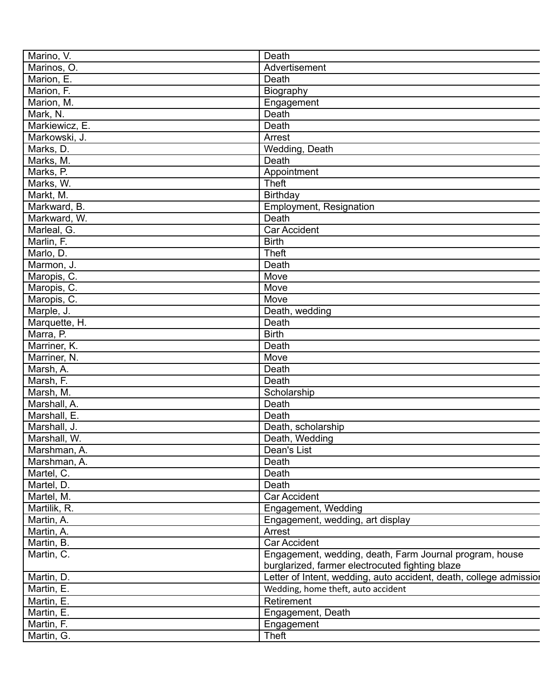| Marino, V.     | Death                                                                                                      |
|----------------|------------------------------------------------------------------------------------------------------------|
| Marinos, O.    | Advertisement                                                                                              |
| Marion, E.     | Death                                                                                                      |
| Marion, F.     | Biography                                                                                                  |
| Marion, M.     | Engagement                                                                                                 |
| Mark, N.       | Death                                                                                                      |
| Markiewicz, E. | Death                                                                                                      |
| Markowski, J.  | Arrest                                                                                                     |
| Marks, D.      | Wedding, Death                                                                                             |
| Marks, M.      | Death                                                                                                      |
| Marks, P.      | Appointment                                                                                                |
| Marks, W.      | <b>Theft</b>                                                                                               |
| Markt, M.      | Birthday                                                                                                   |
| Markward, B.   | <b>Employment, Resignation</b>                                                                             |
| Markward, W.   | Death                                                                                                      |
| Marleal, G.    | Car Accident                                                                                               |
| Marlin, F.     | <b>Birth</b>                                                                                               |
| Marlo, D.      | <b>Theft</b>                                                                                               |
|                | Death                                                                                                      |
| Marmon, J.     | Move                                                                                                       |
| Maropis, C.    | Move                                                                                                       |
| Maropis, C.    |                                                                                                            |
| Maropis, C.    | Move                                                                                                       |
| Marple, J.     | Death, wedding                                                                                             |
| Marquette, H.  | Death                                                                                                      |
| Marra, P.      | <b>Birth</b>                                                                                               |
| Marriner, K.   | Death                                                                                                      |
| Marriner, N.   | Move                                                                                                       |
| Marsh, A.      | Death                                                                                                      |
| Marsh, F.      | Death                                                                                                      |
| Marsh, M.      | Scholarship                                                                                                |
| Marshall, A.   | Death                                                                                                      |
| Marshall, E.   | Death                                                                                                      |
| Marshall, J.   | Death, scholarship                                                                                         |
| Marshall, W.   | Death, Wedding                                                                                             |
| Marshman, A.   | Dean's List                                                                                                |
| Marshman, A.   | Death                                                                                                      |
| Martel, C.     | Death                                                                                                      |
| Martel, D.     | Death                                                                                                      |
| Martel, M.     | Car Accident                                                                                               |
| Martilik, R.   | Engagement, Wedding                                                                                        |
| Martin, A.     | Engagement, wedding, art display                                                                           |
| Martin, A.     | Arrest                                                                                                     |
| Martin, B.     | Car Accident                                                                                               |
| Martin, C.     | Engagement, wedding, death, Farm Journal program, house<br>burglarized, farmer electrocuted fighting blaze |
| Martin, D.     | Letter of Intent, wedding, auto accident, death, college admission                                         |
| Martin, E.     | Wedding, home theft, auto accident                                                                         |
| Martin, E.     | Retirement                                                                                                 |
| Martin, E.     | Engagement, Death                                                                                          |
| Martin, F.     | Engagement                                                                                                 |
| Martin, G.     | <b>Theft</b>                                                                                               |
|                |                                                                                                            |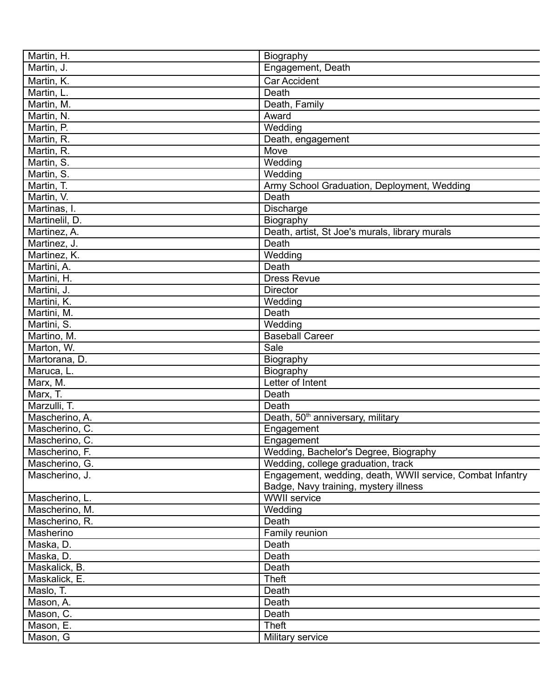| Martin, H.                     | Biography                                                 |
|--------------------------------|-----------------------------------------------------------|
| Martin, J.                     | Engagement, Death                                         |
| Martin, K.                     | <b>Car Accident</b>                                       |
| Martin, L.                     | Death                                                     |
| Martin, M.                     | Death, Family                                             |
| Martin, N.                     | Award                                                     |
| Martin, P.                     | Wedding                                                   |
| Martin, R.                     | Death, engagement                                         |
| Martin, R.                     | Move                                                      |
| Martin, S.                     | Wedding                                                   |
| Martin, S.                     | Wedding                                                   |
| Martin, T.                     | Army School Graduation, Deployment, Wedding               |
| Martin, V.                     | Death                                                     |
| Martinas, I.                   | Discharge                                                 |
| Martinelil, D.                 | Biography                                                 |
| Martinez, A.                   | Death, artist, St Joe's murals, library murals            |
| Martinez, J.                   | Death                                                     |
| Martinez, K.                   | Wedding                                                   |
| Martini, A.                    | Death                                                     |
| Martini, H.                    | <b>Dress Revue</b>                                        |
| Martini, J.                    | <b>Director</b>                                           |
| Martini, K.                    | Wedding                                                   |
| Martini, M.                    | Death                                                     |
| Martini, S.                    | Wedding                                                   |
| Martino, M.                    | <b>Baseball Career</b>                                    |
| Marton, W.                     | Sale                                                      |
| Martorana, D.                  |                                                           |
| Maruca, L.                     | Biography                                                 |
|                                | Biography<br>Letter of Intent                             |
| Marx, M.                       |                                                           |
| Marx, T.                       | Death                                                     |
| Marzulli, T.<br>Mascherino, A. | Death                                                     |
|                                | Death, 50 <sup>th</sup> anniversary, military             |
| Mascherino, C.                 | Engagement                                                |
| Mascherino, C.                 | Engagement                                                |
| Mascherino, F.                 | Wedding, Bachelor's Degree, Biography                     |
| Mascherino, G.                 | Wedding, college graduation, track                        |
| Mascherino, J.                 | Engagement, wedding, death, WWII service, Combat Infantry |
|                                | Badge, Navy training, mystery illness                     |
| Mascherino, L.                 | <b>WWII</b> service                                       |
| Mascherino, M.                 | Wedding                                                   |
| Mascherino, R.                 | Death                                                     |
| Masherino                      | Family reunion                                            |
| Maska, D.                      | Death                                                     |
| Maska, D.                      | Death                                                     |
| Maskalick, B.                  | Death                                                     |
| Maskalick, E.                  | <b>Theft</b>                                              |
| Maslo, T.                      | Death                                                     |
| Mason, A.                      | Death                                                     |
| Mason, C.                      | Death                                                     |
| Mason, E.                      | <b>Theft</b>                                              |
| Mason, G                       | Military service                                          |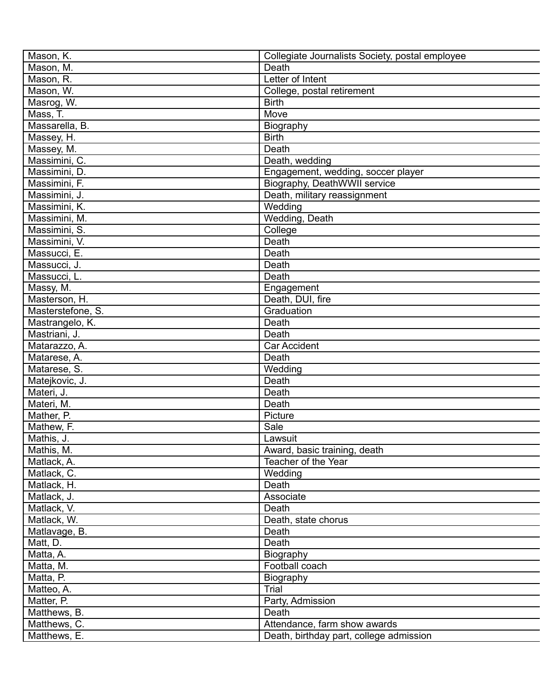| Mason, K.                   | Collegiate Journalists Society, postal employee |
|-----------------------------|-------------------------------------------------|
| Mason, M.                   | Death                                           |
| Mason, R.                   | Letter of Intent                                |
| Mason, W.                   | College, postal retirement                      |
| Masrog, W.                  | <b>Birth</b>                                    |
| Mass, T.                    | Move                                            |
| Massarella, B.              |                                                 |
|                             | Biography<br><b>Birth</b>                       |
| Massey, H.                  |                                                 |
| Massey, M.<br>Massimini, C. | Death                                           |
|                             | Death, wedding                                  |
| Massimini, D.               | Engagement, wedding, soccer player              |
| Massimini, F.               | Biography, DeathWWII service                    |
| Massimini, J.               | Death, military reassignment                    |
| Massimini, K.               | Wedding                                         |
| Massimini, M.               | Wedding, Death                                  |
| Massimini, S.               | College                                         |
| Massimini, V.               | Death                                           |
| Massucci, E.                | Death                                           |
| Massucci, J.                | Death                                           |
| Massucci, L.                | Death                                           |
| Massy, M.                   | Engagement                                      |
| Masterson, H.               | Death, DUI, fire                                |
| Masterstefone, S.           | Graduation                                      |
| Mastrangelo, K.             | Death                                           |
| Mastriani, J.               | Death                                           |
| Matarazzo, A.               | <b>Car Accident</b>                             |
| Matarese, A.                | Death                                           |
| Matarese, S.                | Wedding                                         |
| Matejkovic, J.              | Death                                           |
| Materi, J.                  | Death                                           |
| Materi, M.                  | Death                                           |
| Mather, P.                  | Picture                                         |
| Mathew, F.                  | Sale                                            |
| Mathis, J.                  | Lawsuit                                         |
| Mathis, M.                  | Award, basic training, death                    |
| Matlack, A.                 | Teacher of the Year                             |
| Matlack, C.                 | Wedding                                         |
| Matlack, H.                 | Death                                           |
| Matlack, J.                 | Associate                                       |
| Matlack, V.                 | Death                                           |
| Matlack, W.                 | Death, state chorus                             |
| Matlavage, B.               | Death                                           |
| Matt, D.                    | Death                                           |
| Matta, A.                   | Biography                                       |
| Matta, M.                   | Football coach                                  |
| Matta, P.                   | Biography                                       |
| Matteo, A.                  | Trial                                           |
| Matter, P.                  | Party, Admission                                |
| Matthews, B.                | Death                                           |
| Matthews, C.                | Attendance, farm show awards                    |
| Matthews, E.                | Death, birthday part, college admission         |
|                             |                                                 |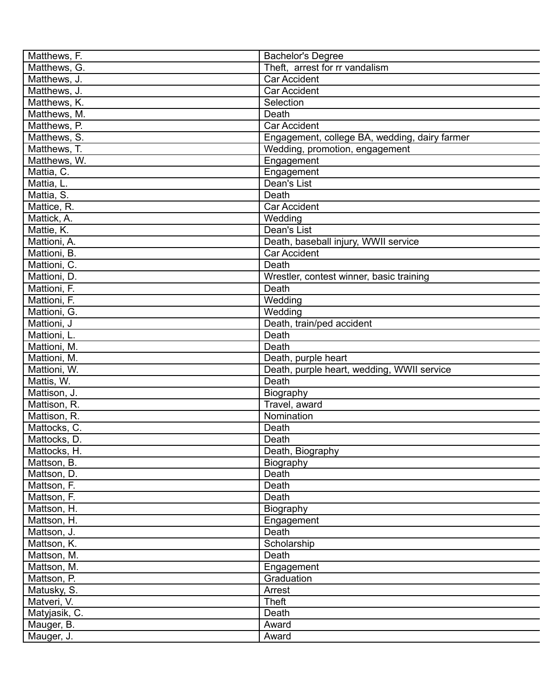| Matthews, F.  | <b>Bachelor's Degree</b>                      |
|---------------|-----------------------------------------------|
| Matthews, G.  | Theft, arrest for rr vandalism                |
| Matthews, J.  | Car Accident                                  |
| Matthews, J.  | <b>Car Accident</b>                           |
| Matthews, K.  | Selection                                     |
| Matthews, M.  | Death                                         |
| Matthews, P.  | Car Accident                                  |
| Matthews, S.  | Engagement, college BA, wedding, dairy farmer |
| Matthews, T.  | Wedding, promotion, engagement                |
| Matthews, W.  | Engagement                                    |
| Mattia, C.    | Engagement                                    |
| Mattia, L.    | Dean's List                                   |
| Mattia, S.    | Death                                         |
| Mattice, R.   | <b>Car Accident</b>                           |
| Mattick, A.   | Wedding                                       |
| Mattie, K.    | Dean's List                                   |
| Mattioni, A.  | Death, baseball injury, WWII service          |
| Mattioni, B.  | <b>Car Accident</b>                           |
| Mattioni, C.  | Death                                         |
| Mattioni, D.  | Wrestler, contest winner, basic training      |
| Mattioni, F.  | Death                                         |
|               |                                               |
| Mattioni, F.  | Wedding                                       |
| Mattioni, G.  | Wedding                                       |
| Mattioni, J   | Death, train/ped accident                     |
| Mattioni, L.  | Death                                         |
| Mattioni, M.  | Death                                         |
| Mattioni, M.  | Death, purple heart                           |
| Mattioni, W.  | Death, purple heart, wedding, WWII service    |
| Mattis, W.    | Death                                         |
| Mattison, J.  | Biography                                     |
| Mattison, R.  | Travel, award                                 |
| Mattison, R.  | Nomination                                    |
| Mattocks, C.  | Death                                         |
| Mattocks, D.  | Death                                         |
| Mattocks, H.  | Death, Biography                              |
| Mattson, B.   | Biography                                     |
| Mattson, D.   | Death                                         |
| Mattson, F.   | Death                                         |
| Mattson, F.   | Death                                         |
| Mattson, H.   | Biography                                     |
| Mattson, H.   | Engagement                                    |
| Mattson, J.   | Death                                         |
| Mattson, K.   | Scholarship                                   |
| Mattson, M.   | Death                                         |
| Mattson, M.   | Engagement                                    |
| Mattson, P.   | Graduation                                    |
| Matusky, S.   | Arrest                                        |
| Matveri, V.   | Theft                                         |
| Matyjasik, C. | Death                                         |
| Mauger, B.    | Award                                         |
| Mauger, J.    | Award                                         |
|               |                                               |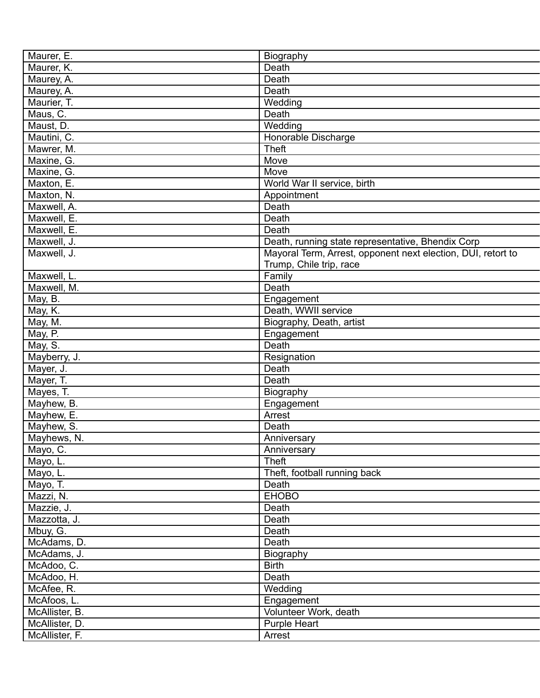| Maurer, E.     | Biography                                                    |
|----------------|--------------------------------------------------------------|
| Maurer, K.     | Death                                                        |
| Maurey, A.     | Death                                                        |
| Maurey, A.     | Death                                                        |
| Maurier, T.    | Wedding                                                      |
| Maus, C.       | Death                                                        |
| Maust, D.      | Wedding                                                      |
| Mautini, C.    | Honorable Discharge                                          |
| Mawrer, M.     | <b>Theft</b>                                                 |
| Maxine, G.     | Move                                                         |
| Maxine, G.     | Move                                                         |
| Maxton, E.     | World War II service, birth                                  |
| Maxton, N.     | Appointment                                                  |
| Maxwell, A.    | Death                                                        |
| Maxwell, E.    | Death                                                        |
| Maxwell, E.    | Death                                                        |
| Maxwell, J.    | Death, running state representative, Bhendix Corp            |
| Maxwell, J.    | Mayoral Term, Arrest, opponent next election, DUI, retort to |
|                | Trump, Chile trip, race                                      |
| Maxwell, L.    | Family                                                       |
| Maxwell, M.    | Death                                                        |
| May, B.        | Engagement                                                   |
| May, K.        | Death, WWII service                                          |
| May, M.        | Biography, Death, artist                                     |
| May, P.        | Engagement                                                   |
| May, S.        | Death                                                        |
| Mayberry, J.   | Resignation                                                  |
|                | Death                                                        |
| Mayer, J.      |                                                              |
| Mayer, T.      | Death                                                        |
| Mayes, T.      | Biography                                                    |
| Mayhew, B.     | Engagement                                                   |
| Mayhew, E.     | Arrest                                                       |
| Mayhew, S.     | Death                                                        |
| Mayhews, N.    | Anniversary                                                  |
| Mayo, C.       | Anniversary                                                  |
| Mayo, L.       | <b>Theft</b>                                                 |
| Mayo, L.       | Theft, football running back                                 |
| Mayo, T.       | Death                                                        |
| Mazzi, N.      | <b>EHOBO</b>                                                 |
| Mazzie, J.     | Death                                                        |
| Mazzotta, J.   | Death                                                        |
| Mbuy, G.       | Death                                                        |
| McAdams, D.    | Death                                                        |
| McAdams, J.    | Biography                                                    |
| McAdoo, C.     | <b>Birth</b>                                                 |
| McAdoo, H.     | Death                                                        |
| McAfee, R.     | Wedding                                                      |
| McAfoos, L.    | Engagement                                                   |
| McAllister, B. | Volunteer Work, death                                        |
| McAllister, D. | Purple Heart                                                 |
| McAllister, F. | Arrest                                                       |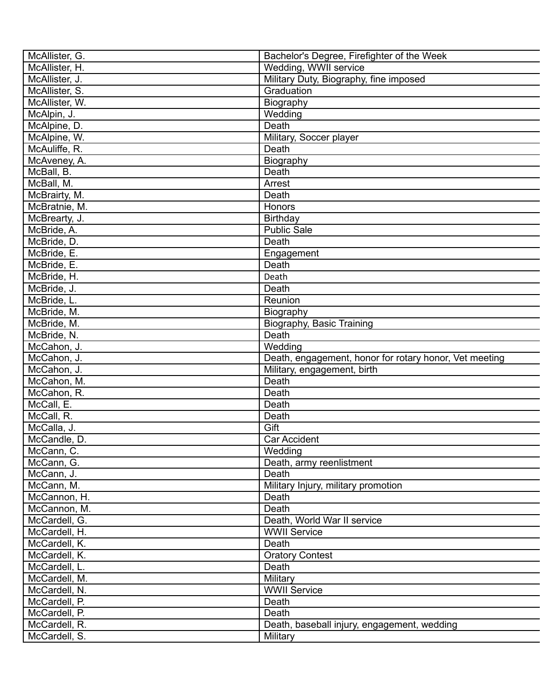| McAllister, G. | Bachelor's Degree, Firefighter of the Week             |
|----------------|--------------------------------------------------------|
| McAllister, H. | Wedding, WWII service                                  |
| McAllister, J. | Military Duty, Biography, fine imposed                 |
| McAllister, S. | Graduation                                             |
| McAllister, W. | Biography                                              |
| McAlpin, J.    | Wedding                                                |
| McAlpine, D.   | Death                                                  |
| McAlpine, W.   | Military, Soccer player                                |
| McAuliffe, R.  | Death                                                  |
| McAveney, A.   | Biography                                              |
| McBall, B.     | Death                                                  |
| McBall, M.     | Arrest                                                 |
| McBrairty, M.  | Death                                                  |
| McBratnie, M.  | Honors                                                 |
| McBrearty, J.  | Birthday                                               |
| McBride, A.    | <b>Public Sale</b>                                     |
| McBride, D.    | Death                                                  |
| McBride, E.    | Engagement                                             |
| McBride, E.    | Death                                                  |
| McBride, H.    | Death                                                  |
|                |                                                        |
| McBride, J.    | Death                                                  |
| McBride, L.    | Reunion                                                |
| McBride, M.    | Biography                                              |
| McBride, M.    | Biography, Basic Training                              |
| McBride, N.    | Death                                                  |
| McCahon, J.    | Wedding                                                |
| McCahon, J.    | Death, engagement, honor for rotary honor, Vet meeting |
| McCahon, J.    | Military, engagement, birth                            |
| McCahon, M.    | Death                                                  |
| McCahon, R.    | Death                                                  |
| McCall, E.     | Death                                                  |
| McCall, R.     | Death                                                  |
| McCalla, J.    | Gift                                                   |
| McCandle, D.   | Car Accident                                           |
| McCann, C.     | Wedding                                                |
| McCann, G.     | Death, army reenlistment                               |
| McCann, J.     | Death                                                  |
| McCann, M.     | Military Injury, military promotion                    |
| McCannon, H.   | Death                                                  |
| McCannon, M.   | Death                                                  |
| McCardell, G.  | Death, World War II service                            |
| McCardell, H.  | <b>WWII Service</b>                                    |
| McCardell, K.  | Death                                                  |
| McCardell, K.  | <b>Oratory Contest</b>                                 |
| McCardell, L.  | Death                                                  |
| McCardell, M.  | <b>Military</b>                                        |
| McCardell, N.  | <b>WWII Service</b>                                    |
| McCardell, P.  | Death                                                  |
| McCardell, P.  | Death                                                  |
| McCardell, R.  | Death, baseball injury, engagement, wedding            |
| McCardell, S.  | Military                                               |
|                |                                                        |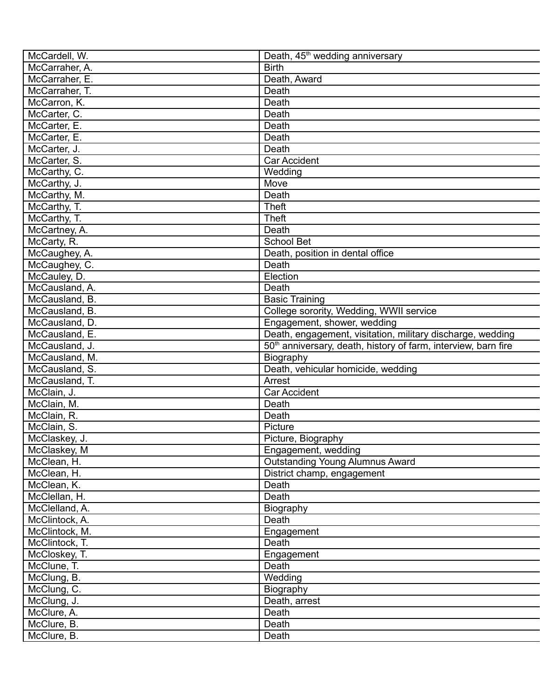| McCardell, W.<br>McCarraher, A. | Death, 45 <sup>th</sup> wedding anniversary<br><b>Birth</b>                |
|---------------------------------|----------------------------------------------------------------------------|
|                                 |                                                                            |
| McCarraher, E.                  | Death, Award                                                               |
| McCarraher, T.                  | Death                                                                      |
| McCarron, K.                    | Death                                                                      |
| McCarter, C.                    | Death                                                                      |
| McCarter, E.                    | Death                                                                      |
| McCarter, E.                    | Death                                                                      |
| McCarter, J.                    | Death                                                                      |
| McCarter, S.                    | Car Accident                                                               |
| McCarthy, C.                    | Wedding                                                                    |
| McCarthy, J.                    | Move                                                                       |
| McCarthy, M.                    | Death                                                                      |
| McCarthy, T.                    | <b>Theft</b>                                                               |
| McCarthy, T.                    | <b>Theft</b>                                                               |
| McCartney, A.                   | Death                                                                      |
| McCarty, R.                     | School Bet                                                                 |
| McCaughey, A.                   | Death, position in dental office                                           |
| McCaughey, C.                   | Death                                                                      |
| McCauley, D.                    | Election                                                                   |
| McCausland, A.                  | Death                                                                      |
| McCausland, B.                  | <b>Basic Training</b>                                                      |
| McCausland, B.                  | College sorority, Wedding, WWII service                                    |
| McCausland, D.                  | Engagement, shower, wedding                                                |
| McCausland, E.                  | Death, engagement, visitation, military discharge, wedding                 |
| McCausland, J.                  | 50 <sup>th</sup> anniversary, death, history of farm, interview, barn fire |
| McCausland, M.                  | Biography                                                                  |
| McCausland, S.                  | Death, vehicular homicide, wedding                                         |
| McCausland, T.                  | Arrest                                                                     |
| McClain, J.                     | <b>Car Accident</b>                                                        |
| McClain, M.                     | Death                                                                      |
| McClain, R.                     | Death                                                                      |
| McClain, S.                     | Picture                                                                    |
| McClaskey, J.                   | Picture, Biography                                                         |
| McClaskey, M                    | Engagement, wedding                                                        |
| McClean, H.                     | <b>Outstanding Young Alumnus Award</b>                                     |
| McClean, H.                     | District champ, engagement                                                 |
| McClean, K.                     | Death                                                                      |
| McClellan, H.                   | Death                                                                      |
| McClelland, A.                  | Biography                                                                  |
| McClintock, A.                  | Death                                                                      |
| McClintock, M.                  | Engagement                                                                 |
| McClintock, T.                  | Death                                                                      |
| McCloskey, T.                   | Engagement                                                                 |
| McClune, T.                     | Death                                                                      |
| McClung, B.                     | Wedding                                                                    |
| McClung, C.                     | Biography                                                                  |
| McClung, J.                     | Death, arrest                                                              |
| McClure, A.                     | Death                                                                      |
| McClure, B.                     | Death                                                                      |
| McClure, B.                     | Death                                                                      |
|                                 |                                                                            |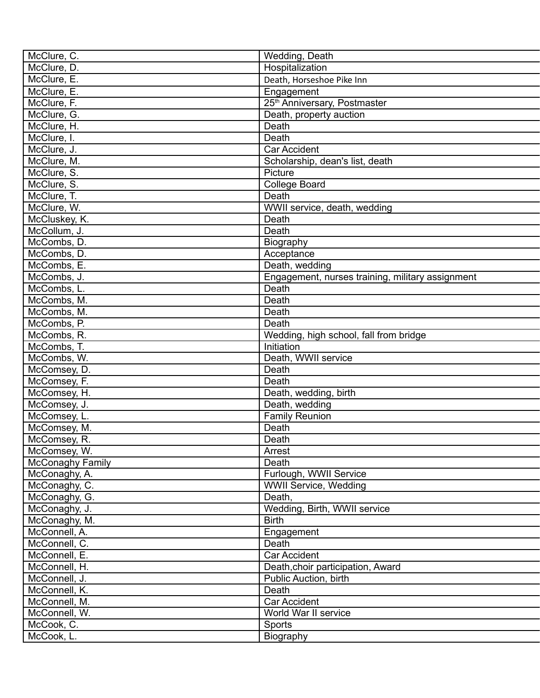| McClure, C.      | Wedding, Death                                   |
|------------------|--------------------------------------------------|
| McClure, D.      | Hospitalization                                  |
| McClure, E.      | Death, Horseshoe Pike Inn                        |
| McClure, E.      | Engagement                                       |
| McClure, F.      | 25 <sup>th</sup> Anniversary, Postmaster         |
| McClure, G.      | Death, property auction                          |
| McClure, H.      | Death                                            |
| McClure, I.      | Death                                            |
| McClure, J.      | Car Accident                                     |
| McClure, M.      | Scholarship, dean's list, death                  |
| McClure, S.      | Picture                                          |
| McClure, S.      | <b>College Board</b>                             |
| McClure, T.      | Death                                            |
| McClure, W.      | WWII service, death, wedding                     |
| McCluskey, K.    | Death                                            |
| McCollum, J.     | Death                                            |
| McCombs, D.      | Biography                                        |
| McCombs, D.      | Acceptance                                       |
| McCombs, E.      | Death, wedding                                   |
| McCombs, J.      | Engagement, nurses training, military assignment |
| McCombs, L.      | Death                                            |
| McCombs, M.      | Death                                            |
| McCombs, M.      | Death                                            |
| McCombs, P.      | Death                                            |
| McCombs, R.      | Wedding, high school, fall from bridge           |
| McCombs, T.      | Initiation                                       |
| McCombs, W.      | Death, WWII service                              |
| McComsey, D.     | Death                                            |
| McComsey, F.     | Death                                            |
| McComsey, H.     | Death, wedding, birth                            |
| McComsey, J.     | Death, wedding                                   |
| McComsey, L.     | <b>Family Reunion</b>                            |
| McComsey, M.     | Death                                            |
| McComsey, R.     | Death                                            |
| McComsey, W.     | Arrest                                           |
| McConaghy Family | Death                                            |
| McConaghy, A.    | Furlough, WWII Service                           |
| McConaghy, C.    | <b>WWII Service, Wedding</b>                     |
| McConaghy, G.    | Death,                                           |
| McConaghy, J.    | Wedding, Birth, WWII service                     |
| McConaghy, M.    | <b>Birth</b>                                     |
| McConnell, A.    | Engagement                                       |
| McConnell, C.    | Death                                            |
| McConnell, E.    | <b>Car Accident</b>                              |
| McConnell, H.    | Death, choir participation, Award                |
| McConnell, J.    | Public Auction, birth                            |
| McConnell, K.    | Death                                            |
| McConnell, M.    | <b>Car Accident</b>                              |
| McConnell, W.    | World War II service                             |
|                  |                                                  |
| McCook, C.       | Sports                                           |
| McCook, L.       | Biography                                        |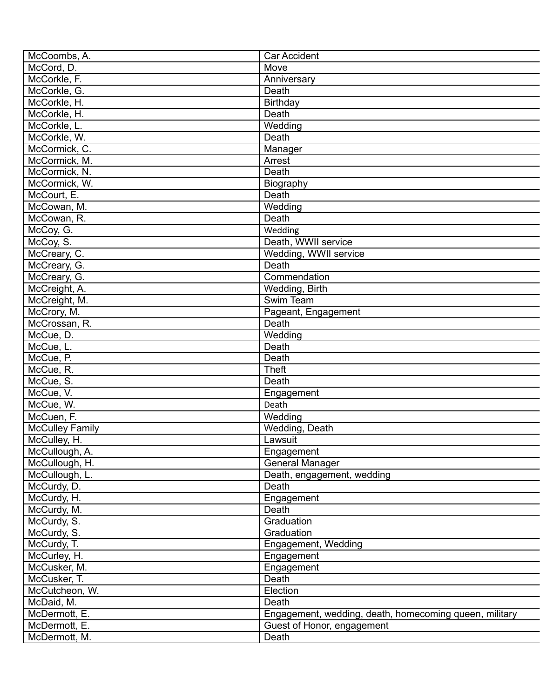| McCoombs, A.           | <b>Car Accident</b>                                    |
|------------------------|--------------------------------------------------------|
| McCord, D.             | Move                                                   |
| McCorkle, F.           | Anniversary                                            |
| McCorkle, G.           | Death                                                  |
| McCorkle, H.           | <b>Birthday</b>                                        |
| McCorkle, H.           | Death                                                  |
| McCorkle, L.           | Wedding                                                |
| McCorkle, W.           | Death                                                  |
| McCormick, C.          | Manager                                                |
| McCormick, M.          | Arrest                                                 |
| McCormick, N.          | Death                                                  |
| McCormick, W.          | Biography                                              |
| McCourt, E.            | Death                                                  |
| McCowan, M.            | Wedding                                                |
| McCowan, R.            | Death                                                  |
| McCoy, G.              | Wedding                                                |
| McCoy, S.              | Death, WWII service                                    |
| McCreary, C.           | Wedding, WWII service                                  |
| McCreary, G.           | Death                                                  |
| McCreary, G.           | Commendation                                           |
| McCreight, A.          | Wedding, Birth                                         |
| McCreight, M.          | Swim Team                                              |
| McCrory, M.            | Pageant, Engagement                                    |
| McCrossan, R.          | Death                                                  |
| McCue, D.              | Wedding                                                |
| McCue, L.              | Death                                                  |
| McCue, P.              | Death                                                  |
| McCue, R.              | <b>Theft</b>                                           |
| McCue, S.              | Death                                                  |
| McCue, V.              | Engagement                                             |
| McCue, W.              | Death                                                  |
| McCuen, F.             | Wedding                                                |
| <b>McCulley Family</b> | Wedding, Death                                         |
| McCulley, H.           | Lawsuit                                                |
| McCullough, A.         | Engagement                                             |
| McCullough, H.         | General Manager                                        |
| McCullough, L.         | Death, engagement, wedding                             |
| McCurdy, D.            | <b>Death</b>                                           |
| McCurdy, H.            | Engagement                                             |
| McCurdy, M.            | Death                                                  |
| McCurdy, S.            | Graduation                                             |
| McCurdy, S.            | Graduation                                             |
| McCurdy, T.            | Engagement, Wedding                                    |
| McCurley, H.           | Engagement                                             |
| McCusker, M.           | Engagement                                             |
| McCusker, T.           | Death                                                  |
| McCutcheon, W.         | Election                                               |
| McDaid, M.             | Death                                                  |
| McDermott, E.          | Engagement, wedding, death, homecoming queen, military |
| McDermott, E.          | Guest of Honor, engagement                             |
| McDermott, M.          | Death                                                  |
|                        |                                                        |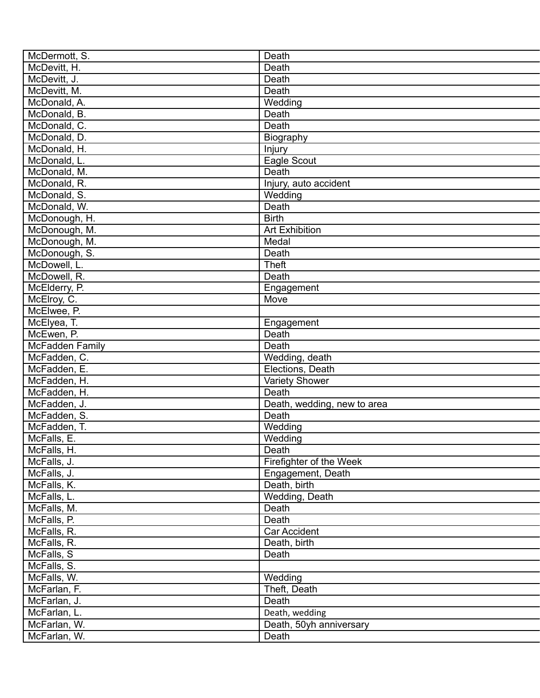| McDermott, S.                | Death                              |
|------------------------------|------------------------------------|
| McDevitt, H.                 | Death                              |
| McDevitt, J.                 | Death                              |
| McDevitt, M.                 | Death                              |
| McDonald, A.                 | Wedding                            |
| McDonald, B.                 | Death                              |
| McDonald, C.                 | Death                              |
| McDonald, D.                 | Biography                          |
| McDonald, H.                 | Injury                             |
| McDonald, L.                 | Eagle Scout                        |
| McDonald, M.                 | Death                              |
| McDonald, R.                 | Injury, auto accident              |
| McDonald, S.                 | Wedding                            |
| McDonald, W.                 | Death                              |
| McDonough, H.                | <b>Birth</b>                       |
| McDonough, M.                | <b>Art Exhibition</b>              |
| McDonough, M.                | Medal                              |
| McDonough, S.                | Death                              |
| McDowell, L.                 | <b>Theft</b>                       |
| McDowell, R.                 | Death                              |
| McElderry, P.                | Engagement                         |
| McElroy, C.                  | Move                               |
| McElwee, P.                  |                                    |
|                              |                                    |
| McElyea, T.                  | Engagement                         |
| McEwen, P.                   | Death<br>Death                     |
| McFadden Family              |                                    |
| McFadden, C.<br>McFadden, E. | Wedding, death<br>Elections, Death |
|                              |                                    |
| McFadden, H.                 | Variety Shower                     |
| McFadden, H.                 | Death                              |
| McFadden, J.                 | Death, wedding, new to area        |
| McFadden, S.                 | Death                              |
| McFadden, T.                 | Wedding                            |
| McFalls, E.                  | Wedding                            |
| McFalls, H.                  | Death                              |
| McFalls, J.                  | Firefighter of the Week            |
| McFalls, J.                  | Engagement, Death                  |
| McFalls, K.                  | Death, birth                       |
| McFalls, L.                  | Wedding, Death                     |
| McFalls, M.                  | Death                              |
| McFalls, P.                  | Death                              |
| McFalls, R.                  | <b>Car Accident</b>                |
| McFalls, R.                  | Death, birth                       |
| McFalls, S                   | Death                              |
| McFalls, S.                  |                                    |
| McFalls, W.                  | Wedding                            |
| McFarlan, F.                 | Theft, Death                       |
| McFarlan, J.                 | Death                              |
| McFarlan, L.                 | Death, wedding                     |
| McFarlan, W.                 | Death, 50yh anniversary            |
| McFarlan, W.                 | Death                              |
|                              |                                    |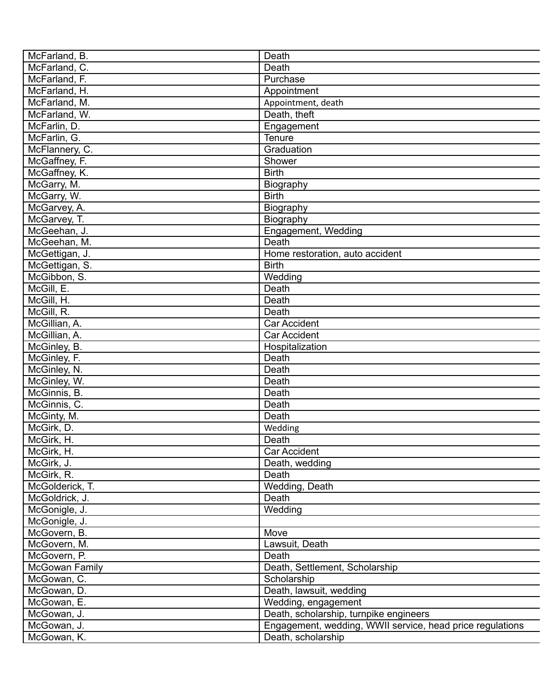| McFarland, B.         | Death                                                     |
|-----------------------|-----------------------------------------------------------|
| McFarland, C.         | Death                                                     |
| McFarland, F.         | Purchase                                                  |
| McFarland, H.         | Appointment                                               |
| McFarland, M.         | Appointment, death                                        |
| McFarland, W.         | Death, theft                                              |
| McFarlin, D.          | Engagement                                                |
| McFarlin, G.          | Tenure                                                    |
| McFlannery, C.        | Graduation                                                |
| McGaffney, F.         | Shower                                                    |
| McGaffney, K.         | <b>Birth</b>                                              |
| McGarry, M.           | Biography                                                 |
| McGarry, W.           | <b>Birth</b>                                              |
| McGarvey, A.          | Biography                                                 |
| McGarvey, T.          | Biography                                                 |
| McGeehan, J.          | Engagement, Wedding                                       |
| McGeehan, M.          | Death                                                     |
|                       |                                                           |
| McGettigan, J.        | Home restoration, auto accident<br><b>Birth</b>           |
| McGettigan, S.        |                                                           |
| McGibbon, S.          | Wedding                                                   |
| McGill, E.            | Death                                                     |
| McGill, H.            | Death                                                     |
| McGill, R.            | Death                                                     |
| McGillian, A.         | <b>Car Accident</b>                                       |
| McGillian, A.         | <b>Car Accident</b>                                       |
| McGinley, B.          | Hospitalization                                           |
| McGinley, F.          | Death                                                     |
| McGinley, N.          | Death                                                     |
| McGinley, W.          | Death                                                     |
| McGinnis, B.          | Death                                                     |
| McGinnis, C.          | Death                                                     |
| McGinty, M.           | Death                                                     |
| McGirk, D.            | Wedding                                                   |
| McGirk, H.            | Death                                                     |
| McGirk, H.            | <b>Car Accident</b>                                       |
| McGirk, J.            | Death, wedding                                            |
| McGirk, R.            | Death                                                     |
| McGolderick, T.       | Wedding, Death                                            |
| McGoldrick, J.        | Death                                                     |
| McGonigle, J.         | Wedding                                                   |
| McGonigle, J.         |                                                           |
| McGovern, B.          | Move                                                      |
| McGovern, M.          | Lawsuit, Death                                            |
| McGovern, P.          | Death                                                     |
| <b>McGowan Family</b> | Death, Settlement, Scholarship                            |
| McGowan, C.           | Scholarship                                               |
| McGowan, D.           | Death, lawsuit, wedding                                   |
| McGowan, E.           | Wedding, engagement                                       |
| McGowan, J.           | Death, scholarship, turnpike engineers                    |
|                       |                                                           |
| McGowan, J.           | Engagement, wedding, WWII service, head price regulations |
| McGowan, K.           | Death, scholarship                                        |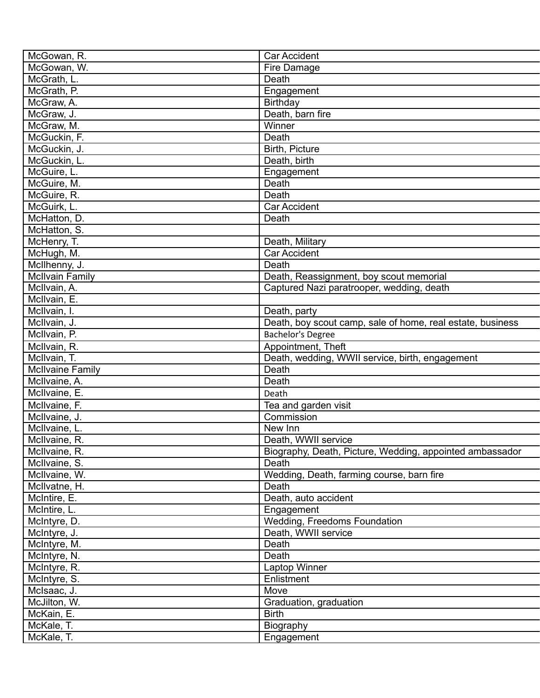| McGowan, R.             | <b>Car Accident</b>                                        |
|-------------------------|------------------------------------------------------------|
| McGowan, W.             | Fire Damage                                                |
| McGrath, L.             | Death                                                      |
| McGrath, P.             | Engagement                                                 |
| McGraw, A.              | Birthday                                                   |
| McGraw, J.              | Death, barn fire                                           |
| McGraw, M.              | Winner                                                     |
| McGuckin, F.            | Death                                                      |
| McGuckin, J.            | Birth, Picture                                             |
| McGuckin, L.            | Death, birth                                               |
| McGuire, L.             | Engagement                                                 |
| McGuire, M.             | Death                                                      |
| McGuire, R.             | Death                                                      |
| McGuirk, L.             | <b>Car Accident</b>                                        |
| McHatton, D.            | Death                                                      |
| McHatton, S.            |                                                            |
| McHenry, T.             | Death, Military                                            |
| McHugh, M.              | <b>Car Accident</b>                                        |
| McIlhenny, J.           | Death                                                      |
| <b>McIlvain Family</b>  | Death, Reassignment, boy scout memorial                    |
| McIlvain, A.            | Captured Nazi paratrooper, wedding, death                  |
| McIlvain, E.            |                                                            |
| McIlvain, I.            | Death, party                                               |
| McIlvain, J.            | Death, boy scout camp, sale of home, real estate, business |
| McIlvain, P.            | Bachelor's Degree                                          |
| McIlvain, R.            | Appointment, Theft                                         |
| McIlvain, T.            | Death, wedding, WWII service, birth, engagement            |
| <b>McIlvaine Family</b> | Death                                                      |
| McIlvaine, A.           | Death                                                      |
| McIlvaine, E.           | Death                                                      |
| McIlvaine, F.           | Tea and garden visit                                       |
| McIlvaine, J.           | Commission                                                 |
| McIlvaine, L.           | New Inn                                                    |
| McIlvaine, R.           | Death, WWII service                                        |
| McIlvaine, R.           | Biography, Death, Picture, Wedding, appointed ambassador   |
| McIlvaine, S.           | Death                                                      |
| McIlvaine, W.           | Wedding, Death, farming course, barn fire                  |
| McIlvatne, H.           | Death                                                      |
| McIntire, E.            | Death, auto accident                                       |
| McIntire, L.            | Engagement                                                 |
| McIntyre, D.            | Wedding, Freedoms Foundation                               |
| McIntyre, J.            | Death, WWII service                                        |
| McIntyre, M.            | Death                                                      |
| McIntyre, N.            | Death                                                      |
| McIntyre, R.            | Laptop Winner                                              |
| McIntyre, S.            | Enlistment                                                 |
| McIsaac, J.             | Move                                                       |
| McJilton, W.            | Graduation, graduation                                     |
| McKain, E.              | <b>Birth</b>                                               |
| McKale, T.              | Biography                                                  |
| McKale, T.              | Engagement                                                 |
|                         |                                                            |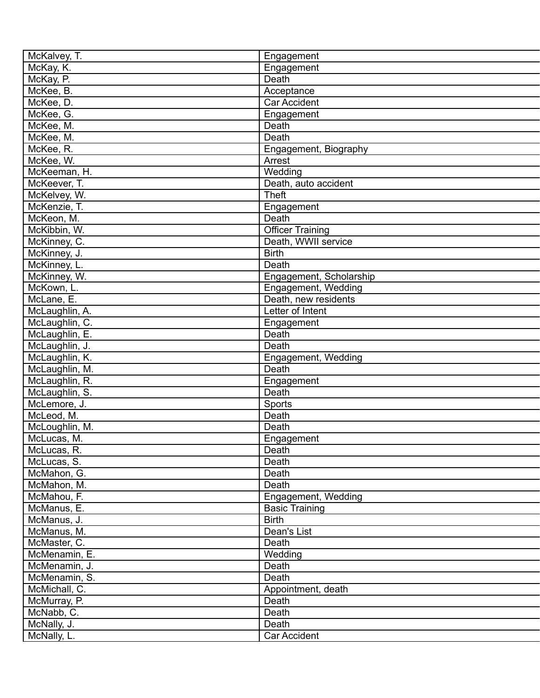| McKalvey, T.   | Engagement              |
|----------------|-------------------------|
| McKay, K.      | Engagement              |
| McKay, P.      | Death                   |
| McKee, B.      | Acceptance              |
| McKee, D.      | <b>Car Accident</b>     |
| McKee, G.      | Engagement              |
| McKee, M.      | Death                   |
| McKee, M.      | Death                   |
| McKee, R.      | Engagement, Biography   |
| McKee, W.      | Arrest                  |
| McKeeman, H.   | Wedding                 |
| McKeever, T.   | Death, auto accident    |
| McKelvey, W.   | <b>Theft</b>            |
| McKenzie, T.   | Engagement              |
| McKeon, M.     | Death                   |
| McKibbin, W.   | <b>Officer Training</b> |
| McKinney, C.   | Death, WWII service     |
| McKinney, J.   | <b>Birth</b>            |
| McKinney, L.   | Death                   |
| McKinney, W.   | Engagement, Scholarship |
| McKown, L.     | Engagement, Wedding     |
| McLane, E.     | Death, new residents    |
| McLaughlin, A. | Letter of Intent        |
| McLaughlin, C. |                         |
|                | Engagement<br>Death     |
| McLaughlin, E. | Death                   |
| McLaughlin, J. |                         |
| McLaughlin, K. | Engagement, Wedding     |
| McLaughlin, M. | Death                   |
| McLaughlin, R. | Engagement              |
| McLaughlin, S. | Death                   |
| McLemore, J.   | Sports                  |
| McLeod, M.     | Death                   |
| McLoughlin, M. | Death                   |
| McLucas, M.    | Engagement              |
| McLucas, R.    | Death                   |
| McLucas, S.    | Death                   |
| McMahon, G.    | Death                   |
| McMahon, M.    | Death                   |
| McMahou, F.    | Engagement, Wedding     |
| McManus, E.    | <b>Basic Training</b>   |
| McManus, J.    | <b>Birth</b>            |
| McManus, M.    | Dean's List             |
| McMaster, C.   | Death                   |
| McMenamin, E.  | Wedding                 |
| McMenamin, J.  | Death                   |
| McMenamin, S.  | Death                   |
| McMichall, C.  | Appointment, death      |
| McMurray, P.   | Death                   |
| McNabb, C.     | Death                   |
| McNally, J.    | Death                   |
| McNally, L.    | Car Accident            |
|                |                         |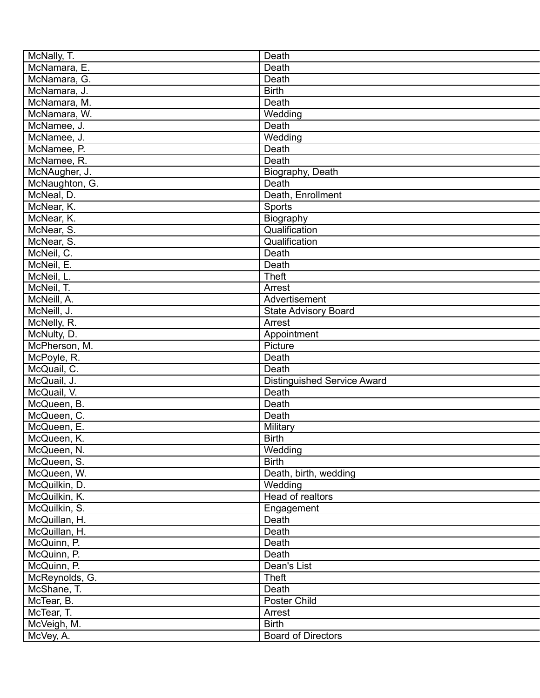| McNally, T.                  | Death                              |
|------------------------------|------------------------------------|
| McNamara, E.                 | Death                              |
| McNamara, G.                 | Death                              |
| McNamara, J.                 | <b>Birth</b>                       |
| McNamara, M.                 | Death                              |
| McNamara, W.                 | Wedding                            |
| McNamee, J.                  | Death                              |
| McNamee, J.                  | Wedding                            |
| McNamee, P.                  | Death                              |
| McNamee, R.                  | Death                              |
| McNAugher, J.                | Biography, Death                   |
| McNaughton, G.               | Death                              |
| McNeal, D.                   | Death, Enrollment                  |
| McNear, K.                   | Sports                             |
| McNear, K.                   | Biography                          |
| McNear, S.                   | Qualification                      |
| McNear, S.                   | Qualification                      |
| McNeil, C.                   | Death                              |
| McNeil, E.                   | Death                              |
| McNeil, L.                   | <b>Theft</b>                       |
| McNeil, T.                   | Arrest                             |
| McNeill, A.                  | Advertisement                      |
| McNeill, J.                  | <b>State Advisory Board</b>        |
| McNelly, R.                  | Arrest                             |
| McNulty, D.                  | Appointment                        |
| McPherson, M.                | Picture                            |
| McPoyle, R.                  | Death                              |
| McQuail, C.                  | Death                              |
| McQuail, J.                  | <b>Distinguished Service Award</b> |
| McQuail, V.                  | Death                              |
|                              | Death                              |
| McQueen, B.<br>McQueen, C.   | Death                              |
| McQueen, E.                  |                                    |
|                              | <b>Military</b>                    |
| McQueen, K.                  | <b>Birth</b>                       |
| McQueen, N.                  | Wedding<br><b>Birth</b>            |
| McQueen, S.                  |                                    |
| McQueen, W.<br>McQuilkin, D. | Death, birth, wedding              |
|                              | Wedding                            |
| McQuilkin, K.                | Head of realtors                   |
| McQuilkin, S.                | Engagement                         |
| McQuillan, H.                | Death                              |
| McQuillan, H.                | Death                              |
| McQuinn, P.                  | Death                              |
| McQuinn, P.                  | Death                              |
| McQuinn, P.                  | Dean's List                        |
| McReynolds, G.               | <b>Theft</b>                       |
| McShane, T.                  | Death                              |
| McTear, B.                   | Poster Child                       |
| McTear, T.                   | Arrest                             |
| McVeigh, M.                  | <b>Birth</b>                       |
| McVey, A.                    | <b>Board of Directors</b>          |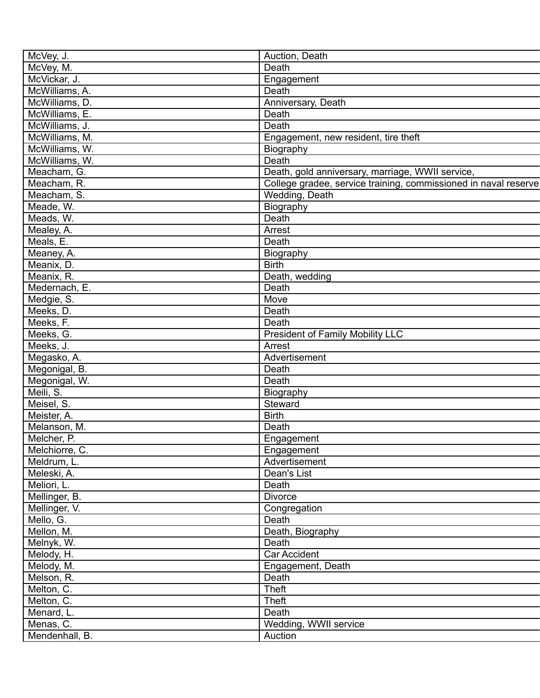| McVey, J.      | Auction, Death                                                  |
|----------------|-----------------------------------------------------------------|
| McVey, M.      | Death                                                           |
| McVickar, J.   | Engagement                                                      |
| McWilliams, A. | Death                                                           |
| McWilliams, D. | Anniversary, Death                                              |
| McWilliams, E. | Death                                                           |
| McWilliams, J. | Death                                                           |
| McWilliams, M. | Engagement, new resident, tire theft                            |
| McWilliams, W. | Biography                                                       |
| McWilliams, W. | Death                                                           |
| Meacham, G.    | Death, gold anniversary, marriage, WWII service,                |
| Meacham, R.    | College gradee, service training, commissioned in naval reserve |
| Meacham, S.    | Wedding, Death                                                  |
| Meade, W.      | Biography                                                       |
| Meads, W.      | Death                                                           |
| Mealey, A.     | Arrest                                                          |
| Meals, E.      | Death                                                           |
| Meaney, A.     | Biography                                                       |
| Meanix, D.     | <b>Birth</b>                                                    |
| Meanix, R.     | Death, wedding                                                  |
| Medernach, E.  | Death                                                           |
| Medgie, S.     | Move                                                            |
| Meeks, D.      | Death                                                           |
|                | Death                                                           |
| Meeks, F.      |                                                                 |
| Meeks, G.      | <b>President of Family Mobility LLC</b>                         |
| Meeks, J.      | Arrest                                                          |
| Megasko, A.    | Advertisement                                                   |
| Megonigal, B.  | Death                                                           |
| Megonigal, W.  | Death                                                           |
| Meili, S.      | Biography                                                       |
| Meisel, S.     | Steward                                                         |
| Meister, A.    | <b>Birth</b>                                                    |
| Melanson, M.   | Death                                                           |
| Melcher, P.    | Engagement                                                      |
| Melchiorre, C. | Engagement                                                      |
| Meldrum, L.    | Advertisement                                                   |
| Meleski, A.    | Dean's List                                                     |
| Meliori, L.    | Death                                                           |
| Mellinger, B.  | <b>Divorce</b>                                                  |
| Mellinger, V.  | Congregation                                                    |
| Mello, G.      | Death                                                           |
| Mellon, M.     | Death, Biography                                                |
| Melnyk, W.     | Death                                                           |
| Melody, H.     | Car Accident                                                    |
| Melody, M.     | Engagement, Death                                               |
| Melson, R.     | Death                                                           |
| Melton, C.     | Theft                                                           |
| Melton, C.     | Theft                                                           |
| Menard, L.     | Death                                                           |
| Menas, C.      | Wedding, WWII service                                           |
| Mendenhall, B. | Auction                                                         |
|                |                                                                 |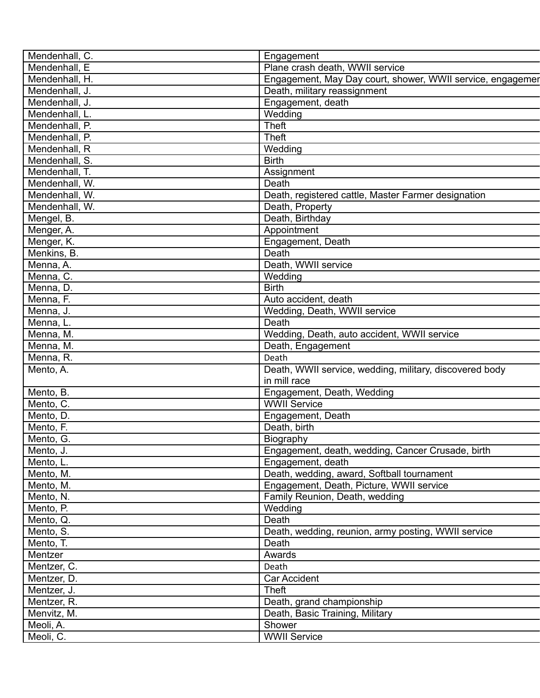| Mendenhall, C.         | Engagement                                                 |
|------------------------|------------------------------------------------------------|
| Mendenhall, E          | Plane crash death, WWII service                            |
| Mendenhall, H.         | Engagement, May Day court, shower, WWII service, engagemer |
| Mendenhall, J.         | Death, military reassignment                               |
| Mendenhall, J.         | Engagement, death                                          |
| Mendenhall, L.         | Wedding                                                    |
| Mendenhall, P.         | <b>Theft</b>                                               |
| Mendenhall, P.         | <b>Theft</b>                                               |
| Mendenhall, R          | Wedding                                                    |
| Mendenhall, S.         | <b>Birth</b>                                               |
| Mendenhall, T.         | Assignment                                                 |
| Mendenhall, W.         | Death                                                      |
| Mendenhall, W.         | Death, registered cattle, Master Farmer designation        |
| Mendenhall, W.         | Death, Property                                            |
| Mengel, B.             | Death, Birthday                                            |
| Menger, A.             | Appointment                                                |
| Menger, K.             | Engagement, Death                                          |
| Menkins, B.            | Death                                                      |
| Menna, A.              | Death, WWII service                                        |
| Menna, C.              | Wedding                                                    |
| Menna, D.              | <b>Birth</b>                                               |
| Menna, F.              | Auto accident, death                                       |
| Menna, J.              | Wedding, Death, WWII service                               |
| Menna, L.              | Death                                                      |
|                        | Wedding, Death, auto accident, WWII service                |
| Menna, M.<br>Menna, M. | Death, Engagement                                          |
|                        | Death                                                      |
| Menna, R.              |                                                            |
| Mento, A.              | Death, WWII service, wedding, military, discovered body    |
|                        | in mill race                                               |
| Mento, B.              | Engagement, Death, Wedding                                 |
| Mento, C.              | <b>WWII Service</b>                                        |
| Mento, D.              | Engagement, Death                                          |
| Mento, F.              | Death, birth                                               |
| Mento, G.              | Biography                                                  |
| Mento, J.              | Engagement, death, wedding, Cancer Crusade, birth          |
| Mento, L.              | Engagement, death                                          |
| Mento, M.              | Death, wedding, award, Softball tournament                 |
| Mento, M.              | Engagement, Death, Picture, WWII service                   |
| Mento, N.              | Family Reunion, Death, wedding                             |
| Mento, P.              | Wedding                                                    |
| Mento, Q.              | Death                                                      |
| Mento, S.              | Death, wedding, reunion, army posting, WWII service        |
| Mento, T.              | Death                                                      |
| Mentzer                | Awards                                                     |
| Mentzer, C.            | Death                                                      |
| Mentzer, D.            | Car Accident                                               |
| Mentzer, J.            | Theft                                                      |
| Mentzer, R.            | Death, grand championship                                  |
| Menvitz, M.            | Death, Basic Training, Military                            |
| Meoli, A.              | Shower                                                     |
| Meoli, C.              | <b>WWII Service</b>                                        |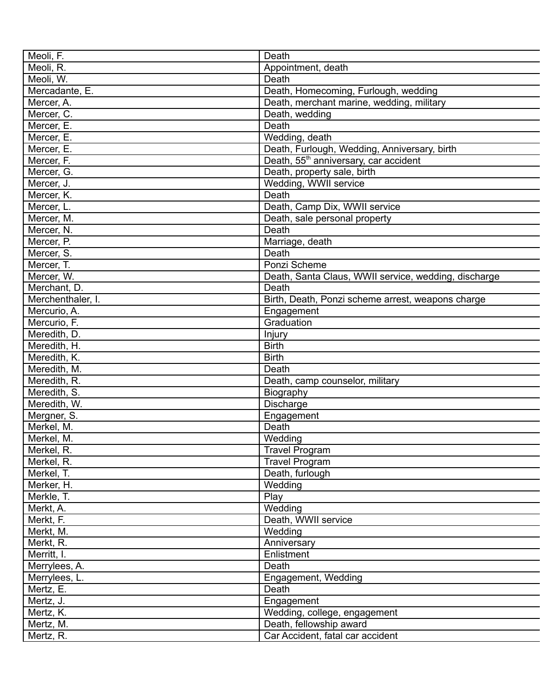| Meoli, F.                | Death                                                |
|--------------------------|------------------------------------------------------|
| Meoli, R.                | Appointment, death                                   |
| Meoli, W.                | Death                                                |
| Mercadante, E.           | Death, Homecoming, Furlough, wedding                 |
| Mercer, A.               | Death, merchant marine, wedding, military            |
| Mercer, C.               | Death, wedding                                       |
| Mercer, E.               | Death                                                |
| Mercer, E.               | Wedding, death                                       |
| Mercer, E.               | Death, Furlough, Wedding, Anniversary, birth         |
| Mercer, F.               | Death, 55 <sup>th</sup> anniversary, car accident    |
| Mercer, G.               | Death, property sale, birth                          |
| Mercer, J.               | Wedding, WWII service                                |
| Mercer, K.               | Death                                                |
| Mercer, L.               | Death, Camp Dix, WWII service                        |
| Mercer, M.               | Death, sale personal property                        |
| Mercer, N.               | Death                                                |
| Mercer, P.               |                                                      |
|                          | Marriage, death<br>Death                             |
| Mercer, S.<br>Mercer, T. |                                                      |
|                          | Ponzi Scheme                                         |
| Mercer, W.               | Death, Santa Claus, WWII service, wedding, discharge |
| Merchant, D.             | Death                                                |
| Merchenthaler, I.        | Birth, Death, Ponzi scheme arrest, weapons charge    |
| Mercurio, A.             | Engagement                                           |
| Mercurio, F.             | Graduation                                           |
| Meredith, D.             | Injury                                               |
| Meredith, H.             | <b>Birth</b>                                         |
| Meredith, K.             | <b>Birth</b>                                         |
| Meredith, M.             | Death                                                |
| Meredith, R.             | Death, camp counselor, military                      |
| Meredith, S.             | Biography                                            |
| Meredith, W.             | Discharge                                            |
| Mergner, S.              | Engagement                                           |
| Merkel, M.               | Death                                                |
| Merkel, M.               | Wedding                                              |
| Merkel, R.               | <b>Travel Program</b>                                |
| Merkel, R.               | <b>Travel Program</b>                                |
| Merkel, T.               | Death, furlough                                      |
| Merker, H.               | Wedding                                              |
| Merkle, T.               | Play                                                 |
| Merkt, A.                | Wedding                                              |
| Merkt, F.                | Death, WWII service                                  |
| Merkt, M.                | Wedding                                              |
| Merkt, R.                | Anniversary                                          |
| Merritt, I.              | Enlistment                                           |
| Merrylees, A.            | Death                                                |
| Merrylees, L.            | Engagement, Wedding                                  |
| Mertz, E.                | Death                                                |
| Mertz, J.                | Engagement                                           |
| Mertz, K.                | Wedding, college, engagement                         |
| Mertz, M.                | Death, fellowship award                              |
| Mertz, R.                | Car Accident, fatal car accident                     |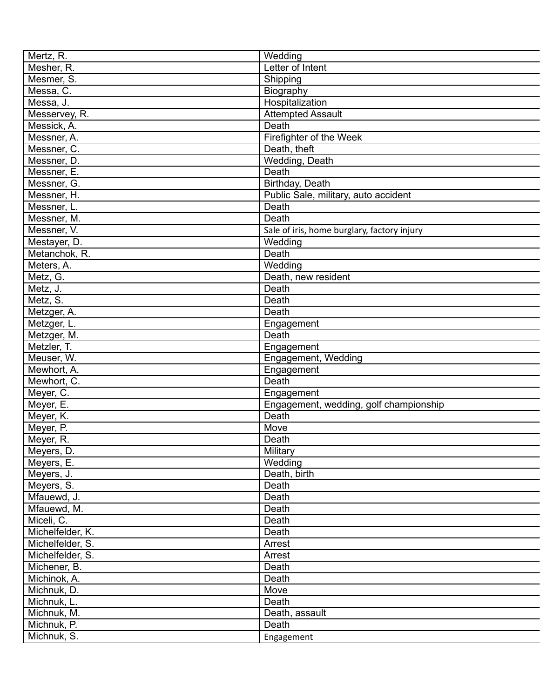| Mertz, R.        | Wedding                                     |
|------------------|---------------------------------------------|
| Mesher, R.       | Letter of Intent                            |
| Mesmer, S.       | Shipping                                    |
| Messa, C.        | Biography                                   |
| Messa, J.        | Hospitalization                             |
| Messervey, R.    | <b>Attempted Assault</b>                    |
| Messick, A.      | Death                                       |
| Messner, A.      | Firefighter of the Week                     |
| Messner, C.      | Death, theft                                |
| Messner, D.      | Wedding, Death                              |
| Messner, E.      | Death                                       |
| Messner, G.      | Birthday, Death                             |
| Messner, H.      | Public Sale, military, auto accident        |
| Messner, L.      | Death                                       |
| Messner, M.      | Death                                       |
| Messner, V.      |                                             |
|                  | Sale of iris, home burglary, factory injury |
| Mestayer, D.     | Wedding                                     |
| Metanchok, R.    | Death                                       |
| Meters, A.       | Wedding                                     |
| Metz, G.         | Death, new resident                         |
| Metz, J.         | Death                                       |
| Metz, S.         | Death                                       |
| Metzger, A.      | Death                                       |
| Metzger, L.      | Engagement                                  |
| Metzger, M.      | Death                                       |
| Metzler, T.      | Engagement                                  |
| Meuser, W.       | Engagement, Wedding                         |
| Mewhort, A.      | Engagement                                  |
| Mewhort, C.      | Death                                       |
| Meyer, C.        | Engagement                                  |
| Meyer, E.        | Engagement, wedding, golf championship      |
| Meyer, K.        | Death                                       |
| Meyer, P.        | Move                                        |
| Meyer, R.        | Death                                       |
| Meyers, D.       | Military                                    |
| Meyers, E.       | Wedding                                     |
| Meyers, J.       | Death, birth                                |
| Meyers, S.       | Death                                       |
| Mfauewd, J.      | Death                                       |
| Mfauewd, M.      | Death                                       |
| Miceli, C.       | Death                                       |
| Michelfelder, K. | Death                                       |
|                  |                                             |
| Michelfelder, S. | Arrest                                      |
| Michelfelder, S. | Arrest                                      |
| Michener, B.     | Death                                       |
| Michinok, A.     | Death                                       |
| Michnuk, D.      | Move                                        |
| Michnuk, L.      | Death                                       |
| Michnuk, M.      | Death, assault                              |
| Michnuk, P.      | Death                                       |
| Michnuk, S.      | Engagement                                  |
|                  |                                             |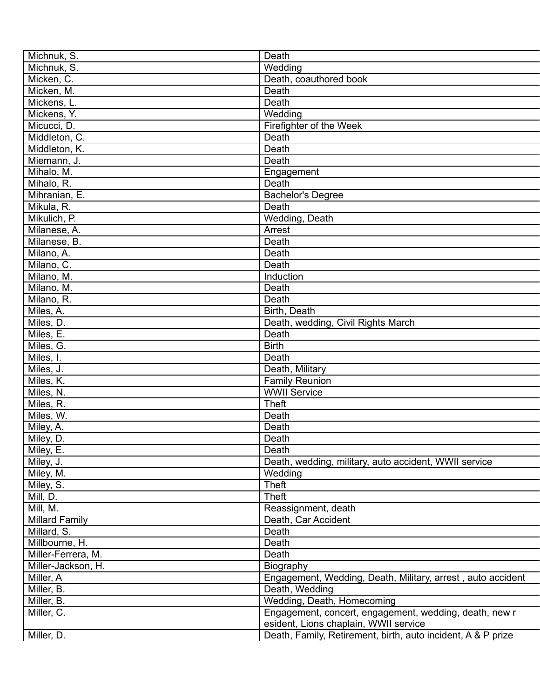| Michnuk, S.        | Death                                                        |
|--------------------|--------------------------------------------------------------|
| Michnuk, S.        | Wedding                                                      |
| Micken, C.         | Death, coauthored book                                       |
| Micken, M.         | Death                                                        |
| Mickens, L.        | Death                                                        |
| Mickens, Y.        | Wedding                                                      |
| Micucci, D.        | Firefighter of the Week                                      |
| Middleton, C.      | Death                                                        |
| Middleton, K.      | Death                                                        |
| Miemann, J.        | Death                                                        |
| Mihalo, M.         | Engagement                                                   |
| Mihalo, R.         | Death                                                        |
| Mihranian, E.      | <b>Bachelor's Degree</b>                                     |
| Mikula, R.         | Death                                                        |
| Mikulich, P.       | Wedding, Death                                               |
| Milanese, A.       | Arrest                                                       |
| Milanese, B.       | Death                                                        |
| Milano, A.         | Death                                                        |
| Milano, C.         | Death                                                        |
| Milano, M.         | Induction                                                    |
| Milano, M.         | Death                                                        |
| Milano, R.         | Death                                                        |
|                    | Birth, Death                                                 |
| Miles, A.          |                                                              |
| Miles, D.          | Death, wedding, Civil Rights March                           |
| Miles, E.          | Death                                                        |
| Miles, G.          | <b>Birth</b>                                                 |
| Miles, I.          | Death                                                        |
| Miles, J.          | Death, Military                                              |
| Miles, K.          | <b>Family Reunion</b>                                        |
| Miles, N.          | <b>WWII</b> Service                                          |
| Miles, R.          | <b>Theft</b>                                                 |
| Miles, W.          | Death                                                        |
| Miley, A.          | Death                                                        |
| Miley, D.          | Death                                                        |
| Miley, E.          | Death                                                        |
| Miley, J.          | Death, wedding, military, auto accident, WWII service        |
| Miley, M.          | Wedding                                                      |
| Miley, S.          | <b>Theft</b>                                                 |
| Mill, D.           | <b>Theft</b>                                                 |
| Mill, M.           | Reassignment, death                                          |
| Millard Family     | Death, Car Accident                                          |
| Millard, S.        | Death                                                        |
| Millbourne, H.     | Death                                                        |
| Miller-Ferrera, M. | Death                                                        |
| Miller-Jackson, H. | Biography                                                    |
| Miller, A          | Engagement, Wedding, Death, Military, arrest, auto accident  |
| Miller, B.         | Death, Wedding                                               |
| Miller, B.         | Wedding, Death, Homecoming                                   |
| Miller, C.         | Engagement, concert, engagement, wedding, death, new r       |
|                    | esident, Lions chaplain, WWII service                        |
| Miller, D.         | Death, Family, Retirement, birth, auto incident, A & P prize |
|                    |                                                              |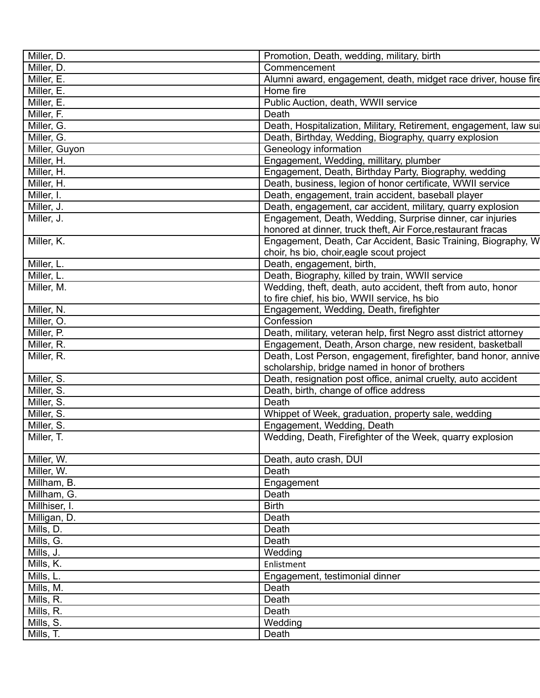| Miller, D.    | Promotion, Death, wedding, military, birth                        |
|---------------|-------------------------------------------------------------------|
| Miller, D.    | Commencement                                                      |
| Miller, E.    | Alumni award, engagement, death, midget race driver, house fire   |
| Miller, E.    | Home fire                                                         |
| Miller, E.    | Public Auction, death, WWII service                               |
| Miller, F.    | Death                                                             |
| Miller, G.    | Death, Hospitalization, Military, Retirement, engagement, law sul |
| Miller, G.    | Death, Birthday, Wedding, Biography, quarry explosion             |
| Miller, Guyon | Geneology information                                             |
| Miller, H.    | Engagement, Wedding, millitary, plumber                           |
| Miller, H.    | Engagement, Death, Birthday Party, Biography, wedding             |
| Miller, H.    | Death, business, legion of honor certificate, WWII service        |
| Miller, I.    | Death, engagement, train accident, baseball player                |
| Miller, J.    | Death, engagement, car accident, military, quarry explosion       |
| Miller, J.    | Engagement, Death, Wedding, Surprise dinner, car injuries         |
|               | honored at dinner, truck theft, Air Force, restaurant fracas      |
| Miller, K.    | Engagement, Death, Car Accident, Basic Training, Biography, W     |
|               | choir, hs bio, choir, eagle scout project                         |
| Miller, L.    | Death, engagement, birth,                                         |
| Miller, L.    | Death, Biography, killed by train, WWII service                   |
| Miller, M.    | Wedding, theft, death, auto accident, theft from auto, honor      |
|               |                                                                   |
|               | to fire chief, his bio, WWII service, hs bio                      |
| Miller, N.    | Engagement, Wedding, Death, firefighter                           |
| Miller, O.    | Confession                                                        |
| Miller, P.    | Death, military, veteran help, first Negro asst district attorney |
| Miller, R.    | Engagement, Death, Arson charge, new resident, basketball         |
| Miller, R.    | Death, Lost Person, engagement, firefighter, band honor, annive   |
|               | scholarship, bridge named in honor of brothers                    |
| Miller, S.    | Death, resignation post office, animal cruelty, auto accident     |
| Miller, S.    | Death, birth, change of office address                            |
| Miller, S.    | Death                                                             |
| Miller, S.    | Whippet of Week, graduation, property sale, wedding               |
| Miller, S.    | Engagement, Wedding, Death                                        |
| Miller, T.    | Wedding, Death, Firefighter of the Week, quarry explosion         |
| Miller, W.    | Death, auto crash, DUI                                            |
| Miller, W.    | Death                                                             |
| Millham, B.   | Engagement                                                        |
| Millham, G.   | Death                                                             |
| Millhiser, I. | <b>Birth</b>                                                      |
| Milligan, D.  | Death                                                             |
| Mills, D.     | Death                                                             |
| Mills, G.     | Death                                                             |
| Mills, J.     | Wedding                                                           |
| Mills, K.     | Enlistment                                                        |
| Mills, L.     | Engagement, testimonial dinner                                    |
| Mills, M.     | Death                                                             |
| Mills, R.     | Death                                                             |
| Mills, R.     | Death                                                             |
| Mills, S.     | Wedding                                                           |
| Mills, T.     | Death                                                             |
|               |                                                                   |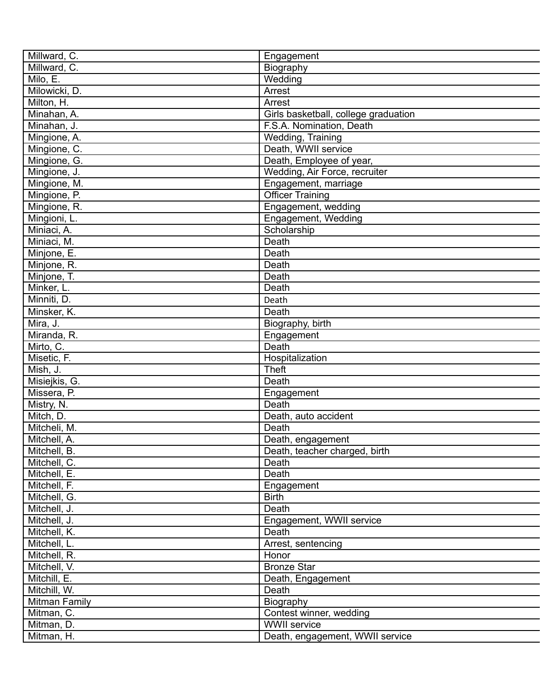| Millward, C.  | Engagement                           |
|---------------|--------------------------------------|
| Millward, C.  | Biography                            |
| Milo, E.      | Wedding                              |
| Milowicki, D. | Arrest                               |
| Milton, H.    | Arrest                               |
| Minahan, A.   | Girls basketball, college graduation |
| Minahan, J.   | F.S.A. Nomination, Death             |
| Mingione, A.  | Wedding, Training                    |
| Mingione, C.  | Death, WWII service                  |
| Mingione, G.  | Death, Employee of year,             |
| Mingione, J.  | Wedding, Air Force, recruiter        |
| Mingione, M.  | Engagement, marriage                 |
| Mingione, P.  | <b>Officer Training</b>              |
| Mingione, R.  | Engagement, wedding                  |
| Mingioni, L.  | Engagement, Wedding                  |
| Miniaci, A.   | Scholarship                          |
| Miniaci, M.   | Death                                |
| Minjone, E.   | Death                                |
| Minjone, R.   | Death                                |
| Minjone, T.   | Death                                |
| Minker, L.    | Death                                |
| Minniti, D.   | Death                                |
|               |                                      |
| Minsker, K.   | Death                                |
| Mira, J.      | Biography, birth                     |
| Miranda, R.   | Engagement                           |
| Mirto, C.     | Death                                |
| Misetic, F.   | Hospitalization                      |
| Mish, J.      | <b>Theft</b>                         |
| Misiejkis, G. | Death                                |
| Missera, P.   | Engagement                           |
| Mistry, N.    | Death                                |
| Mitch, D.     | Death, auto accident                 |
| Mitcheli, M.  | Death                                |
| Mitchell, A.  | Death, engagement                    |
| Mitchell, B.  | Death, teacher charged, birth        |
| Mitchell, C.  | Death                                |
| Mitchell, E.  | Death                                |
| Mitchell, F.  | Engagement                           |
| Mitchell, G.  | <b>Birth</b>                         |
| Mitchell, J.  | Death                                |
| Mitchell, J.  | Engagement, WWII service             |
| Mitchell, K.  | Death                                |
| Mitchell, L.  | Arrest, sentencing                   |
| Mitchell, R.  | Honor                                |
| Mitchell, V.  | <b>Bronze Star</b>                   |
| Mitchill, E.  | Death, Engagement                    |
| Mitchill, W.  | Death                                |
| Mitman Family | Biography                            |
| Mitman, C.    | Contest winner, wedding              |
| Mitman, D.    | <b>WWII</b> service                  |
| Mitman, H.    | Death, engagement, WWII service      |
|               |                                      |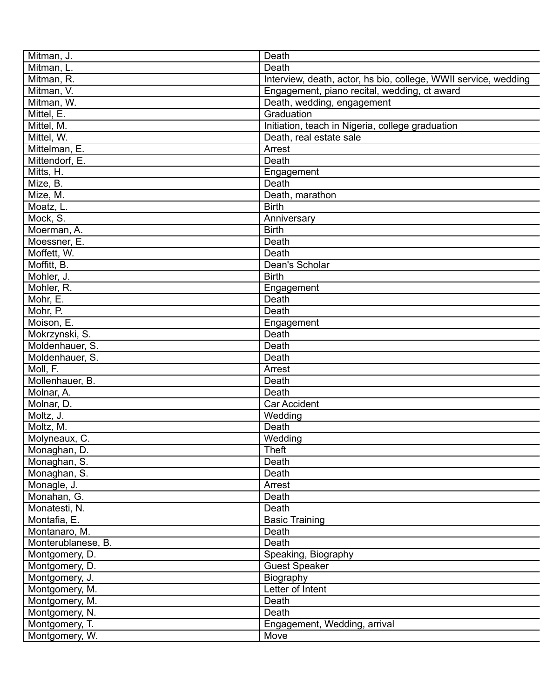| Mitman, J.                        | Death                                                           |
|-----------------------------------|-----------------------------------------------------------------|
| Mitman, L.                        | Death                                                           |
| Mitman, R.                        | Interview, death, actor, hs bio, college, WWII service, wedding |
| Mitman, V.                        | Engagement, piano recital, wedding, ct award                    |
| Mitman, W.                        | Death, wedding, engagement                                      |
| Mittel, E.                        | Graduation                                                      |
| Mittel, M.                        | Initiation, teach in Nigeria, college graduation                |
| Mittel, W.                        | Death, real estate sale                                         |
| Mittelman, E.                     | Arrest                                                          |
| Mittendorf, E.                    | Death                                                           |
| Mitts, H.                         | Engagement                                                      |
| Mize, B.                          | Death                                                           |
| Mize, M.                          | Death, marathon                                                 |
| Moatz, L.                         | <b>Birth</b>                                                    |
| Mock, S.                          | Anniversary                                                     |
| Moerman, A.                       | <b>Birth</b>                                                    |
| Moessner, E.                      | Death                                                           |
| Moffett, W.                       | Death                                                           |
| Moffitt, B.                       | Dean's Scholar                                                  |
| Mohler, J.                        | <b>Birth</b>                                                    |
| Mohler, R.                        | Engagement                                                      |
| Mohr, E.                          | Death                                                           |
| Mohr, P.                          | Death                                                           |
| Moison, E.                        |                                                                 |
|                                   | Engagement<br>Death                                             |
| Mokrzynski, S.<br>Moldenhauer, S. | Death                                                           |
|                                   | Death                                                           |
| Moldenhauer, S.<br>Moll, F.       |                                                                 |
|                                   | Arrest                                                          |
| Mollenhauer, B.                   | Death                                                           |
| Molnar, A.                        | Death                                                           |
| Molnar, D.                        | <b>Car Accident</b>                                             |
| Moltz, J.                         | Wedding<br>Death                                                |
| Moltz, M.                         |                                                                 |
| Molyneaux, C.                     | Wedding                                                         |
| Monaghan, D.                      | Theft                                                           |
| Monaghan, S.                      | Death                                                           |
| Monaghan, S.                      | Death                                                           |
| Monagle, J.                       | Arrest                                                          |
| Monahan, G.                       | Death                                                           |
| Monatesti, N.                     | Death                                                           |
| Montafia, E.                      | <b>Basic Training</b>                                           |
| Montanaro, M.                     | Death                                                           |
| Monterublanese, B.                | Death                                                           |
| Montgomery, D.                    | Speaking, Biography                                             |
| Montgomery, D.                    | <b>Guest Speaker</b>                                            |
| Montgomery, J.                    | Biography                                                       |
| Montgomery, M.                    | Letter of Intent                                                |
| Montgomery, M.                    | Death                                                           |
| Montgomery, N.                    | Death                                                           |
| Montgomery, T.                    | Engagement, Wedding, arrival                                    |
| Montgomery, W.                    | Move                                                            |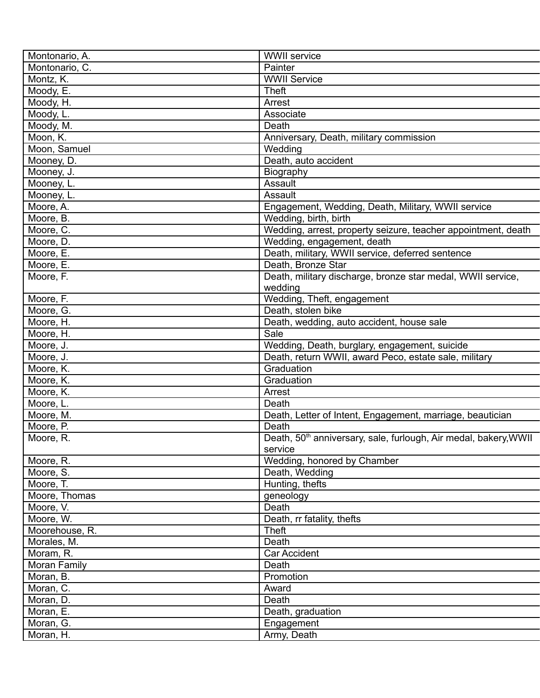| Montonario, A. | <b>WWII</b> service                                                          |
|----------------|------------------------------------------------------------------------------|
| Montonario, C. | Painter                                                                      |
| Montz, K.      | <b>WWII</b> Service                                                          |
| Moody, E.      | <b>Theft</b>                                                                 |
| Moody, H.      | Arrest                                                                       |
| Moody, L.      | Associate                                                                    |
| Moody, M.      | Death                                                                        |
| Moon, K.       | Anniversary, Death, military commission                                      |
| Moon, Samuel   | Wedding                                                                      |
| Mooney, D.     | Death, auto accident                                                         |
| Mooney, J.     | Biography                                                                    |
| Mooney, L.     | Assault                                                                      |
| Mooney, L.     | Assault                                                                      |
| Moore, A.      | Engagement, Wedding, Death, Military, WWII service                           |
| Moore, B.      | Wedding, birth, birth                                                        |
| Moore, C.      | Wedding, arrest, property seizure, teacher appointment, death                |
| Moore, D.      | Wedding, engagement, death                                                   |
| Moore, E.      | Death, military, WWII service, deferred sentence                             |
| Moore, E.      | Death, Bronze Star                                                           |
| Moore, F.      | Death, military discharge, bronze star medal, WWII service,                  |
|                | wedding                                                                      |
| Moore, F.      | Wedding, Theft, engagement                                                   |
| Moore, G.      | Death, stolen bike                                                           |
|                |                                                                              |
| Moore, H.      | Death, wedding, auto accident, house sale<br>Sale                            |
| Moore, H.      |                                                                              |
| Moore, J.      | Wedding, Death, burglary, engagement, suicide                                |
| Moore, J.      | Death, return WWII, award Peco, estate sale, military                        |
| Moore, K.      | Graduation                                                                   |
| Moore, K.      | Graduation                                                                   |
| Moore, K.      | Arrest                                                                       |
| Moore, L.      | Death                                                                        |
| Moore, M.      | Death, Letter of Intent, Engagement, marriage, beautician                    |
| Moore, P.      | Death                                                                        |
| Moore, R.      | Death, 50 <sup>th</sup> anniversary, sale, furlough, Air medal, bakery, WWII |
|                | service                                                                      |
| Moore, R.      | Wedding, honored by Chamber                                                  |
| Moore, S.      | Death, Wedding                                                               |
| Moore, T.      | Hunting, thefts                                                              |
| Moore, Thomas  | geneology                                                                    |
| Moore, V.      | Death                                                                        |
| Moore, W.      | Death, rr fatality, thefts                                                   |
| Moorehouse, R. | <b>Theft</b>                                                                 |
| Morales, M.    | Death                                                                        |
| Moram, R.      | <b>Car Accident</b>                                                          |
| Moran Family   | Death                                                                        |
| Moran, B.      | Promotion                                                                    |
| Moran, C.      | Award                                                                        |
| Moran, D.      | Death                                                                        |
| Moran, E.      | Death, graduation                                                            |
| Moran, G.      | Engagement                                                                   |
| Moran, H.      | Army, Death                                                                  |
|                |                                                                              |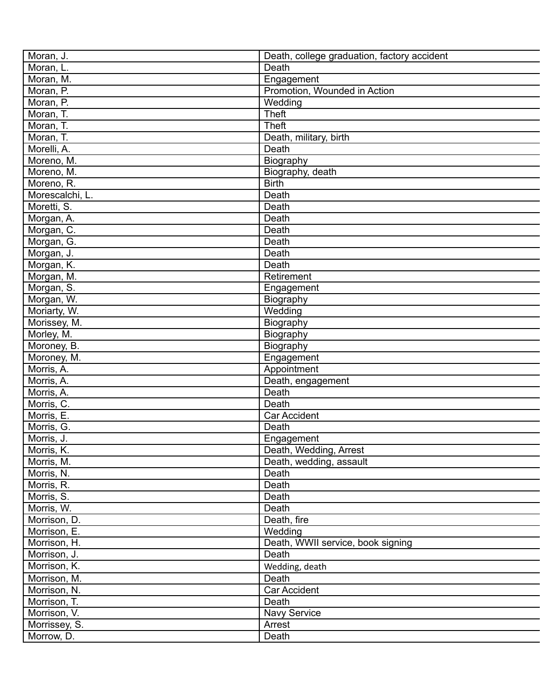| Moran, J.       | Death, college graduation, factory accident |
|-----------------|---------------------------------------------|
| Moran, L.       | Death                                       |
| Moran, M.       | Engagement                                  |
| Moran, P.       | Promotion, Wounded in Action                |
| Moran, P.       | Wedding                                     |
| Moran, T.       | <b>Theft</b>                                |
| Moran, T.       | <b>Theft</b>                                |
| Moran, T.       | Death, military, birth                      |
| Morelli, A.     | Death                                       |
| Moreno, M.      | Biography                                   |
| Moreno, M.      | Biography, death                            |
| Moreno, R.      | <b>Birth</b>                                |
| Morescalchi, L. | Death                                       |
| Moretti, S.     | Death                                       |
| Morgan, A.      | Death                                       |
| Morgan, C.      | Death                                       |
| Morgan, G.      | Death                                       |
| Morgan, J.      | Death                                       |
| Morgan, K.      | Death                                       |
| Morgan, M.      | Retirement                                  |
| Morgan, S.      | Engagement                                  |
| Morgan, W.      | Biography                                   |
| Moriarty, W.    | Wedding                                     |
| Morissey, M.    | Biography                                   |
| Morley, M.      | Biography                                   |
| Moroney, B.     | Biography                                   |
| Moroney, M.     | Engagement                                  |
| Morris, A.      | Appointment                                 |
| Morris, A.      | Death, engagement                           |
| Morris, A.      | Death                                       |
| Morris, C.      | Death                                       |
| Morris, E.      | Car Accident                                |
| Morris, G.      | Death                                       |
| Morris, J.      | Engagement                                  |
| Morris, K.      | Death, Wedding, Arrest                      |
| Morris, M.      | Death, wedding, assault                     |
| Morris, N.      | Death                                       |
| Morris, R.      | Death                                       |
| Morris, S.      | Death                                       |
| Morris, W.      | Death                                       |
| Morrison, D.    | Death, fire                                 |
| Morrison, E.    | Wedding                                     |
| Morrison, H.    | Death, WWII service, book signing           |
| Morrison, J.    | Death                                       |
| Morrison, K.    | Wedding, death                              |
| Morrison, M.    | Death                                       |
| Morrison, N.    | Car Accident                                |
| Morrison, T.    | Death                                       |
| Morrison, V.    | <b>Navy Service</b>                         |
| Morrissey, S.   | Arrest                                      |
| Morrow, D.      | Death                                       |
|                 |                                             |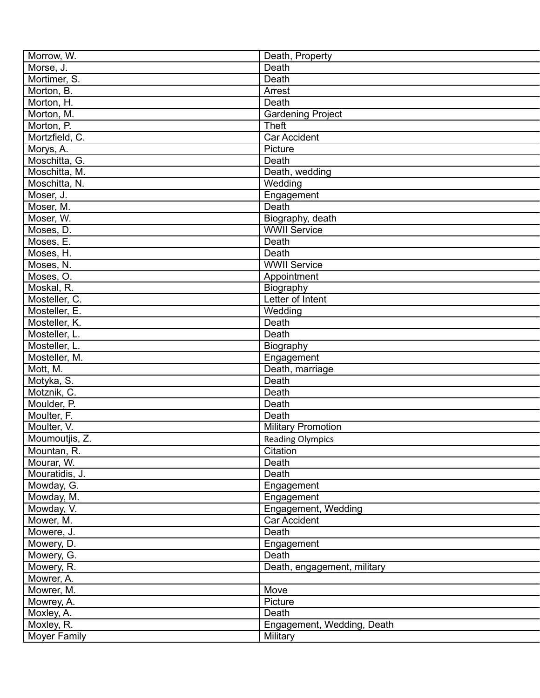| Morrow, W.     | Death, Property             |
|----------------|-----------------------------|
| Morse, J.      | Death                       |
| Mortimer, S.   | Death                       |
| Morton, B.     | Arrest                      |
| Morton, H.     | Death                       |
| Morton, M.     | <b>Gardening Project</b>    |
| Morton, P.     | <b>Theft</b>                |
| Mortzfield, C. | Car Accident                |
| Morys, A.      | Picture                     |
| Moschitta, G.  | Death                       |
| Moschitta, M.  | Death, wedding              |
| Moschitta, N.  | Wedding                     |
| Moser, J.      | Engagement                  |
| Moser, M.      | Death                       |
| Moser, W.      | Biography, death            |
| Moses, D.      | <b>WWII Service</b>         |
| Moses, E.      | Death                       |
| Moses, H.      | Death                       |
| Moses, N.      | <b>WWII Service</b>         |
| Moses, O.      | Appointment                 |
| Moskal, R.     | Biography                   |
| Mosteller, C.  | Letter of Intent            |
| Mosteller, E.  | Wedding                     |
| Mosteller, K.  | Death                       |
| Mosteller, L.  | Death                       |
| Mosteller, L.  | Biography                   |
| Mosteller, M.  | Engagement                  |
| Mott, M.       | Death, marriage             |
| Motyka, S.     | Death                       |
| Motznik, C.    | Death                       |
| Moulder, P.    | Death                       |
| Moulter, F.    | Death                       |
| Moulter, V.    | <b>Military Promotion</b>   |
| Moumoutjis, Z. | <b>Reading Olympics</b>     |
|                |                             |
| Mountan, R.    | Citation                    |
| Mourar, W.     | Death                       |
| Mouratidis, J. | Death                       |
| Mowday, G.     | Engagement                  |
| Mowday, M.     | Engagement                  |
| Mowday, V.     | Engagement, Wedding         |
| Mower, M.      | Car Accident                |
| Mowere, J.     | Death                       |
| Mowery, D.     | Engagement                  |
| Mowery, G.     | Death                       |
| Mowery, R.     | Death, engagement, military |
| Mowrer, A.     |                             |
| Mowrer, M.     | Move                        |
| Mowrey, A.     | Picture                     |
| Moxley, A.     | Death                       |
| Moxley, R.     | Engagement, Wedding, Death  |
| Moyer Family   | Military                    |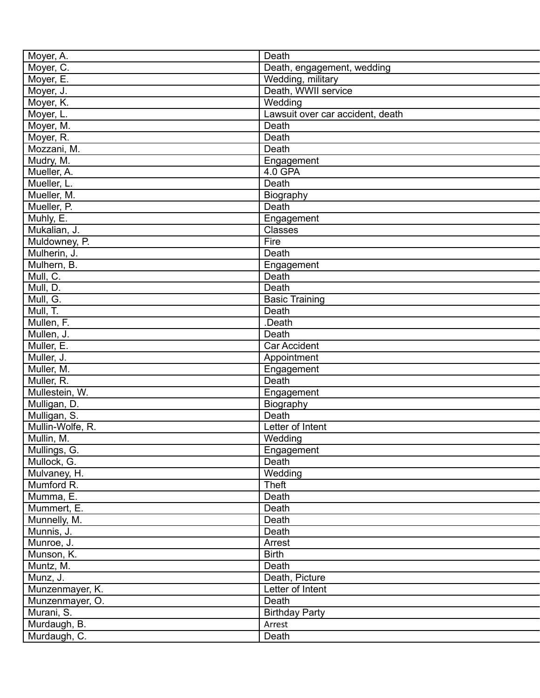| Moyer, A.                | Death                            |
|--------------------------|----------------------------------|
| Moyer, C.                | Death, engagement, wedding       |
| Moyer, E.                | Wedding, military                |
| Moyer, J.                | Death, WWII service              |
| Moyer, K.                | Wedding                          |
| Moyer, L.                | Lawsuit over car accident, death |
| Moyer, M.                | Death                            |
| Moyer, R.                | Death                            |
| Mozzani, M.              | Death                            |
| Mudry, M.                | Engagement                       |
| Mueller, A.              | 4.0 GPA                          |
| Mueller, L.              | Death                            |
| Mueller, M.              | Biography                        |
| Mueller, P.              | Death                            |
| Muhly, E.                | Engagement                       |
| Mukalian, J.             | Classes                          |
| Muldowney, P.            | Fire                             |
| Mulherin, J.             | Death                            |
| Mulhern, B.              | Engagement                       |
| Mull, C.                 | Death                            |
| Mull, D.                 | Death                            |
| Mull, G.                 | <b>Basic Training</b>            |
| Mull, T.                 | Death                            |
|                          | .Death                           |
| Mullen, F.<br>Mullen, J. | Death                            |
|                          |                                  |
| Muller, E.               | <b>Car Accident</b>              |
| Muller, J.               | Appointment                      |
| Muller, M.               | Engagement                       |
| Muller, R.               | Death                            |
| Mullestein, W.           | Engagement                       |
| Mulligan, D.             | Biography                        |
| Mulligan, S.             | Death                            |
| Mullin-Wolfe, R.         | Letter of Intent                 |
| Mullin, M.               | Wedding                          |
| Mullings, G.             | Engagement                       |
| Mullock, G.              | Death                            |
| Mulvaney, H.             | Wedding                          |
| Mumford R.               | Theft                            |
| Mumma, E.                | Death                            |
| Mummert, E.              | Death                            |
| Munnelly, M.             | Death                            |
| Munnis, J.               | Death                            |
| Munroe, J.               | Arrest                           |
| Munson, K.               | <b>Birth</b>                     |
| Muntz, M.                | Death                            |
| Munz, J.                 | Death, Picture                   |
| Munzenmayer, K.          | Letter of Intent                 |
| Munzenmayer, O.          | Death                            |
| Murani, S.               | <b>Birthday Party</b>            |
| Murdaugh, B.             | Arrest                           |
| Murdaugh, C.             | Death                            |
|                          |                                  |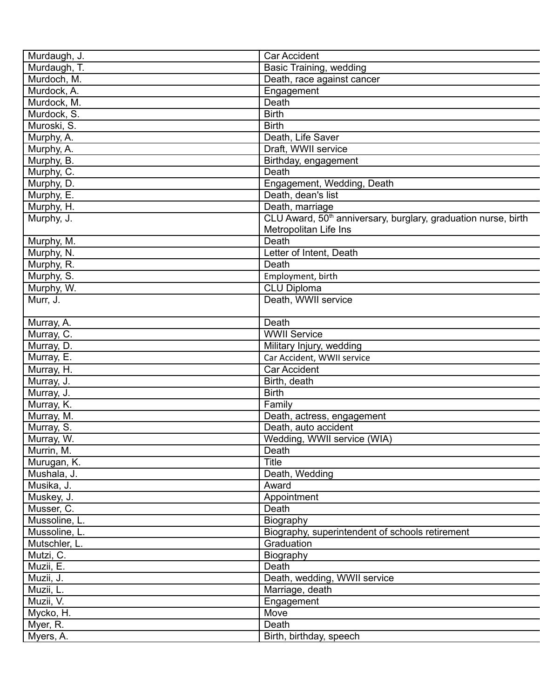| Murdaugh, J.  | <b>Car Accident</b>                                                        |
|---------------|----------------------------------------------------------------------------|
| Murdaugh, T.  | Basic Training, wedding                                                    |
| Murdoch, M.   | Death, race against cancer                                                 |
| Murdock, A.   | Engagement                                                                 |
| Murdock, M.   | Death                                                                      |
| Murdock, S.   | <b>Birth</b>                                                               |
| Muroski, S.   | <b>Birth</b>                                                               |
| Murphy, A.    | Death, Life Saver                                                          |
| Murphy, A.    | Draft, WWII service                                                        |
| Murphy, B.    | Birthday, engagement                                                       |
| Murphy, C.    | Death                                                                      |
| Murphy, D.    | Engagement, Wedding, Death                                                 |
| Murphy, E.    | Death, dean's list                                                         |
| Murphy, H.    | Death, marriage                                                            |
| Murphy, J.    | CLU Award, 50 <sup>th</sup> anniversary, burglary, graduation nurse, birth |
|               | Metropolitan Life Ins                                                      |
| Murphy, M.    | Death                                                                      |
| Murphy, N.    | Letter of Intent, Death                                                    |
| Murphy, R.    | Death                                                                      |
| Murphy, S.    | Employment, birth                                                          |
| Murphy, W.    | <b>CLU Diploma</b>                                                         |
| Murr, J.      | Death, WWII service                                                        |
|               |                                                                            |
| Murray, A.    | Death                                                                      |
| Murray, C.    | <b>WWII Service</b>                                                        |
| Murray, D.    | Military Injury, wedding                                                   |
| Murray, E.    | Car Accident, WWII service                                                 |
| Murray, H.    | Car Accident                                                               |
| Murray, J.    | Birth, death                                                               |
| Murray, J.    | <b>Birth</b>                                                               |
| Murray, K.    | Family                                                                     |
| Murray, M.    | Death, actress, engagement                                                 |
| Murray, S.    | Death, auto accident                                                       |
| Murray, W.    | Wedding, WWII service (WIA)                                                |
| Murrin, M.    | Death                                                                      |
| Murugan, K.   | <b>Title</b>                                                               |
| Mushala, J.   | Death, Wedding                                                             |
| Musika, J.    | Award                                                                      |
| Muskey, J.    | Appointment                                                                |
| Musser, C.    | Death                                                                      |
| Mussoline, L. | Biography                                                                  |
| Mussoline, L. | Biography, superintendent of schools retirement                            |
| Mutschler, L. | Graduation                                                                 |
| Mutzi, C.     | Biography                                                                  |
|               | Death                                                                      |
| Muzii, E.     |                                                                            |
| Muzii, J.     | Death, wedding, WWII service                                               |
| Muzii, L.     | Marriage, death                                                            |
| Muzii, V.     | Engagement                                                                 |
| Mycko, H.     | Move                                                                       |
| Myer, R.      | Death                                                                      |
| Myers, A.     | Birth, birthday, speech                                                    |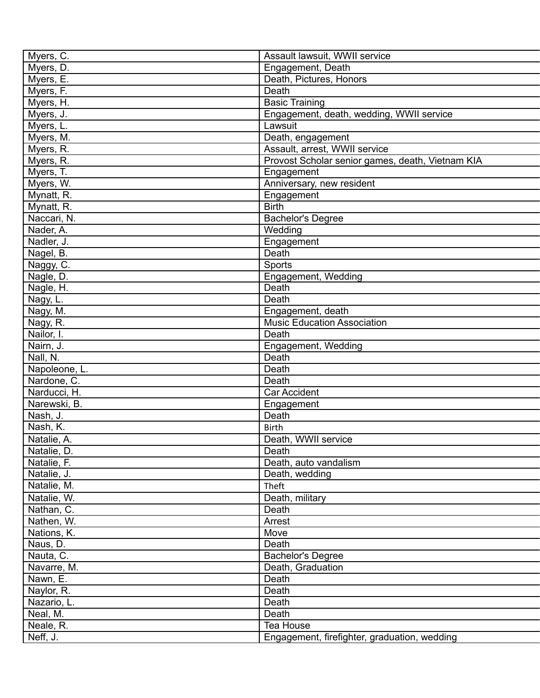| Myers, C.                    | Assault lawsuit, WWII service                    |
|------------------------------|--------------------------------------------------|
| Myers, D.                    | Engagement, Death                                |
| Myers, E.                    | Death, Pictures, Honors                          |
| Myers, F.                    | Death                                            |
| Myers, H.                    | <b>Basic Training</b>                            |
| Myers, J.                    | Engagement, death, wedding, WWII service         |
| Myers, L.                    | Lawsuit                                          |
| Myers, M.                    | Death, engagement                                |
| Myers, R.                    | Assault, arrest, WWII service                    |
| Myers, R.                    | Provost Scholar senior games, death, Vietnam KIA |
| Myers, T.                    | Engagement                                       |
| Myers, W.                    | Anniversary, new resident                        |
| Mynatt, R.                   | Engagement                                       |
| Mynatt, R.                   | <b>Birth</b>                                     |
| Naccari, N.                  | <b>Bachelor's Degree</b>                         |
| Nader, A.                    | Wedding                                          |
| Nadler, J.                   | Engagement                                       |
| Nagel, B.                    | Death                                            |
| Naggy, C.                    | Sports                                           |
| Nagle, D.                    | Engagement, Wedding                              |
| Nagle, H.                    | Death                                            |
| Nagy, L.                     | Death                                            |
| Nagy, M.                     | Engagement, death                                |
| Nagy, R.                     | <b>Music Education Association</b>               |
| Nailor, I.                   | Death                                            |
| Nairn, J.                    | Engagement, Wedding                              |
| Nall, N.                     | Death                                            |
| Napoleone, L.                | Death                                            |
| Nardone, C.                  | Death                                            |
|                              | <b>Car Accident</b>                              |
| Narducci, H.<br>Narewski, B. |                                                  |
|                              | Engagement                                       |
| Nash, J.                     | Death                                            |
| Nash, K.                     | <b>Birth</b>                                     |
| Natalie, A.                  | Death, WWII service                              |
| Natalie, D.                  | Death                                            |
| Natalie, F.                  | Death, auto vandalism                            |
| Natalie, J.                  | Death, wedding                                   |
| Natalie, M.                  | Theft                                            |
| Natalie, W.                  | Death, military                                  |
| Nathan, C.                   | Death                                            |
| Nathen, W.                   | Arrest                                           |
| Nations, K.                  | Move                                             |
| Naus, D.                     | Death                                            |
| Nauta, C.                    | <b>Bachelor's Degree</b>                         |
| Navarre, M.                  | Death, Graduation                                |
| Nawn, E.                     | Death                                            |
| Naylor, R.                   | Death                                            |
| Nazario, L.                  | Death                                            |
| Neal, M.                     | Death                                            |
| Neale, R.                    | Tea House                                        |
| Neff, J.                     | Engagement, firefighter, graduation, wedding     |
|                              |                                                  |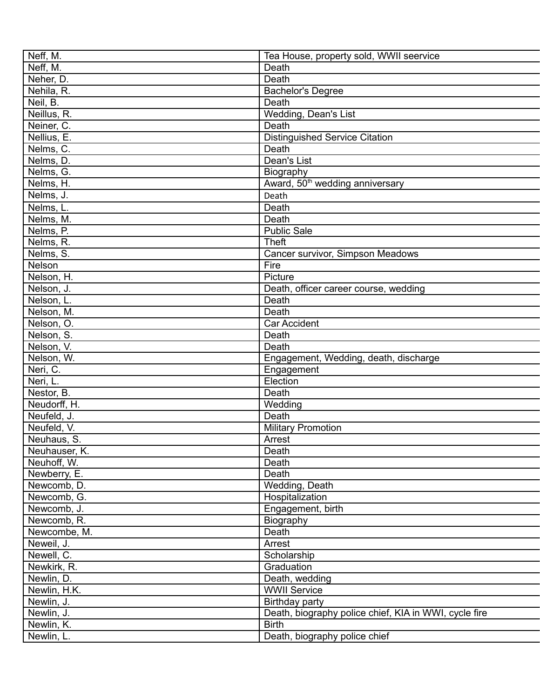| Neff, M.      | Tea House, property sold, WWII seervice               |
|---------------|-------------------------------------------------------|
| Neff, M.      | Death                                                 |
| Neher, D.     | Death                                                 |
| Nehila, R.    | <b>Bachelor's Degree</b>                              |
| Neil, B.      | Death                                                 |
| Neillus, R.   | Wedding, Dean's List                                  |
| Neiner, C.    | Death                                                 |
| Nellius, E.   | <b>Distinguished Service Citation</b>                 |
| Nelms, C.     | Death                                                 |
| Nelms, D.     | Dean's List                                           |
| Nelms, G.     | Biography                                             |
| Nelms, H.     | Award, 50 <sup>th</sup> wedding anniversary           |
| Nelms, J.     | Death                                                 |
| Nelms, L.     | Death                                                 |
| Nelms, M.     | Death                                                 |
| Nelms, P.     | <b>Public Sale</b>                                    |
| Nelms, R.     | <b>Theft</b>                                          |
| Nelms, S.     | Cancer survivor, Simpson Meadows                      |
| Nelson        | Fire                                                  |
| Nelson, H.    | Picture                                               |
| Nelson, J.    | Death, officer career course, wedding                 |
| Nelson, L.    | Death                                                 |
| Nelson, M.    | Death                                                 |
| Nelson, O.    | Car Accident                                          |
| Nelson, S.    | Death                                                 |
| Nelson, V.    | Death                                                 |
| Nelson, W.    | Engagement, Wedding, death, discharge                 |
| Neri, C.      | Engagement                                            |
| Neri, L.      | Election                                              |
| Nestor, B.    | Death                                                 |
| Neudorff, H.  | Wedding                                               |
| Neufeld, J.   | Death                                                 |
| Neufeld, V.   | <b>Military Promotion</b>                             |
| Neuhaus, S.   | Arrest                                                |
| Neuhauser, K. | Death                                                 |
| Neuhoff, W.   | Death                                                 |
| Newberry, E.  | Death                                                 |
| Newcomb, D.   | Wedding, Death                                        |
| Newcomb, G.   | Hospitalization                                       |
| Newcomb, J.   | Engagement, birth                                     |
| Newcomb, R.   | Biography                                             |
| Newcombe, M.  | Death                                                 |
| Neweil, J.    | Arrest                                                |
| Newell, C.    | Scholarship                                           |
| Newkirk, R.   | Graduation                                            |
| Newlin, D.    | Death, wedding                                        |
| Newlin, H.K.  | <b>WWII Service</b>                                   |
| Newlin, J.    | Birthday party                                        |
| Newlin, J.    | Death, biography police chief, KIA in WWI, cycle fire |
| Newlin, K.    | <b>Birth</b>                                          |
| Newlin, L.    | Death, biography police chief                         |
|               |                                                       |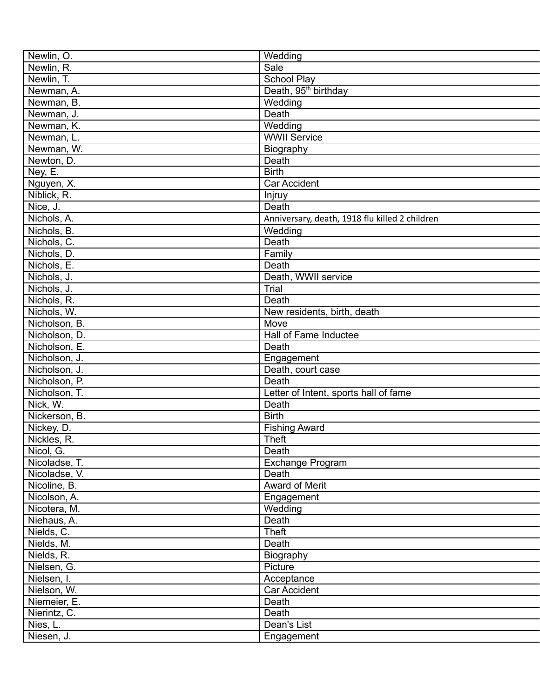| Newlin, O.    | Wedding                                        |
|---------------|------------------------------------------------|
| Newlin, R.    | Sale                                           |
| Newlin, T.    | <b>School Play</b>                             |
| Newman, A.    | Death, 95 <sup>th</sup> birthday               |
| Newman, B.    | Wedding                                        |
| Newman, J.    | Death                                          |
| Newman, K.    | Wedding                                        |
| Newman, L.    | <b>WWII Service</b>                            |
| Newman, W.    | Biography                                      |
| Newton, D.    | Death                                          |
| Ney, E.       | <b>Birth</b>                                   |
| Nguyen, X.    | Car Accident                                   |
| Niblick, R.   | Injruy                                         |
| Nice, J.      | Death                                          |
| Nichols, A.   | Anniversary, death, 1918 flu killed 2 children |
| Nichols, B.   | Wedding                                        |
| Nichols, C.   | Death                                          |
| Nichols, D.   | Family                                         |
| Nichols, E.   | Death                                          |
|               |                                                |
| Nichols, J.   | Death, WWII service<br>Trial                   |
| Nichols, J.   |                                                |
| Nichols, R.   | Death                                          |
| Nichols, W.   | New residents, birth, death                    |
| Nicholson, B. | Move                                           |
| Nicholson, D. | Hall of Fame Inductee                          |
| Nicholson, E. | Death                                          |
| Nicholson, J. | Engagement                                     |
| Nicholson, J. | Death, court case                              |
| Nicholson, P. | Death                                          |
| Nicholson, T. | Letter of Intent, sports hall of fame          |
| Nick, W.      | Death                                          |
| Nickerson, B. | <b>Birth</b>                                   |
| Nickey, D.    | <b>Fishing Award</b>                           |
| Nickles, R.   | <b>Theft</b>                                   |
| Nicol, G.     | Death                                          |
| Nicoladse, T. | <b>Exchange Program</b>                        |
| Nicoladse, V. | Death                                          |
| Nicoline, B.  | Award of Merit                                 |
| Nicolson, A.  | Engagement                                     |
| Nicotera, M.  | Wedding                                        |
| Niehaus, A.   | Death                                          |
| Nields, C.    | <b>Theft</b>                                   |
| Nields, M.    | Death                                          |
| Nields, R.    | Biography                                      |
| Nielsen, G.   | Picture                                        |
| Nielsen, I.   | Acceptance                                     |
| Nielson, W.   | Car Accident                                   |
| Niemeier, E.  | Death                                          |
| Nierintz, C.  | Death                                          |
| Nies, L.      | Dean's List                                    |
| Niesen, J.    | Engagement                                     |
|               |                                                |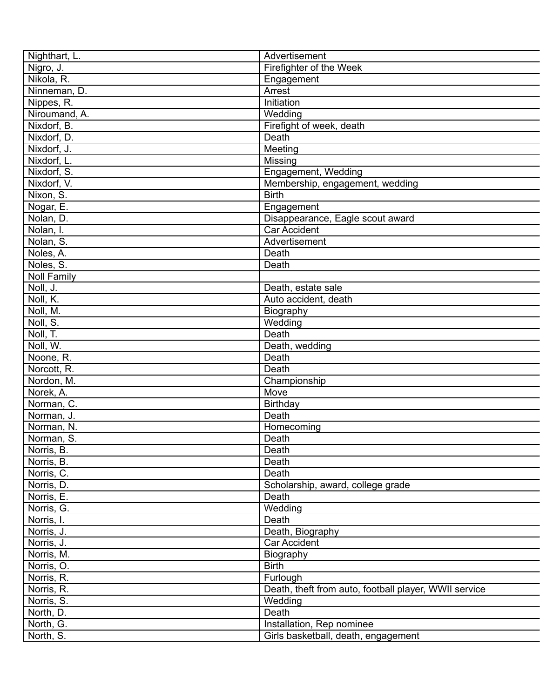| Nighthart, L.           | Advertisement                                         |
|-------------------------|-------------------------------------------------------|
| Nigro, J.               | Firefighter of the Week                               |
| Nikola, R.              | Engagement                                            |
| Ninneman, D.            | Arrest                                                |
| Nippes, R.              | <b>Initiation</b>                                     |
| Niroumand, A.           | Wedding                                               |
| Nixdorf, B.             | Firefight of week, death                              |
| Nixdorf, D.             | Death                                                 |
| Nixdorf, J.             | Meeting                                               |
| Nixdorf, L.             | Missing                                               |
| Nixdorf, S.             | Engagement, Wedding                                   |
| Nixdorf, V.             | Membership, engagement, wedding                       |
| Nixon, $\overline{S}$ . | <b>Birth</b>                                          |
| Nogar, E.               | Engagement                                            |
| Nolan, D.               | Disappearance, Eagle scout award                      |
| Nolan, I.               | Car Accident                                          |
| Nolan, S.               | Advertisement                                         |
| Noles, A.               | Death                                                 |
| Noles, S.               | Death                                                 |
| <b>Noll Family</b>      |                                                       |
| Noll, J.                | Death, estate sale                                    |
| Noll, K.                | Auto accident, death                                  |
| Noll, M.                | Biography                                             |
| Noll, S.                | Wedding                                               |
| Noll, T.                | Death                                                 |
| Noll, W.                | Death, wedding                                        |
| Noone, R.               | Death                                                 |
| Norcott, R.             | Death                                                 |
| Nordon, M.              | Championship                                          |
| Norek, A.               | Move                                                  |
| Norman, C.              | Birthday                                              |
| Norman, J.              | Death                                                 |
| Norman, N.              | Homecoming                                            |
| Norman, S.              | Death                                                 |
| Norris, B.              | Death                                                 |
| Norris, B.              | Death                                                 |
| Norris, C.              | Death                                                 |
| Norris, D.              | Scholarship, award, college grade                     |
| Norris, E.              | Death                                                 |
| Norris, G.              | Wedding                                               |
| Norris, I.              | Death                                                 |
| Norris, J.              | Death, Biography                                      |
| Norris, J.              | Car Accident                                          |
| Norris, M.              | Biography                                             |
| Norris, O.              | <b>Birth</b>                                          |
| Norris, R.              | Furlough                                              |
| Norris, R.              | Death, theft from auto, football player, WWII service |
| Norris, S.              | Wedding                                               |
| North, D.               | Death                                                 |
| North, G.               | Installation, Rep nominee                             |
| North, S.               | Girls basketball, death, engagement                   |
|                         |                                                       |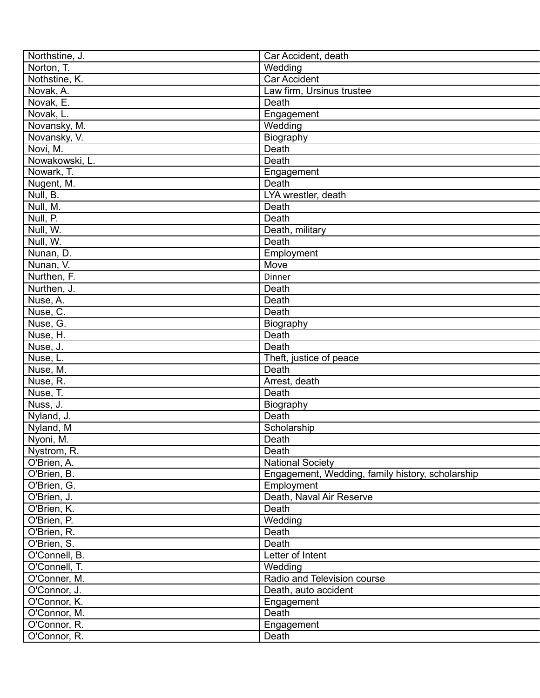| Northstine, J. | Car Accident, death                              |
|----------------|--------------------------------------------------|
| Norton, T.     | Wedding                                          |
| Nothstine, K.  | <b>Car Accident</b>                              |
| Novak, A.      | Law firm, Ursinus trustee                        |
| Novak, E.      | Death                                            |
| Novak, L.      | Engagement                                       |
| Novansky, M.   | Wedding                                          |
| Novansky, V.   | Biography                                        |
| Novi, M.       | Death                                            |
| Nowakowski, L. | Death                                            |
| Nowark, T.     | Engagement                                       |
| Nugent, M.     | Death                                            |
| Null, B.       | LYA wrestler, death                              |
| Null, M.       | Death                                            |
| Null, P.       | Death                                            |
| Null, W.       | Death, military                                  |
| Null, W.       | Death                                            |
| Nunan, D.      | Employment                                       |
| Nunan, V.      | Move                                             |
| Nurthen, F.    | Dinner                                           |
| Nurthen, J.    | Death                                            |
| Nuse, A.       | Death                                            |
| Nuse, C.       | Death                                            |
| Nuse, G.       |                                                  |
| Nuse, H.       | Biography<br>Death                               |
| Nuse, J.       | Death                                            |
| Nuse, L.       |                                                  |
|                | Theft, justice of peace<br>Death                 |
| Nuse, M.       |                                                  |
| Nuse, R.       | Arrest, death                                    |
| Nuse, T.       | Death                                            |
| Nuss, J.       | Biography                                        |
| Nyland, J.     | Death                                            |
| Nyland, M      | Scholarship                                      |
| Nyoni, M.      | Death                                            |
| Nystrom, R.    | Death                                            |
| O'Brien, A.    | <b>National Society</b>                          |
| O'Brien, B.    | Engagement, Wedding, family history, scholarship |
| O'Brien, G.    | Employment                                       |
| O'Brien, J.    | Death, Naval Air Reserve                         |
| O'Brien, K.    | Death                                            |
| O'Brien, P.    | Wedding                                          |
| O'Brien, R.    | Death                                            |
| O'Brien, S.    | Death                                            |
| O'Connell, B.  | Letter of Intent                                 |
| O'Connell, T.  | Wedding                                          |
| O'Conner, M.   | Radio and Television course                      |
| O'Connor, J.   | Death, auto accident                             |
| O'Connor, K.   | Engagement                                       |
| O'Connor, M.   | Death                                            |
| O'Connor, R.   | Engagement                                       |
| O'Connor, R.   | Death                                            |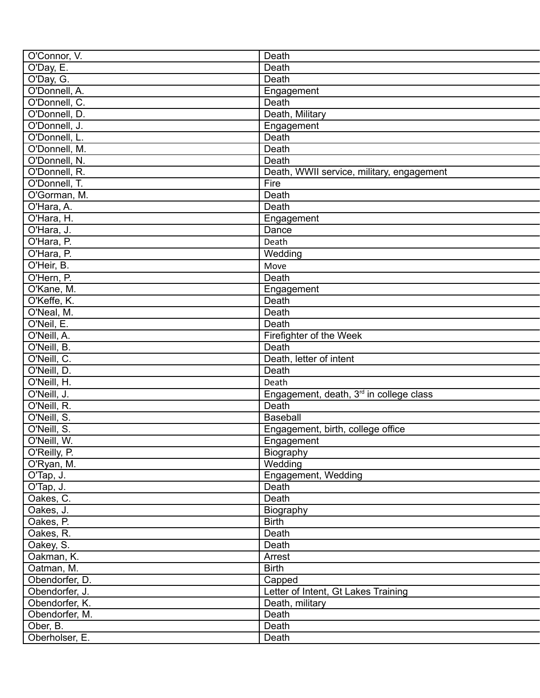| O'Connor, V.   | Death                                               |
|----------------|-----------------------------------------------------|
| O'Day, E.      | Death                                               |
| O'Day, G.      | Death                                               |
| O'Donnell, A.  | Engagement                                          |
| O'Donnell, C.  | Death                                               |
| O'Donnell, D.  | Death, Military                                     |
| O'Donnell, J.  | Engagement                                          |
| O'Donnell, L.  | Death                                               |
| O'Donnell, M.  | Death                                               |
| O'Donnell, N.  | Death                                               |
| O'Donnell, R.  | Death, WWII service, military, engagement           |
| O'Donnell, T.  | Fire                                                |
| O'Gorman, M.   | Death                                               |
| O'Hara, A.     | Death                                               |
| O'Hara, H.     | Engagement                                          |
| O'Hara, J.     | Dance                                               |
| O'Hara, P.     | Death                                               |
| O'Hara, P.     | Wedding                                             |
| O'Heir, B.     | Move                                                |
|                |                                                     |
| O'Hern, P.     | Death                                               |
| O'Kane, M.     | Engagement                                          |
| O'Keffe, K.    | Death                                               |
| O'Neal, M.     | Death                                               |
| O'Neil, E.     | Death                                               |
| O'Neill, A.    | Firefighter of the Week                             |
| O'Neill, B.    | Death                                               |
| O'Neill, C.    | Death, letter of intent                             |
| O'Neill, D.    | Death                                               |
| O'Neill, H.    | Death                                               |
| O'Neill, J.    | Engagement, death, 3 <sup>rd</sup> in college class |
| O'Neill, R.    | Death                                               |
| O'Neill, S.    | Baseball                                            |
| O'Neill, S.    | Engagement, birth, college office                   |
| O'Neill, W.    | Engagement                                          |
| O'Reilly, P.   | Biography                                           |
| O'Ryan, M.     | Wedding                                             |
| O'Tap, J.      | Engagement, Wedding                                 |
| O'Tap, J.      | Death                                               |
| Oakes, C.      | Death                                               |
| Oakes, J.      | Biography                                           |
| Oakes, P.      | <b>Birth</b>                                        |
| Oakes, R.      | Death                                               |
| Oakey, S.      | Death                                               |
| Oakman, K.     | Arrest                                              |
| Oatman, M.     | <b>Birth</b>                                        |
| Obendorfer, D. | Capped                                              |
| Obendorfer, J. | Letter of Intent, Gt Lakes Training                 |
| Obendorfer, K. | Death, military                                     |
| Obendorfer, M. | Death                                               |
| Ober, B.       | Death                                               |
| Oberholser, E. | Death                                               |
|                |                                                     |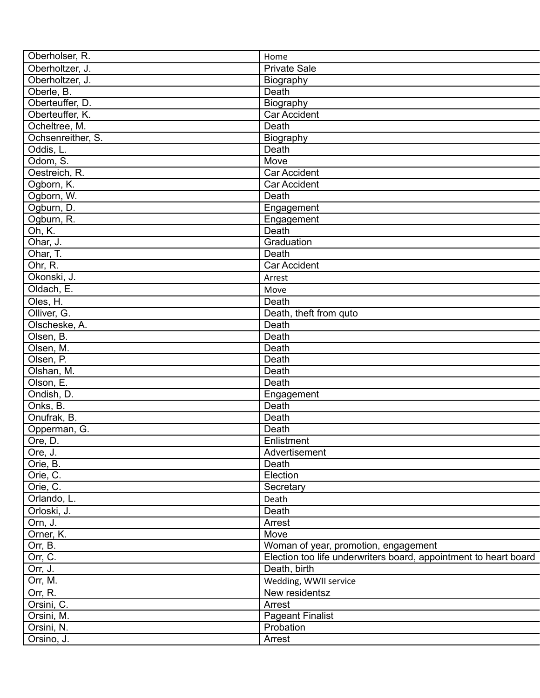| Oberholser, R.         | Home                                                             |
|------------------------|------------------------------------------------------------------|
| Oberholtzer, J.        | <b>Private Sale</b>                                              |
| Oberholtzer, J.        | Biography                                                        |
| Oberle, B.             | Death                                                            |
| Oberteuffer, D.        | Biography                                                        |
| Oberteuffer, K.        | <b>Car Accident</b>                                              |
| Ocheltree, M.          | Death                                                            |
| Ochsenreither, S.      | Biography                                                        |
| Oddis, L.              | Death                                                            |
| Odom, S.               | Move                                                             |
| Oestreich, R.          | Car Accident                                                     |
| Ogborn, K.             | Car Accident                                                     |
| Ogborn, W.             | Death                                                            |
| Ogburn, D.             | Engagement                                                       |
| Ogburn, R.             | Engagement                                                       |
| $\overline{Oh}$ , K.   | Death                                                            |
| Ohar, J.               | Graduation                                                       |
| Ohar, $\overline{T}$ . | Death                                                            |
| Ohr, R.                | <b>Car Accident</b>                                              |
| Okonski, J.            | Arrest                                                           |
| Oldach, E.             | Move                                                             |
| Oles, H.               | Death                                                            |
| Olliver, G.            | Death, theft from quto                                           |
| Olscheske, A.          | Death                                                            |
| Olsen, B.              | Death                                                            |
| Olsen, M.              | Death                                                            |
| Olsen, P.              | Death                                                            |
| Olshan, M.             | Death                                                            |
| Olson, E.              | Death                                                            |
| Ondish, D.             | Engagement                                                       |
| Onks, B.               | Death                                                            |
|                        | Death                                                            |
| Onufrak, B.            |                                                                  |
| Opperman, G.           | Death                                                            |
| Ore, D.                | Enlistment                                                       |
| Ore, J.                | Advertisement                                                    |
| Orie, B.               | Death                                                            |
| Orie, C.               | Election                                                         |
| Orie, C.               | Secretary                                                        |
| Orlando, L.            | Death                                                            |
| Orloski, J.            | Death                                                            |
| Orn, J.                | Arrest                                                           |
| Orner, K.              | Move                                                             |
| Orr, B.                | Woman of year, promotion, engagement                             |
| Orr, C.                | Election too life underwriters board, appointment to heart board |
| Orr, J.                | Death, birth                                                     |
| Orr, M.                | Wedding, WWII service                                            |
| Orr, R.                | New residentsz                                                   |
| Orsini, C.             | Arrest                                                           |
| Orsini, M.             | <b>Pageant Finalist</b>                                          |
| Orsini, N.             | Probation                                                        |
| Orsino, J.             | Arrest                                                           |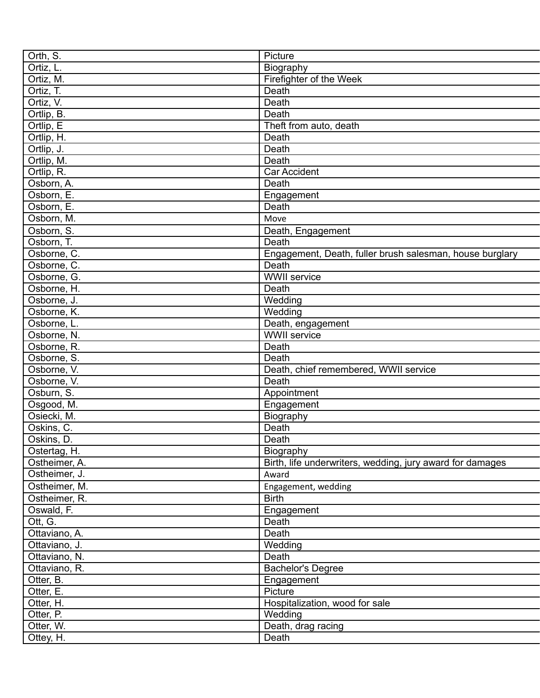| Orth, S.                  | Picture                                                   |
|---------------------------|-----------------------------------------------------------|
| Ortiz, L.                 | Biography                                                 |
| Ortiz, M.                 | Firefighter of the Week                                   |
| Ortiz, T.                 | Death                                                     |
| Ortiz, V.                 | Death                                                     |
| Ortlip, B.                | Death                                                     |
| Ortlip, E                 | Theft from auto, death                                    |
| Ortlip, H.                | Death                                                     |
| Ortlip, J.                | Death                                                     |
| Ortlip, M.                | Death                                                     |
| Ortlip, R.                | <b>Car Accident</b>                                       |
| Osborn, A.                | Death                                                     |
| Osborn, E.                | Engagement                                                |
| Osborn, E.                | Death                                                     |
| Osborn, M.                | Move                                                      |
| Osborn, S.                | Death, Engagement                                         |
| Osborn, T.                | Death                                                     |
| Osborne, C.               | Engagement, Death, fuller brush salesman, house burglary  |
| Osborne, C.               | Death                                                     |
| Osborne, G.               | <b>WWII</b> service                                       |
| Osborne, H.               | Death                                                     |
| Osborne, J.               | Wedding                                                   |
| Osborne, K.               | Wedding                                                   |
| Osborne, L.               | Death, engagement                                         |
| Osborne, N.               | <b>WWII</b> service                                       |
| Osborne, R.               | Death                                                     |
| Osborne, S.               | Death                                                     |
| Osborne, V.               | Death, chief remembered, WWII service                     |
| Osborne, V.               | Death                                                     |
| Osburn, S.                |                                                           |
|                           | Appointment                                               |
| Osgood, M.<br>Osiecki, M. | Engagement                                                |
|                           | Biography                                                 |
| Oskins, C.                | Death                                                     |
| Oskins, D.                | Death                                                     |
| Ostertag, H.              | Biography                                                 |
| Ostheimer, A.             | Birth, life underwriters, wedding, jury award for damages |
| Ostheimer, J.             | Award                                                     |
| Ostheimer, M.             | Engagement, wedding                                       |
| Ostheimer, R.             | <b>Birth</b>                                              |
| Oswald, F.                | Engagement                                                |
| Ott, G.                   | Death                                                     |
| Ottaviano, A.             | Death                                                     |
| Ottaviano, J.             | Wedding                                                   |
| Ottaviano, N.             | Death                                                     |
| Ottaviano, R.             | <b>Bachelor's Degree</b>                                  |
| Otter, B.                 | Engagement                                                |
| Otter, E.                 | Picture                                                   |
| Otter, H.                 | Hospitalization, wood for sale                            |
| Otter, P.                 | Wedding                                                   |
| Otter, W.                 | Death, drag racing                                        |
| Ottey, H.                 | Death                                                     |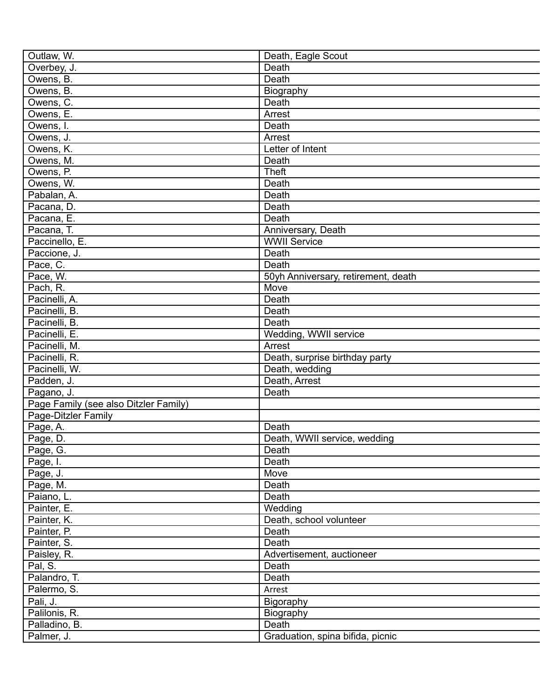| Outlaw, W.                            | Death, Eagle Scout                          |
|---------------------------------------|---------------------------------------------|
| Overbey, J.                           | Death                                       |
| Owens, B.                             | Death                                       |
| Owens, B.                             | Biography                                   |
| Owens, C.                             | Death                                       |
| Owens, E.                             | Arrest                                      |
| Owens, I.                             | Death                                       |
| Owens, J.                             | Arrest                                      |
| Owens, K.                             | Letter of Intent                            |
| Owens, M.                             | Death                                       |
| Owens, P.                             | <b>Theft</b>                                |
| Owens, W.                             | Death                                       |
| Pabalan, A.                           | Death                                       |
| Pacana, D.                            | Death                                       |
| Pacana, E.                            | Death                                       |
| Pacana, T.                            | Anniversary, Death                          |
| Paccinello, E.                        | <b>WWII Service</b>                         |
| Paccione, J.                          | Death                                       |
| Pace, C.                              | Death                                       |
|                                       |                                             |
| Pace, W.                              | 50yh Anniversary, retirement, death<br>Move |
| Pach, R.                              |                                             |
| Pacinelli, A.                         | Death                                       |
| Pacinelli, B.                         | Death                                       |
| Pacinelli, B.                         | Death                                       |
| Pacinelli, E.                         | Wedding, WWII service                       |
| Pacinelli, M.                         | Arrest                                      |
| Pacinelli, R.                         | Death, surprise birthday party              |
| Pacinelli, W.                         | Death, wedding                              |
| Padden, J.                            | Death, Arrest                               |
| Pagano, J.                            | Death                                       |
| Page Family (see also Ditzler Family) |                                             |
| Page-Ditzler Family                   |                                             |
| Page, A.                              | Death                                       |
| Page, D.                              | Death, WWII service, wedding                |
| Page, G.                              | Death                                       |
| Page, I.                              | Death                                       |
| Page, J.                              | Move                                        |
| Page, M.                              | Death                                       |
| Paiano, L.                            | Death                                       |
| Painter, E.                           | Wedding                                     |
| Painter, K.                           | Death, school volunteer                     |
| Painter, P.                           | Death                                       |
| Painter, S.                           | Death                                       |
| Paisley, R.                           | Advertisement, auctioneer                   |
| Pal, S.                               | Death                                       |
| Palandro, T.                          | Death                                       |
| Palermo, S.                           | Arrest                                      |
| Pali, J.                              | Bigoraphy                                   |
| Palilonis, R.                         | Biography                                   |
| Palladino, B.                         | Death                                       |
| Palmer, J.                            | Graduation, spina bifida, picnic            |
|                                       |                                             |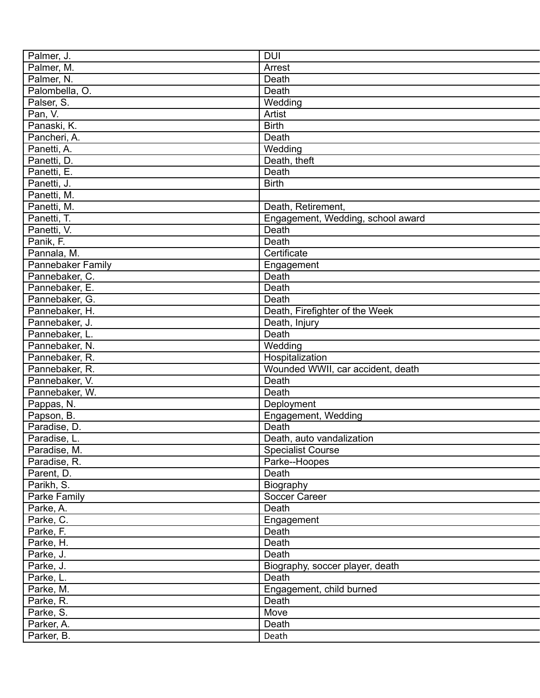| Palmer, J.               | <b>DUI</b>                        |
|--------------------------|-----------------------------------|
| Palmer, M.               | Arrest                            |
| Palmer, N.               | Death                             |
| Palombella, O.           | Death                             |
| Palser, S.               | Wedding                           |
| Pan, V.                  | Artist                            |
| Panaski, K.              | <b>Birth</b>                      |
| Pancheri, A.             | Death                             |
| Panetti, A.              | Wedding                           |
| Panetti, D.              | Death, theft                      |
| Panetti, E.              | Death                             |
| Panetti, J.              | <b>Birth</b>                      |
| Panetti, M.              |                                   |
| Panetti, M.              | Death, Retirement,                |
| Panetti, T.              | Engagement, Wedding, school award |
| Panetti, V.              | Death                             |
| Panik, F.                | Death                             |
| Pannala, M.              | Certificate                       |
| <b>Pannebaker Family</b> | Engagement                        |
| Pannebaker, C.           | Death                             |
| Pannebaker, E.           | Death                             |
| Pannebaker, G.           | Death                             |
| Pannebaker, H.           | Death, Firefighter of the Week    |
| Pannebaker, J.           | Death, Injury                     |
| Pannebaker, L.           | Death                             |
| Pannebaker, N.           | Wedding                           |
| Pannebaker, R.           | Hospitalization                   |
| Pannebaker, R.           | Wounded WWII, car accident, death |
| Pannebaker, V.           | Death                             |
|                          | Death                             |
| Pannebaker, W.           |                                   |
| Pappas, N.               | Deployment                        |
| Papson, B.               | Engagement, Wedding               |
| Paradise, D.             | Death                             |
| Paradise, L.             | Death, auto vandalization         |
| Paradise, M.             | <b>Specialist Course</b>          |
| Paradise, R.             | Parke--Hoopes                     |
| Parent, D.               | Death                             |
| Parikh, S.               | Biography                         |
| Parke Family             | Soccer Career                     |
| Parke, A.                | Death                             |
| Parke, C.                | Engagement                        |
| Parke, F.                | Death                             |
| Parke, H.                | Death                             |
| Parke, J.                | Death                             |
| Parke, J.                | Biography, soccer player, death   |
| Parke, L.                | Death                             |
| Parke, M.                | Engagement, child burned          |
| Parke, R.                | Death                             |
| Parke, S.                | Move                              |
| Parker, A.               | Death                             |
| Parker, B.               | Death                             |
|                          |                                   |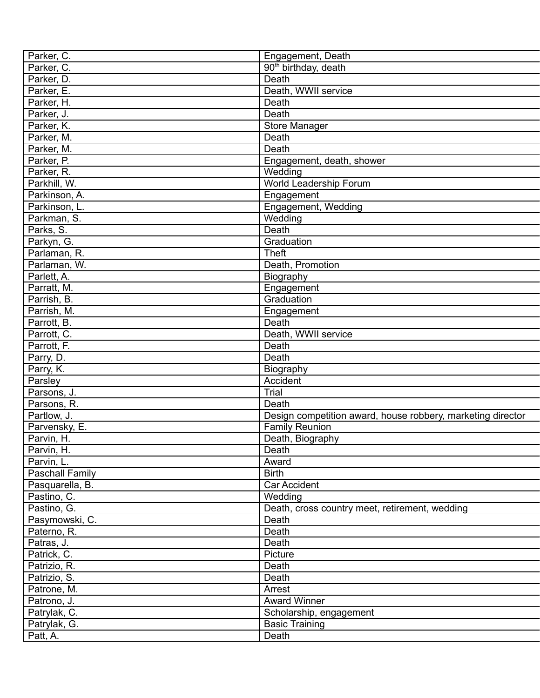| Parker, C.             | Engagement, Death                                           |
|------------------------|-------------------------------------------------------------|
| Parker, C.             | 90 <sup>th</sup> birthday, death                            |
| Parker, D.             | Death                                                       |
| Parker, E.             | Death, WWII service                                         |
| Parker, H.             | Death                                                       |
| Parker, J.             | Death                                                       |
| Parker, K.             | <b>Store Manager</b>                                        |
| Parker, M.             | Death                                                       |
| Parker, M.             | Death                                                       |
| Parker, P.             | Engagement, death, shower                                   |
| Parker, R.             | Wedding                                                     |
| Parkhill, W.           | World Leadership Forum                                      |
| Parkinson, A.          | Engagement                                                  |
| Parkinson, L.          | Engagement, Wedding                                         |
| Parkman, S.            | Wedding                                                     |
| Parks, S.              | Death                                                       |
| Parkyn, G.             | Graduation                                                  |
| Parlaman, R.           | <b>Theft</b>                                                |
| Parlaman, W.           | Death, Promotion                                            |
| Parlett, A.            |                                                             |
|                        | Biography                                                   |
| Parratt, M.            | Engagement                                                  |
| Parrish, B.            | Graduation                                                  |
| Parrish, M.            | Engagement                                                  |
| Parrott, B.            | Death                                                       |
| Parrott, C.            | Death, WWII service                                         |
| Parrott, F.            | Death                                                       |
| Parry, D.              | Death                                                       |
| Parry, K.              | Biography                                                   |
| Parsley                | Accident                                                    |
| Parsons, J.            | Trial                                                       |
| Parsons, R.            | Death                                                       |
| Partlow, J.            | Design competition award, house robbery, marketing director |
| Parvensky, E.          | <b>Family Reunion</b>                                       |
| Parvin, H.             | Death, Biography                                            |
| Parvin, H.             | Death                                                       |
| Parvin, L.             | Award                                                       |
| <b>Paschall Family</b> | <b>Birth</b>                                                |
| Pasquarella, B.        | Car Accident                                                |
| Pastino, C.            | Wedding                                                     |
| Pastino, G.            | Death, cross country meet, retirement, wedding              |
| Pasymowski, C.         | Death                                                       |
| Paterno, R.            | Death                                                       |
| Patras, J.             | Death                                                       |
| Patrick, C.            | Picture                                                     |
| Patrizio, R.           | Death                                                       |
| Patrizio, S.           | Death                                                       |
| Patrone, M.            | Arrest                                                      |
| Patrono, J.            | <b>Award Winner</b>                                         |
| Patrylak, C.           | Scholarship, engagement                                     |
| Patrylak, G.           | <b>Basic Training</b>                                       |
| Patt, A.               | Death                                                       |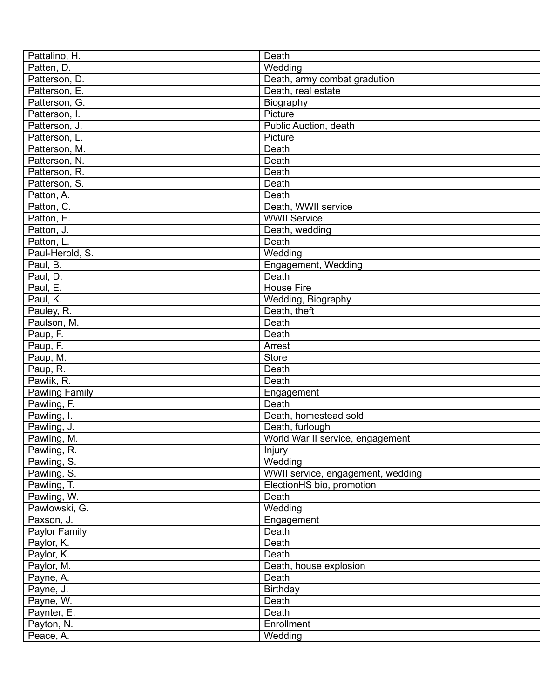| Pattalino, H.             | Death                             |
|---------------------------|-----------------------------------|
| Patten, D.                | Wedding                           |
| Patterson, D.             | Death, army combat gradution      |
| Patterson, E.             | Death, real estate                |
| Patterson, G.             | Biography                         |
| Patterson, I.             | Picture                           |
| Patterson, J.             | Public Auction, death             |
| Patterson, L.             | Picture                           |
| Patterson, M.             | Death                             |
| Patterson, N.             | Death                             |
| Patterson, R.             | Death                             |
| Patterson, S.             | Death                             |
| Patton, A.                | Death                             |
| Patton, C.                | Death, WWII service               |
| Patton, E.                | <b>WWII Service</b>               |
| Patton, J.                | Death, wedding                    |
| Patton, L.                | Death                             |
| Paul-Herold, S.           | Wedding                           |
| Paul, B.                  | Engagement, Wedding               |
| Paul, D.                  | Death                             |
| Paul, E.                  | <b>House Fire</b>                 |
| Paul, K.                  | Wedding, Biography                |
| Pauley, R.                | Death, theft                      |
| Paulson, M.               | Death                             |
| Paup, F.                  | Death                             |
| Paup, F.                  | Arrest                            |
| Paup, M.                  | <b>Store</b>                      |
| Paup, R.                  | Death                             |
| Pawlik, R.                | Death                             |
| Pawling Family            | Engagement                        |
| Pawling, F.               | Death                             |
| Pawling, I.               | Death, homestead sold             |
| Pawling, J.               | Death, furlough                   |
| Pawling, M.               | World War II service, engagement  |
| Pawling, R.               | Injury                            |
| Pawling, S.               | Wedding                           |
| Pawling, $\overline{S}$ . | WWII service, engagement, wedding |
| Pawling, T.               | ElectionHS bio, promotion         |
| Pawling, W.               | Death                             |
| Pawlowski, G.             | Wedding                           |
|                           |                                   |
| Paxson, J.                | Engagement                        |
| Paylor Family             | Death                             |
| Paylor, K.                | Death                             |
| Paylor, K.                | Death                             |
| Paylor, M.                | Death, house explosion            |
| Payne, A.                 | Death                             |
| Payne, J.                 | <b>Birthday</b>                   |
| Payne, W.                 | Death                             |
| Paynter, E.               | Death                             |
| Payton, N.                | Enrollment                        |
| Peace, A.                 | Wedding                           |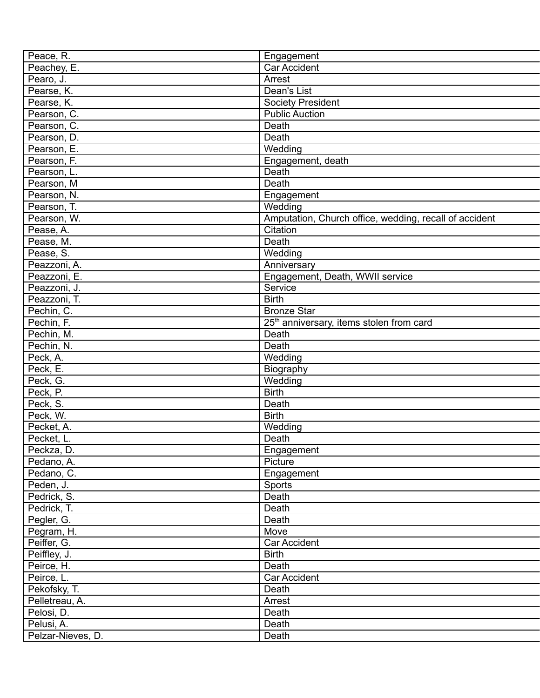| Peace, R.         | Engagement                                             |
|-------------------|--------------------------------------------------------|
| Peachey, E.       | Car Accident                                           |
| Pearo, J.         | Arrest                                                 |
| Pearse, K.        | Dean's List                                            |
| Pearse, K.        | <b>Society President</b>                               |
| Pearson, C.       | <b>Public Auction</b>                                  |
| Pearson, C.       | Death                                                  |
| Pearson, D.       | Death                                                  |
| Pearson, E.       | Wedding                                                |
| Pearson, F.       | Engagement, death                                      |
| Pearson, L.       | Death                                                  |
| Pearson, M        | Death                                                  |
| Pearson, N.       | Engagement                                             |
| Pearson, T.       | Wedding                                                |
| Pearson, W.       | Amputation, Church office, wedding, recall of accident |
| Pease, A.         | Citation                                               |
| Pease, M.         | Death                                                  |
| Pease, S.         | Wedding                                                |
|                   |                                                        |
| Peazzoni, A.      | Anniversary                                            |
| Peazzoni, E.      | Engagement, Death, WWII service                        |
| Peazzoni, J.      | Service                                                |
| Peazzoni, T.      | <b>Birth</b>                                           |
| Pechin, C.        | <b>Bronze Star</b>                                     |
| Pechin, F.        | 25 <sup>th</sup> anniversary, items stolen from card   |
| Pechin, M.        | Death                                                  |
| Pechin, N.        | Death                                                  |
| Peck, A.          | Wedding                                                |
| Peck, E.          | Biography                                              |
| Peck, G.          | Wedding                                                |
| Peck, P.          | <b>Birth</b>                                           |
| Peck, S.          | Death                                                  |
| Peck, W.          | <b>Birth</b>                                           |
| Pecket, A.        | Wedding                                                |
| Pecket, L.        | Death                                                  |
| Peckza, D.        | Engagement                                             |
| Pedano, A.        | Picture                                                |
| Pedano, C.        | Engagement                                             |
| Peden, J.         | Sports                                                 |
| Pedrick, S.       | Death                                                  |
| Pedrick, T.       | Death                                                  |
| Pegler, G.        | Death                                                  |
| Pegram, H.        | Move                                                   |
| Peiffer, G.       | Car Accident                                           |
| Peiffley, J.      | <b>Birth</b>                                           |
| Peirce, H.        | Death                                                  |
| Peirce, L.        | Car Accident                                           |
| Pekofsky, T.      | Death                                                  |
| Pelletreau, A.    | Arrest                                                 |
| Pelosi, D.        | Death                                                  |
|                   |                                                        |
| Pelusi, A.        | Death                                                  |
| Pelzar-Nieves, D. | Death                                                  |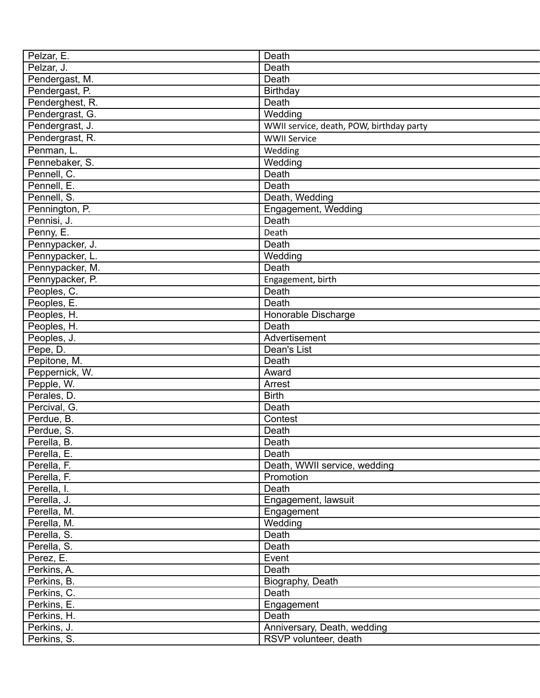| Pelzar, E.      | Death                                    |
|-----------------|------------------------------------------|
| Pelzar, J.      | Death                                    |
| Pendergast, M.  | Death                                    |
| Pendergast, P.  | Birthday                                 |
| Penderghest, R. | Death                                    |
| Pendergrast, G. | Wedding                                  |
| Pendergrast, J. | WWII service, death, POW, birthday party |
| Pendergrast, R. | <b>WWII Service</b>                      |
| Penman, L.      | Wedding                                  |
| Pennebaker, S.  | Wedding                                  |
| Pennell, C.     | Death                                    |
| Pennell, E.     | Death                                    |
| Pennell, S.     | Death, Wedding                           |
| Pennington, P.  | Engagement, Wedding                      |
| Pennisi, J.     | Death                                    |
| Penny, E.       |                                          |
|                 | Death                                    |
| Pennypacker, J. | Death                                    |
| Pennypacker, L. | Wedding                                  |
| Pennypacker, M. | Death                                    |
| Pennypacker, P. | Engagement, birth                        |
| Peoples, C.     | Death                                    |
| Peoples, E.     | Death                                    |
| Peoples, H.     | Honorable Discharge                      |
| Peoples, H.     | Death                                    |
| Peoples, J.     | Advertisement                            |
| Pepe, D.        | Dean's List                              |
| Pepitone, M.    | Death                                    |
| Peppernick, W.  | Award                                    |
| Pepple, W.      | Arrest                                   |
| Perales, D.     | <b>Birth</b>                             |
| Percival, G.    | Death                                    |
| Perdue, B.      | Contest                                  |
| Perdue, S.      | Death                                    |
| Perella, B.     | Death                                    |
| Perella, E.     | Death                                    |
| Perella, F.     | Death, WWII service, wedding             |
| Perella, F.     | Promotion                                |
| Perella, I.     | Death                                    |
| Perella, J.     | Engagement, lawsuit                      |
| Perella, M.     | Engagement                               |
| Perella, M.     | Wedding                                  |
| Perella, S.     | Death                                    |
| Perella, S.     | Death                                    |
| Perez, E.       | Event                                    |
| Perkins, A.     | Death                                    |
| Perkins, B.     | Biography, Death                         |
| Perkins, C.     | Death                                    |
| Perkins, E.     | Engagement                               |
| Perkins, H.     | Death                                    |
| Perkins, J.     | Anniversary, Death, wedding              |
| Perkins, S.     | RSVP volunteer, death                    |
|                 |                                          |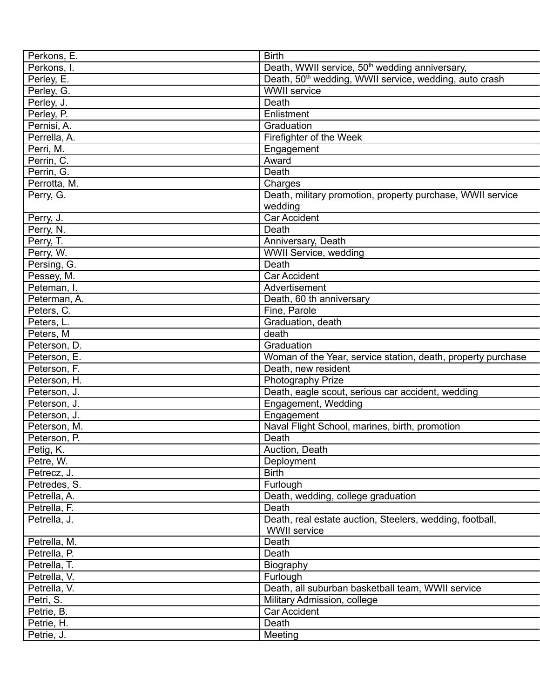| Perkons, E.                  | <b>Birth</b>                                                       |
|------------------------------|--------------------------------------------------------------------|
| Perkons, I.                  | Death, WWII service, 50 <sup>th</sup> wedding anniversary,         |
| Perley, E.                   | Death, 50 <sup>th</sup> wedding, WWII service, wedding, auto crash |
| Perley, G.                   | <b>WWII</b> service                                                |
| Perley, J.                   | Death                                                              |
| Perley, P.                   | Enlistment                                                         |
| Pernisi, A.                  | Graduation                                                         |
| Perrella, A.                 | Firefighter of the Week                                            |
| Perri, M.                    | Engagement                                                         |
| Perrin, C.                   | Award                                                              |
| Perrin, G.                   | Death                                                              |
| Perrotta, M.                 | Charges                                                            |
| Perry, G.                    | Death, military promotion, property purchase, WWII service         |
|                              | wedding                                                            |
| Perry, J.                    | <b>Car Accident</b>                                                |
| Perry, N.                    | Death                                                              |
| Perry, T.                    | Anniversary, Death                                                 |
| Perry, W.                    | WWII Service, wedding                                              |
| Persing, G.                  | Death                                                              |
| Pessey, M.                   | <b>Car Accident</b>                                                |
| Peteman, I.                  | Advertisement                                                      |
| Peterman, A.                 | Death, 60 th anniversary                                           |
| Peters, C.                   | Fine, Parole                                                       |
| Peters, L.                   | Graduation, death                                                  |
| Peters, M                    | death                                                              |
| Peterson, D.                 | Graduation                                                         |
| Peterson, E.                 | Woman of the Year, service station, death, property purchase       |
| Peterson, F.                 | Death, new resident                                                |
| Peterson, H.                 | Photography Prize                                                  |
|                              | Death, eagle scout, serious car accident, wedding                  |
| Peterson, J.                 |                                                                    |
| Peterson, J.                 | Engagement, Wedding<br>Engagement                                  |
| Peterson, J.<br>Peterson, M. |                                                                    |
|                              | Naval Flight School, marines, birth, promotion<br>Death            |
| Peterson, P.                 |                                                                    |
| Petig, K.                    | Auction, Death                                                     |
| Petre, W.                    | Deployment<br><b>Birth</b>                                         |
| Petrecz, J.                  |                                                                    |
| Petredes, S.                 | Furlough                                                           |
| Petrella, A.                 | Death, wedding, college graduation                                 |
| Petrella, F.                 | Death                                                              |
| Petrella, J.                 | Death, real estate auction, Steelers, wedding, football,           |
|                              | <b>WWII</b> service                                                |
| Petrella, M.                 | Death                                                              |
| Petrella, P.                 | Death                                                              |
| Petrella, T.                 | Biography                                                          |
| Petrella, V.                 | Furlough                                                           |
| Petrella, V.                 | Death, all suburban basketball team, WWII service                  |
| Petri, S.                    | Military Admission, college                                        |
| Petrie, B.                   | Car Accident                                                       |
| Petrie, H.                   | Death                                                              |
| Petrie, J.                   | Meeting                                                            |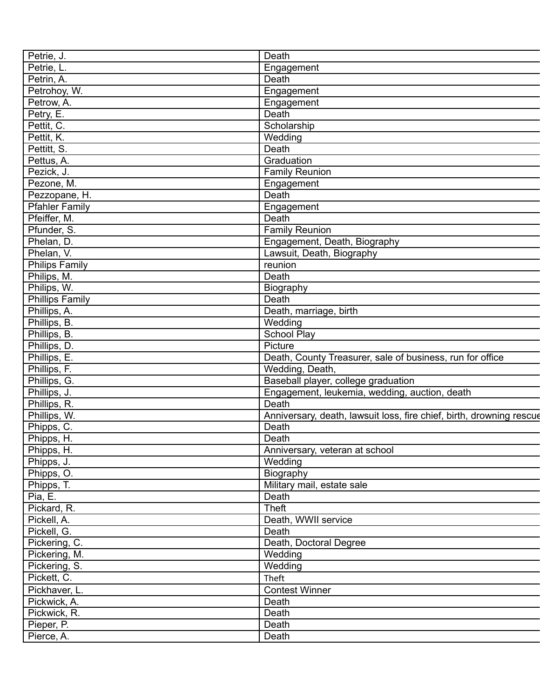| Petrie, J.             | Death                                                                |
|------------------------|----------------------------------------------------------------------|
| Petrie, L.             | Engagement                                                           |
| Petrin, A.             | Death                                                                |
| Petrohoy, W.           | Engagement                                                           |
| Petrow, A.             | Engagement                                                           |
| Petry, E.              | Death                                                                |
| Pettit, C.             | Scholarship                                                          |
| Pettit, K.             | Wedding                                                              |
| Pettitt, S.            | Death                                                                |
| Pettus, A.             | Graduation                                                           |
| Pezick, J.             | <b>Family Reunion</b>                                                |
| Pezone, M.             | Engagement                                                           |
| Pezzopane, H.          | Death                                                                |
| <b>Pfahler Family</b>  | Engagement                                                           |
| Pfeiffer, M.           | Death                                                                |
| Pfunder, S.            | <b>Family Reunion</b>                                                |
| Phelan, D.             | Engagement, Death, Biography                                         |
| Phelan, V.             | Lawsuit, Death, Biography                                            |
|                        | reunion                                                              |
| <b>Philips Family</b>  | Death                                                                |
| Philips, M.            |                                                                      |
| Philips, W.            | Biography                                                            |
| <b>Phillips Family</b> | Death                                                                |
| Phillips, A.           | Death, marriage, birth                                               |
| Phillips, B.           | Wedding                                                              |
| Phillips, B.           | <b>School Play</b>                                                   |
| Phillips, D.           | Picture                                                              |
| Phillips, E.           | Death, County Treasurer, sale of business, run for office            |
| Phillips, F.           | Wedding, Death,                                                      |
| Phillips, G.           | Baseball player, college graduation                                  |
| Phillips, J.           | Engagement, leukemia, wedding, auction, death                        |
| Phillips, R.           | <b>Death</b>                                                         |
| Phillips, W.           | Anniversary, death, lawsuit loss, fire chief, birth, drowning rescue |
| Phipps, C.             | Death                                                                |
| Phipps, H.             | Death                                                                |
| Phipps, H.             | Anniversary, veteran at school                                       |
| Phipps, J.             | Wedding                                                              |
| Phipps, O.             | Biography                                                            |
| Phipps, T.             | Military mail, estate sale                                           |
| Pia, E.                | Death                                                                |
| Pickard, R.            | Theft                                                                |
| Pickell, A.            | Death, WWII service                                                  |
| Pickell, G.            | Death                                                                |
| Pickering, C.          | Death, Doctoral Degree                                               |
| Pickering, M.          | Wedding                                                              |
| Pickering, S.          | Wedding                                                              |
| Pickett, C.            | Theft                                                                |
| Pickhaver, L.          | <b>Contest Winner</b>                                                |
| Pickwick, A.           | Death                                                                |
| Pickwick, R.           | Death                                                                |
| Pieper, P.             | Death                                                                |
| Pierce, A.             | Death                                                                |
|                        |                                                                      |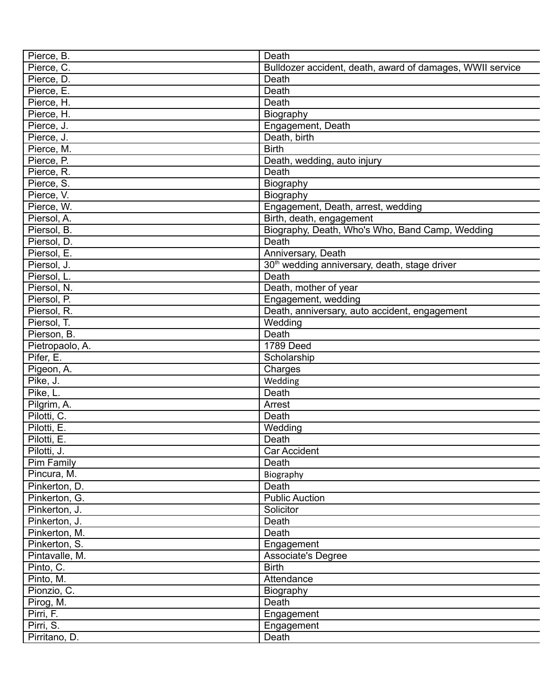| Pierce, B.                   | Death                                                     |
|------------------------------|-----------------------------------------------------------|
| Pierce, C.                   | Bulldozer accident, death, award of damages, WWII service |
| Pierce, D.                   | Death                                                     |
| Pierce, E.                   | Death                                                     |
| Pierce, H.                   | Death                                                     |
| Pierce, H.                   | Biography                                                 |
| Pierce, J.                   | Engagement, Death                                         |
| Pierce, J.                   | Death, birth                                              |
| Pierce, M.                   | <b>Birth</b>                                              |
| Pierce, P.                   | Death, wedding, auto injury                               |
| Pierce, R.                   | Death                                                     |
| Pierce, S.                   | Biography                                                 |
| Pierce, V.                   | Biography                                                 |
| Pierce, W.                   | Engagement, Death, arrest, wedding                        |
| Piersol, A.                  | Birth, death, engagement                                  |
| Piersol, B.                  | Biography, Death, Who's Who, Band Camp, Wedding           |
| Piersol, D.                  | Death                                                     |
| Piersol, E.                  | Anniversary, Death                                        |
| Piersol, J.                  | 30 <sup>th</sup> wedding anniversary, death, stage driver |
| Piersol, L.                  | Death                                                     |
| Piersol, N.                  | Death, mother of year                                     |
| Piersol, P.                  | Engagement, wedding                                       |
| Piersol, R.                  | Death, anniversary, auto accident, engagement             |
| Piersol, T.                  | Wedding                                                   |
| Pierson, B.                  | Death                                                     |
|                              | 1789 Deed                                                 |
| Pietropaolo, A.<br>Pifer, E. | Scholarship                                               |
|                              |                                                           |
| Pigeon, A.                   | Charges                                                   |
| Pike, J.                     | Wedding                                                   |
| Pike, L.                     | Death                                                     |
| Pilgrim, A.                  | Arrest                                                    |
| Pilotti, C.                  | Death                                                     |
| Pilotti, E.                  | Wedding                                                   |
| Pilotti, E.                  | Death                                                     |
| Pilotti, J.                  | <b>Car Accident</b>                                       |
| Pim Family                   | Death                                                     |
| Pincura, M.                  | Biography                                                 |
| Pinkerton, D.                | Death                                                     |
| Pinkerton, G.                | <b>Public Auction</b>                                     |
| Pinkerton, J.                | Solicitor                                                 |
| Pinkerton, J.                | Death                                                     |
| Pinkerton, M.                | Death                                                     |
| Pinkerton, S.                | Engagement                                                |
| Pintavalle, M.               | <b>Associate's Degree</b>                                 |
| Pinto, C.                    | <b>Birth</b>                                              |
| Pinto, M.                    | Attendance                                                |
| Pionzio, C.                  | Biography                                                 |
| Pirog, M.                    | Death                                                     |
| Pirri, F.                    | Engagement                                                |
| Pirri, S.                    | Engagement                                                |
| Pirritano, D.                | Death                                                     |
|                              |                                                           |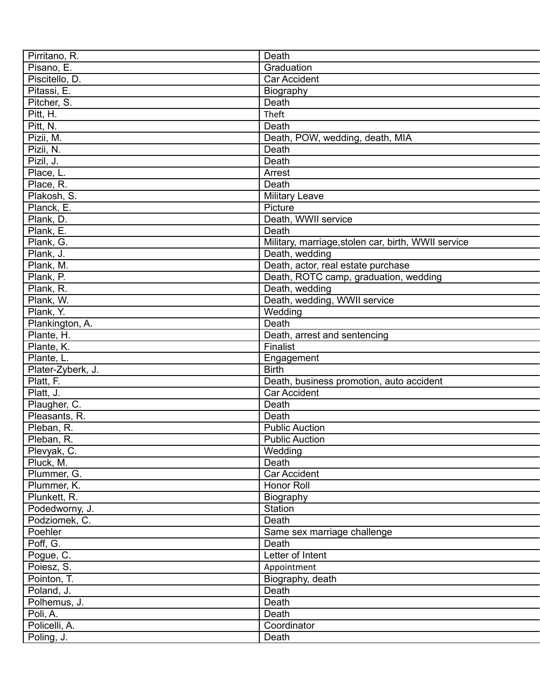| Pirritano, R.     | Death                                               |
|-------------------|-----------------------------------------------------|
| Pisano, E.        | Graduation                                          |
| Piscitello, D.    | <b>Car Accident</b>                                 |
| Pitassi, E.       | Biography                                           |
| Pitcher, S.       | Death                                               |
| Pitt, H.          | Theft                                               |
| Pitt, N.          | Death                                               |
| Pizii, M.         | Death, POW, wedding, death, MIA                     |
| Pizii, N.         | Death                                               |
| Pizil, J.         | Death                                               |
| Place, L.         | Arrest                                              |
| Place, R.         | Death                                               |
| Plakosh, S.       | <b>Military Leave</b>                               |
| Planck, E.        | Picture                                             |
| Plank, D.         | Death, WWII service                                 |
| Plank, E.         | Death                                               |
| Plank, G.         | Military, marriage, stolen car, birth, WWII service |
| Plank, J.         | Death, wedding                                      |
| Plank, M.         | Death, actor, real estate purchase                  |
| Plank, P.         | Death, ROTC camp, graduation, wedding               |
| Plank, R.         | Death, wedding                                      |
| Plank, W.         | Death, wedding, WWII service                        |
| Plank, Y.         | Wedding                                             |
| Plankington, A.   | Death                                               |
| Plante, H.        | Death, arrest and sentencing                        |
| Plante, K.        | Finalist                                            |
| Plante, L.        | Engagement                                          |
| Plater-Zyberk, J. | <b>Birth</b>                                        |
| Platt, F.         | Death, business promotion, auto accident            |
| Platt, J.         | <b>Car Accident</b>                                 |
| Plaugher, C.      | Death                                               |
| Pleasants, R.     | Death                                               |
| Pleban, R.        | <b>Public Auction</b>                               |
| Pleban, R.        | <b>Public Auction</b>                               |
| Plevyak, C.       | Wedding                                             |
| Pluck, M.         | Death                                               |
| Plummer, G.       | Car Accident                                        |
| Plummer, K.       | Honor Roll                                          |
| Plunkett, R.      | Biography                                           |
| Podedworny, J.    | Station                                             |
| Podziomek, C.     | Death                                               |
| Poehler           | Same sex marriage challenge                         |
| Poff, G.          | Death                                               |
| Pogue, C.         | Letter of Intent                                    |
| Poiesz, S.        | Appointment                                         |
| Pointon, T.       | Biography, death                                    |
| Poland, J.        | Death                                               |
| Polhemus, J.      | Death                                               |
| Poli, A.          | Death                                               |
| Policelli, A.     | Coordinator                                         |
| Poling, J.        | Death                                               |
|                   |                                                     |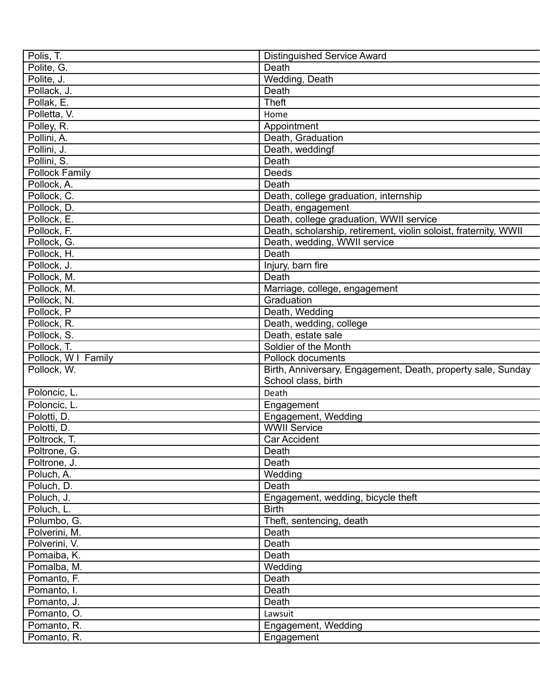| Polis, T.             | <b>Distinguished Service Award</b>                               |
|-----------------------|------------------------------------------------------------------|
| Polite, G.            | Death                                                            |
| Polite, J.            | Wedding, Death                                                   |
| Pollack, J.           | Death                                                            |
| Pollak, E.            | <b>Theft</b>                                                     |
| Polletta, V.          | Home                                                             |
|                       |                                                                  |
| Polley, R.            | Appointment                                                      |
| Pollini, A.           | Death, Graduation                                                |
| Pollini, J.           | Death, weddingf                                                  |
| Pollini, S.           | Death                                                            |
| <b>Pollock Family</b> | Deeds                                                            |
| Pollock, A.           | Death                                                            |
| Pollock, C.           | Death, college graduation, internship                            |
| Pollock, D.           | Death, engagement                                                |
| Pollock, E.           | Death, college graduation, WWII service                          |
| Pollock, F.           | Death, scholarship, retirement, violin soloist, fraternity, WWII |
| Pollock, G.           | Death, wedding, WWII service                                     |
| Pollock, H.           | Death                                                            |
| Pollock, J.           | Injury, barn fire                                                |
| Pollock, M.           | Death                                                            |
| Pollock, M.           | Marriage, college, engagement                                    |
| Pollock, N.           | Graduation                                                       |
| Pollock, P            | Death, Wedding                                                   |
| Pollock, R.           | Death, wedding, college                                          |
| Pollock, S.           | Death, estate sale                                               |
| Pollock, T.           | Soldier of the Month                                             |
| Pollock, W I Family   | Pollock documents                                                |
| Pollock, W.           | Birth, Anniversary, Engagement, Death, property sale, Sunday     |
|                       | School class, birth                                              |
| Poloncic, L.          | Death                                                            |
| Poloncic, L.          | Engagement                                                       |
| Polotti, D.           | Engagement, Wedding                                              |
| Polotti, D.           | <b>WWII Service</b>                                              |
| Poltrock, T.          | <b>Car Accident</b>                                              |
| Poltrone, G.          | Death                                                            |
| Poltrone, J.          | Death                                                            |
| Poluch, A.            | Wedding                                                          |
| Poluch, D.            | Death                                                            |
| Poluch, J.            | Engagement, wedding, bicycle theft                               |
| Poluch, L.            | <b>Birth</b>                                                     |
| Polumbo, G.           | Theft, sentencing, death                                         |
| Polverini, M.         | Death                                                            |
| Polverini, V.         | Death                                                            |
| Pomaiba, K.           | Death                                                            |
| Pomalba, M.           | Wedding                                                          |
| Pomanto, F.           | Death                                                            |
| Pomanto, I.           | Death                                                            |
| Pomanto, J.           | Death                                                            |
| Pomanto, O.           | Lawsuit                                                          |
| Pomanto, R.           | Engagement, Wedding                                              |
| Pomanto, R.           | Engagement                                                       |
|                       |                                                                  |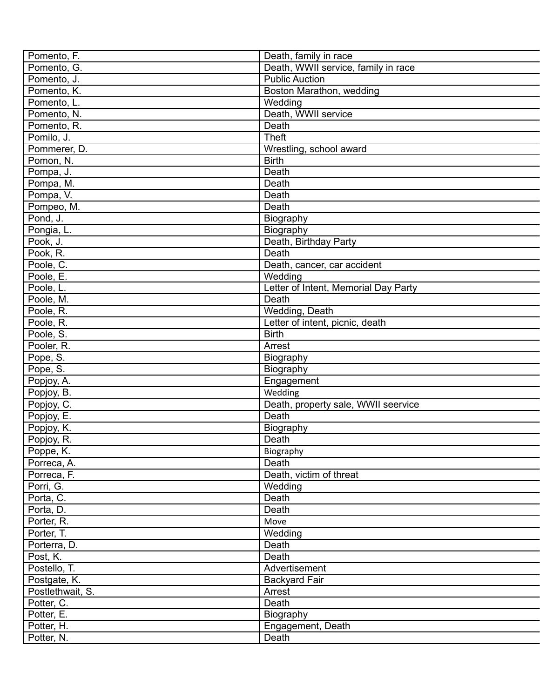| Pomento, F.              | Death, family in race                |
|--------------------------|--------------------------------------|
| Pomento, G.              | Death, WWII service, family in race  |
| Pomento, J.              | <b>Public Auction</b>                |
| Pomento, K.              | Boston Marathon, wedding             |
| Pomento, L.              | Wedding                              |
| Pomento, N.              | Death, WWII service                  |
| Pomento, R.              | Death                                |
| Pomilo, J.               | <b>Theft</b>                         |
| Pommerer, D.             | Wrestling, school award              |
| Pomon, N.                | <b>Birth</b>                         |
| Pompa, J.                | Death                                |
| Pompa, M.                | Death                                |
| Pompa, V.                | Death                                |
| Pompeo, M.               | Death                                |
| Pond, J.                 | Biography                            |
| Pongia, L.               | Biography                            |
| Pook, J.                 | Death, Birthday Party                |
| Pook, R.                 | Death                                |
| Poole, C.                | Death, cancer, car accident          |
| Poole, E.                | $\overline{W}$ edding                |
| Poole, L.                | Letter of Intent, Memorial Day Party |
| Poole, M.                | Death                                |
| Poole, R.                | Wedding, Death                       |
| Poole, R.                | Letter of intent, picnic, death      |
| Poole, S.                | <b>Birth</b>                         |
| Pooler, R.               | Arrest                               |
| Pope, S.                 | Biography                            |
| Pope, S.                 | Biography                            |
| Popjoy, A.               | Engagement                           |
| Popjoy, B.               | Wedding                              |
| Popjoy, C.               | Death, property sale, WWII seervice  |
| Popjoy, E.               | Death                                |
| Popjoy, K.               | Biography                            |
| Popjoy, R.               | Death                                |
| Poppe, K.                |                                      |
| Porreca, A.              | Biography<br>Death                   |
|                          | Death, victim of threat              |
| Porreca, F.<br>Porri, G. |                                      |
|                          | Wedding<br>Death                     |
| Porta, C.                |                                      |
| Porta, D.                | Death                                |
| Porter, R.               | Move                                 |
| Porter, T.               | Wedding                              |
| Porterra, D.             | Death                                |
| Post, K.                 | Death                                |
| Postello, T.             | Advertisement                        |
| Postgate, K.             | <b>Backyard Fair</b>                 |
| Postlethwait, S.         | Arrest                               |
| Potter, C.               | Death                                |
| Potter, E.               | Biography                            |
| Potter, H.               | Engagement, Death                    |
| Potter, N.               | Death                                |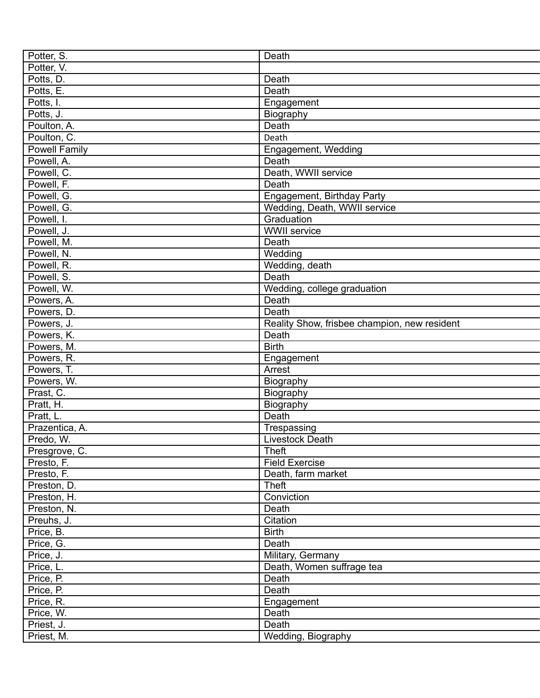| Potter, S.     | Death                                        |
|----------------|----------------------------------------------|
| Potter, V.     |                                              |
| Potts, D.      | Death                                        |
| Potts, E.      | Death                                        |
| Potts, I.      | Engagement                                   |
| Potts, J.      | Biography                                    |
| Poulton, A.    | Death                                        |
| Poulton, C.    | Death                                        |
| Powell Family  | Engagement, Wedding                          |
| Powell, A.     | Death                                        |
| Powell, C.     | Death, WWII service                          |
| Powell, F.     | Death                                        |
| Powell, G.     | Engagement, Birthday Party                   |
| Powell, G.     | Wedding, Death, WWII service                 |
| Powell, I.     | Graduation                                   |
| Powell, J.     | <b>WWII</b> service                          |
| Powell, M.     | Death                                        |
| Powell, N.     | Wedding                                      |
|                | Wedding, death                               |
| Powell, R.     |                                              |
| Powell, S.     | Death                                        |
| Powell, W.     | Wedding, college graduation                  |
| Powers, A.     | Death                                        |
| Powers, D.     | Death                                        |
| Powers, J.     | Reality Show, frisbee champion, new resident |
| Powers, K.     | Death                                        |
| Powers, M.     | <b>Birth</b>                                 |
| Powers, R.     | Engagement                                   |
| Powers, T.     | Arrest                                       |
| Powers, W.     | Biography                                    |
| Prast, C.      | Biography                                    |
| Pratt, H.      | Biography                                    |
| Pratt, L.      | Death                                        |
| Prazentica, A. | Trespassing                                  |
| Predo, W.      | Livestock Death                              |
| Presgrove, C.  | <b>Theft</b>                                 |
| Presto, F.     | <b>Field Exercise</b>                        |
| Presto, F.     | Death, farm market                           |
| Preston, D.    | <b>Theft</b>                                 |
| Preston, H.    | Conviction                                   |
| Preston, N.    | Death                                        |
| Preuhs, J.     | Citation                                     |
| Price, B.      | <b>Birth</b>                                 |
| Price, G.      | Death                                        |
| Price, J.      | Military, Germany                            |
| Price, L.      | Death, Women suffrage tea                    |
| Price, P.      | Death                                        |
| Price, P.      | Death                                        |
| Price, R.      | Engagement                                   |
|                | Death                                        |
| Price, W.      |                                              |
| Priest, J.     | Death                                        |
| Priest, M.     | Wedding, Biography                           |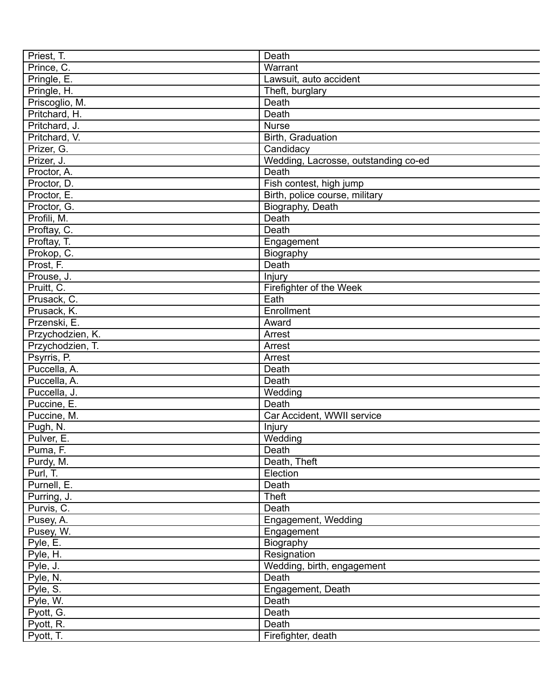| Priest, T.       | Death                                |
|------------------|--------------------------------------|
| Prince, C.       | Warrant                              |
| Pringle, E.      | Lawsuit, auto accident               |
| Pringle, H.      | Theft, burglary                      |
| Priscoglio, M.   | Death                                |
| Pritchard, H.    | Death                                |
| Pritchard, J.    | <b>Nurse</b>                         |
| Pritchard, V.    | Birth, Graduation                    |
| Prizer, G.       | Candidacy                            |
| Prizer, J.       | Wedding, Lacrosse, outstanding co-ed |
| Proctor, A.      | Death                                |
| Proctor, D.      | Fish contest, high jump              |
| Proctor, E.      | Birth, police course, military       |
| Proctor, G.      | Biography, Death                     |
| Profili, M.      | Death                                |
| Proftay, C.      | Death                                |
| Proftay, T.      | Engagement                           |
| Prokop, C.       | Biography                            |
| Prost, F.        | Death                                |
| Prouse, J.       | Injury                               |
| Pruitt, C.       | Firefighter of the Week              |
| Prusack, C.      | Eath                                 |
| Prusack, K.      | Enrollment                           |
| Przenski, E.     | Award                                |
| Przychodzien, K. | Arrest                               |
| Przychodzien, T. | Arrest                               |
| Psyrris, P.      | Arrest                               |
| Puccella, A.     | Death                                |
| Puccella, A.     | Death                                |
| Puccella, J.     | Wedding                              |
| Puccine, E.      | Death                                |
| Puccine, M.      | Car Accident, WWII service           |
| Pugh, N.         |                                      |
|                  | Injury<br>$\overline{W}$ edding      |
| Pulver, E.       |                                      |
| Puma, F.         | Death                                |
| Purdy, M.        | Death, Theft                         |
| Purl, T.         | Election                             |
| Purnell, E.      | Death                                |
| Purring, J.      | <b>Theft</b>                         |
| Purvis, C.       | Death                                |
| Pusey, A.        | Engagement, Wedding                  |
| Pusey, W.        | Engagement                           |
| Pyle, E.         | Biography                            |
| Pyle, H.         | Resignation                          |
| Pyle, J.         | Wedding, birth, engagement           |
| Pyle, N.         | Death                                |
| Pyle, S.         | Engagement, Death                    |
| Pyle, W.         | Death                                |
| Pyott, G.        | Death                                |
| Pyott, R.        | Death                                |
| Pyott, T.        | Firefighter, death                   |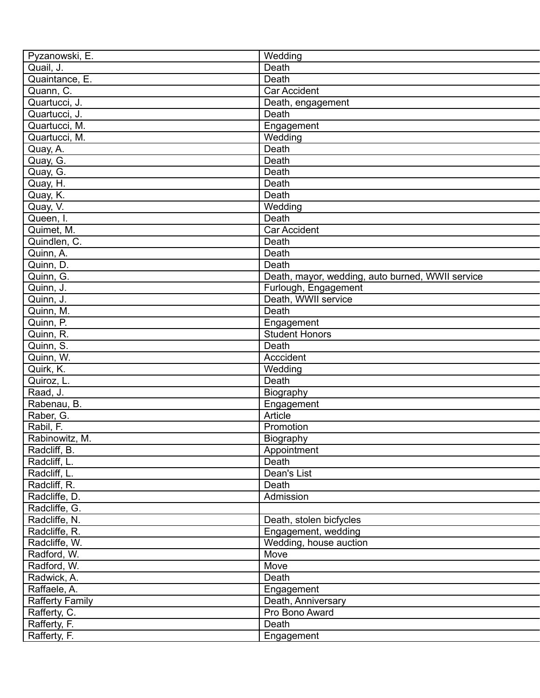| Pyzanowski, E.         | Wedding                                          |
|------------------------|--------------------------------------------------|
| Quail, J.              | Death                                            |
| Quaintance, E.         | Death                                            |
| Quann, C.              | Car Accident                                     |
| Quartucci, J.          | Death, engagement                                |
| Quartucci, J.          | Death                                            |
| Quartucci, M.          | Engagement                                       |
| Quartucci, M.          | Wedding                                          |
| Quay, A.               | Death                                            |
| Quay, G.               | Death                                            |
| Quay, G.               | Death                                            |
| Quay, H.               | Death                                            |
| Quay, K.               | Death                                            |
| Quay, V.               | Wedding                                          |
| Queen, I.              | Death                                            |
| Quimet, M.             | Car Accident                                     |
| Quindlen, C.           | Death                                            |
| Quinn, A.              | Death                                            |
| Quinn, D.              | Death                                            |
| Quinn, G.              | Death, mayor, wedding, auto burned, WWII service |
| Quinn, J.              | Furlough, Engagement                             |
| Quinn, J.              | Death, WWII service                              |
| Quinn, M.              | Death                                            |
| Quinn, P.              | Engagement                                       |
| Quinn, R.              | <b>Student Honors</b>                            |
| Quinn, S.              | Death                                            |
| Quinn, W.              | Acccident                                        |
| Quirk, K.              | Wedding                                          |
| Quiroz, L.             | Death                                            |
| Raad, J.               | Biography                                        |
| Rabenau, B.            | Engagement                                       |
| Raber, G.              | Article                                          |
| Rabil, F.              | Promotion                                        |
| Rabinowitz, M.         | Biography                                        |
| Radcliff, B.           | Appointment                                      |
| Radcliff, L.           | Death                                            |
| Radcliff, L.           | Dean's List                                      |
| Radcliff, R.           | Death                                            |
| Radcliffe, D.          | Admission                                        |
| Radcliffe, G.          |                                                  |
| Radcliffe, N.          | Death, stolen bicfycles                          |
| Radcliffe, R.          | Engagement, wedding                              |
| Radcliffe, W.          | Wedding, house auction                           |
| Radford, W.            | Move                                             |
| Radford, W.            | Move                                             |
| Radwick, A.            | Death                                            |
| Raffaele, A.           |                                                  |
|                        | Engagement                                       |
| <b>Rafferty Family</b> | Death, Anniversary<br>Pro Bono Award             |
| Rafferty, C.           |                                                  |
| Rafferty, F.           | Death                                            |
| Rafferty, F.           | Engagement                                       |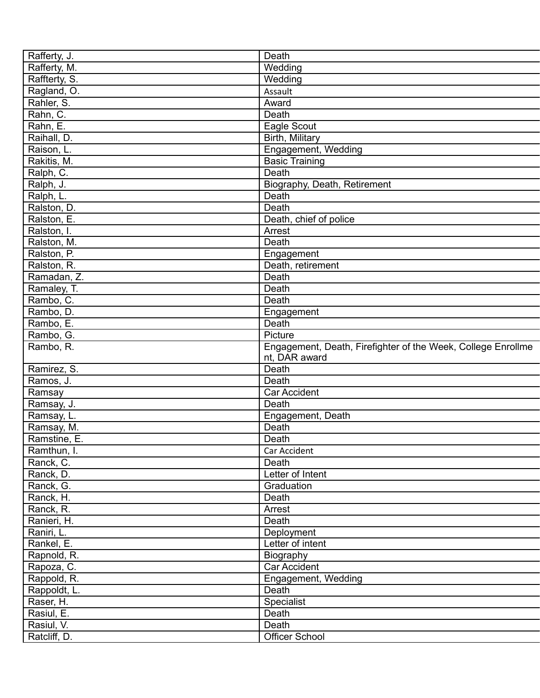| Rafferty, J.  | Death                                                        |
|---------------|--------------------------------------------------------------|
| Rafferty, M.  | Wedding                                                      |
| Raffterty, S. | Wedding                                                      |
| Ragland, O.   | Assault                                                      |
| Rahler, S.    | Award                                                        |
| Rahn, C.      | Death                                                        |
| Rahn, E.      | Eagle Scout                                                  |
| Raihall, D.   | Birth, Military                                              |
| Raison, L.    | Engagement, Wedding                                          |
| Rakitis, M.   | <b>Basic Training</b>                                        |
| Ralph, C.     | Death                                                        |
|               |                                                              |
| Ralph, J.     | Biography, Death, Retirement                                 |
| Ralph, L.     | Death                                                        |
| Ralston, D.   | Death                                                        |
| Ralston, E.   | Death, chief of police                                       |
| Ralston, I.   | Arrest                                                       |
| Ralston, M.   | Death                                                        |
| Ralston, P.   | Engagement                                                   |
| Ralston, R.   | Death, retirement                                            |
| Ramadan, Z.   | Death                                                        |
| Ramaley, T.   | Death                                                        |
| Rambo, C.     | Death                                                        |
| Rambo, D.     | Engagement                                                   |
| Rambo, E.     | Death                                                        |
| Rambo, G.     | Picture                                                      |
| Rambo, R.     | Engagement, Death, Firefighter of the Week, College Enrollme |
|               | nt, DAR award                                                |
| Ramirez, S.   | Death                                                        |
| Ramos, J.     | Death                                                        |
| Ramsay        | <b>Car Accident</b>                                          |
| Ramsay, J.    | Death                                                        |
| Ramsay, L.    | Engagement, Death                                            |
| Ramsay, M.    | Death                                                        |
| Ramstine, E.  | Death                                                        |
| Ramthun, I.   | Car Accident                                                 |
| Ranck, C.     | Death                                                        |
|               | Letter of Intent                                             |
| Ranck, D.     |                                                              |
| Ranck, G.     | Graduation                                                   |
| Ranck, H.     | Death                                                        |
| Ranck, R.     | Arrest                                                       |
| Ranieri, H.   | Death                                                        |
| Raniri, L.    | Deployment                                                   |
| Rankel, E.    | Letter of intent                                             |
| Rapnold, R.   | Biography                                                    |
| Rapoza, C.    | <b>Car Accident</b>                                          |
| Rappold, R.   | Engagement, Wedding                                          |
| Rappoldt, L.  | Death                                                        |
| Raser, H.     | Specialist                                                   |
| Rasiul, E.    | Death                                                        |
| Rasiul, V.    | Death                                                        |
| Ratcliff, D.  | <b>Officer School</b>                                        |
|               |                                                              |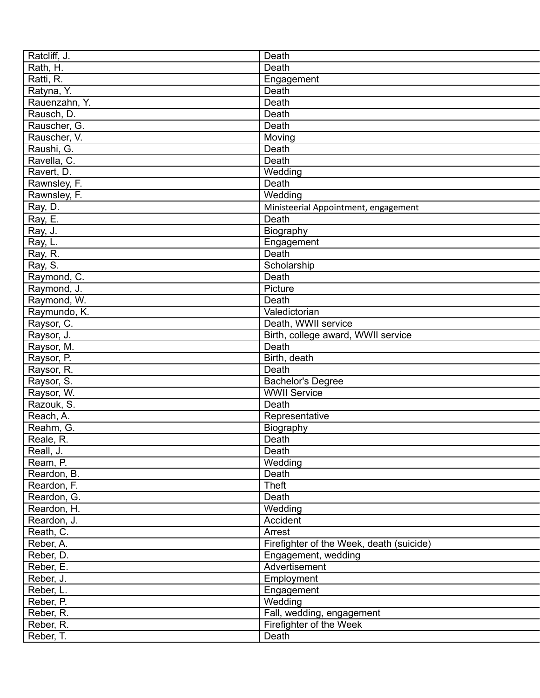| Ratcliff, J.  | Death                                    |
|---------------|------------------------------------------|
| Rath, H.      | Death                                    |
| Ratti, R.     | Engagement                               |
| Ratyna, Y.    | Death                                    |
| Rauenzahn, Y. | Death                                    |
| Rausch, D.    | Death                                    |
| Rauscher, G.  | Death                                    |
| Rauscher, V.  | Moving                                   |
| Raushi, G.    | Death                                    |
| Ravella, C.   | Death                                    |
| Ravert, D.    | Wedding                                  |
| Rawnsley, F.  | Death                                    |
| Rawnsley, F.  | Wedding                                  |
| Ray, D.       | Ministeerial Appointment, engagement     |
| Ray, E.       | Death                                    |
| Ray, J.       | Biography                                |
| Ray, L.       | Engagement                               |
| Ray, R.       | Death                                    |
| Ray, S.       | Scholarship                              |
| Raymond, C.   | Death                                    |
| Raymond, J.   | Picture                                  |
| Raymond, W.   | Death                                    |
|               |                                          |
| Raymundo, K.  | Valedictorian                            |
| Raysor, C.    | Death, WWII service                      |
| Raysor, J.    | Birth, college award, WWII service       |
| Raysor, M.    | Death                                    |
| Raysor, P.    | Birth, death                             |
| Raysor, R.    | Death                                    |
| Raysor, S.    | <b>Bachelor's Degree</b>                 |
| Raysor, W.    | <b>WWII Service</b>                      |
| Razouk, S.    | Death                                    |
| Reach, A.     | Representative                           |
| Reahm, G.     | Biography                                |
| Reale, R.     | Death                                    |
| Reall, J.     | Death                                    |
| Ream, P.      | Wedding                                  |
| Reardon, B.   | Death                                    |
| Reardon, F.   | Theft                                    |
| Reardon, G.   | Death                                    |
| Reardon, H.   | Wedding                                  |
| Reardon, J.   | Accident                                 |
| Reath, C.     | Arrest                                   |
| Reber, A.     | Firefighter of the Week, death (suicide) |
| Reber, D.     | Engagement, wedding                      |
| Reber, E.     | Advertisement                            |
| Reber, J.     | Employment                               |
| Reber, L.     | Engagement                               |
| Reber, P.     | Wedding                                  |
| Reber, R.     | Fall, wedding, engagement                |
| Reber, R.     | Firefighter of the Week                  |
| Reber, T.     | Death                                    |
|               |                                          |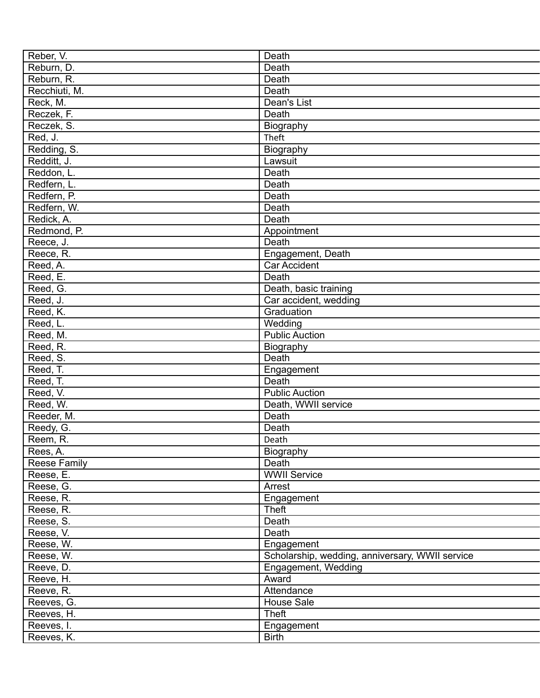| Reber, V.           | Death                                           |
|---------------------|-------------------------------------------------|
| Reburn, D.          | Death                                           |
| Reburn, R.          | Death                                           |
| Recchiuti, M.       | Death                                           |
| Reck, M.            | Dean's List                                     |
| Reczek, F.          | Death                                           |
| Reczek, S.          | Biography                                       |
| Red, J.             | Theft                                           |
| Redding, S.         | Biography                                       |
| Redditt, J.         | Lawsuit                                         |
| Reddon, L.          | Death                                           |
| Redfern, L.         | Death                                           |
| Redfern, P.         | Death                                           |
| Redfern, W.         | Death                                           |
| Redick, A.          | Death                                           |
| Redmond, P.         | Appointment                                     |
| Reece, J.           | Death                                           |
| Reece, R.           | Engagement, Death                               |
| Reed, A.            | <b>Car Accident</b>                             |
| Reed, E.            | Death                                           |
| Reed, G.            | Death, basic training                           |
| Reed, J.            | Car accident, wedding                           |
| Reed, K.            | Graduation                                      |
| Reed, L.            | Wedding                                         |
| Reed, M.            | <b>Public Auction</b>                           |
| Reed, R.            |                                                 |
| Reed, S.            | Biography<br>Death                              |
| Reed, T.            |                                                 |
|                     | Engagement<br>Death                             |
| Reed, T.            | <b>Public Auction</b>                           |
| Reed, V.            |                                                 |
| Reed, W.            | Death, WWII service                             |
| Reeder, M.          | Death                                           |
| Reedy, G.           | Death                                           |
| Reem, R.            | Death                                           |
| Rees, A.            | Biography                                       |
| <b>Reese Family</b> | Death                                           |
| Reese, E.           | <b>WWII Service</b>                             |
| Reese, G.           | Arrest                                          |
| Reese, R.           | Engagement                                      |
| Reese, R.           | Theft                                           |
| Reese, S.           | Death                                           |
| Reese, V.           | Death                                           |
| Reese, W.           | Engagement                                      |
| Reese, W.           | Scholarship, wedding, anniversary, WWII service |
| Reeve, D.           | Engagement, Wedding                             |
| Reeve, H.           | Award                                           |
| Reeve, R.           | Attendance                                      |
| Reeves, G.          | House Sale                                      |
| Reeves, H.          | <b>Theft</b>                                    |
| Reeves, I.          | Engagement                                      |
| Reeves, K.          | <b>Birth</b>                                    |
|                     |                                                 |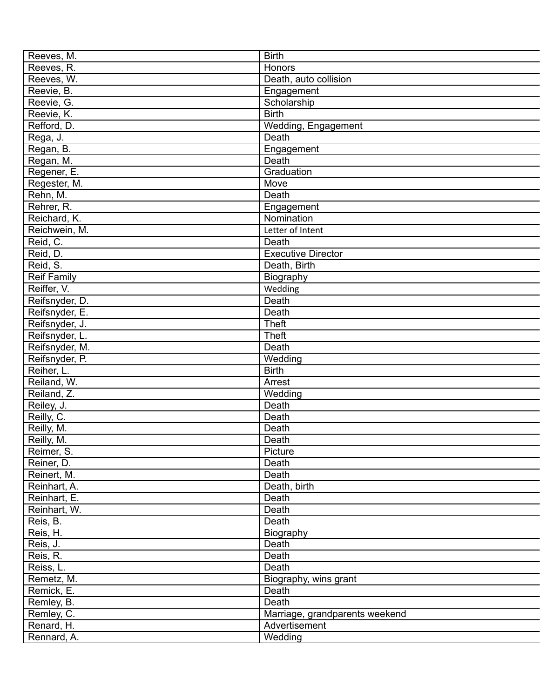| Reeves, M.         | <b>Birth</b>                   |
|--------------------|--------------------------------|
| Reeves, R.         | <b>Honors</b>                  |
| Reeves, W.         | Death, auto collision          |
| Reevie, B.         | Engagement                     |
| Reevie, G.         | Scholarship                    |
| Reevie, K.         | <b>Birth</b>                   |
| Refford, D.        | Wedding, Engagement            |
| Rega, J.           | Death                          |
| Regan, B.          | Engagement                     |
| Regan, M.          | Death                          |
| Regener, E.        | Graduation                     |
| Regester, M.       | Move                           |
| Rehn, M.           | Death                          |
| Rehrer, R.         | Engagement                     |
| Reichard, K.       | Nomination                     |
| Reichwein, M.      | Letter of Intent               |
| Reid, C.           | Death                          |
| Reid, D.           | <b>Executive Director</b>      |
| Reid, S.           | Death, Birth                   |
| <b>Reif Family</b> | Biography                      |
| Reiffer, V.        | Wedding                        |
| Reifsnyder, D.     | Death                          |
| Reifsnyder, E.     | Death                          |
| Reifsnyder, J.     | <b>Theft</b>                   |
| Reifsnyder, L.     | <b>Theft</b>                   |
| Reifsnyder, M.     | Death                          |
|                    |                                |
| Reifsnyder, P.     | Wedding<br><b>Birth</b>        |
| Reiher, L.         |                                |
| Reiland, W.        | Arrest                         |
| Reiland, Z.        | Wedding                        |
| Reiley, J.         | Death                          |
| Reilly, C.         | Death                          |
| Reilly, M.         | Death                          |
| Reilly, M.         | Death                          |
| Reimer, S.         | Picture                        |
| Reiner, D.         | Death                          |
| Reinert, M.        | Death                          |
| Reinhart, A.       | Death, birth                   |
| Reinhart, E.       | Death                          |
| Reinhart, W.       | Death                          |
| Reis, B.           | Death                          |
| Reis, H.           | Biography                      |
| Reis, J.           | Death                          |
| Reis, R.           | Death                          |
| Reiss, L.          | Death                          |
| Remetz, M.         | Biography, wins grant          |
| Remick, E.         | Death                          |
| Remley, B.         | Death                          |
| Remley, C.         | Marriage, grandparents weekend |
| Renard, H.         | Advertisement                  |
| Rennard, A.        | Wedding                        |
|                    |                                |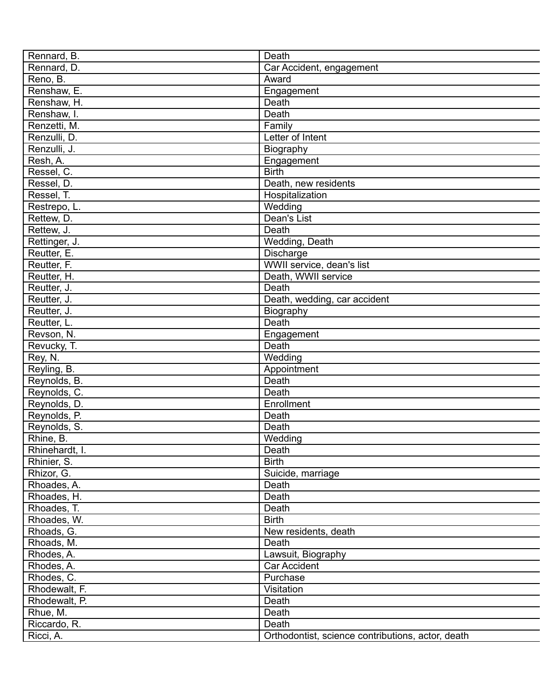| Rennard, B.    | Death                                             |
|----------------|---------------------------------------------------|
| Rennard, D.    | Car Accident, engagement                          |
| Reno, B.       | Award                                             |
| Renshaw, E.    | Engagement                                        |
| Renshaw, H.    | Death                                             |
| Renshaw, I.    | Death                                             |
| Renzetti, M.   | Family                                            |
| Renzulli, D.   | Letter of Intent                                  |
| Renzulli, J.   | Biography                                         |
| Resh, A.       | Engagement                                        |
| Ressel, C.     | <b>Birth</b>                                      |
| Ressel, D.     | Death, new residents                              |
| Ressel, T.     | Hospitalization                                   |
| Restrepo, L.   | Wedding                                           |
| Rettew, D.     | Dean's List                                       |
| Rettew, J.     | Death                                             |
| Rettinger, J.  | Wedding, Death                                    |
| Reutter, E.    | Discharge                                         |
| Reutter, F.    | WWII service, dean's list                         |
| Reutter, H.    | Death, WWII service                               |
| Reutter, J.    | Death                                             |
| Reutter, J.    | Death, wedding, car accident                      |
| Reutter, J.    | Biography                                         |
| Reutter, L.    | Death                                             |
| Revson, N.     | Engagement                                        |
| Revucky, T.    | Death                                             |
| Rey, N.        | Wedding                                           |
| Reyling, B.    | Appointment                                       |
| Reynolds, B.   | Death                                             |
| Reynolds, C.   | Death                                             |
| Reynolds, D.   | Enrollment                                        |
| Reynolds, P.   | Death                                             |
| Reynolds, S.   | Death                                             |
| Rhine, B.      | Wedding                                           |
| Rhinehardt, I. | Death                                             |
| Rhinier, S.    | <b>Birth</b>                                      |
| Rhizor, G.     | Suicide, marriage                                 |
| Rhoades, A.    | Death                                             |
| Rhoades, H.    | Death                                             |
| Rhoades, T.    | Death                                             |
| Rhoades, W.    | <b>Birth</b>                                      |
| Rhoads, G.     | New residents, death                              |
| Rhoads, M.     | Death                                             |
| Rhodes, A.     | Lawsuit, Biography                                |
| Rhodes, A.     | <b>Car Accident</b>                               |
| Rhodes, C.     | Purchase                                          |
| Rhodewalt, F.  | Visitation                                        |
| Rhodewalt, P.  | Death                                             |
| Rhue, M.       | Death                                             |
| Riccardo, R.   | Death                                             |
| Ricci, A.      | Orthodontist, science contributions, actor, death |
|                |                                                   |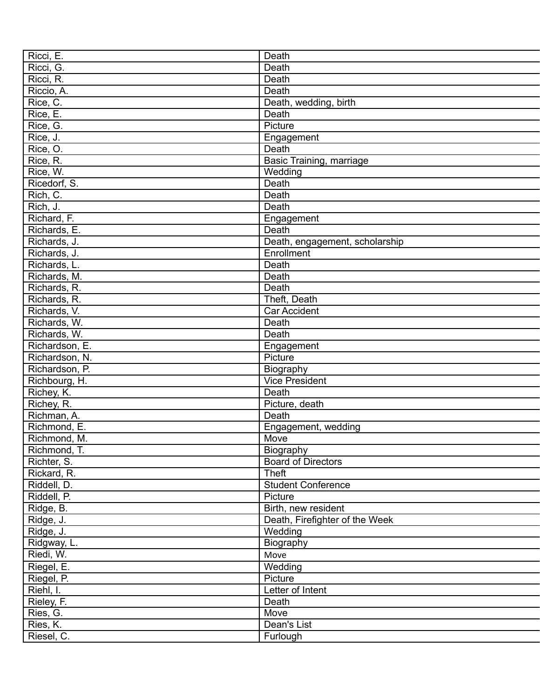| Ricci, E.      | Death                          |
|----------------|--------------------------------|
| Ricci, G.      | Death                          |
| Ricci, R.      | Death                          |
| Riccio, A.     | Death                          |
| Rice, C.       | Death, wedding, birth          |
| Rice, E.       | Death                          |
| Rice, G.       | Picture                        |
| Rice, J.       | Engagement                     |
| Rice, O.       | Death                          |
| Rice, R.       | Basic Training, marriage       |
| Rice, W.       | Wedding                        |
| Ricedorf, S.   | Death                          |
| Rich, C.       | Death                          |
| Rich, J.       | Death                          |
| Richard, F.    | Engagement                     |
| Richards, E.   | Death                          |
| Richards, J.   | Death, engagement, scholarship |
| Richards, J.   | Enrollment                     |
| Richards, L.   | Death                          |
| Richards, M.   | Death                          |
| Richards, R.   | Death                          |
| Richards, R.   | Theft, Death                   |
| Richards, V.   | Car Accident                   |
| Richards, W.   | Death                          |
| Richards, W.   | Death                          |
| Richardson, E. | Engagement                     |
| Richardson, N. | Picture                        |
| Richardson, P. | Biography                      |
| Richbourg, H.  | <b>Vice President</b>          |
| Richey, K.     | Death                          |
| Richey, R.     | Picture, death                 |
| Richman, A.    | Death                          |
| Richmond, E.   | Engagement, wedding            |
| Richmond, M.   | Move                           |
| Richmond, T.   | Biography                      |
| Richter, S.    | <b>Board of Directors</b>      |
| Rickard, R.    | <b>Theft</b>                   |
| Riddell, D.    | <b>Student Conference</b>      |
| Riddell, P.    | Picture                        |
| Ridge, B.      | Birth, new resident            |
| Ridge, J.      | Death, Firefighter of the Week |
| Ridge, J.      | Wedding                        |
| Ridgway, L.    | Biography                      |
| Riedi, W.      | Move                           |
| Riegel, E.     | Wedding                        |
| Riegel, P.     | Picture                        |
| Riehl, I.      | Letter of Intent               |
| Rieley, F.     | Death                          |
| Ries, G.       | Move                           |
| Ries, K.       | Dean's List                    |
| Riesel, C.     | Furlough                       |
|                |                                |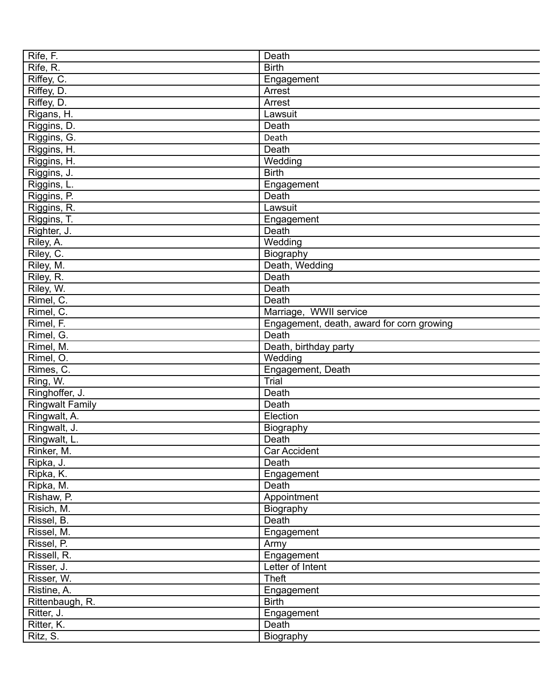| Rife, F.                   | Death                                     |
|----------------------------|-------------------------------------------|
| Rife, R.                   | <b>Birth</b>                              |
| Riffey, C.                 | Engagement                                |
| Riffey, D.                 | Arrest                                    |
| Riffey, D.                 | Arrest                                    |
| Rigans, H.                 | Lawsuit                                   |
| Riggins, D.                | Death                                     |
| Riggins, G.                | Death                                     |
| Riggins, H.                | Death                                     |
| Riggins, H.                | Wedding                                   |
| Riggins, J.                | <b>Birth</b>                              |
| Riggins, L.                | Engagement                                |
|                            | Death                                     |
| Riggins, P.<br>Riggins, R. | Lawsuit                                   |
|                            |                                           |
| Riggins, T.                | Engagement                                |
| Righter, J.                | Death                                     |
| Riley, A.                  | Wedding                                   |
| Riley, C.                  | Biography                                 |
| Riley, M.                  | Death, Wedding                            |
| Riley, R.                  | Death                                     |
| Riley, W.                  | Death                                     |
| Rimel, C.                  | Death                                     |
| Rimel, C.                  | Marriage, WWII service                    |
| Rimel, F.                  | Engagement, death, award for corn growing |
| Rimel, G.                  | Death                                     |
| Rimel, M.                  | Death, birthday party                     |
| Rimel, O.                  | $\overline{W}$ edding                     |
| Rimes, C.                  | Engagement, Death                         |
| Ring, W.                   | Trial                                     |
| Ringhoffer, J.             | Death                                     |
| <b>Ringwalt Family</b>     | Death                                     |
| Ringwalt, A.               | Election                                  |
| Ringwalt, J.               | Biography                                 |
| Ringwalt, L.               | Death                                     |
| Rinker, M.                 | Car Accident                              |
| Ripka, J.                  | Death                                     |
| Ripka, K.                  | Engagement                                |
|                            | Death                                     |
| Ripka, M.                  |                                           |
| Rishaw, P.                 | Appointment                               |
| Risich, M.                 | Biography                                 |
| Rissel, B.                 | Death                                     |
| Rissel, M.                 | Engagement                                |
| Rissel, P.                 | Army                                      |
| Rissell, R.                | Engagement                                |
| Risser, J.                 | Letter of Intent                          |
| Risser, W.                 | <b>Theft</b>                              |
| Ristine, A.                | Engagement                                |
| Rittenbaugh, R.            | <b>Birth</b>                              |
| Ritter, J.                 | Engagement                                |
| Ritter, K.                 | Death                                     |
| Ritz, S.                   | Biography                                 |
|                            |                                           |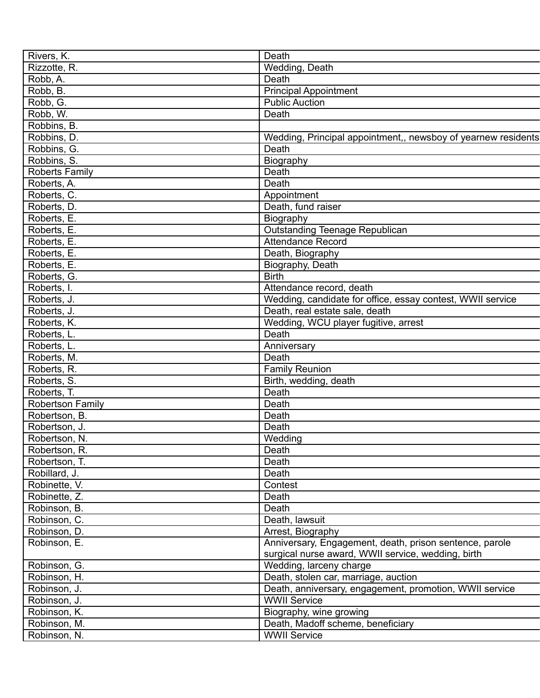| Rivers, K.              | Death                                                         |
|-------------------------|---------------------------------------------------------------|
| Rizzotte, R.            | Wedding, Death                                                |
| Robb, A.                | Death                                                         |
| Robb, B.                | <b>Principal Appointment</b>                                  |
| Robb, G.                | <b>Public Auction</b>                                         |
| Robb, W.                | Death                                                         |
| Robbins, B.             |                                                               |
| Robbins, D.             | Wedding, Principal appointment,, newsboy of yearnew residents |
| Robbins, G.             | Death                                                         |
| Robbins, S.             | Biography                                                     |
| Roberts Family          | Death                                                         |
| Roberts, A.             | Death                                                         |
| Roberts, C.             | Appointment                                                   |
| Roberts, D.             | Death, fund raiser                                            |
| Roberts, E.             | Biography                                                     |
| Roberts, E.             | Outstanding Teenage Republican                                |
| Roberts, E.             | <b>Attendance Record</b>                                      |
| Roberts, E.             | Death, Biography                                              |
| Roberts, E.             | Biography, Death                                              |
| Roberts, G.             | <b>Birth</b>                                                  |
| Roberts, I.             | Attendance record, death                                      |
| Roberts, J.             |                                                               |
|                         | Wedding, candidate for office, essay contest, WWII service    |
| Roberts, J.             | Death, real estate sale, death                                |
| Roberts, K.             | Wedding, WCU player fugitive, arrest                          |
| Roberts, L.             | Death                                                         |
| Roberts, L.             | Anniversary                                                   |
| Roberts, M.             | Death                                                         |
| Roberts, R.             | <b>Family Reunion</b>                                         |
| Roberts, S.             | Birth, wedding, death                                         |
| Roberts, T.             | Death                                                         |
| <b>Robertson Family</b> | Death                                                         |
| Robertson, B.           | Death                                                         |
| Robertson, J.           | Death                                                         |
| Robertson, N.           | Wedding                                                       |
| Robertson, R.           | Death                                                         |
| Robertson, T.           | Death                                                         |
| Robillard, J.           | Death                                                         |
| Robinette, V.           | Contest                                                       |
| Robinette, Z.           | Death                                                         |
| Robinson, B.            | Death                                                         |
| Robinson, C.            | Death, lawsuit                                                |
| Robinson, D.            | Arrest, Biography                                             |
| Robinson, E.            | Anniversary, Engagement, death, prison sentence, parole       |
|                         | surgical nurse award, WWII service, wedding, birth            |
| Robinson, G.            | Wedding, larceny charge                                       |
| Robinson, H.            | Death, stolen car, marriage, auction                          |
| Robinson, J.            | Death, anniversary, engagement, promotion, WWII service       |
| Robinson, J.            | <b>WWII Service</b>                                           |
| Robinson, K.            | Biography, wine growing                                       |
| Robinson, M.            | Death, Madoff scheme, beneficiary                             |
| Robinson, N.            | <b>WWII Service</b>                                           |
|                         |                                                               |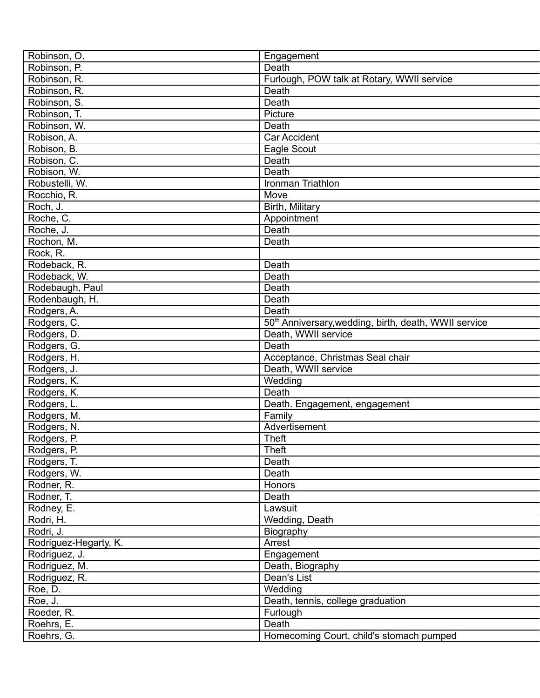| Robinson, O.          | Engagement                                                        |
|-----------------------|-------------------------------------------------------------------|
| Robinson, P.          | Death                                                             |
| Robinson, R.          | Furlough, POW talk at Rotary, WWII service                        |
| Robinson, R.          | Death                                                             |
| Robinson, S.          | Death                                                             |
| Robinson, T.          | Picture                                                           |
| Robinson, W.          | Death                                                             |
| Robison, A.           | Car Accident                                                      |
| Robison, B.           | Eagle Scout                                                       |
| Robison, C.           | Death                                                             |
| Robison, W.           | Death                                                             |
| Robustelli, W.        | Ironman Triathlon                                                 |
| Rocchio, R.           | Move                                                              |
| Roch, J.              | Birth, Military                                                   |
| Roche, C.             | Appointment                                                       |
| Roche, J.             | Death                                                             |
| Rochon, M.            | Death                                                             |
| Rock, R.              |                                                                   |
| Rodeback, R.          | Death                                                             |
| Rodeback, W.          | Death                                                             |
|                       | Death                                                             |
| Rodebaugh, Paul       |                                                                   |
| Rodenbaugh, H.        | Death                                                             |
| Rodgers, A.           | Death                                                             |
| Rodgers, C.           | 50 <sup>th</sup> Anniversary, wedding, birth, death, WWII service |
| Rodgers, D.           | Death, WWII service                                               |
| Rodgers, G.           | Death                                                             |
| Rodgers, H.           | Acceptance, Christmas Seal chair                                  |
| Rodgers, J.           | Death, WWII service                                               |
| Rodgers, K.           | Wedding                                                           |
| Rodgers, K.           | Death                                                             |
| Rodgers, L.           | Death. Engagement, engagement                                     |
| Rodgers, M.           | Family                                                            |
| Rodgers, N.           | Advertisement                                                     |
| Rodgers, P.           | <b>Theft</b>                                                      |
| Rodgers, P.           | <b>Theft</b>                                                      |
| Rodgers, T.           | Death                                                             |
| Rodgers, W.           | Death                                                             |
| Rodner, R.            | Honors                                                            |
| Rodner, T.            | Death                                                             |
| Rodney, E.            | Lawsuit                                                           |
| Rodri, H.             | Wedding, Death                                                    |
| Rodri, J.             | Biography                                                         |
| Rodriguez-Hegarty, K. | Arrest                                                            |
| Rodriguez, J.         | Engagement                                                        |
| Rodriguez, M.         | Death, Biography                                                  |
| Rodriguez, R.         | Dean's List                                                       |
| Roe, D.               | Wedding                                                           |
| Roe, J.               | Death, tennis, college graduation                                 |
| Roeder, R.            | Furlough                                                          |
| Roehrs, E.            | Death                                                             |
| Roehrs, G.            | Homecoming Court, child's stomach pumped                          |
|                       |                                                                   |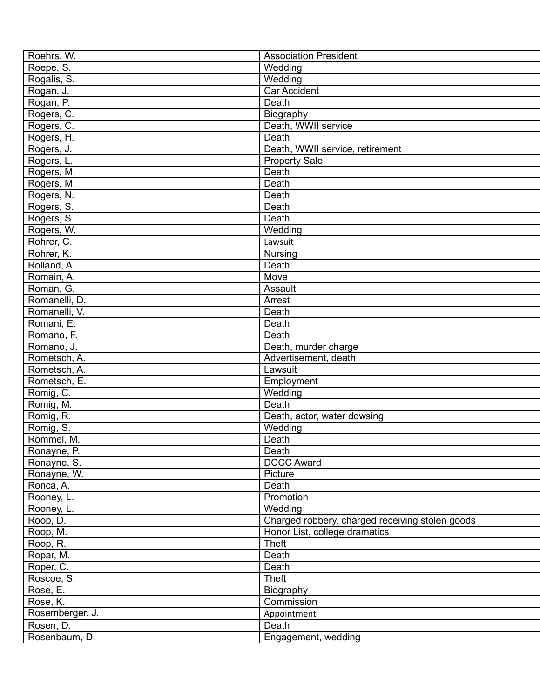| Roehrs, W.      | <b>Association President</b>                    |
|-----------------|-------------------------------------------------|
| Roepe, S.       | Wedding                                         |
| Rogalis, S.     | Wedding                                         |
| Rogan, J.       | <b>Car Accident</b>                             |
| Rogan, P.       | Death                                           |
| Rogers, C.      | Biography                                       |
| Rogers, C.      | Death, WWII service                             |
| Rogers, H.      | Death                                           |
| Rogers, J.      | Death, WWII service, retirement                 |
| Rogers, L.      | <b>Property Sale</b>                            |
| Rogers, M.      | Death                                           |
| Rogers, M.      | Death                                           |
| Rogers, N.      | Death                                           |
| Rogers, S.      | Death                                           |
| Rogers, S.      | Death                                           |
| Rogers, W.      | Wedding                                         |
| Rohrer, C.      | Lawsuit                                         |
| Rohrer, K.      |                                                 |
| Rolland, A.     | <b>Nursing</b><br>Death                         |
|                 |                                                 |
| Romain, A.      | Move                                            |
| Roman, G.       | Assault                                         |
| Romanelli, D.   | Arrest                                          |
| Romanelli, V.   | Death                                           |
| Romani, E.      | Death                                           |
| Romano, F.      | Death                                           |
| Romano, J.      | Death, murder charge                            |
| Rometsch, A.    | Advertisement, death                            |
| Rometsch, A.    | Lawsuit                                         |
| Rometsch, E.    | Employment                                      |
| Romig, C.       | Wedding                                         |
| Romig, M.       | Death                                           |
| Romig, R.       | Death, actor, water dowsing                     |
| Romig, S.       | Wedding                                         |
| Rommel, M.      | Death                                           |
| Ronayne, P.     | Death                                           |
| Ronayne, S.     | <b>DCCC Award</b>                               |
| Ronayne, W.     | Picture                                         |
| Ronca, A.       | Death                                           |
| Rooney, L.      | Promotion                                       |
| Rooney, L.      | Wedding                                         |
| Roop, D.        | Charged robbery, charged receiving stolen goods |
| Roop, M.        | Honor List, college dramatics                   |
| Roop, R.        | Theft                                           |
| Ropar, M.       | Death                                           |
| Roper, C.       | Death                                           |
| Roscoe, S.      | Theft                                           |
| Rose, E.        | Biography                                       |
| Rose, K.        | Commission                                      |
| Rosemberger, J. |                                                 |
|                 | Appointment                                     |
| Rosen, D.       | Death                                           |
| Rosenbaum, D.   | Engagement, wedding                             |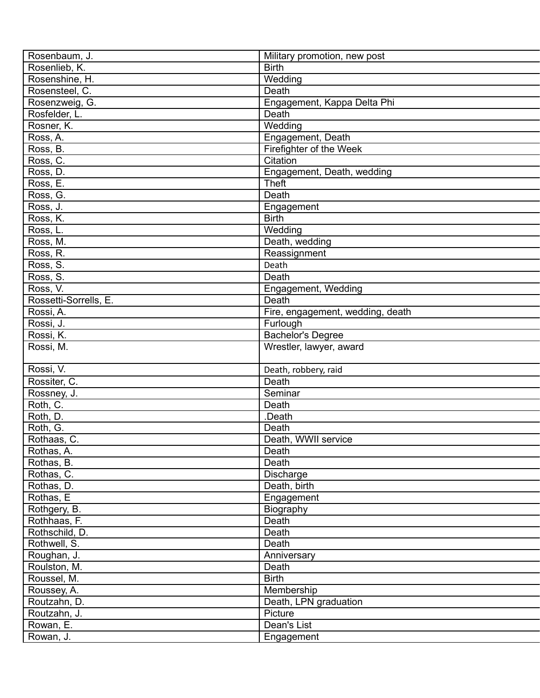| Rosenbaum, J.         | Military promotion, new post     |
|-----------------------|----------------------------------|
| Rosenlieb, K.         | <b>Birth</b>                     |
| Rosenshine, H.        | Wedding                          |
| Rosensteel, C.        | Death                            |
| Rosenzweig, G.        | Engagement, Kappa Delta Phi      |
| Rosfelder, L.         | Death                            |
| Rosner, K.            | Wedding                          |
| Ross, A.              | Engagement, Death                |
| Ross, B.              | Firefighter of the Week          |
| Ross, C.              | Citation                         |
| Ross, D.              | Engagement, Death, wedding       |
| Ross, E.              | <b>Theft</b>                     |
| Ross, G.              | Death                            |
| Ross, J.              | Engagement                       |
| Ross, K.              | <b>Birth</b>                     |
| Ross, L.              | Wedding                          |
| Ross, M.              | Death, wedding                   |
| Ross, R.              | Reassignment                     |
| Ross, S.              |                                  |
|                       | Death                            |
| Ross, S.              | Death                            |
| Ross, V.              | Engagement, Wedding              |
| Rossetti-Sorrells, E. | Death                            |
| Rossi, A.             | Fire, engagement, wedding, death |
| Rossi, J.             | Furlough                         |
| Rossi, K.             | <b>Bachelor's Degree</b>         |
| Rossi, M.             | Wrestler, lawyer, award          |
|                       |                                  |
| Rossi, V.             | Death, robbery, raid             |
| Rossiter, C.          | Death                            |
| Rossney, J.           | Seminar                          |
| Roth, C.              | Death                            |
| Roth, D.              | .Death                           |
| Roth, G.              | Death                            |
| Rothaas, C.           | Death, WWII service              |
| Rothas, A.            | Death                            |
| Rothas, B.            | Death                            |
| Rothas, C.            | Discharge                        |
| Rothas, D.            | Death, birth                     |
| Rothas, E             | Engagement                       |
| Rothgery, B.          | Biography                        |
| Rothhaas, F.          | Death                            |
| Rothschild, D.        | Death                            |
| Rothwell, S.          | Death                            |
| Roughan, J.           | Anniversary                      |
| Roulston, M.          | Death                            |
| Roussel, M.           | <b>Birth</b>                     |
| Roussey, A.           | Membership                       |
| Routzahn, D.          | Death, LPN graduation            |
| Routzahn, J.          | Picture                          |
| Rowan, E.             | Dean's List                      |
| Rowan, J.             | Engagement                       |
|                       |                                  |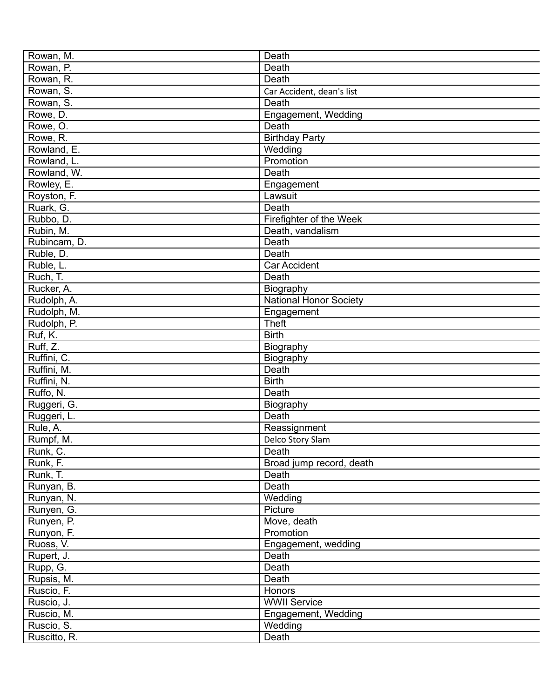| Rowan, M.    | Death                         |
|--------------|-------------------------------|
| Rowan, P.    | Death                         |
| Rowan, R.    | Death                         |
| Rowan, S.    | Car Accident, dean's list     |
| Rowan, S.    | Death                         |
| Rowe, D.     | Engagement, Wedding           |
| Rowe, O.     | Death                         |
| Rowe, R.     | <b>Birthday Party</b>         |
| Rowland, E.  | Wedding                       |
| Rowland, L.  | Promotion                     |
| Rowland, W.  | Death                         |
| Rowley, E.   | Engagement                    |
| Royston, F.  | Lawsuit                       |
| Ruark, G.    | Death                         |
| Rubbo, D.    | Firefighter of the Week       |
| Rubin, M.    | Death, vandalism              |
| Rubincam, D. | Death                         |
| Ruble, D.    | Death                         |
| Ruble, L.    | <b>Car Accident</b>           |
| Ruch, T.     | Death                         |
| Rucker, A.   | Biography                     |
| Rudolph, A.  | <b>National Honor Society</b> |
| Rudolph, M.  | Engagement                    |
| Rudolph, P.  | <b>Theft</b>                  |
| Ruf, K.      | <b>Birth</b>                  |
| Ruff, Z.     | Biography                     |
| Ruffini, C.  | Biography                     |
| Ruffini, M.  | Death                         |
| Ruffini, N.  | <b>Birth</b>                  |
| Ruffo, N.    | Death                         |
| Ruggeri, G.  | Biography                     |
| Ruggeri, L.  | Death                         |
| Rule, A.     | Reassignment                  |
| Rumpf, M.    | Delco Story Slam              |
| Runk, C.     | Death                         |
| Runk, F.     | Broad jump record, death      |
| Runk, T.     | Death                         |
| Runyan, B.   | Death                         |
| Runyan, N.   | Wedding                       |
| Runyen, G.   | Picture                       |
| Runyen, P.   | Move, death                   |
| Runyon, F.   | Promotion                     |
| Ruoss, V.    | Engagement, wedding           |
| Rupert, J.   | Death                         |
| Rupp, G.     | Death                         |
| Rupsis, M.   | Death                         |
| Ruscio, F.   | Honors                        |
| Ruscio, J.   | <b>WWII Service</b>           |
| Ruscio, M.   | Engagement, Wedding           |
| Ruscio, S.   | Wedding                       |
| Ruscitto, R. | Death                         |
|              |                               |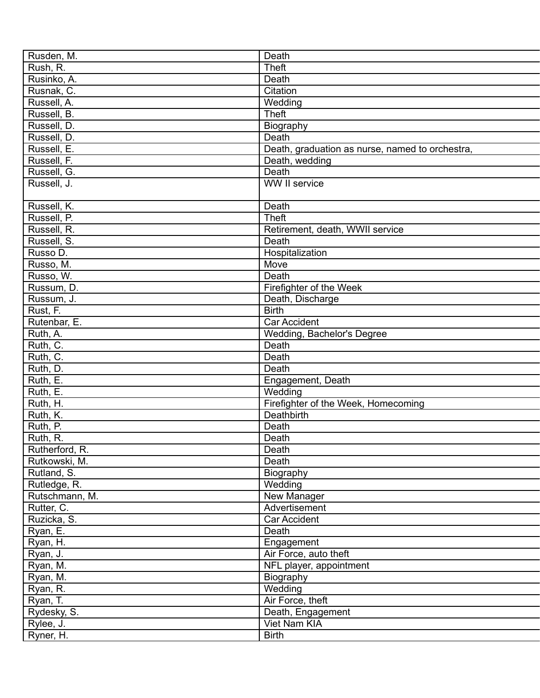| Rusden, M.     | Death                                           |
|----------------|-------------------------------------------------|
| Rush, R.       | <b>Theft</b>                                    |
| Rusinko, A.    | Death                                           |
| Rusnak, C.     | Citation                                        |
| Russell, A.    | Wedding                                         |
| Russell, B.    | <b>Theft</b>                                    |
| Russell, D.    | Biography                                       |
| Russell, D.    | Death                                           |
| Russell, E.    | Death, graduation as nurse, named to orchestra, |
| Russell, F.    | Death, wedding                                  |
| Russell, G.    | Death                                           |
| Russell, J.    | WW II service                                   |
|                |                                                 |
| Russell, K.    | Death                                           |
| Russell, P.    | <b>Theft</b>                                    |
| Russell, R.    | Retirement, death, WWII service                 |
| Russell, S.    | Death                                           |
| Russo D.       | Hospitalization                                 |
| Russo, M.      | Move                                            |
| Russo, W.      | Death                                           |
| Russum, D.     | Firefighter of the Week                         |
| Russum, J.     |                                                 |
|                | Death, Discharge<br><b>Birth</b>                |
| Rust, F.       |                                                 |
| Rutenbar, E.   | Car Accident                                    |
| Ruth, A.       | Wedding, Bachelor's Degree                      |
| Ruth, C.       | Death                                           |
| Ruth, C.       | Death                                           |
| Ruth, D.       | Death                                           |
| Ruth, E.       | Engagement, Death                               |
| Ruth, E.       | Wedding                                         |
| Ruth, H.       | Firefighter of the Week, Homecoming             |
| Ruth, K.       | Deathbirth                                      |
| Ruth, P.       | Death                                           |
| Ruth, R.       | Death                                           |
| Rutherford, R. | Death                                           |
| Rutkowski, M.  | Death                                           |
| Rutland, S.    | Biography                                       |
| Rutledge, R.   | Wedding                                         |
| Rutschmann, M. | New Manager                                     |
| Rutter, C.     | Advertisement                                   |
| Ruzicka, S.    | Car Accident                                    |
| Ryan, E.       | Death                                           |
| Ryan, H.       | Engagement                                      |
| Ryan, J.       | Air Force, auto theft                           |
| Ryan, M.       | NFL player, appointment                         |
| Ryan, M.       | Biography                                       |
| Ryan, R.       | Wedding                                         |
| Ryan, T.       | Air Force, theft                                |
| Rydesky, S.    | Death, Engagement                               |
| Rylee, J.      | Viet Nam KIA                                    |
| Ryner, H.      | <b>Birth</b>                                    |
|                |                                                 |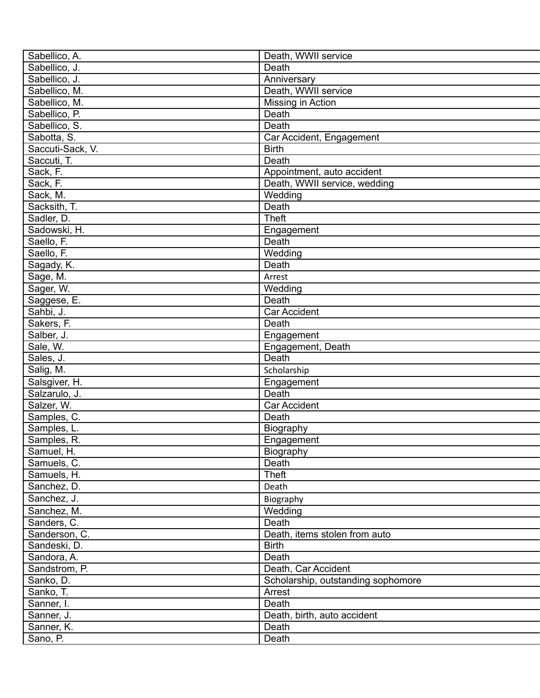| Sabellico, A.    | Death, WWII service                |
|------------------|------------------------------------|
| Sabellico, J.    | Death                              |
| Sabellico, J.    | Anniversary                        |
| Sabellico, M.    | Death, WWII service                |
| Sabellico, M.    | Missing in Action                  |
| Sabellico, P.    | Death                              |
| Sabellico, S.    | Death                              |
| Sabotta, S.      | Car Accident, Engagement           |
| Saccuti-Sack, V. | <b>Birth</b>                       |
| Saccuti, T.      | Death                              |
| Sack, F.         | Appointment, auto accident         |
| Sack, F.         | Death, WWII service, wedding       |
| Sack, M.         | Wedding                            |
| Sacksith, T.     | Death                              |
| Sadler, D.       | <b>Theft</b>                       |
| Sadowski, H.     | Engagement                         |
| Saello, F.       | Death                              |
| Saello, F.       | Wedding                            |
| Sagady, K.       | Death                              |
| Sage, M.         | Arrest                             |
|                  |                                    |
| Sager, W.        | Wedding                            |
| Saggese, E.      | Death                              |
| Sahbi, J.        | Car Accident                       |
| Sakers, F.       | Death                              |
| Salber, J.       | Engagement                         |
| Sale, W.         | Engagement, Death                  |
| Sales, J.        | Death                              |
| Salig, M.        | Scholarship                        |
| Salsgiver, H.    | Engagement                         |
| Salzarulo, J.    | Death                              |
| Salzer, W.       | <b>Car Accident</b>                |
| Samples, C.      | Death                              |
| Samples, L.      | Biography                          |
| Samples, R.      | Engagement                         |
| Samuel, H.       | Biography                          |
| Samuels, C.      | Death                              |
| Samuels, H.      | Theft                              |
| Sanchez, D.      | Death                              |
| Sanchez, J.      | Biography                          |
| Sanchez, M.      | Wedding                            |
| Sanders, C.      | Death                              |
| Sanderson, C.    | Death, items stolen from auto      |
| Sandeski, D.     | <b>Birth</b>                       |
| Sandora, A.      | Death                              |
| Sandstrom, P.    | Death, Car Accident                |
| Sanko, D.        | Scholarship, outstanding sophomore |
| Sanko, T.        | Arrest                             |
| Sanner, I.       | Death                              |
| Sanner, J.       | Death, birth, auto accident        |
| Sanner, K.       | Death                              |
| Sano, P.         | Death                              |
|                  |                                    |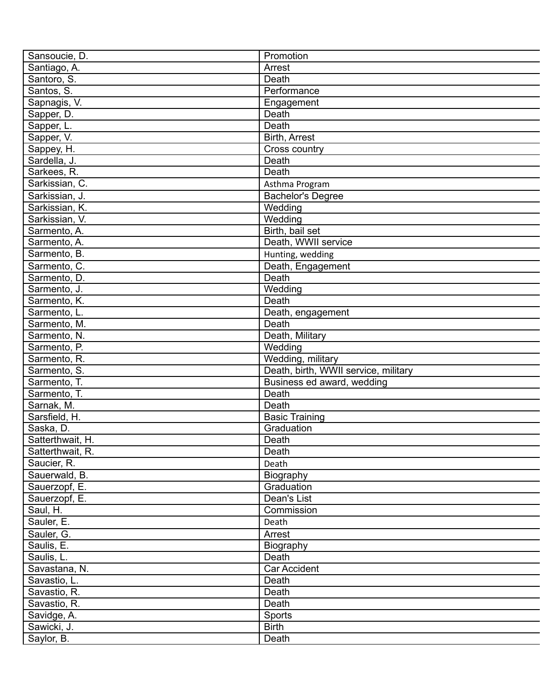| Sansoucie, D.    | Promotion                            |
|------------------|--------------------------------------|
| Santiago, A.     | Arrest                               |
| Santoro, S.      | Death                                |
| Santos, S.       | Performance                          |
| Sapnagis, V.     | Engagement                           |
| Sapper, D.       | Death                                |
| Sapper, L.       | Death                                |
| Sapper, V.       | Birth, Arrest                        |
| Sappey, H.       | Cross country                        |
| Sardella, J.     | Death                                |
| Sarkees, R.      | Death                                |
| Sarkissian, C.   | Asthma Program                       |
| Sarkissian, J.   | <b>Bachelor's Degree</b>             |
| Sarkissian, K.   | Wedding                              |
| Sarkissian, V.   | Wedding                              |
| Sarmento, A.     | Birth, bail set                      |
| Sarmento, A.     | Death, WWII service                  |
| Sarmento, B.     | Hunting, wedding                     |
| Sarmento, C.     | Death, Engagement                    |
| Sarmento, D.     | Death                                |
|                  |                                      |
| Sarmento, J.     | Wedding                              |
| Sarmento, K.     | Death                                |
| Sarmento, L.     | Death, engagement                    |
| Sarmento, M.     | Death                                |
| Sarmento, N.     | Death, Military                      |
| Sarmento, P.     | Wedding                              |
| Sarmento, R.     | Wedding, military                    |
| Sarmento, S.     | Death, birth, WWII service, military |
| Sarmento, T.     | Business ed award, wedding           |
| Sarmento, T.     | Death                                |
| Sarnak, M.       | Death                                |
| Sarsfield, H.    | <b>Basic Training</b>                |
| Saska, D.        | Graduation                           |
| Satterthwait, H. | Death                                |
| Satterthwait, R. | Death                                |
| Saucier, R.      | Death                                |
| Sauerwald, B.    | Biography                            |
| Sauerzopf, E.    | Graduation                           |
| Sauerzopf, E.    | Dean's List                          |
| Saul, H.         | Commission                           |
| Sauler, E.       | Death                                |
| Sauler, G.       | Arrest                               |
| Saulis, E.       | Biography                            |
| Saulis, L.       | Death                                |
| Savastana, N.    | Car Accident                         |
| Savastio, L.     | Death                                |
| Savastio, R.     | Death                                |
| Savastio, R.     | Death                                |
| Savidge, A.      | Sports                               |
| Sawicki, J.      | <b>Birth</b>                         |
| Saylor, B.       | Death                                |
|                  |                                      |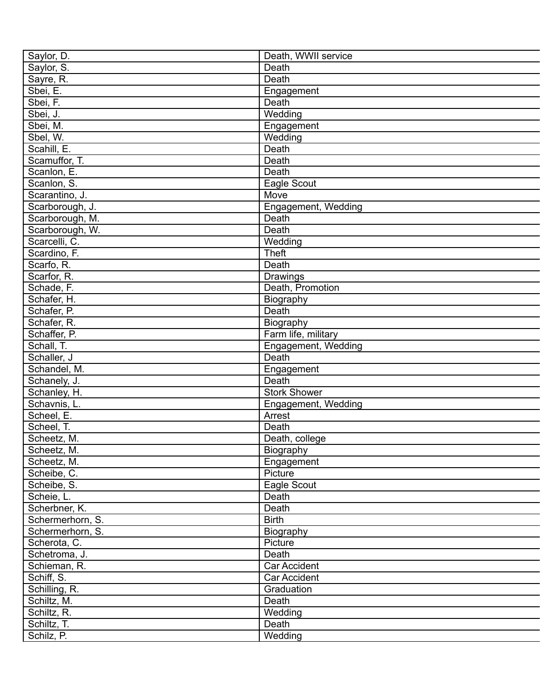| Saylor, D.       | Death, WWII service |
|------------------|---------------------|
| Saylor, S.       | Death               |
| Sayre, R.        | Death               |
| Sbei, E.         | Engagement          |
| Sbei, F.         | Death               |
| Sbei, J.         | Wedding             |
| Sbei, M.         | Engagement          |
| Sbel, W.         | Wedding             |
| Scahill, E.      | Death               |
| Scamuffor, T.    | Death               |
| Scanlon, E.      | Death               |
| Scanlon, S.      | Eagle Scout         |
| Scarantino, J.   | Move                |
| Scarborough, J.  | Engagement, Wedding |
| Scarborough, M.  | Death               |
| Scarborough, W.  | Death               |
| Scarcelli, C.    | Wedding             |
| Scardino, F.     | Theft               |
| Scarfo, R.       | Death               |
| Scarfor, R.      | Drawings            |
| Schade, F.       | Death, Promotion    |
| Schafer, H.      | Biography           |
| Schafer, P.      | Death               |
| Schafer, R.      | <b>Biography</b>    |
| Schaffer, P.     | Farm life, military |
| Schall, T.       | Engagement, Wedding |
| Schaller, J      | Death               |
| Schandel, M.     | Engagement          |
| Schanely, J.     | Death               |
| Schanley, H.     | <b>Stork Shower</b> |
| Schavnis, L.     | Engagement, Wedding |
| Scheel, E.       | Arrest              |
| Scheel, T.       | Death               |
| Scheetz, M.      | Death, college      |
| Scheetz, M.      | Biography           |
| Scheetz, M.      | Engagement          |
| Scheibe, C.      | Picture             |
| Scheibe, S.      | Eagle Scout         |
| Scheie, L.       | Death               |
| Scherbner, K.    | Death               |
| Schermerhorn, S. | <b>Birth</b>        |
| Schermerhorn, S. | Biography           |
| Scherota, C.     | Picture             |
| Schetroma, J.    | Death               |
| Schieman, R.     | Car Accident        |
| Schiff, S.       | Car Accident        |
| Schilling, R.    | Graduation          |
|                  | Death               |
| Schiltz, M.      |                     |
| Schiltz, R.      | Wedding             |
| Schiltz, T.      | Death               |
| Schilz, P.       | Wedding             |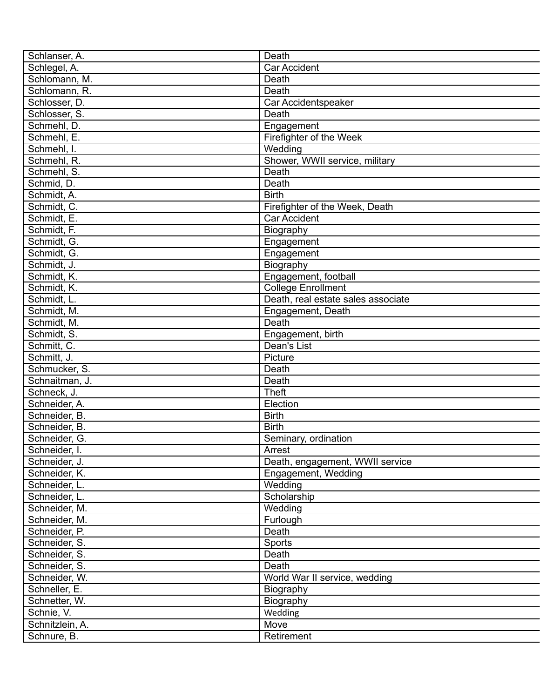| Schlanser, A.              | Death                              |
|----------------------------|------------------------------------|
| Schlegel, A.               | <b>Car Accident</b>                |
| Schlomann, M.              | Death                              |
| Schlomann, R.              | Death                              |
| Schlosser, D.              | Car Accidentspeaker                |
| Schlosser, S.              | Death                              |
| Schmehl, D.                | Engagement                         |
| Schmehl, E.                | Firefighter of the Week            |
| Schmehl, I.                | Wedding                            |
| Schmehl, R.                | Shower, WWII service, military     |
| Schmehl, S.                | Death                              |
| Schmid, D.                 | Death                              |
| Schmidt, A.                | <b>Birth</b>                       |
| Schmidt, C.                | Firefighter of the Week, Death     |
| Schmidt, E.                | <b>Car Accident</b>                |
| Schmidt, F.                | Biography                          |
| Schmidt, G.                | Engagement                         |
| Schmidt, G.                | Engagement                         |
| Schmidt, J.                | Biography                          |
| Schmidt, K.                | Engagement, football               |
| Schmidt, K.                | <b>College Enrollment</b>          |
|                            | Death, real estate sales associate |
| Schmidt, L.<br>Schmidt, M. | Engagement, Death                  |
|                            | Death                              |
| Schmidt, M.                |                                    |
| Schmidt, S.                | Engagement, birth                  |
| Schmitt, C.                | Dean's List                        |
| Schmitt, J.                | Picture                            |
| Schmucker, S.              | Death                              |
| Schnaitman, J.             | Death                              |
| Schneck, J.                | <b>Theft</b>                       |
| Schneider, A.              | Election                           |
| Schneider, B.              | <b>Birth</b>                       |
| Schneider, B.              | <b>Birth</b>                       |
| Schneider, G.              | Seminary, ordination               |
| Schneider, I.              | Arrest                             |
| Schneider, J.              | Death, engagement, WWII service    |
| Schneider, K.              | Engagement, Wedding                |
| Schneider, L.              | Wedding                            |
| Schneider, L.              | Scholarship                        |
| Schneider, M.              | Wedding                            |
| Schneider, M.              | Furlough                           |
| Schneider, P.              | Death                              |
| Schneider, S.              | Sports                             |
| Schneider, S.              | Death                              |
| Schneider, S.              | Death                              |
| Schneider, W.              | World War II service, wedding      |
| Schneller, E.              | Biography                          |
| Schnetter, W.              | Biography                          |
| Schnie, V.                 | Wedding                            |
| Schnitzlein, A.            | Move                               |
| Schnure, B.                | Retirement                         |
|                            |                                    |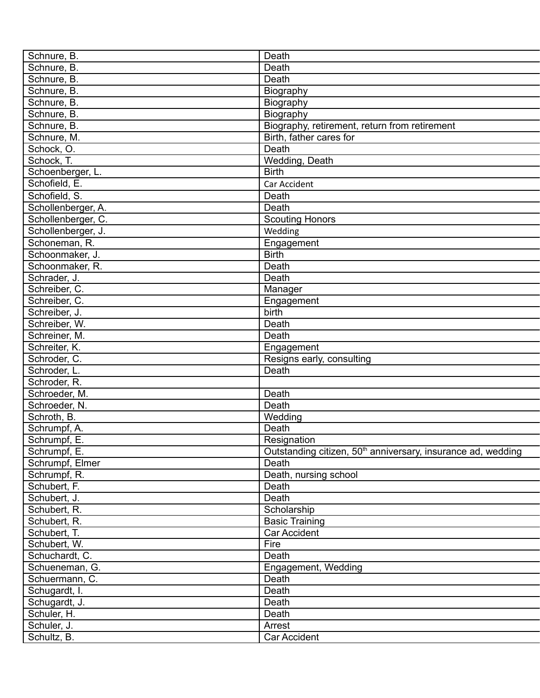| Schnure, B.        | Death                                                                    |
|--------------------|--------------------------------------------------------------------------|
| Schnure, B.        | Death                                                                    |
| Schnure, B.        | Death                                                                    |
| Schnure, B.        | Biography                                                                |
| Schnure, B.        | Biography                                                                |
| Schnure, B.        | Biography                                                                |
| Schnure, B.        | Biography, retirement, return from retirement                            |
| Schnure, M.        | Birth, father cares for                                                  |
| Schock, O.         | Death                                                                    |
| Schock, T.         | Wedding, Death                                                           |
| Schoenberger, L.   | <b>Birth</b>                                                             |
| Schofield, E.      | Car Accident                                                             |
| Schofield, S.      | Death                                                                    |
| Schollenberger, A. | Death                                                                    |
| Schollenberger, C. | <b>Scouting Honors</b>                                                   |
| Schollenberger, J. | Wedding                                                                  |
| Schoneman, R.      | Engagement                                                               |
| Schoonmaker, J.    | <b>Birth</b>                                                             |
| Schoonmaker, R.    | Death                                                                    |
| Schrader, J.       | Death                                                                    |
| Schreiber, C.      | Manager                                                                  |
| Schreiber, C.      | Engagement                                                               |
| Schreiber, J.      | birth                                                                    |
| Schreiber, W.      | Death                                                                    |
| Schreiner, M.      | Death                                                                    |
| Schreiter, K.      |                                                                          |
|                    | Engagement                                                               |
| Schroder, C.       | Resigns early, consulting                                                |
| Schroder, L.       | Death                                                                    |
| Schroder, R.       |                                                                          |
| Schroeder, M.      | Death                                                                    |
| Schroeder, N.      | Death                                                                    |
| Schroth, B.        | Wedding                                                                  |
| Schrumpf, A.       | Death                                                                    |
| Schrumpf, E.       | Resignation                                                              |
| Schrumpf, E.       | Outstanding citizen, 50 <sup>th</sup> anniversary, insurance ad, wedding |
| Schrumpf, Elmer    | Death                                                                    |
| Schrumpf, R.       | Death, nursing school                                                    |
| Schubert, F.       | Death                                                                    |
| Schubert, J.       | Death                                                                    |
| Schubert, R.       | Scholarship                                                              |
| Schubert, R.       | <b>Basic Training</b>                                                    |
| Schubert, T.       | Car Accident                                                             |
| Schubert, W.       | Fire                                                                     |
| Schuchardt, C.     | Death                                                                    |
| Schueneman, G.     | Engagement, Wedding                                                      |
| Schuermann, C.     | Death                                                                    |
| Schugardt, I.      | Death                                                                    |
| Schugardt, J.      | Death                                                                    |
| Schuler, H.        | Death                                                                    |
| Schuler, J.        | Arrest                                                                   |
| Schultz, B.        | Car Accident                                                             |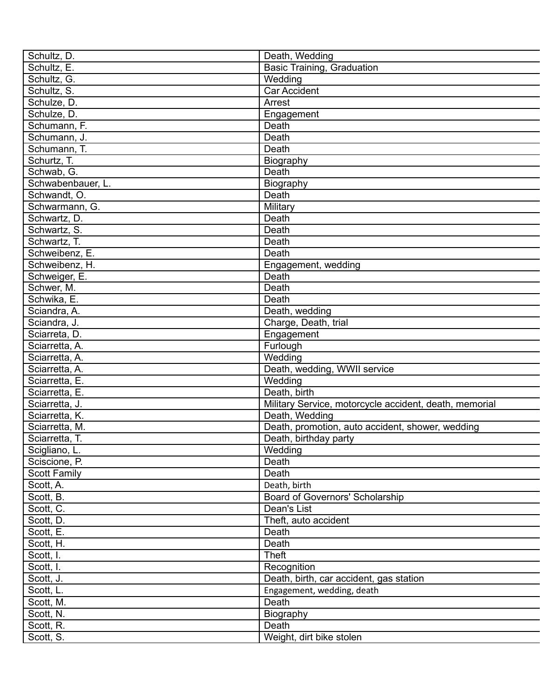| Schultz, D.                      | Death, Wedding                                         |
|----------------------------------|--------------------------------------------------------|
| Schultz, E.                      | <b>Basic Training, Graduation</b>                      |
| Schultz, G.                      | Wedding                                                |
| Schultz, S.                      | Car Accident                                           |
| Schulze, D.                      | Arrest                                                 |
| Schulze, D.                      | Engagement                                             |
| Schumann, F.                     | Death                                                  |
| Schumann, J.                     | Death                                                  |
| Schumann, T.                     | Death                                                  |
| Schurtz, T.                      | Biography                                              |
| Schwab, G.                       | Death                                                  |
| Schwabenbauer, L.                | Biography                                              |
| Schwandt, O.                     | Death                                                  |
| Schwarmann, G.                   | Military                                               |
| Schwartz, D.                     | Death                                                  |
| Schwartz, S.                     | Death                                                  |
| Schwartz, T.                     | Death                                                  |
| Schweibenz, E.                   | Death                                                  |
| Schweibenz, H.                   | Engagement, wedding                                    |
| Schweiger, E.                    | Death                                                  |
| Schwer, M.                       | Death                                                  |
| Schwika, E.                      | Death                                                  |
| Sciandra, A.                     | Death, wedding                                         |
| Sciandra, J.                     | Charge, Death, trial                                   |
| Sciarreta, D.                    | Engagement                                             |
| Sciarretta, A.                   | Furlough                                               |
| Sciarretta, A.                   | Wedding                                                |
| Sciarretta, A.                   | Death, wedding, WWII service                           |
| Sciarretta, E.                   | Wedding                                                |
| Sciarretta, E.                   | Death, birth                                           |
| Sciarretta, J.                   | Military Service, motorcycle accident, death, memorial |
|                                  | Death, Wedding                                         |
| Sciarretta, K.                   |                                                        |
| Sciarretta, M.<br>Sciarretta, T. | Death, promotion, auto accident, shower, wedding       |
|                                  | Death, birthday party                                  |
| Scigliano, L.                    | Wedding                                                |
| Sciscione, P.                    | Death                                                  |
| <b>Scott Family</b>              | Death                                                  |
| Scott, A.                        | Death, birth                                           |
| Scott, B.                        | Board of Governors' Scholarship                        |
| Scott, C.                        | Dean's List                                            |
| Scott, D.                        | Theft, auto accident                                   |
| Scott, E.                        | Death                                                  |
| Scott, H.                        | Death                                                  |
| Scott, I.                        | <b>Theft</b>                                           |
| Scott, I.                        | Recognition                                            |
| Scott, J.                        | Death, birth, car accident, gas station                |
| Scott, L.                        | Engagement, wedding, death                             |
| Scott, M.                        | Death                                                  |
| Scott, N.                        | Biography                                              |
| Scott, R.                        | Death                                                  |
| Scott, S.                        | Weight, dirt bike stolen                               |
|                                  |                                                        |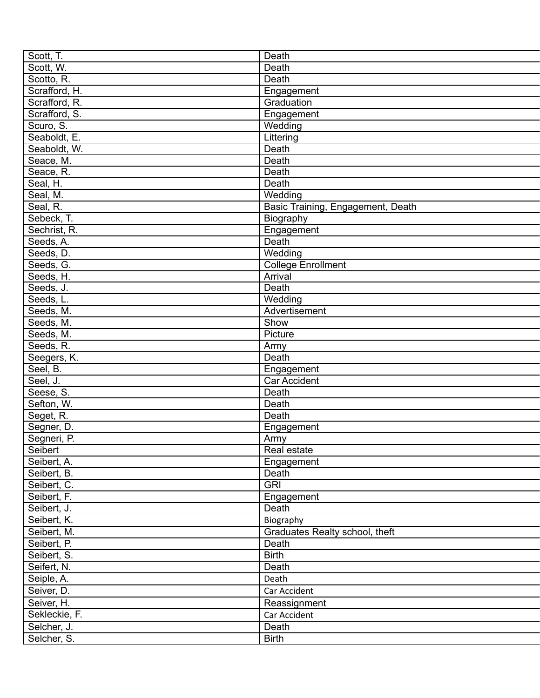| Scott, T.     | Death                             |
|---------------|-----------------------------------|
| Scott, W.     | Death                             |
| Scotto, R.    | Death                             |
| Scrafford, H. | Engagement                        |
| Scrafford, R. | Graduation                        |
| Scrafford, S. | Engagement                        |
| Scuro, S.     | Wedding                           |
| Seaboldt, E.  | Littering                         |
| Seaboldt, W.  | Death                             |
| Seace, M.     | Death                             |
| Seace, R.     | Death                             |
| Seal, H.      | Death                             |
| Seal, M.      | Wedding                           |
| Seal, R.      | Basic Training, Engagement, Death |
| Sebeck, T.    | Biography                         |
| Sechrist, R.  | Engagement                        |
| Seeds, A.     | Death                             |
| Seeds, D.     | Wedding                           |
| Seeds, G.     | <b>College Enrollment</b>         |
| Seeds, H.     | Arrival                           |
| Seeds, J.     | Death                             |
| Seeds, L.     | Wedding                           |
| Seeds, M.     | Advertisement                     |
| Seeds, M.     | Show                              |
| Seeds, M.     | Picture                           |
| Seeds, R.     | Army                              |
| Seegers, K.   | Death                             |
| Seel, B.      | Engagement                        |
| Seel, J.      | <b>Car Accident</b>               |
| Seese, S.     | Death                             |
| Sefton, W.    | Death                             |
| Seget, R.     | Death                             |
| Segner, D.    | Engagement                        |
| Segneri, P.   | Army                              |
| Seibert       | Real estate                       |
| Seibert, A.   | Engagement                        |
| Seibert, B.   | Death                             |
| Seibert, C.   | <b>GRI</b>                        |
| Seibert, F.   |                                   |
| Seibert, J.   | Engagement                        |
|               | Death                             |
| Seibert, K.   | Biography                         |
| Seibert, M.   | Graduates Realty school, theft    |
| Seibert, P.   | Death                             |
| Seibert, S.   | <b>Birth</b>                      |
| Seifert, N.   | Death                             |
| Seiple, A.    | Death                             |
| Seiver, D.    | Car Accident                      |
| Seiver, H.    | Reassignment                      |
| Sekleckie, F. | Car Accident                      |
| Selcher, J.   | Death                             |
| Selcher, S.   | <b>Birth</b>                      |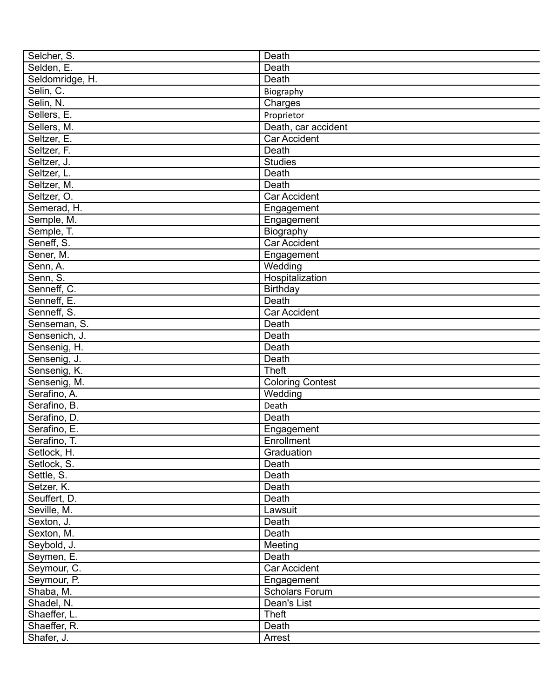| Selcher, S.     | Death                   |
|-----------------|-------------------------|
| Selden, E.      | Death                   |
| Seldomridge, H. | Death                   |
| Selin, C.       | Biography               |
| Selin, N.       | Charges                 |
| Sellers, E.     | Proprietor              |
| Sellers, M.     | Death, car accident     |
| Seltzer, E.     | <b>Car Accident</b>     |
| Seltzer, F.     | Death                   |
| Seltzer, J.     | <b>Studies</b>          |
| Seltzer, L.     | Death                   |
| Seltzer, M.     | Death                   |
| Seltzer, O.     | <b>Car Accident</b>     |
| Semerad, H.     | Engagement              |
| Semple, M.      | Engagement              |
| Semple, T.      | Biography               |
| Seneff, S.      | <b>Car Accident</b>     |
|                 |                         |
| Sener, M.       | Engagement              |
| Senn, A.        | Wedding                 |
| Senn, S.        | Hospitalization         |
| Senneff, C.     | <b>Birthday</b>         |
| Senneff, E.     | Death                   |
| Senneff, S.     | Car Accident            |
| Senseman, S.    | Death                   |
| Sensenich, J.   | Death                   |
| Sensenig, H.    | Death                   |
| Sensenig, J.    | Death                   |
| Sensenig, K.    | <b>Theft</b>            |
| Sensenig, M.    | <b>Coloring Contest</b> |
| Serafino, A.    | Wedding                 |
| Serafino, B.    | Death                   |
| Serafino, D.    | Death                   |
| Serafino, E.    | Engagement              |
| Serafino, T.    | Enrollment              |
| Setlock, H.     | Graduation              |
| Setlock, S.     | Death                   |
| Settle, S.      | Death                   |
| Setzer, K.      | Death                   |
| Seuffert, D.    | Death                   |
| Seville, M.     | Lawsuit                 |
| Sexton, J.      | Death                   |
| Sexton, M.      | Death                   |
| Seybold, J.     | Meeting                 |
| Seymen, E.      | Death                   |
| Seymour, C.     | Car Accident            |
| Seymour, P.     | Engagement              |
| Shaba, M.       | <b>Scholars Forum</b>   |
| Shadel, N.      | Dean's List             |
| Shaeffer, L.    | <b>Theft</b>            |
| Shaeffer, R.    | Death                   |
|                 |                         |
| Shafer, J.      | Arrest                  |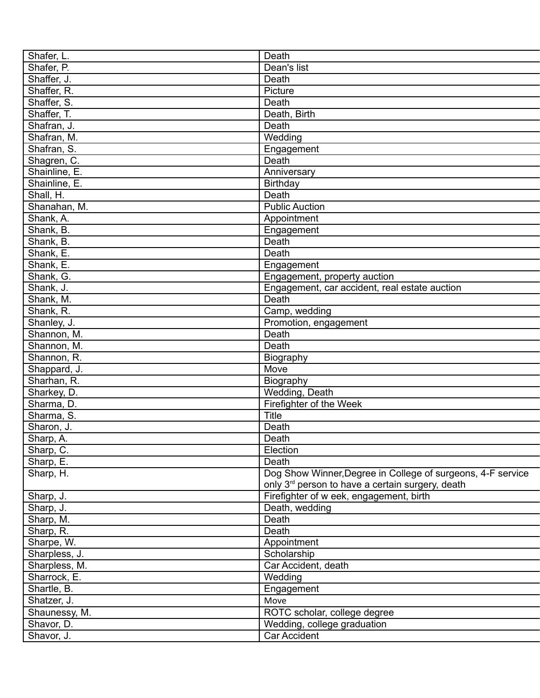| Shafer, L.    | Death                                                        |
|---------------|--------------------------------------------------------------|
| Shafer, P.    | Dean's list                                                  |
| Shaffer, J.   | Death                                                        |
| Shaffer, R.   | Picture                                                      |
| Shaffer, S.   | Death                                                        |
| Shaffer, T.   | Death, Birth                                                 |
| Shafran, J.   | Death                                                        |
| Shafran, M.   | Wedding                                                      |
| Shafran, S.   | Engagement                                                   |
| Shagren, C.   | Death                                                        |
| Shainline, E. | Anniversary                                                  |
| Shainline, E. | Birthday                                                     |
| Shall, H.     | Death                                                        |
| Shanahan, M.  | <b>Public Auction</b>                                        |
| Shank, A.     | Appointment                                                  |
| Shank, B.     | Engagement                                                   |
| Shank, B.     | Death                                                        |
| Shank, E.     | Death                                                        |
| Shank, E.     |                                                              |
| Shank, G.     | Engagement                                                   |
|               | Engagement, property auction                                 |
| Shank, J.     | Engagement, car accident, real estate auction                |
| Shank, M.     | Death                                                        |
| Shank, R.     | Camp, wedding                                                |
| Shanley, J.   | Promotion, engagement                                        |
| Shannon, M.   | Death                                                        |
| Shannon, M.   | Death                                                        |
| Shannon, R.   | Biography                                                    |
| Shappard, J.  | Move                                                         |
| Sharhan, R.   | Biography                                                    |
| Sharkey, D.   | Wedding, Death                                               |
| Sharma, D.    | Firefighter of the Week                                      |
| Sharma, S.    | <b>Title</b>                                                 |
| Sharon, J.    | Death                                                        |
| Sharp, A.     | Death                                                        |
| Sharp, C.     | Election                                                     |
| Sharp, E.     | Death                                                        |
| Sharp, H.     | Dog Show Winner, Degree in College of surgeons, 4-F service  |
|               | only 3 <sup>rd</sup> person to have a certain surgery, death |
| Sharp, J.     | Firefighter of w eek, engagement, birth                      |
| Sharp, J.     | Death, wedding                                               |
| Sharp, M.     | Death                                                        |
| Sharp, R.     | Death                                                        |
| Sharpe, W.    | Appointment                                                  |
| Sharpless, J. | Scholarship                                                  |
| Sharpless, M. | Car Accident, death                                          |
| Sharrock, E.  | Wedding                                                      |
| Shartle, B.   | Engagement                                                   |
| Shatzer, J.   | Move                                                         |
| Shaunessy, M. | ROTC scholar, college degree                                 |
| Shavor, D.    | Wedding, college graduation                                  |
| Shavor, J.    | <b>Car Accident</b>                                          |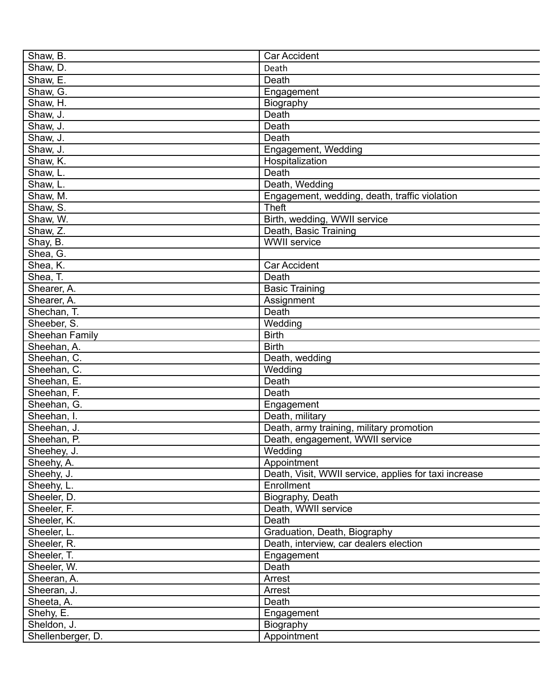| Shaw, B.                      | <b>Car Accident</b>                                   |
|-------------------------------|-------------------------------------------------------|
| Shaw, D.                      | Death                                                 |
| Shaw, E.                      | Death                                                 |
| Shaw, G.                      | Engagement                                            |
| Shaw, H.                      | Biography                                             |
| Shaw, J.                      | Death                                                 |
| Shaw, J.                      | Death                                                 |
| Shaw, J.                      | Death                                                 |
| Shaw, J.                      | Engagement, Wedding                                   |
| Shaw, K.                      | Hospitalization                                       |
| Shaw, L.                      | Death                                                 |
| Shaw, L.                      | Death, Wedding                                        |
| Shaw, M.                      | Engagement, wedding, death, traffic violation         |
| Shaw, S.                      | <b>Theft</b>                                          |
| Shaw, W.                      | Birth, wedding, WWII service                          |
| Shaw, Z.                      | Death, Basic Training                                 |
| Shay, B.                      | <b>WWII</b> service                                   |
| Shea, G.                      |                                                       |
| Shea, K.                      | <b>Car Accident</b>                                   |
| Shea, T.                      | Death                                                 |
| Shearer, A.                   | <b>Basic Training</b>                                 |
| Shearer, A.                   | Assignment                                            |
| Shechan, T.                   | Death                                                 |
|                               | Wedding                                               |
| Sheeber, S.<br>Sheehan Family | <b>Birth</b>                                          |
|                               | <b>Birth</b>                                          |
| Sheehan, A.                   |                                                       |
| Sheehan, C.                   | Death, wedding                                        |
| Sheehan, C.                   | Wedding                                               |
| Sheehan, E.                   | Death                                                 |
| Sheehan, F.                   | Death                                                 |
| Sheehan, G.                   | Engagement                                            |
| Sheehan, I.                   | Death, military                                       |
| Sheehan, J.                   | Death, army training, military promotion              |
| Sheehan, P.                   | Death, engagement, WWII service                       |
| Sheehey, J.                   | Wedding                                               |
| Sheehy, A.                    | Appointment                                           |
| Sheehy, J.                    | Death, Visit, WWII service, applies for taxi increase |
| Sheehy, L.                    | Enrollment                                            |
| Sheeler, D.                   | Biography, Death                                      |
| Sheeler, F.                   | Death, WWII service                                   |
| Sheeler, K.                   | Death                                                 |
| Sheeler, L.                   | Graduation, Death, Biography                          |
| Sheeler, R.                   | Death, interview, car dealers election                |
| Sheeler, T.                   | Engagement                                            |
| Sheeler, W.                   | Death                                                 |
| Sheeran, A.                   | Arrest                                                |
| Sheeran, J.                   | Arrest                                                |
| Sheeta, A.                    | Death                                                 |
| Shehy, E.                     | Engagement                                            |
| Sheldon, J.                   | Biography                                             |
| Shellenberger, D.             | Appointment                                           |
|                               |                                                       |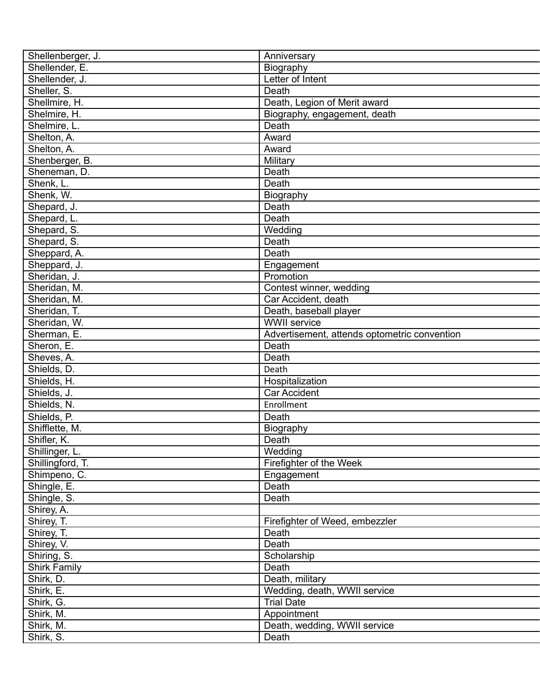| Shellenberger, J.   | Anniversary                                  |
|---------------------|----------------------------------------------|
| Shellender, E.      | Biography                                    |
| Shellender, J.      | Letter of Intent                             |
| Sheller, S.         | Death                                        |
| Shellmire, H.       | Death, Legion of Merit award                 |
| Shelmire, H.        | Biography, engagement, death                 |
| Shelmire, L.        | Death                                        |
| Shelton, A.         | Award                                        |
| Shelton, A.         | Award                                        |
| Shenberger, B.      | Military                                     |
| Sheneman, D.        | Death                                        |
| Shenk, L.           | Death                                        |
| Shenk, W.           | Biography                                    |
| Shepard, J.         | Death                                        |
| Shepard, L.         | Death                                        |
| Shepard, S.         | Wedding                                      |
| Shepard, S.         | Death                                        |
| Sheppard, A.        | Death                                        |
| Sheppard, J.        | Engagement                                   |
| Sheridan, J.        | Promotion                                    |
| Sheridan, M.        | Contest winner, wedding                      |
| Sheridan, M.        | Car Accident, death                          |
| Sheridan, T.        | Death, baseball player                       |
| Sheridan, W.        | <b>WWII service</b>                          |
| Sherman, E.         | Advertisement, attends optometric convention |
| Sheron, E.          | Death                                        |
| Sheves, A.          | Death                                        |
|                     |                                              |
| Shields, D.         | Death                                        |
| Shields, H.         | Hospitalization                              |
| Shields, J.         | <b>Car Accident</b>                          |
| Shields, N.         | Enrollment                                   |
| Shields, P.         | Death                                        |
| Shifflette, M.      | Biography                                    |
| Shifler, K.         | Death                                        |
| Shillinger, L.      | Wedding                                      |
| Shillingford, T.    | Firefighter of the Week                      |
| Shimpeno, C.        | Engagement                                   |
| Shingle, E.         | Death                                        |
| Shingle, S.         | Death                                        |
| Shirey, A.          |                                              |
| Shirey, T.          | Firefighter of Weed, embezzler               |
| Shirey, T.          | Death                                        |
| Shirey, V.          | Death                                        |
| Shiring, S.         | Scholarship                                  |
| <b>Shirk Family</b> | Death                                        |
| Shirk, D.           | Death, military                              |
| Shirk, E.           | Wedding, death, WWII service                 |
| Shirk, G.           | <b>Trial Date</b>                            |
| Shirk, M.           | Appointment                                  |
| Shirk, M.           | Death, wedding, WWII service                 |
| Shirk, S.           | Death                                        |
|                     |                                              |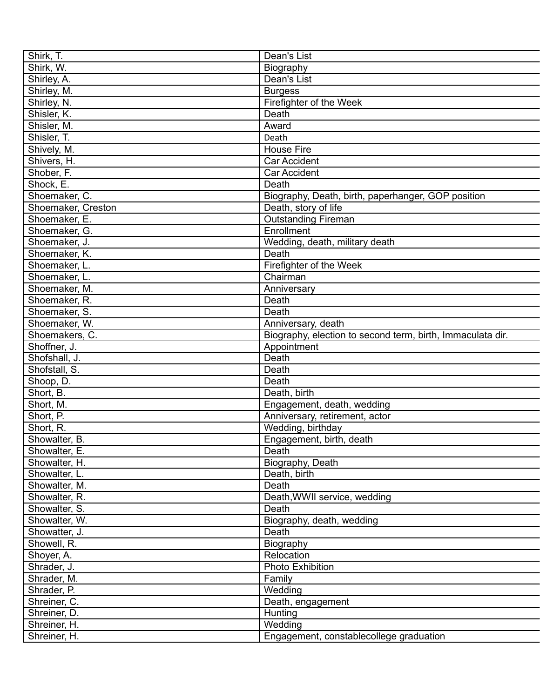| Shirk, T.          | Dean's List                                                               |
|--------------------|---------------------------------------------------------------------------|
| Shirk, W.          | Biography                                                                 |
| Shirley, A.        | Dean's List                                                               |
| Shirley, M.        | <b>Burgess</b>                                                            |
| Shirley, N.        | Firefighter of the Week                                                   |
| Shisler, K.        | Death                                                                     |
| Shisler, M.        | Award                                                                     |
| Shisler, T.        | Death                                                                     |
| Shively, M.        | <b>House Fire</b>                                                         |
| Shivers, H.        | <b>Car Accident</b>                                                       |
| Shober, F.         | <b>Car Accident</b>                                                       |
| Shock, E.          | Death                                                                     |
| Shoemaker, C.      | Biography, Death, birth, paperhanger, GOP position                        |
| Shoemaker, Creston | Death, story of life                                                      |
| Shoemaker, E.      | <b>Outstanding Fireman</b>                                                |
| Shoemaker, G.      | Enrollment                                                                |
| Shoemaker, J.      | Wedding, death, military death                                            |
| Shoemaker, K.      | Death                                                                     |
| Shoemaker, L.      | Firefighter of the Week                                                   |
| Shoemaker, L.      | Chairman                                                                  |
| Shoemaker, M.      | Anniversary                                                               |
| Shoemaker, R.      | Death                                                                     |
| Shoemaker, S.      | Death                                                                     |
| Shoemaker, W.      | Anniversary, death                                                        |
| Shoemakers, C.     |                                                                           |
| Shoffner, J.       | Biography, election to second term, birth, Immaculata dir.<br>Appointment |
|                    | Death                                                                     |
| Shofshall, J.      |                                                                           |
| Shofstall, S.      | Death                                                                     |
| Shoop, D.          | Death                                                                     |
| Short, B.          | Death, birth                                                              |
| Short, M.          | Engagement, death, wedding                                                |
| Short, P.          | Anniversary, retirement, actor                                            |
| Short, R.          | Wedding, birthday                                                         |
| Showalter, B.      | Engagement, birth, death                                                  |
| Showalter, E.      | Death                                                                     |
| Showalter, H.      | Biography, Death                                                          |
| Showalter, L.      | Death, birth                                                              |
| Showalter, M.      | Death                                                                     |
| Showalter, R.      | Death, WWII service, wedding                                              |
| Showalter, S.      | Death                                                                     |
| Showalter, W.      | Biography, death, wedding                                                 |
| Showatter, J.      | Death                                                                     |
| Showell, R.        | Biography                                                                 |
| Shoyer, A.         | Relocation                                                                |
| Shrader, J.        | <b>Photo Exhibition</b>                                                   |
| Shrader, M.        | Family                                                                    |
| Shrader, P.        | Wedding                                                                   |
| Shreiner, C.       | Death, engagement                                                         |
| Shreiner, D.       | Hunting                                                                   |
| Shreiner, H.       | Wedding                                                                   |
| Shreiner, H.       | Engagement, constablecollege graduation                                   |
|                    |                                                                           |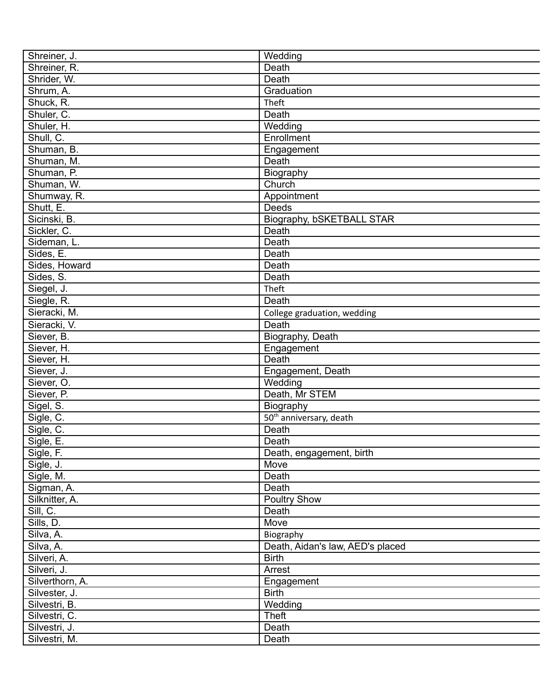| Shreiner, J.    | Wedding                             |
|-----------------|-------------------------------------|
| Shreiner, R.    | Death                               |
| Shrider, W.     | Death                               |
| Shrum, A.       | Graduation                          |
| Shuck, R.       | Theft                               |
| Shuler, C.      | Death                               |
| Shuler, H.      | Wedding                             |
| Shull, C.       | Enrollment                          |
| Shuman, B.      | Engagement                          |
| Shuman, M.      | Death                               |
| Shuman, P.      | Biography                           |
| Shuman, W.      | Church                              |
| Shumway, R.     | Appointment                         |
| Shutt, E.       | Deeds                               |
| Sicinski, B.    | Biography, bSKETBALL STAR           |
| Sickler, C.     | Death                               |
| Sideman, L.     | Death                               |
| Sides, E.       | Death                               |
| Sides, Howard   | Death                               |
| Sides, S.       | Death                               |
| Siegel, J.      | Theft                               |
| Siegle, R.      | Death                               |
| Sieracki, M.    | College graduation, wedding         |
| Sieracki, V.    | Death                               |
| Siever, B.      |                                     |
|                 | Biography, Death                    |
| Siever, H.      | Engagement<br>Death                 |
| Siever, H.      |                                     |
| Siever, J.      | Engagement, Death                   |
| Siever, O.      | Wedding<br>Death, Mr STEM           |
| Siever, P.      |                                     |
| Sigel, S.       | Biography                           |
| Sigle, C.       | 50 <sup>th</sup> anniversary, death |
| Sigle, C.       | Death                               |
| Sigle, E.       | Death                               |
| Sigle, F.       | Death, engagement, birth            |
| Sigle, J.       | Move                                |
| Sigle, M.       | Death                               |
| Sigman, A.      | Death                               |
| Silknitter, A.  | <b>Poultry Show</b>                 |
| Sill, C.        | Death                               |
| Sills, D.       | Move                                |
| Silva, A.       | Biography                           |
| Silva, A.       | Death, Aidan's law, AED's placed    |
| Silveri, A.     | <b>Birth</b>                        |
| Silveri, J.     | Arrest                              |
| Silverthorn, A. | Engagement                          |
| Silvester, J.   | <b>Birth</b>                        |
| Silvestri, B.   | Wedding                             |
| Silvestri, C.   | <b>Theft</b>                        |
| Silvestri, J.   | Death                               |
| Silvestri, M.   | Death                               |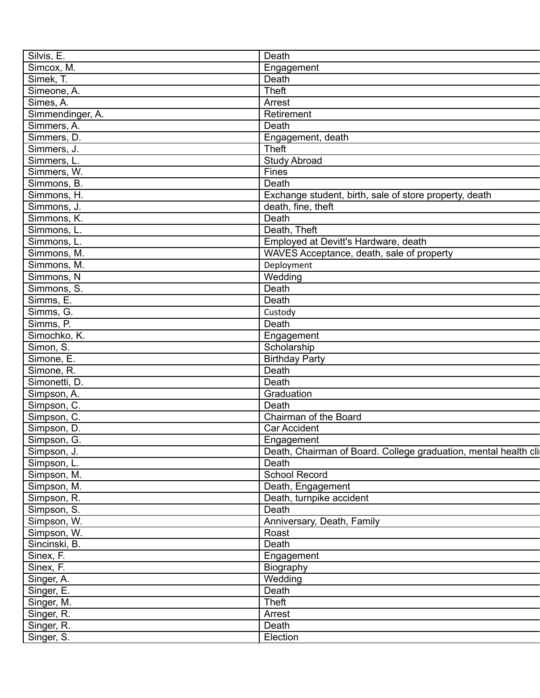| Silvis, E.       | Death                                                           |
|------------------|-----------------------------------------------------------------|
| Simcox, M.       | Engagement                                                      |
| Simek, T.        | Death                                                           |
| Simeone, A.      | <b>Theft</b>                                                    |
| Simes, A.        | Arrest                                                          |
| Simmendinger, A. | Retirement                                                      |
| Simmers, A.      | Death                                                           |
| Simmers, D.      | Engagement, death                                               |
| Simmers, J.      | Theft                                                           |
| Simmers, L.      | <b>Study Abroad</b>                                             |
| Simmers, W.      | Fines                                                           |
| Simmons, B.      | Death                                                           |
| Simmons, H.      | Exchange student, birth, sale of store property, death          |
| Simmons, J.      | death, fine, theft                                              |
| Simmons, K.      | Death                                                           |
| Simmons, L.      | Death, Theft                                                    |
| Simmons, L.      | Employed at Devitt's Hardware, death                            |
| Simmons, M.      | WAVES Acceptance, death, sale of property                       |
| Simmons, M.      | Deployment                                                      |
| Simmons, N       | Wedding                                                         |
| Simmons, S.      | Death                                                           |
|                  |                                                                 |
| Simms, E.        | Death                                                           |
| Simms, G.        | Custody                                                         |
| Simms, P.        | Death                                                           |
| Simochko, K.     | Engagement                                                      |
| Simon, S.        | Scholarship                                                     |
| Simone, E.       | <b>Birthday Party</b>                                           |
| Simone, R.       | Death                                                           |
| Simonetti, D.    | Death                                                           |
| Simpson, A.      | Graduation                                                      |
| Simpson, C.      | Death                                                           |
| Simpson, C.      | Chairman of the Board                                           |
| Simpson, D.      | <b>Car Accident</b>                                             |
| Simpson, G.      | Engagement                                                      |
| Simpson, J.      | Death, Chairman of Board. College graduation, mental health cli |
| Simpson, L.      | Death                                                           |
| Simpson, M.      | <b>School Record</b>                                            |
| Simpson, M.      | Death, Engagement                                               |
| Simpson, R.      | Death, turnpike accident                                        |
| Simpson, S.      | Death                                                           |
| Simpson, W.      | Anniversary, Death, Family                                      |
| Simpson, W.      | Roast                                                           |
| Sincinski, B.    | Death                                                           |
|                  |                                                                 |
| Sinex, F.        | Engagement                                                      |
| Sinex, F.        | Biography                                                       |
| Singer, A.       | Wedding                                                         |
| Singer, E.       | Death                                                           |
| Singer, M.       | Theft                                                           |
| Singer, R.       | Arrest                                                          |
| Singer, R.       | Death                                                           |
| Singer, S.       | Election                                                        |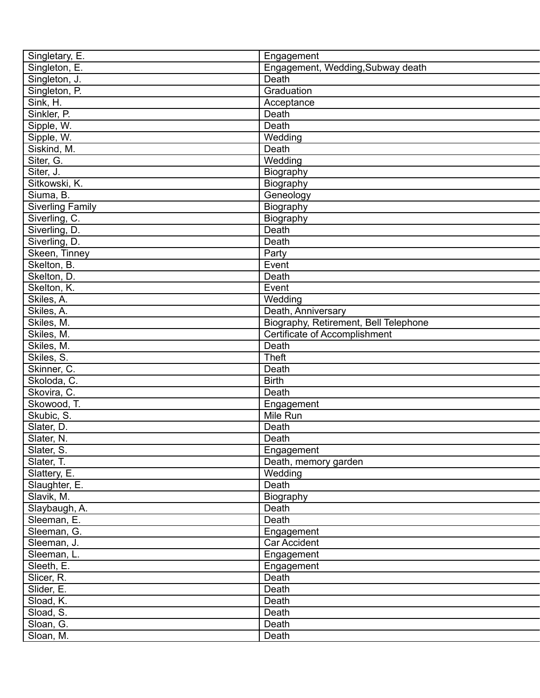| Singletary, E.          | Engagement                            |
|-------------------------|---------------------------------------|
| Singleton, E.           | Engagement, Wedding, Subway death     |
| Singleton, J.           | Death                                 |
| Singleton, P.           | Graduation                            |
| Sink, H.                | Acceptance                            |
| Sinkler, P.             | Death                                 |
| Sipple, W.              | Death                                 |
| Sipple, W.              | Wedding                               |
| Siskind, M.             | Death                                 |
| Siter, G.               | Wedding                               |
| Siter, J.               | Biography                             |
| Sitkowski, K.           | Biography                             |
| Siuma, B.               | Geneology                             |
| <b>Siverling Family</b> | Biography                             |
| Siverling, C.           | Biography                             |
| Siverling, D.           | Death                                 |
| Siverling, D.           | Death                                 |
| Skeen, Tinney           | Party                                 |
| Skelton, B.             | Event                                 |
| Skelton, D.             | Death                                 |
| Skelton, K.             | Event                                 |
| Skiles, A.              | Wedding                               |
| Skiles, A.              | Death, Anniversary                    |
|                         |                                       |
| Skiles, M.              | Biography, Retirement, Bell Telephone |
| Skiles, M.              | <b>Certificate of Accomplishment</b>  |
| Skiles, M.              | Death                                 |
| Skiles, S.              | <b>Theft</b>                          |
| Skinner, C.             | Death                                 |
| Skoloda, C.             | <b>Birth</b>                          |
| Skovira, C.             | Death                                 |
| Skowood, T.             | Engagement                            |
| Skubic, S.              | Mile Run                              |
| Slater, D.              | Death                                 |
| Slater, N.              | Death                                 |
| Slater, S.              | Engagement                            |
| Slater, T.              | Death, memory garden                  |
| Slattery, E.            | Wedding                               |
| Slaughter, E.           | Death                                 |
| Slavik, M.              | Biography                             |
| Slaybaugh, A.           | Death                                 |
| Sleeman, E.             | Death                                 |
| Sleeman, G.             | Engagement                            |
| Sleeman, J.             | Car Accident                          |
| Sleeman, L.             | Engagement                            |
| Sleeth, E.              | Engagement                            |
| Slicer, R.              | Death                                 |
| Slider, E.              | Death                                 |
| Sload, K.               | Death                                 |
| Sload, S.               | Death                                 |
| Sloan, G.               | Death                                 |
| Sloan, M.               | Death                                 |
|                         |                                       |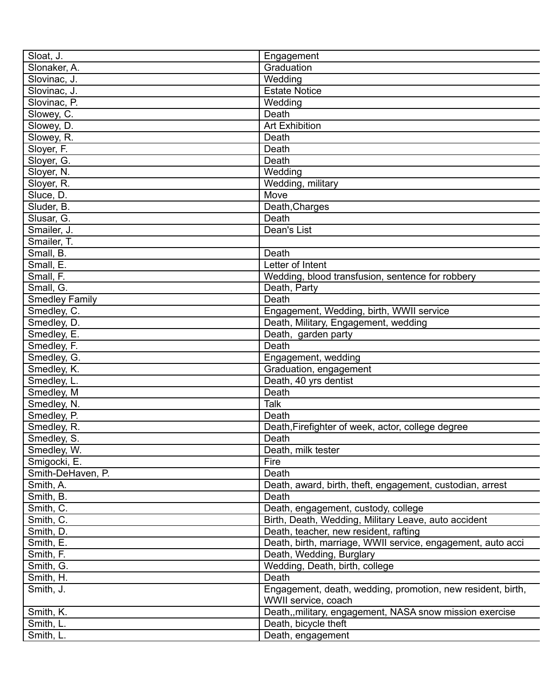| Sloat, J.                   | Engagement                                                         |
|-----------------------------|--------------------------------------------------------------------|
| Slonaker, A.                | Graduation                                                         |
| Slovinac, J.                | Wedding                                                            |
| Slovinac, J.                | <b>Estate Notice</b>                                               |
| Slovinac, P.                | Wedding                                                            |
| Slowey, C.                  | Death                                                              |
| Slowey, D.                  | <b>Art Exhibition</b>                                              |
| Slowey, R.                  | Death                                                              |
| Sloyer, F.                  | Death                                                              |
| Slover, G.                  | Death                                                              |
| Sloyer, N.                  | Wedding                                                            |
| Sloyer, R.                  | Wedding, military                                                  |
| Sluce, D.                   | Move                                                               |
| Sluder, B.                  | Death, Charges                                                     |
| Slusar, G.                  | Death                                                              |
| Smailer, J.                 | Dean's List                                                        |
| Smailer, T.                 |                                                                    |
| Small, B.                   | Death                                                              |
| Small, E.                   | Letter of Intent                                                   |
| Small, F.                   | Wedding, blood transfusion, sentence for robbery                   |
| Small, G.                   | Death, Party                                                       |
| <b>Smedley Family</b>       | Death                                                              |
| Smedley, C.                 | Engagement, Wedding, birth, WWII service                           |
| Smedley, D.                 | Death, Military, Engagement, wedding                               |
| Smedley, E.                 | Death, garden party                                                |
| Smedley, F.                 | Death                                                              |
| Smedley, G.                 | Engagement, wedding                                                |
| Smedley, K.                 | Graduation, engagement                                             |
| Smedley, L.                 | Death, 40 yrs dentist                                              |
| Smedley, M                  | Death                                                              |
| Smedley, N.                 | Talk                                                               |
|                             | Death                                                              |
| Smedley, P.                 | Death, Firefighter of week, actor, college degree                  |
| Smedley, R.<br>Smedley, S.  | Death                                                              |
|                             |                                                                    |
| Smedley, W.<br>Smigocki, E. | Death, milk tester<br>Fire                                         |
| Smith-DeHaven, P.           | Death                                                              |
|                             |                                                                    |
| Smith, A.                   | Death, award, birth, theft, engagement, custodian, arrest<br>Death |
| Smith, B.                   |                                                                    |
| Smith, C.                   | Death, engagement, custody, college                                |
| Smith, C.                   | Birth, Death, Wedding, Military Leave, auto accident               |
| Smith, D.                   | Death, teacher, new resident, rafting                              |
| Smith, E.                   | Death, birth, marriage, WWII service, engagement, auto acci        |
| Smith, F.                   | Death, Wedding, Burglary                                           |
| Smith, G.                   | Wedding, Death, birth, college                                     |
| Smith, H.                   | Death                                                              |
| Smith, J.                   | Engagement, death, wedding, promotion, new resident, birth,        |
|                             | WWII service, coach                                                |
| Smith, K.                   | Death,, military, engagement, NASA snow mission exercise           |
| Smith, L.                   | Death, bicycle theft                                               |
| Smith, L.                   | Death, engagement                                                  |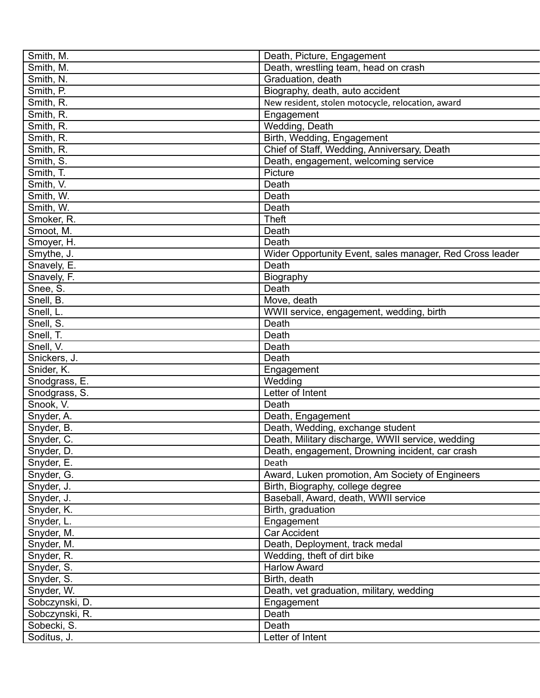| Smith, M.      | Death, Picture, Engagement                               |
|----------------|----------------------------------------------------------|
| Smith, M.      | Death, wrestling team, head on crash                     |
| Smith, N.      | Graduation, death                                        |
| Smith, P.      | Biography, death, auto accident                          |
| Smith, R.      | New resident, stolen motocycle, relocation, award        |
| Smith, R.      | Engagement                                               |
| Smith, R.      | Wedding, Death                                           |
| Smith, R.      | Birth, Wedding, Engagement                               |
| Smith, R.      | Chief of Staff, Wedding, Anniversary, Death              |
| Smith, S.      | Death, engagement, welcoming service                     |
| Smith, T.      | Picture                                                  |
| Smith, V.      | Death                                                    |
| Smith, W.      | Death                                                    |
| Smith, W.      | Death                                                    |
| Smoker, R.     | <b>Theft</b>                                             |
| Smoot, M.      | Death                                                    |
| Smoyer, H.     | Death                                                    |
| Smythe, J.     | Wider Opportunity Event, sales manager, Red Cross leader |
| Snavely, E.    | Death                                                    |
| Snavely, F.    |                                                          |
| Snee, S.       | Biography<br>Death                                       |
|                |                                                          |
| Snell, B.      | Move, death                                              |
| Snell, L.      | WWII service, engagement, wedding, birth                 |
| Snell, S.      | Death                                                    |
| Snell, T.      | Death                                                    |
| Snell, V.      | Death                                                    |
| Snickers, J.   | Death                                                    |
| Snider, K.     | Engagement                                               |
| Snodgrass, E.  | Wedding                                                  |
| Snodgrass, S.  | Letter of Intent                                         |
| Snook, V.      | Death                                                    |
| Snyder, A.     | Death, Engagement                                        |
| Snyder, B.     | Death, Wedding, exchange student                         |
| Snyder, C.     | Death, Military discharge, WWII service, wedding         |
| Snyder, D.     | Death, engagement, Drowning incident, car crash          |
| Snyder, E.     | Death                                                    |
| Snyder, G.     | Award, Luken promotion, Am Society of Engineers          |
| Snyder, J.     | Birth, Biography, college degree                         |
| Snyder, J.     | Baseball, Award, death, WWII service                     |
| Snyder, K.     | Birth, graduation                                        |
| Snyder, L.     | Engagement                                               |
| Snyder, M.     | <b>Car Accident</b>                                      |
| Snyder, M.     | Death, Deployment, track medal                           |
| Snyder, R.     | Wedding, theft of dirt bike                              |
| Snyder, S.     | <b>Harlow Award</b>                                      |
| Snyder, S.     | Birth, death                                             |
| Snyder, W.     | Death, vet graduation, military, wedding                 |
| Sobczynski, D. | Engagement                                               |
| Sobczynski, R. | Death                                                    |
| Sobecki, S.    | Death                                                    |
| Soditus, J.    | Letter of Intent                                         |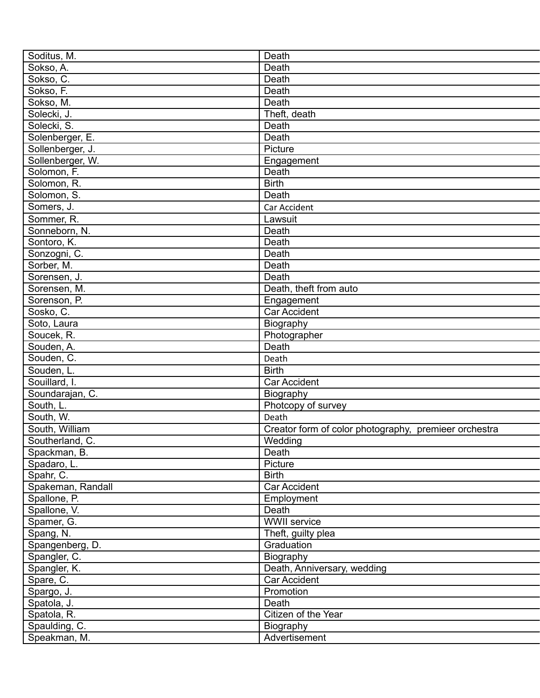| Soditus, M.                    | Death                                                 |
|--------------------------------|-------------------------------------------------------|
| Sokso, A.                      | Death                                                 |
| Sokso, C.                      | Death                                                 |
| Sokso, F.                      | Death                                                 |
| Sokso, M.                      | Death                                                 |
| Solecki, J.                    | Theft, death                                          |
| Solecki, S.                    | Death                                                 |
| Solenberger, E.                | Death                                                 |
| Sollenberger, J.               | Picture                                               |
| Sollenberger, W.               | Engagement                                            |
| Solomon, F.                    | Death                                                 |
| Solomon, R.                    | <b>Birth</b>                                          |
| Solomon, S.                    | Death                                                 |
| Somers, J.                     | Car Accident                                          |
| Sommer, R.                     | Lawsuit                                               |
| Sonneborn, N.                  | Death                                                 |
| Sontoro, K.                    | Death                                                 |
| Sonzogni, C.                   | Death                                                 |
| Sorber, M.                     | Death                                                 |
| Sorensen, J.                   | Death                                                 |
| Sorensen, M.                   | Death, theft from auto                                |
| Sorenson, P.                   | Engagement                                            |
| Sosko, C.                      | <b>Car Accident</b>                                   |
| Soto, Laura                    | Biography                                             |
| Soucek, R.                     | Photographer                                          |
| Souden, A.                     | Death                                                 |
| Souden, C.                     | Death                                                 |
| Souden, L.                     | <b>Birth</b>                                          |
| Souillard, I.                  | <b>Car Accident</b>                                   |
| Soundarajan, C.                | Biography                                             |
| South, L.                      | Photcopy of survey                                    |
| South, W.                      | Death                                                 |
| South, William                 | Creator form of color photography, premieer orchestra |
| Southerland, C.                | Wedding                                               |
|                                | Death                                                 |
| Spackman, B.<br>Spadaro, L.    | Picture                                               |
|                                | <b>Birth</b>                                          |
| Spahr, C.<br>Spakeman, Randall | Car Accident                                          |
| Spallone, P.                   |                                                       |
|                                | Employment<br>Death                                   |
| Spallone, V.                   | <b>WWII</b> service                                   |
| Spamer, G.                     |                                                       |
| Spang, N.                      | Theft, guilty plea                                    |
| Spangenberg, D.                | Graduation                                            |
| Spangler, C.                   | Biography                                             |
| Spangler, K.                   | Death, Anniversary, wedding                           |
| Spare, C.                      | Car Accident                                          |
| Spargo, J.                     | Promotion                                             |
| Spatola, J.                    | Death                                                 |
| Spatola, R.                    | Citizen of the Year                                   |
| Spaulding, C.                  | Biography                                             |
| Speakman, M.                   | Advertisement                                         |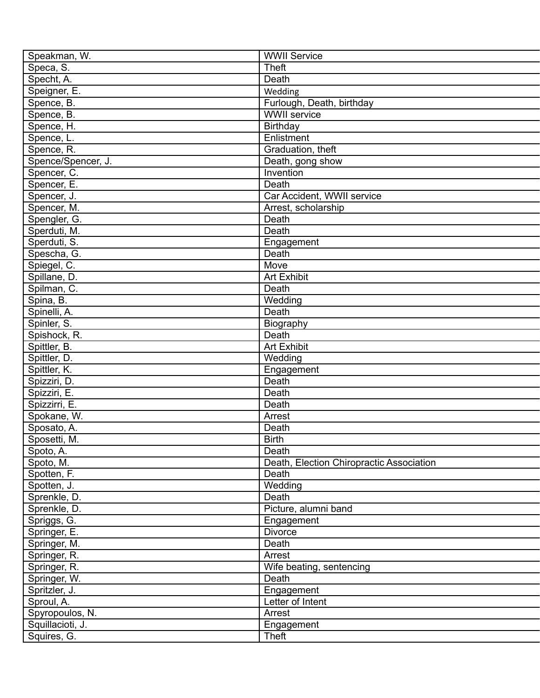| Speakman, W.       | <b>WWII Service</b>                      |
|--------------------|------------------------------------------|
| Speca, S.          | <b>Theft</b>                             |
| Specht, A.         | Death                                    |
| Speigner, E.       | Wedding                                  |
| Spence, B.         | Furlough, Death, birthday                |
| Spence, B.         | <b>WWII</b> service                      |
| Spence, H.         | Birthday                                 |
| Spence, L.         | Enlistment                               |
| Spence, R.         | Graduation, theft                        |
| Spence/Spencer, J. | Death, gong show                         |
| Spencer, C.        | Invention                                |
| Spencer, E.        | Death                                    |
| Spencer, J.        | Car Accident, WWII service               |
| Spencer, M.        | Arrest, scholarship                      |
| Spengler, G.       | Death                                    |
| Sperduti, M.       | Death                                    |
| Sperduti, S.       | Engagement                               |
| Spescha, G.        | Death                                    |
| Spiegel, C.        | Move                                     |
| Spillane, D.       | <b>Art Exhibit</b>                       |
|                    | Death                                    |
| Spilman, C.        |                                          |
| Spina, B.          | Wedding                                  |
| Spinelli, A.       | Death                                    |
| Spinler, S.        | Biography                                |
| Spishock, R.       | Death                                    |
| Spittler, B.       | <b>Art Exhibit</b>                       |
| Spittler, D.       | Wedding                                  |
| Spittler, K.       | Engagement                               |
| Spizziri, D.       | Death                                    |
| Spizziri, E.       | Death                                    |
| Spizzirri, E.      | Death                                    |
| Spokane, W.        | Arrest                                   |
| Sposato, A.        | Death                                    |
| Sposetti, M.       | <b>Birth</b>                             |
| Spoto, A.          | Death                                    |
| Spoto, M.          | Death, Election Chiropractic Association |
| Spotten, F.        | Death                                    |
| Spotten, J.        | Wedding                                  |
| Sprenkle, D.       | Death                                    |
| Sprenkle, D.       | Picture, alumni band                     |
| Spriggs, G.        | Engagement                               |
| Springer, E.       | <b>Divorce</b>                           |
| Springer, M.       | Death                                    |
| Springer, R.       | Arrest                                   |
| Springer, R.       | Wife beating, sentencing                 |
| Springer, W.       | Death                                    |
| Spritzler, J.      | Engagement                               |
| Sproul, A.         | Letter of Intent                         |
| Spyropoulos, N.    | Arrest                                   |
| Squillacioti, J.   | Engagement                               |
| Squires, G.        | Theft                                    |
|                    |                                          |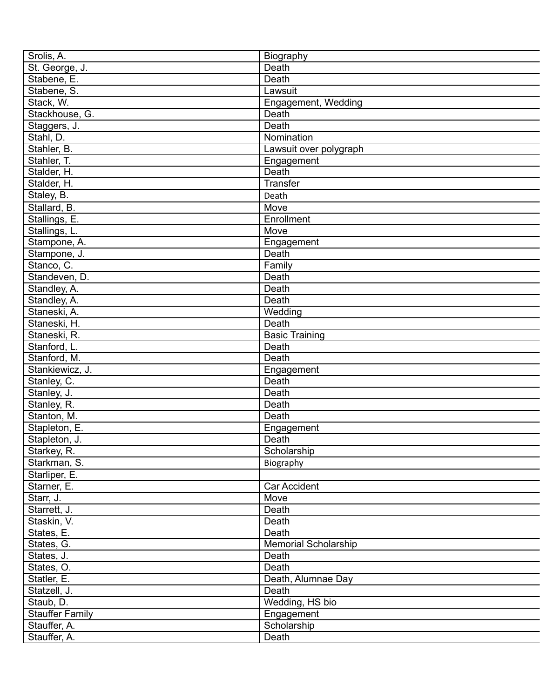| Srolis, A.             | Biography                      |
|------------------------|--------------------------------|
| St. George, J.         | Death                          |
| Stabene, E.            | Death                          |
| Stabene, S.            | Lawsuit                        |
| Stack, W.              | Engagement, Wedding            |
| Stackhouse, G.         | Death                          |
| Staggers, J.           | Death                          |
| Stahl, D.              | Nomination                     |
| Stahler, B.            | Lawsuit over polygraph         |
| Stahler, T.            | Engagement                     |
| Stalder, H.            | Death                          |
| Stalder, H.            | Transfer                       |
| Staley, B.             | Death                          |
| Stallard, B.           | Move                           |
| Stallings, E.          | Enrollment                     |
| Stallings, L.          | Move                           |
| Stampone, A.           | Engagement                     |
| Stampone, J.           | Death                          |
| Stanco, C.             | Family                         |
| Standeven, D.          | Death                          |
| Standley, A.           | Death                          |
| Standley, A.           | Death                          |
| Staneski, A.           | Wedding                        |
| Staneski, H.           | Death                          |
| Staneski, R.           |                                |
|                        | <b>Basic Training</b><br>Death |
| Stanford, L.           |                                |
| Stanford, M.           | Death                          |
| Stankiewicz, J.        | Engagement                     |
| Stanley, C.            | Death                          |
| Stanley, J.            | Death                          |
| Stanley, R.            | Death                          |
| Stanton, M.            | Death                          |
| Stapleton, E.          | Engagement                     |
| Stapleton, J.          | Death                          |
| Starkey, R.            | Scholarship                    |
| Starkman, S.           | Biography                      |
| Starliper, E.          |                                |
| Starner, E.            | Car Accident                   |
| Starr, J.              | Move                           |
| Starrett, J.           | Death                          |
| Staskin, V.            | Death                          |
| States, E.             | Death                          |
| States, G.             | Memorial Scholarship           |
| States, J.             | Death                          |
| States, O.             | Death                          |
| Statler, E.            | Death, Alumnae Day             |
| Statzell, J.           | Death                          |
| Staub, D.              | Wedding, HS bio                |
| <b>Stauffer Family</b> | Engagement                     |
| Stauffer, A.           | Scholarship                    |
| Stauffer, A.           | Death                          |
|                        |                                |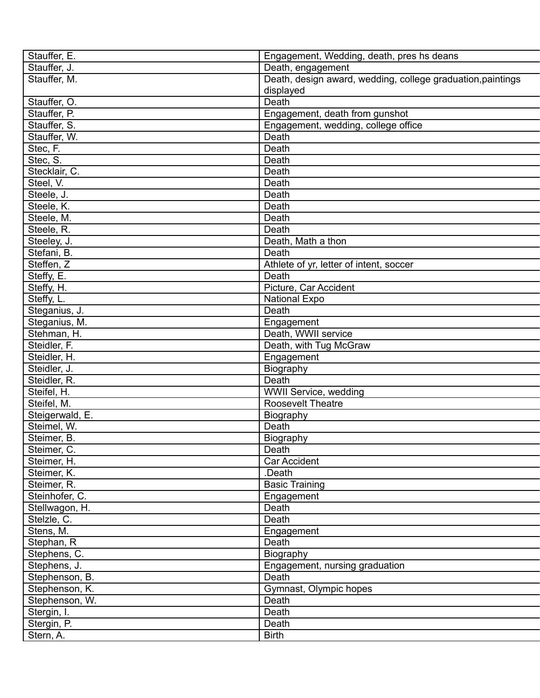| Stauffer, E.    | Engagement, Wedding, death, pres hs deans                   |
|-----------------|-------------------------------------------------------------|
| Stauffer, J.    | Death, engagement                                           |
| Stauffer, M.    | Death, design award, wedding, college graduation, paintings |
|                 | displayed                                                   |
| Stauffer, O.    | Death                                                       |
| Stauffer, P.    | Engagement, death from gunshot                              |
| Stauffer, S.    | Engagement, wedding, college office                         |
| Stauffer, W.    | Death                                                       |
| Stec, F.        | Death                                                       |
| Stec, S.        | Death                                                       |
| Stecklair, C.   | Death                                                       |
| Steel, V.       | Death                                                       |
| Steele, J.      | Death                                                       |
| Steele, K.      | Death                                                       |
| Steele, M.      | Death                                                       |
| Steele, R.      | Death                                                       |
| Steeley, J.     | Death, Math a thon                                          |
| Stefani, B.     | Death                                                       |
| Steffen, Z      | Athlete of yr, letter of intent, soccer                     |
| Steffy, E.      | Death                                                       |
| Steffy, H.      | Picture, Car Accident                                       |
| Steffy, L.      | National Expo                                               |
| Steganius, J.   | Death                                                       |
| Steganius, M.   | Engagement                                                  |
| Stehman, H.     | Death, WWII service                                         |
| Steidler, F.    | Death, with Tug McGraw                                      |
| Steidler, H.    | Engagement                                                  |
| Steidler, J.    | Biography                                                   |
| Steidler, R.    | Death                                                       |
| Steifel, H.     | WWII Service, wedding                                       |
| Steifel, M.     | <b>Roosevelt Theatre</b>                                    |
| Steigerwald, E. | Biography                                                   |
| Steimel, W.     | Death                                                       |
| Steimer, B.     | Biography                                                   |
| Steimer, C.     | Death                                                       |
| Steimer, H.     | Car Accident                                                |
| Steimer, K.     | .Death                                                      |
| Steimer, R.     | <b>Basic Training</b>                                       |
| Steinhofer, C.  | Engagement                                                  |
| Stellwagon, H.  | Death                                                       |
| Stelzle, C.     | Death                                                       |
| Stens, M.       | Engagement                                                  |
| Stephan, R      | Death                                                       |
| Stephens, C.    | Biography                                                   |
| Stephens, J.    | Engagement, nursing graduation                              |
| Stephenson, B.  | Death                                                       |
| Stephenson, K.  | Gymnast, Olympic hopes                                      |
| Stephenson, W.  | Death                                                       |
| Stergin, I.     | Death                                                       |
| Stergin, P.     | Death                                                       |
| Stern, A.       | <b>Birth</b>                                                |
|                 |                                                             |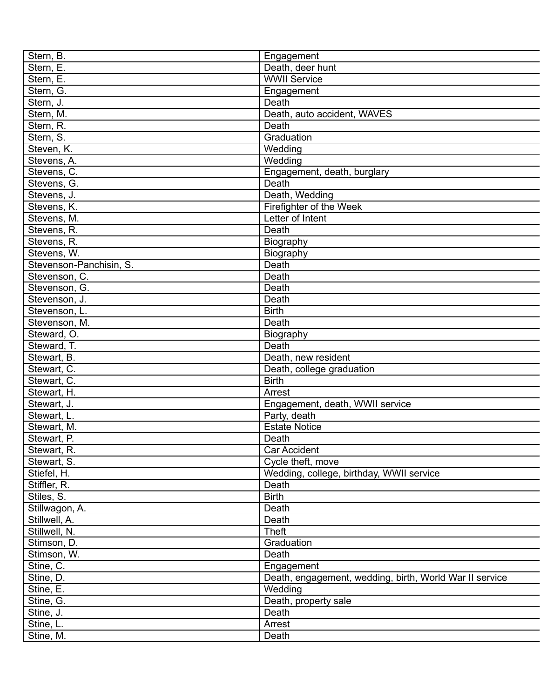| Stern, B.               | Engagement                                              |
|-------------------------|---------------------------------------------------------|
| Stern, E.               | Death, deer hunt                                        |
| Stern, E.               | <b>WWII Service</b>                                     |
| Stern, G.               | Engagement                                              |
| Stern, J.               | <b>Death</b>                                            |
| Stern, M.               | Death, auto accident, WAVES                             |
| Stern, R.               | Death                                                   |
| Stern, S.               | Graduation                                              |
| Steven, K.              | Wedding                                                 |
| Stevens, A.             | Wedding                                                 |
| Stevens, C.             | Engagement, death, burglary                             |
| Stevens, G.             | Death                                                   |
| Stevens, J.             | Death, Wedding                                          |
| Stevens, K.             | Firefighter of the Week                                 |
| Stevens, M.             | Letter of Intent                                        |
| Stevens, R.             | Death                                                   |
| Stevens, R.             | Biography                                               |
| Stevens, W.             | Biography                                               |
| Stevenson-Panchisin, S. | Death                                                   |
| Stevenson, C.           | Death                                                   |
| Stevenson, G.           | Death                                                   |
| Stevenson, J.           | Death                                                   |
| Stevenson, L.           | <b>Birth</b>                                            |
| Stevenson, M.           | Death                                                   |
| Steward, O.             | Biography                                               |
| Steward, T.             | Death                                                   |
| Stewart, B.             | Death, new resident                                     |
| Stewart, C.             |                                                         |
| Stewart, C.             | Death, college graduation<br><b>Birth</b>               |
|                         |                                                         |
| Stewart, H.             | Arrest                                                  |
| Stewart, J.             | Engagement, death, WWII service                         |
| Stewart, L.             | Party, death                                            |
| Stewart, M.             | <b>Estate Notice</b>                                    |
| Stewart, P.             | Death                                                   |
| Stewart, R.             | <b>Car Accident</b>                                     |
| Stewart, S.             | Cycle theft, move                                       |
| Stiefel, H.             | Wedding, college, birthday, WWII service                |
| Stiffler, R.            | Death                                                   |
| Stiles, S.              | <b>Birth</b>                                            |
| Stillwagon, A.          | Death                                                   |
| Stillwell, A.           | Death                                                   |
| Stillwell, N.           | <b>Theft</b>                                            |
| Stimson, D.             | Graduation                                              |
| Stimson, W.             | Death                                                   |
| Stine, C.               | Engagement                                              |
| Stine, D.               | Death, engagement, wedding, birth, World War II service |
| Stine, E.               | Wedding                                                 |
| Stine, G.               | Death, property sale                                    |
| Stine, J.               | Death                                                   |
| Stine, L.               | Arrest                                                  |
| Stine, M.               | Death                                                   |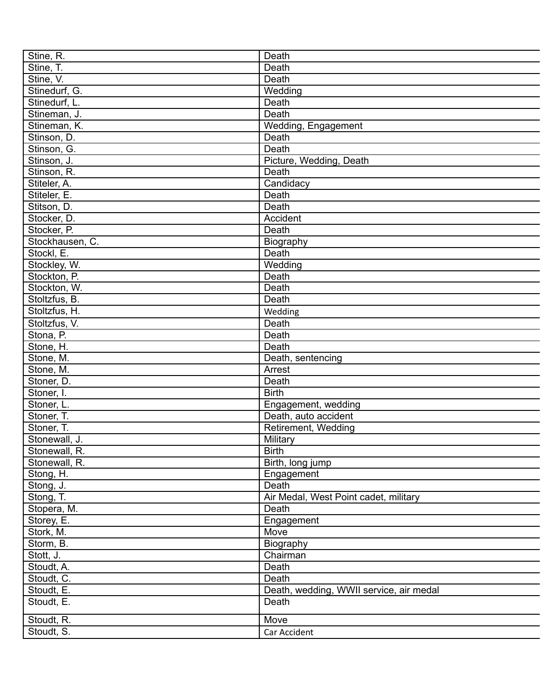| Stine, R.       | Death                                   |
|-----------------|-----------------------------------------|
| Stine, T.       | Death                                   |
| Stine, V.       | Death                                   |
| Stinedurf, G.   | Wedding                                 |
| Stinedurf, L.   | Death                                   |
| Stineman, J.    | Death                                   |
| Stineman, K.    | Wedding, Engagement                     |
| Stinson, D.     | Death                                   |
| Stinson, G.     | Death                                   |
| Stinson, J.     | Picture, Wedding, Death                 |
| Stinson, R.     | Death                                   |
| Stiteler, A.    | Candidacy                               |
| Stiteler, E.    | Death                                   |
| Stitson, D.     | Death                                   |
| Stocker, D.     | Accident                                |
| Stocker, P.     | Death                                   |
| Stockhausen, C. | Biography                               |
| Stockl, E.      | Death                                   |
| Stockley, W.    | Wedding                                 |
| Stockton, P.    | Death                                   |
| Stockton, W.    | Death                                   |
| Stoltzfus, B.   | Death                                   |
| Stoltzfus, H.   | Wedding                                 |
| Stoltzfus, V.   | Death                                   |
| Stona, P.       | Death                                   |
| Stone, H.       | Death                                   |
| Stone, M.       | Death, sentencing                       |
| Stone, M.       | Arrest                                  |
| Stoner, D.      | Death                                   |
| Stoner, I.      | <b>Birth</b>                            |
| Stoner, L.      | Engagement, wedding                     |
| Stoner, T.      | Death, auto accident                    |
| Stoner, T.      | Retirement, Wedding                     |
| Stonewall, J.   | Military                                |
| Stonewall, R.   | <b>Birth</b>                            |
| Stonewall, R.   | Birth, long jump                        |
| Stong, H.       | Engagement                              |
| Stong, J.       | Death                                   |
| Stong, T.       | Air Medal, West Point cadet, military   |
| Stopera, M.     | Death                                   |
| Storey, E.      | Engagement                              |
| Stork, M.       | Move                                    |
| Storm, B.       | Biography                               |
| Stott, J.       | Chairman                                |
| Stoudt, A.      | Death                                   |
| Stoudt, C.      | Death                                   |
| Stoudt, E.      | Death, wedding, WWII service, air medal |
| Stoudt, E.      | Death                                   |
| Stoudt, R.      | Move                                    |
| Stoudt, S.      | Car Accident                            |
|                 |                                         |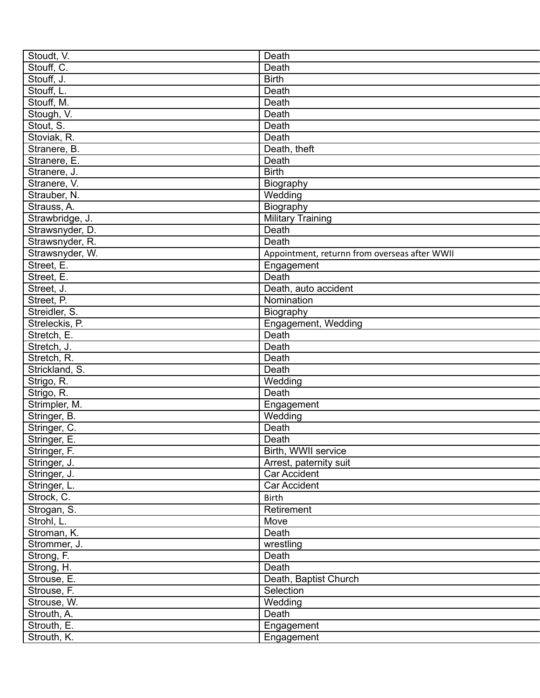| Stoudt, V.      | Death                                         |
|-----------------|-----------------------------------------------|
| Stouff, C.      | Death                                         |
| Stouff, J.      | <b>Birth</b>                                  |
| Stouff, L.      | Death                                         |
| Stouff, M.      | Death                                         |
| Stough, V.      | Death                                         |
| Stout, S.       | Death                                         |
| Stoviak, R.     | Death                                         |
| Stranere, B.    | Death, theft                                  |
| Stranere, E.    | Death                                         |
| Stranere, J.    | <b>Birth</b>                                  |
| Stranere, V.    | Biography                                     |
| Strauber, N.    | Wedding                                       |
| Strauss, A.     | Biography                                     |
| Strawbridge, J. | <b>Military Training</b>                      |
| Strawsnyder, D. | Death                                         |
| Strawsnyder, R. | Death                                         |
| Strawsnyder, W. | Appointment, returnn from overseas after WWII |
| Street, E.      | Engagement                                    |
| Street, E.      | Death                                         |
| Street, J.      | Death, auto accident                          |
| Street, P.      | Nomination                                    |
| Streidler, S.   | Biography                                     |
| Streleckis, P.  | Engagement, Wedding                           |
| Stretch, E.     | Death                                         |
| Stretch, J.     | Death                                         |
| Stretch, R.     | Death                                         |
| Strickland, S.  | Death                                         |
| Strigo, R.      | Wedding                                       |
| Strigo, R.      | Death                                         |
| Strimpler, M.   | Engagement                                    |
| Stringer, B.    | Wedding                                       |
| Stringer, C.    | Death                                         |
| Stringer, E.    | Death                                         |
| Stringer, F.    | Birth, WWII service                           |
| Stringer, J.    | Arrest, paternity suit                        |
| Stringer, J.    | Car Accident                                  |
| Stringer, L.    | Car Accident                                  |
| Strock, C.      | <b>Birth</b>                                  |
| Strogan, S.     | Retirement                                    |
| Strohl, L.      | Move                                          |
| Stroman, K.     | Death                                         |
| Strommer, J.    | wrestling                                     |
| Strong, F.      | Death                                         |
| Strong, H.      | Death                                         |
| Strouse, E.     | Death, Baptist Church                         |
| Strouse, F.     | Selection                                     |
| Strouse, W.     | Wedding                                       |
| Strouth, A.     | Death                                         |
| Strouth, E.     | Engagement                                    |
| Strouth, K.     | Engagement                                    |
|                 |                                               |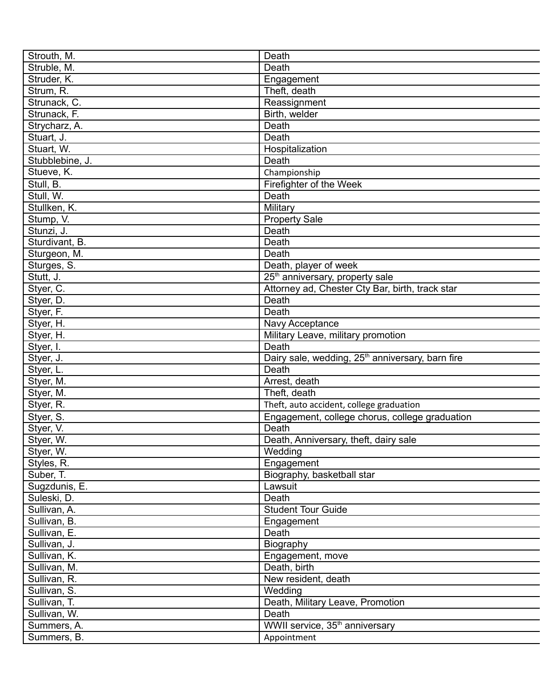| Strouth, M.            | Death                                                                 |
|------------------------|-----------------------------------------------------------------------|
| Struble, M.            | Death                                                                 |
| Struder, K.            | Engagement                                                            |
| Strum, R.              | Theft, death                                                          |
| Strunack, C.           | Reassignment                                                          |
| Strunack, F.           | Birth, welder                                                         |
| Strycharz, A.          | Death                                                                 |
| Stuart, J.             | Death                                                                 |
| Stuart, W.             | Hospitalization                                                       |
| Stubblebine, J.        | Death                                                                 |
| Stueve, K.             | Championship                                                          |
| Stull, B.              | Firefighter of the Week                                               |
| Stull, W.              | Death                                                                 |
| Stullken, K.           | Military                                                              |
| Stump, V.              | <b>Property Sale</b>                                                  |
| Stunzi, J.             | Death                                                                 |
| Sturdivant, B.         | Death                                                                 |
| Sturgeon, M.           | Death                                                                 |
| Sturges, S.            | Death, player of week                                                 |
| Stutt, J.              | 25 <sup>th</sup> anniversary, property sale                           |
| Styer, C.              | Attorney ad, Chester Cty Bar, birth, track star                       |
|                        | Death                                                                 |
| Styer, D.<br>Styer, F. | Death                                                                 |
|                        |                                                                       |
| Styer, H.              | Navy Acceptance                                                       |
| Styer, H.              | Military Leave, military promotion<br>Death                           |
| Styer, I.              |                                                                       |
| Styer, J.              | Dairy sale, wedding, 25 <sup>th</sup> anniversary, barn fire<br>Death |
| Styer, L.              |                                                                       |
| Styer, M.              | Arrest, death<br>Theft, death                                         |
| Styer, M.              |                                                                       |
| Styer, R.              | Theft, auto accident, college graduation                              |
| Styer, S.              | Engagement, college chorus, college graduation                        |
| Styer, V.              | Death                                                                 |
| Styer, W.              | Death, Anniversary, theft, dairy sale                                 |
| Styer, W.              | Wedding                                                               |
| Styles, R.             | Engagement                                                            |
| Suber, T.              | Biography, basketball star                                            |
| Sugzdunis, E.          | Lawsuit                                                               |
| Suleski, D.            | Death                                                                 |
| Sullivan, A.           | <b>Student Tour Guide</b>                                             |
| Sullivan, B.           | Engagement                                                            |
| Sullivan, E.           | Death                                                                 |
| Sullivan, J.           | Biography                                                             |
| Sullivan, K.           | Engagement, move                                                      |
| Sullivan, M.           | Death, birth                                                          |
| Sullivan, R.           | New resident, death                                                   |
| Sullivan, S.           | Wedding                                                               |
| Sullivan, T.           | Death, Military Leave, Promotion                                      |
| Sullivan, W.           | Death                                                                 |
| Summers, A.            | WWII service, 35 <sup>th</sup> anniversary                            |
| Summers, B.            | Appointment                                                           |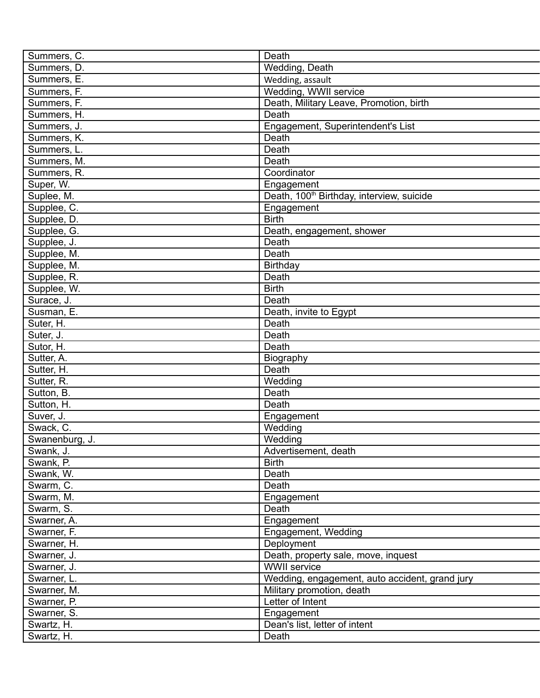| Summers, C.    | Death                                                 |
|----------------|-------------------------------------------------------|
| Summers, D.    | Wedding, Death                                        |
| Summers, E.    | Wedding, assault                                      |
| Summers, F.    | Wedding, WWII service                                 |
| Summers, F.    | Death, Military Leave, Promotion, birth               |
| Summers, H.    | Death                                                 |
| Summers, J.    | Engagement, Superintendent's List                     |
| Summers, K.    | Death                                                 |
| Summers, L.    | Death                                                 |
| Summers, M.    | Death                                                 |
| Summers, R.    | Coordinator                                           |
| Super, W.      | Engagement                                            |
| Suplee, M.     | Death, 100 <sup>th</sup> Birthday, interview, suicide |
| Supplee, C.    | Engagement                                            |
| Supplee, D.    | <b>Birth</b>                                          |
| Supplee, G.    | Death, engagement, shower                             |
| Supplee, J.    | Death                                                 |
| Supplee, M.    | Death                                                 |
| Supplee, M.    | Birthday                                              |
| Supplee, R.    | Death                                                 |
| Supplee, W.    | <b>Birth</b>                                          |
| Surace, J.     | Death                                                 |
| Susman, E.     | Death, invite to Egypt                                |
|                | Death                                                 |
| Suter, H.      |                                                       |
| Suter, J.      | Death                                                 |
| Sutor, H.      | Death                                                 |
| Sutter, A.     | Biography                                             |
| Sutter, H.     | Death                                                 |
| Sutter, R.     | Wedding                                               |
| Sutton, B.     | Death                                                 |
| Sutton, H.     | Death                                                 |
| Suver, J.      | Engagement                                            |
| Swack, C.      | Wedding                                               |
| Swanenburg, J. | Wedding                                               |
| Swank, J.      | Advertisement, death                                  |
| Swank, P.      | <b>Birth</b>                                          |
| Swank, W.      | Death                                                 |
| Swarm, C.      | Death                                                 |
| Swarm, M.      | Engagement                                            |
| Swarm, S.      | Death                                                 |
| Swarner, A.    | Engagement                                            |
| Swarner, F.    | Engagement, Wedding                                   |
| Swarner, H.    | Deployment                                            |
| Swarner, J.    | Death, property sale, move, inquest                   |
| Swarner, J.    | <b>WWII</b> service                                   |
| Swarner, L.    | Wedding, engagement, auto accident, grand jury        |
| Swarner, M.    | Military promotion, death                             |
| Swarner, P.    | Letter of Intent                                      |
| Swarner, S.    | Engagement                                            |
| Swartz, H.     | Dean's list, letter of intent                         |
| Swartz, H.     | Death                                                 |
|                |                                                       |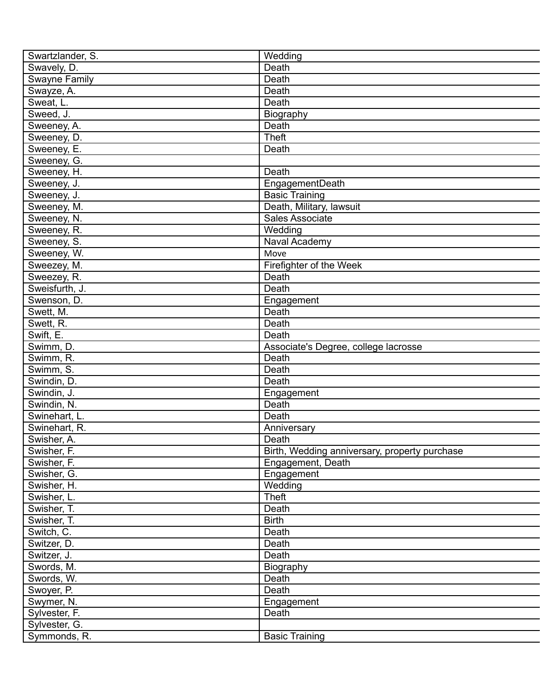| Swartzlander, S.       | Wedding                                       |
|------------------------|-----------------------------------------------|
| Swavely, D.            | Death                                         |
| <b>Swayne Family</b>   | Death                                         |
| Swayze, A.             | Death                                         |
| Sweat, L.              | Death                                         |
| Sweed, J.              | Biography                                     |
| Sweeney, A.            | Death                                         |
| Sweeney, D.            | <b>Theft</b>                                  |
| Sweeney, E.            | Death                                         |
| Sweeney, G.            |                                               |
| Sweeney, H.            | Death                                         |
| Sweeney, J.            | EngagementDeath                               |
| Sweeney, J.            | <b>Basic Training</b>                         |
| Sweeney, M.            | Death, Military, lawsuit                      |
| Sweeney, N.            | Sales Associate                               |
| Sweeney, R.            | Wedding                                       |
| Sweeney, S.            | Naval Academy                                 |
| Sweeney, W.            | Move                                          |
| Sweezey, M.            | Firefighter of the Week                       |
| Sweezey, R.            | Death                                         |
| Sweisfurth, J.         | Death                                         |
| Swenson, D.            |                                               |
|                        | Engagement<br>Death                           |
| Swett, M.              | Death                                         |
| Swett, R.<br>Swift, E. | Death                                         |
|                        |                                               |
| Swimm, D.              | Associate's Degree, college lacrosse          |
| Swimm, R.              | Death                                         |
| Swimm, S.              | Death                                         |
| Swindin, D.            | Death                                         |
| Swindin, J.            | Engagement                                    |
| Swindin, N.            | Death                                         |
| Swinehart, L.          | Death                                         |
| Swinehart, R.          | Anniversary                                   |
| Swisher, A.            | Death                                         |
| Swisher, F.            | Birth, Wedding anniversary, property purchase |
| Swisher, F.            | Engagement, Death                             |
| Swisher, G.            | Engagement                                    |
| Swisher, H.            | Wedding                                       |
| Swisher, L.            | <b>Theft</b>                                  |
| Swisher, T.            | Death                                         |
| Swisher, T.            | <b>Birth</b>                                  |
| Switch, C.             | Death                                         |
| Switzer, D.            | Death                                         |
| Switzer, J.            | Death                                         |
| Swords, M.             | Biography                                     |
| Swords, W.             | Death                                         |
| Swoyer, P.             | Death                                         |
| Swymer, N.             | Engagement                                    |
| Sylvester, F.          | Death                                         |
| Sylvester, G.          |                                               |
| Symmonds, R.           | <b>Basic Training</b>                         |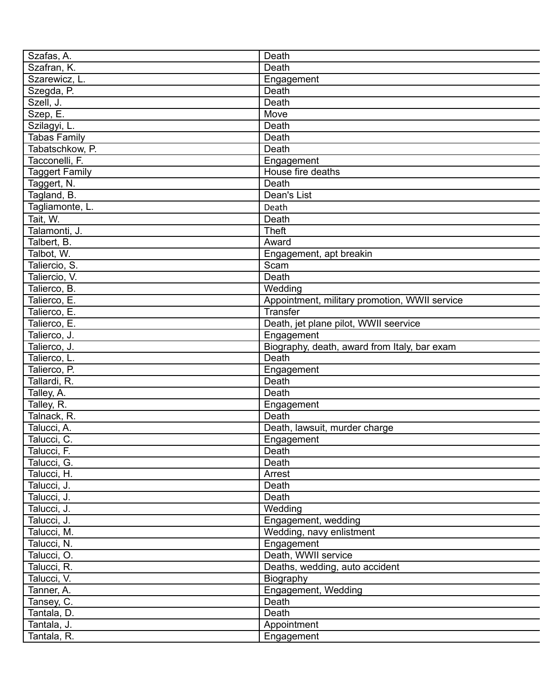| Szafas, A.            | Death                                         |
|-----------------------|-----------------------------------------------|
| Szafran, K.           | Death                                         |
| Szarewicz, L.         | Engagement                                    |
| Szegda, P.            | Death                                         |
| Szell, J.             | Death                                         |
| Szep, E.              | Move                                          |
| Szilagyi, L.          | Death                                         |
| Tabas Family          | Death                                         |
| Tabatschkow, P.       | Death                                         |
| Tacconelli, F.        | Engagement                                    |
| <b>Taggert Family</b> | House fire deaths                             |
| Taggert, N.           | Death                                         |
| Tagland, B.           | Dean's List                                   |
| Tagliamonte, L.       | Death                                         |
| Tait, W.              | Death                                         |
| Talamonti, J.         | <b>Theft</b>                                  |
| Talbert, B.           | Award                                         |
| Talbot, W.            | Engagement, apt breakin                       |
| Taliercio, S.         | Scam                                          |
| Taliercio, V.         | Death                                         |
| Talierco, B.          | Wedding                                       |
| Talierco, E.          | Appointment, military promotion, WWII service |
| Talierco, E.          | Transfer                                      |
| Talierco, E.          | Death, jet plane pilot, WWII seervice         |
| Talierco, J.          | Engagement                                    |
| Talierco, J.          | Biography, death, award from Italy, bar exam  |
| Talierco, L.          | Death                                         |
| Talierco, P.          | Engagement                                    |
| Tallardi, R.          | Death                                         |
| Talley, A.            | Death                                         |
| Talley, R.            |                                               |
| Talnack, R.           | Engagement<br>Death                           |
| Talucci, A.           | Death, lawsuit, murder charge                 |
| Talucci, C.           |                                               |
|                       | Engagement                                    |
| Talucci, F.           | Death                                         |
| Talucci, G.           | Death                                         |
| Talucci, H.           | Arrest                                        |
| Talucci, J.           | Death                                         |
| Talucci, J.           | Death                                         |
| Talucci, J.           | Wedding                                       |
| Talucci, J.           | Engagement, wedding                           |
| Talucci, M.           | Wedding, navy enlistment                      |
| Talucci, N.           | Engagement                                    |
| Talucci, O.           | Death, WWII service                           |
| Talucci, R.           | Deaths, wedding, auto accident                |
| Talucci, V.           | Biography                                     |
| Tanner, A.            | Engagement, Wedding                           |
| Tansey, C.            | Death                                         |
| Tantala, D.           | Death                                         |
| Tantala, J.           | Appointment                                   |
| Tantala, R.           | Engagement                                    |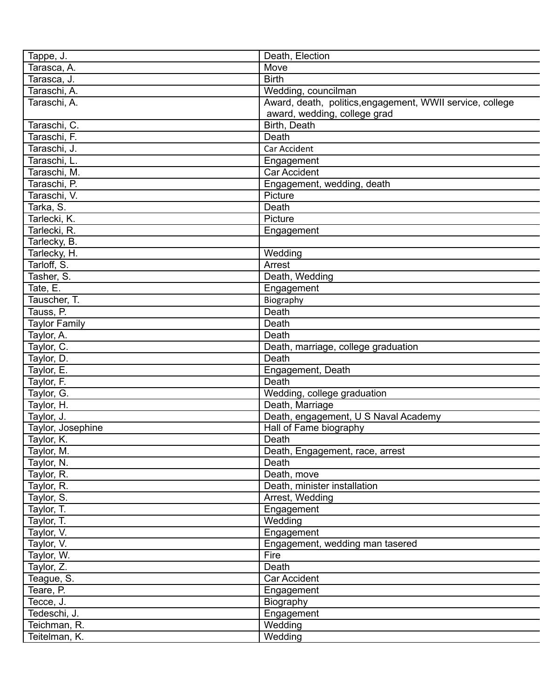| Tappe, J.            | Death, Election                                           |
|----------------------|-----------------------------------------------------------|
| Tarasca, A.          | Move                                                      |
| Tarasca, J.          | <b>Birth</b>                                              |
| Taraschi, A.         | Wedding, councilman                                       |
| Taraschi, A.         | Award, death, politics, engagement, WWII service, college |
|                      | award, wedding, college grad                              |
| Taraschi, C.         | Birth, Death                                              |
| Taraschi, F.         | Death                                                     |
| Taraschi, J.         | Car Accident                                              |
| Taraschi, L.         | Engagement                                                |
| Taraschi, M.         | Car Accident                                              |
| Taraschi, P.         | Engagement, wedding, death                                |
| Taraschi, V.         | Picture                                                   |
| Tarka, S.            | Death                                                     |
| Tarlecki, K.         | Picture                                                   |
| Tarlecki, R.         | Engagement                                                |
| Tarlecky, B.         |                                                           |
| Tarlecky, H.         | Wedding                                                   |
| Tarloff, S.          | Arrest                                                    |
| Tasher, S.           | Death, Wedding                                            |
| Tate, E.             | Engagement                                                |
| Tauscher, T.         |                                                           |
|                      | Biography                                                 |
| Tauss, P.            | Death                                                     |
| <b>Taylor Family</b> | Death                                                     |
| Taylor, A.           | Death                                                     |
| Taylor, C.           | Death, marriage, college graduation                       |
| Taylor, D.           | Death                                                     |
| Taylor, E.           | Engagement, Death                                         |
| Taylor, F.           | Death                                                     |
| Taylor, G.           | Wedding, college graduation                               |
| Taylor, H.           | Death, Marriage                                           |
| Taylor, J.           | Death, engagement, U S Naval Academy                      |
| Taylor, Josephine    | Hall of Fame biography                                    |
| Taylor, K.           | Death                                                     |
| Taylor, M.           | Death, Engagement, race, arrest                           |
| Taylor, N.           | Death                                                     |
| Taylor, R.           | Death, move                                               |
| Taylor, R.           | Death, minister installation                              |
| Taylor, S.           | Arrest, Wedding                                           |
| Taylor, T.           | Engagement                                                |
| Taylor, T.           | Wedding                                                   |
| Taylor, V.           | Engagement                                                |
| Taylor, V.           | Engagement, wedding man tasered                           |
| Taylor, W.           | Fire                                                      |
| Taylor, Z.           | Death                                                     |
| Teague, S.           | Car Accident                                              |
| Teare, P.            | Engagement                                                |
| Tecce, J.            | Biography                                                 |
| Tedeschi, J.         | Engagement                                                |
| Teichman, R.         | Wedding                                                   |
| Teitelman, K.        | Wedding                                                   |
|                      |                                                           |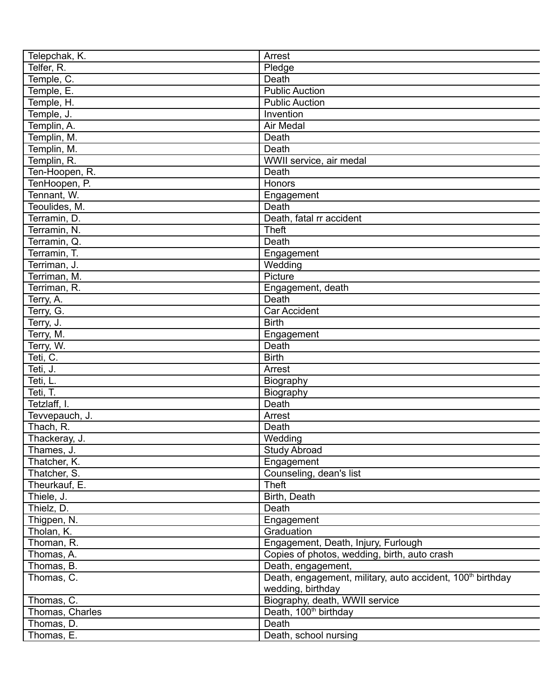| Telepchak, K.                | Arrest                                                                 |
|------------------------------|------------------------------------------------------------------------|
| Telfer, R.                   | Pledge                                                                 |
| Temple, C.                   | Death                                                                  |
| Temple, E.                   | <b>Public Auction</b>                                                  |
| Temple, H.                   | <b>Public Auction</b>                                                  |
| Temple, J.                   | Invention                                                              |
| Templin, A.                  | <b>Air Medal</b>                                                       |
| Templin, M.                  | Death                                                                  |
| Templin, M.                  | Death                                                                  |
| Templin, R.                  | WWII service, air medal                                                |
| Ten-Hoopen, R.               | Death                                                                  |
|                              | Honors                                                                 |
| TenHoopen, P.<br>Tennant, W. |                                                                        |
|                              | Engagement<br>Death                                                    |
| Teoulides, M.                |                                                                        |
| Terramin, D.                 | Death, fatal rr accident                                               |
| Terramin, N.                 | <b>Theft</b>                                                           |
| Terramin, Q.                 | Death                                                                  |
| Terramin, T.                 | Engagement                                                             |
| Terriman, J.                 | Wedding                                                                |
| Terriman, M.                 | Picture                                                                |
| Terriman, R.                 | Engagement, death                                                      |
| Terry, A.                    | Death                                                                  |
| Terry, G.                    | <b>Car Accident</b>                                                    |
| Terry, J.                    | <b>Birth</b>                                                           |
| Terry, M.                    | Engagement                                                             |
| Terry, W.                    | Death                                                                  |
| Teti, C.                     | <b>Birth</b>                                                           |
| Teti, J.                     | Arrest                                                                 |
| Teti, L.                     | Biography                                                              |
| Teti, T.                     | Biography                                                              |
| Tetzlaff, I.                 | Death                                                                  |
| Tevvepauch, J.               | Arrest                                                                 |
| Thach, R.                    | Death                                                                  |
| Thackeray, J.                | Wedding                                                                |
| Thames, J.                   | <b>Study Abroad</b>                                                    |
| Thatcher, K.                 | Engagement                                                             |
| Thatcher, S.                 | Counseling, dean's list                                                |
| Theurkauf, E.                | <b>Theft</b>                                                           |
| Thiele, J.                   | Birth, Death                                                           |
| Thielz, D.                   | Death                                                                  |
| Thigpen, N.                  | Engagement                                                             |
| Tholan, K.                   | Graduation                                                             |
| Thoman, R.                   | Engagement, Death, Injury, Furlough                                    |
| Thomas, A.                   | Copies of photos, wedding, birth, auto crash                           |
| Thomas, B.                   | Death, engagement,                                                     |
| Thomas, C.                   | Death, engagement, military, auto accident, 100 <sup>th</sup> birthday |
|                              | wedding, birthday                                                      |
| Thomas, C.                   | Biography, death, WWII service                                         |
| Thomas, Charles              | Death, 100 <sup>th</sup> birthday                                      |
| Thomas, D.                   | Death                                                                  |
| Thomas, E.                   | Death, school nursing                                                  |
|                              |                                                                        |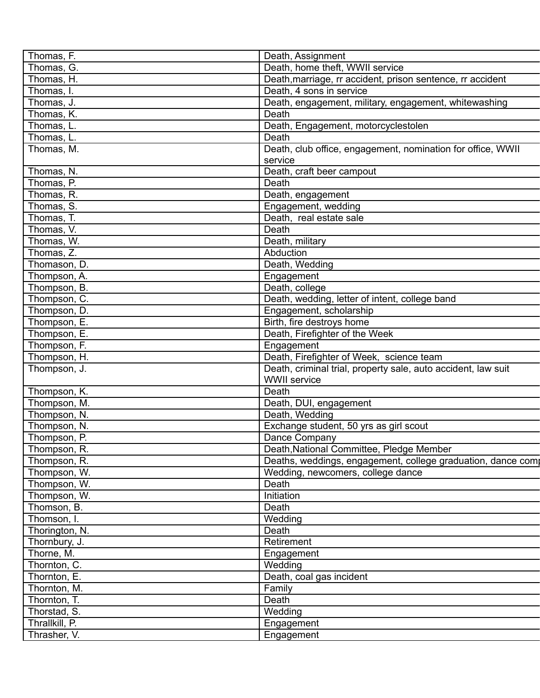| Thomas, F.     | Death, Assignment                                             |
|----------------|---------------------------------------------------------------|
| Thomas, G.     | Death, home theft, WWII service                               |
| Thomas, H.     | Death, marriage, rr accident, prison sentence, rr accident    |
| Thomas, I.     | Death, 4 sons in service                                      |
| Thomas, J.     | Death, engagement, military, engagement, whitewashing         |
| Thomas, K.     | Death                                                         |
| Thomas, L.     | Death, Engagement, motorcyclestolen                           |
| Thomas, L.     | Death                                                         |
| Thomas, M.     | Death, club office, engagement, nomination for office, WWII   |
|                | service                                                       |
| Thomas, N.     | Death, craft beer campout                                     |
| Thomas, P.     | Death                                                         |
| Thomas, R.     | Death, engagement                                             |
| Thomas, S.     | Engagement, wedding                                           |
| Thomas, T.     | Death, real estate sale                                       |
|                |                                                               |
| Thomas, V.     | Death                                                         |
| Thomas, W.     | Death, military                                               |
| Thomas, Z.     | Abduction                                                     |
| Thomason, D.   | Death, Wedding                                                |
| Thompson, A.   | Engagement                                                    |
| Thompson, B.   | Death, college                                                |
| Thompson, C.   | Death, wedding, letter of intent, college band                |
| Thompson, D.   | Engagement, scholarship                                       |
| Thompson, E.   | Birth, fire destroys home                                     |
| Thompson, E.   | Death, Firefighter of the Week                                |
| Thompson, F.   | Engagement                                                    |
| Thompson, H.   | Death, Firefighter of Week, science team                      |
| Thompson, J.   | Death, criminal trial, property sale, auto accident, law suit |
|                | <b>WWII</b> service                                           |
| Thompson, K.   | Death                                                         |
| Thompson, M.   | Death, DUI, engagement                                        |
| Thompson, N.   | Death, Wedding                                                |
| Thompson, N.   | Exchange student, 50 yrs as girl scout                        |
|                |                                                               |
| Thompson, P.   | Dance Company                                                 |
| Thompson, R.   | Death, National Committee, Pledge Member                      |
| Thompson, R.   | Deaths, weddings, engagement, college graduation, dance comp  |
| Thompson, W.   | Wedding, newcomers, college dance                             |
| Thompson, W.   | Death                                                         |
| Thompson, W.   | <b>Initiation</b>                                             |
| Thomson, B.    | Death                                                         |
| Thomson, I.    | Wedding                                                       |
| Thorington, N. | Death                                                         |
| Thornbury, J.  | Retirement                                                    |
| Thorne, M.     | Engagement                                                    |
| Thornton, C.   | Wedding                                                       |
| Thornton, E.   | Death, coal gas incident                                      |
| Thornton, M.   | Family                                                        |
| Thornton, T.   | Death                                                         |
| Thorstad, S.   | Wedding                                                       |
| Thrallkill, P. | Engagement                                                    |
| Thrasher, V.   |                                                               |
|                | Engagement                                                    |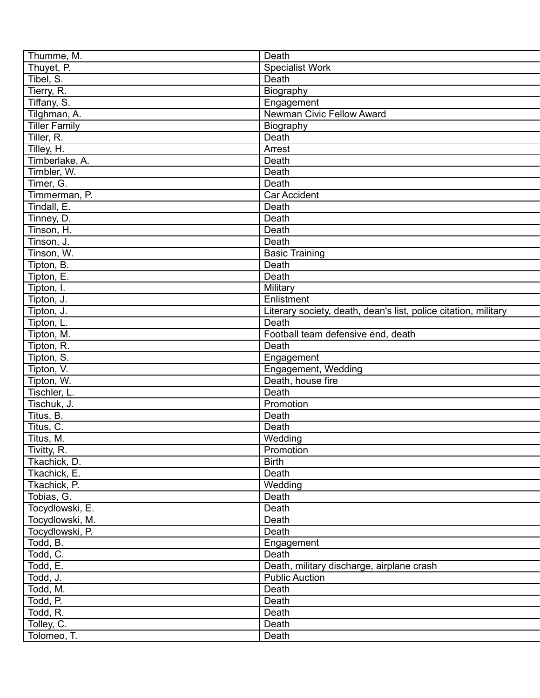| Thumme, M.               | Death                                                           |
|--------------------------|-----------------------------------------------------------------|
| Thuyet, P.               | <b>Specialist Work</b>                                          |
| Tibel, S.                | Death                                                           |
| Tierry, R.               | Biography                                                       |
| Tiffany, S.              | Engagement                                                      |
| Tilghman, A.             | Newman Civic Fellow Award                                       |
| <b>Tiller Family</b>     | Biography                                                       |
| Tiller, R.               | Death                                                           |
| Tilley, H.               | Arrest                                                          |
| Timberlake, A.           | Death                                                           |
| Timbler, W.              | Death                                                           |
| Timer, G.                | Death                                                           |
| Timmerman, P.            | <b>Car Accident</b>                                             |
| Tindall, E.              | Death                                                           |
| Tinney, D.               | Death                                                           |
| Tinson, H.               | Death                                                           |
| Tinson, J.               | Death                                                           |
|                          |                                                                 |
| Tinson, W.               | <b>Basic Training</b>                                           |
| Tipton, B.               | Death                                                           |
| Tipton, E.               | Death                                                           |
| Tipton, I.               | Military                                                        |
| Tipton, J.               | Enlistment                                                      |
| Tipton, J.               | Literary society, death, dean's list, police citation, military |
| Tipton, L.               | Death                                                           |
| Tipton, M.               | Football team defensive end, death                              |
| Tipton, R.               | Death                                                           |
| Tipton, S.               | Engagement                                                      |
| Tipton, V.               | Engagement, Wedding                                             |
| Tipton, W.               | Death, house fire                                               |
| Tischler, L.             | Death                                                           |
| Tischuk, J.              | Promotion                                                       |
| Titus, B.                | Death                                                           |
| Titus, C.                | Death                                                           |
| Titus, M.                | Wedding                                                         |
| Tivitty, R.              | Promotion                                                       |
| Tkachick, D.             | <b>Birth</b>                                                    |
| Tkachick, E.             | Death                                                           |
| Tkachick, P.             | Wedding                                                         |
| Tobias, G.               |                                                                 |
|                          | Death                                                           |
| Tocydlowski, E.          | Death                                                           |
| Tocydlowski, M.          | Death                                                           |
| Tocydlowski, P.          | Death                                                           |
| Todd, B.                 | Engagement                                                      |
| Todd, C.                 | Death                                                           |
| Todd, E.                 | Death, military discharge, airplane crash                       |
| Todd, J.                 | <b>Public Auction</b>                                           |
| Todd, M.                 | Death                                                           |
| Todd, P.                 | Death                                                           |
| Todd, R.                 | Death                                                           |
| Tolley, $\overline{C}$ . | Death                                                           |
| Tolomeo, T.              | Death                                                           |
|                          |                                                                 |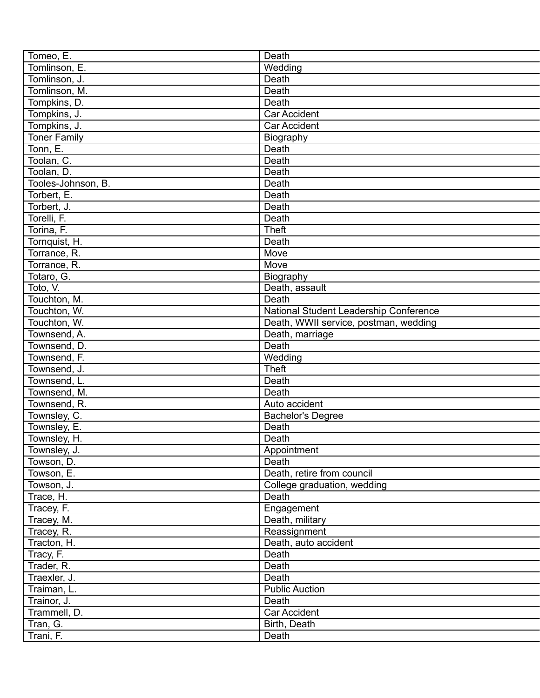| Tomeo, E.           | Death                                  |
|---------------------|----------------------------------------|
| Tomlinson, E.       | Wedding                                |
| Tomlinson, J.       | Death                                  |
| Tomlinson, M.       | Death                                  |
| Tompkins, D.        | Death                                  |
| Tompkins, J.        | <b>Car Accident</b>                    |
| Tompkins, J.        | <b>Car Accident</b>                    |
| <b>Toner Family</b> | Biography                              |
| Tonn, E.            | Death                                  |
| Toolan, C.          | Death                                  |
| Toolan, D.          | Death                                  |
| Tooles-Johnson, B.  | Death                                  |
| Torbert, E.         | Death                                  |
| Torbert, J.         | Death                                  |
| Torelli, F.         | Death                                  |
| Torina, F.          | <b>Theft</b>                           |
| Tornquist, H.       | Death                                  |
| Torrance, R.        | Move                                   |
| Torrance, R.        | Move                                   |
| Totaro, G.          | Biography                              |
| Toto, V.            | Death, assault                         |
| Touchton, M.        | Death                                  |
| Touchton, W.        | National Student Leadership Conference |
| Touchton, W.        | Death, WWII service, postman, wedding  |
| Townsend, A.        | Death, marriage                        |
| Townsend, D.        | Death                                  |
| Townsend, F.        | Wedding                                |
| Townsend, J.        | <b>Theft</b>                           |
| Townsend, L.        | Death                                  |
|                     | Death                                  |
| Townsend, M.        |                                        |
| Townsend, R.        | Auto accident                          |
| Townsley, C.        | <b>Bachelor's Degree</b>               |
| Townsley, E.        | Death                                  |
| Townsley, H.        | Death                                  |
| Townsley, J.        | Appointment                            |
| Towson, D.          | Death                                  |
| Towson, E.          | Death, retire from council             |
| Towson, J.          | College graduation, wedding            |
| Trace, H.           | Death                                  |
| Tracey, F.          | Engagement                             |
| Tracey, M.          | Death, military                        |
| Tracey, R.          | Reassignment                           |
| Tracton, H.         | Death, auto accident                   |
| Tracy, F.           | Death                                  |
| Trader, R.          | Death                                  |
| Traexler, J.        | Death                                  |
| Traiman, L.         | <b>Public Auction</b>                  |
| Trainor, J.         | Death                                  |
| Trammell, D.        | Car Accident                           |
| Tran, G.            | Birth, Death                           |
| Trani, F.           | Death                                  |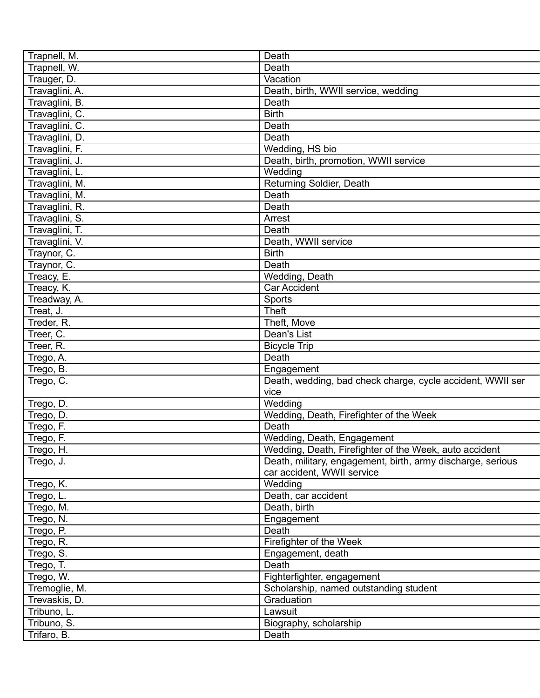| Trapnell, M.   | Death                                                       |
|----------------|-------------------------------------------------------------|
| Trapnell, W.   | Death                                                       |
| Trauger, D.    | Vacation                                                    |
| Travaglini, A. | Death, birth, WWII service, wedding                         |
| Travaglini, B. | Death                                                       |
|                | <b>Birth</b>                                                |
| Travaglini, C. |                                                             |
| Travaglini, C. | Death                                                       |
| Travaglini, D. | Death                                                       |
| Travaglini, F. | Wedding, HS bio                                             |
| Travaglini, J. | Death, birth, promotion, WWII service                       |
| Travaglini, L. | Wedding                                                     |
| Travaglini, M. | Returning Soldier, Death                                    |
| Travaglini, M. | Death                                                       |
| Travaglini, R. | Death                                                       |
| Travaglini, S. | Arrest                                                      |
| Travaglini, T. | Death                                                       |
| Travaglini, V. | Death, WWII service                                         |
| Traynor, C.    | <b>Birth</b>                                                |
| Traynor, C.    | Death                                                       |
| Treacy, E.     | Wedding, Death                                              |
| Treacy, K.     | <b>Car Accident</b>                                         |
| Treadway, A.   | Sports                                                      |
| Treat, J.      | <b>Theft</b>                                                |
| Treder, R.     | Theft, Move                                                 |
| Treer, C.      | Dean's List                                                 |
| Treer, R.      | <b>Bicycle Trip</b>                                         |
| Trego, A.      | Death                                                       |
| Trego, B.      | Engagement                                                  |
| Trego, C.      | Death, wedding, bad check charge, cycle accident, WWII ser  |
|                | vice                                                        |
| Trego, D.      | Wedding                                                     |
| Trego, D.      | Wedding, Death, Firefighter of the Week                     |
| Trego, F.      | Death                                                       |
| Trego, F.      | Wedding, Death, Engagement                                  |
| Trego, H.      | Wedding, Death, Firefighter of the Week, auto accident      |
| Trego, J.      | Death, military, engagement, birth, army discharge, serious |
|                | car accident, WWII service                                  |
| Trego, K.      | Wedding                                                     |
| Trego, L.      | Death, car accident                                         |
|                |                                                             |
| Trego, M.      | Death, birth                                                |
| Trego, N.      | Engagement                                                  |
| Trego, P.      | Death                                                       |
| Trego, R.      | Firefighter of the Week                                     |
| Trego, S.      | Engagement, death                                           |
| Trego, T.      | Death                                                       |
| Trego, W.      | Fighterfighter, engagement                                  |
| Tremoglie, M.  | Scholarship, named outstanding student                      |
| Trevaskis, D.  | Graduation                                                  |
| Tribuno, L.    | Lawsuit                                                     |
| Tribuno, S.    | Biography, scholarship                                      |
| Trifaro, B.    | Death                                                       |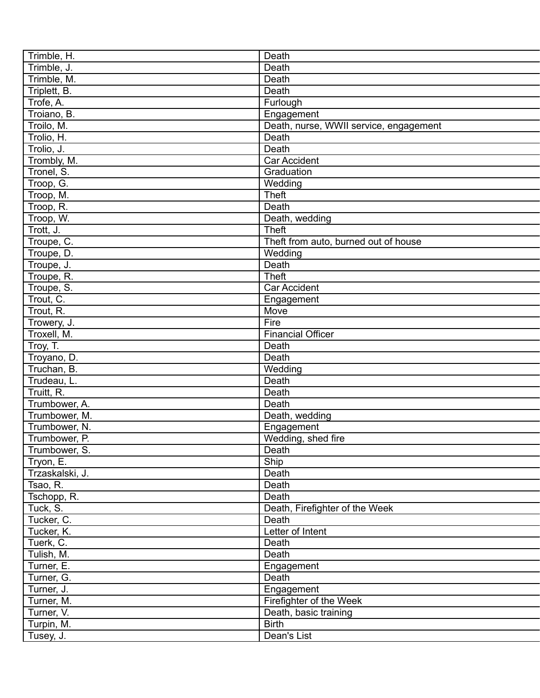| Trimble, H.     | Death                                  |
|-----------------|----------------------------------------|
| Trimble, J.     | Death                                  |
| Trimble, M.     | Death                                  |
| Triplett, B.    | Death                                  |
| Trofe, A.       | Furlough                               |
| Troiano, B.     |                                        |
|                 | Engagement                             |
| Troilo, M.      | Death, nurse, WWII service, engagement |
| Trolio, H.      | Death                                  |
| Trolio, J.      | Death                                  |
| Trombly, M.     | Car Accident                           |
| Tronel, S.      | Graduation                             |
| Troop, G.       | Wedding                                |
| Troop, M.       | <b>Theft</b>                           |
| Troop, R.       | Death                                  |
| Troop, W.       | Death, wedding                         |
| Trott, J.       | <b>Theft</b>                           |
| Troupe, C.      | Theft from auto, burned out of house   |
| Troupe, D.      | Wedding                                |
| Troupe, J.      | Death                                  |
| Troupe, R.      | <b>Theft</b>                           |
| Troupe, S.      | <b>Car Accident</b>                    |
| Trout, C.       | Engagement                             |
| Trout, R.       | Move                                   |
| Trowery, J.     | Fire                                   |
| Troxell, M.     | <b>Financial Officer</b>               |
| Troy, T.        | Death                                  |
|                 | Death                                  |
| Troyano, D.     |                                        |
| Truchan, B.     | Wedding                                |
| Trudeau, L.     | Death                                  |
| Truitt, R.      | Death                                  |
| Trumbower, A.   | Death                                  |
| Trumbower, M.   | Death, wedding                         |
| Trumbower, N.   | Engagement                             |
| Trumbower, P.   | Wedding, shed fire                     |
| Trumbower, S.   | Death                                  |
| Tryon, E.       | Ship                                   |
| Trzaskalski, J. | Death                                  |
| Tsao, R.        | Death                                  |
| Tschopp, R.     | Death                                  |
| Tuck, S.        | Death, Firefighter of the Week         |
| Tucker, C.      | Death                                  |
| Tucker, K.      | Letter of Intent                       |
| Tuerk, C.       | Death                                  |
| Tulish, M.      | Death                                  |
| Turner, E.      | Engagement                             |
| Turner, G.      | Death                                  |
| Turner, J.      | Engagement                             |
| Turner, M.      | Firefighter of the Week                |
| Turner, V.      | Death, basic training                  |
| Turpin, M.      | <b>Birth</b>                           |
|                 |                                        |
| Tusey, J.       | Dean's List                            |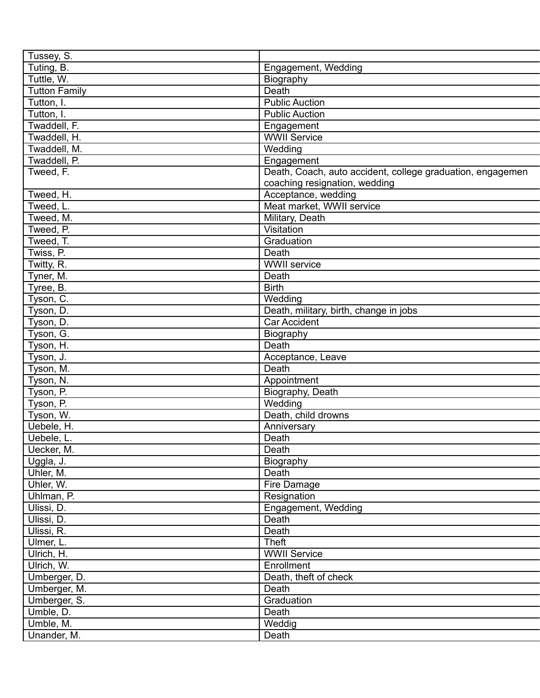| Tussey, S.           |                                                            |
|----------------------|------------------------------------------------------------|
| Tuting, B.           | Engagement, Wedding                                        |
| Tuttle, W.           | Biography                                                  |
| <b>Tutton Family</b> | Death                                                      |
| Tutton, I.           | <b>Public Auction</b>                                      |
| Tutton, I.           | <b>Public Auction</b>                                      |
| Twaddell, F.         | Engagement                                                 |
| Twaddell, H.         | <b>WWII Service</b>                                        |
| Twaddell, M.         | Wedding                                                    |
| Twaddell, P.         | Engagement                                                 |
| Tweed, F.            | Death, Coach, auto accident, college graduation, engagemen |
|                      | coaching resignation, wedding                              |
| Tweed, H.            | Acceptance, wedding                                        |
| Tweed, L.            | Meat market, WWII service                                  |
| Tweed, M.            | Military, Death                                            |
| Tweed, P.            | Visitation                                                 |
| Tweed, T.            | Graduation                                                 |
| Twiss, P.            | Death                                                      |
| Twitty, R.           | WWII service                                               |
| Tyner, M.            | Death                                                      |
| Tyree, B.            | <b>Birth</b>                                               |
| Tyson, C.            | Wedding                                                    |
| Tyson, D.            | Death, military, birth, change in jobs                     |
| Tyson, D.            | <b>Car Accident</b>                                        |
| Tyson, G.            | Biography                                                  |
| Tyson, H.            | Death                                                      |
| Tyson, J.            |                                                            |
|                      | Acceptance, Leave<br>Death                                 |
| Tyson, M.            |                                                            |
| Tyson, N.            | Appointment                                                |
| Tyson, P.            | Biography, Death                                           |
| Tyson, P.            | Wedding                                                    |
| Tyson, W.            | Death, child drowns                                        |
| Uebele, H.           | Anniversary                                                |
| Uebele, L.           | Death                                                      |
| Uecker, M.           | Death                                                      |
| Uggla, J.            | Biography                                                  |
| Uhler, M.            | Death                                                      |
| Uhler, W.            | Fire Damage                                                |
| Uhlman, P.           | Resignation                                                |
| Ulissi, D.           | Engagement, Wedding                                        |
| Ulissi, D.           | Death                                                      |
| Ulissi, R.           | Death                                                      |
| Ulmer, L.            | Theft                                                      |
| Ulrich, H.           | <b>WWII Service</b>                                        |
| Ulrich, W.           | Enrollment                                                 |
| Umberger, D.         | Death, theft of check                                      |
| Umberger, M.         | Death                                                      |
| Umberger, S.         | Graduation                                                 |
| Umble, D.            | Death                                                      |
| Umble, M.            | Weddig                                                     |
| Unander, M.          | Death                                                      |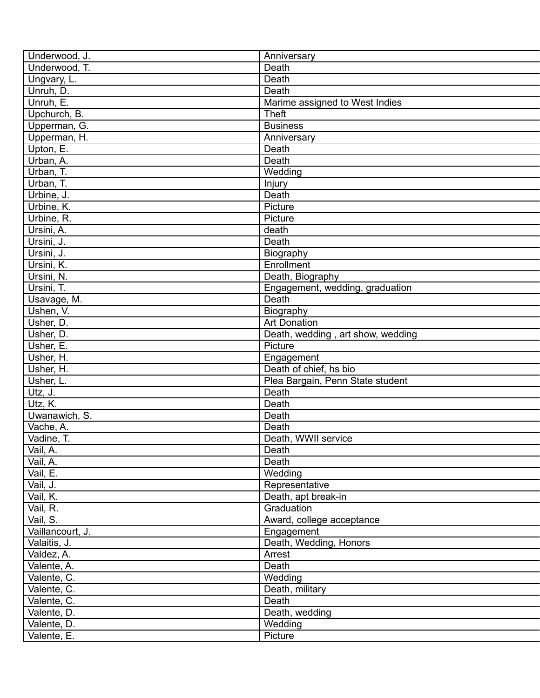| Underwood, J.    | Anniversary                       |
|------------------|-----------------------------------|
| Underwood, T.    | Death                             |
| Ungvary, L.      | Death                             |
| Unruh, D.        | Death                             |
| Unruh, E.        | Marime assigned to West Indies    |
| Upchurch, B.     | <b>Theft</b>                      |
| Upperman, G.     | <b>Business</b>                   |
| Upperman, H.     | Anniversary                       |
| Upton, E.        | Death                             |
| Urban, A.        | Death                             |
| Urban, T.        | Wedding                           |
| Urban, T.        | Injury                            |
| Urbine, J.       | Death                             |
| Urbine, K.       | Picture                           |
| Urbine, R.       | Picture                           |
| Ursini, A.       | death                             |
| Ursini, J.       | Death                             |
| Ursini, J.       | Biography                         |
| Ursini, K.       | Enrollment                        |
| Ursini, N.       | Death, Biography                  |
| Ursini, T.       | Engagement, wedding, graduation   |
| Usavage, M.      | Death                             |
| Ushen, V.        | Biography                         |
| Usher, D.        | <b>Art Donation</b>               |
| Usher, D.        | Death, wedding, art show, wedding |
| Usher, E.        | Picture                           |
| Usher, H.        | Engagement                        |
| Usher, H.        | Death of chief, hs bio            |
| Usher, L.        | Plea Bargain, Penn State student  |
| Utz, J.          | Death                             |
| Utz, K.          | Death                             |
| Uwanawich, S.    | Death                             |
| Vache, A.        | Death                             |
| Vadine, T.       | Death, WWII service               |
| Vail, A.         | Death                             |
| Vail, A.         | Death                             |
| Vail, E.         | Wedding                           |
| Vail, J.         | Representative                    |
| Vail, K.         | Death, apt break-in               |
| Vail, R.         | Graduation                        |
| Vail, S.         | Award, college acceptance         |
| Vaillancourt, J. | Engagement                        |
| Valaitis, J.     | Death, Wedding, Honors            |
| Valdez, A.       | Arrest                            |
| Valente, A.      | Death                             |
|                  |                                   |
| Valente, C.      | Wedding                           |
| Valente, C.      | Death, military                   |
| Valente, C.      | Death                             |
| Valente, D.      | Death, wedding                    |
| Valente, D.      | Wedding                           |
| Valente, E.      | Picture                           |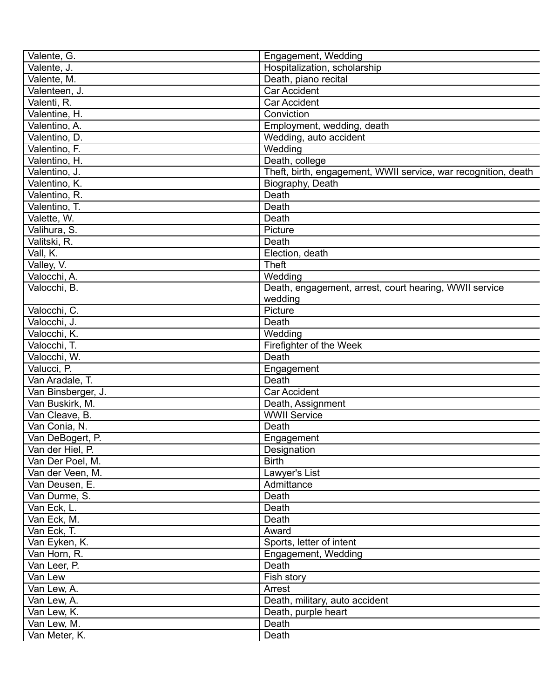| Valente, G.                | Engagement, Wedding                                            |
|----------------------------|----------------------------------------------------------------|
| Valente, J.                | Hospitalization, scholarship                                   |
| Valente, M.                | Death, piano recital                                           |
| Valenteen, J.              | <b>Car Accident</b>                                            |
| Valenti, R.                | Car Accident                                                   |
| Valentine, H.              | Conviction                                                     |
| Valentino, A.              | Employment, wedding, death                                     |
| Valentino, D.              | Wedding, auto accident                                         |
| Valentino, F.              | Wedding                                                        |
| Valentino, H.              | Death, college                                                 |
| Valentino, J.              | Theft, birth, engagement, WWII service, war recognition, death |
| Valentino, K.              | Biography, Death                                               |
| Valentino, R.              | Death                                                          |
| Valentino, T.              | Death                                                          |
| Valette, W.                | Death                                                          |
| Valihura, S.               | Picture                                                        |
| Valitski, R.               | Death                                                          |
| Vall, K.                   | Election, death                                                |
|                            | <b>Theft</b>                                                   |
| Valley, V.<br>Valocchi, A. | Wedding                                                        |
|                            |                                                                |
| Valocchi, B.               | Death, engagement, arrest, court hearing, WWII service         |
|                            | wedding                                                        |
| Valocchi, C.               | Picture                                                        |
| Valocchi, J.               | Death                                                          |
| Valocchi, K.               | Wedding                                                        |
| Valocchi, T.               | Firefighter of the Week                                        |
| Valocchi, W.               | Death                                                          |
| Valucci, P.                | Engagement                                                     |
| Van Aradale, T.            | Death                                                          |
| Van Binsberger, J.         | <b>Car Accident</b>                                            |
| Van Buskirk, M.            | Death, Assignment                                              |
| Van Cleave, B.             | <b>WWII Service</b>                                            |
| Van Conia, N.              | Death                                                          |
| Van DeBogert, P.           | Engagement                                                     |
| Van der Hiel, P.           | Designation                                                    |
| Van Der Poel, M.           | <b>Birth</b>                                                   |
| Van der Veen, M.           | Lawyer's List                                                  |
| Van Deusen, E.             | Admittance                                                     |
| Van Durme, S.              | Death                                                          |
| Van Eck, L.                | Death                                                          |
| Van Eck, M.                | Death                                                          |
| Van Eck, T.                | Award                                                          |
| Van Eyken, K.              | Sports, letter of intent                                       |
| Van Horn, R.               | Engagement, Wedding                                            |
| Van Leer, P.               | Death                                                          |
| Van Lew                    | Fish story                                                     |
| Van Lew, A.                | Arrest                                                         |
| Van Lew, A.                | Death, military, auto accident                                 |
| Van Lew, K.                | Death, purple heart                                            |
| Van Lew, M.                | Death                                                          |
| Van Meter, K.              | Death                                                          |
|                            |                                                                |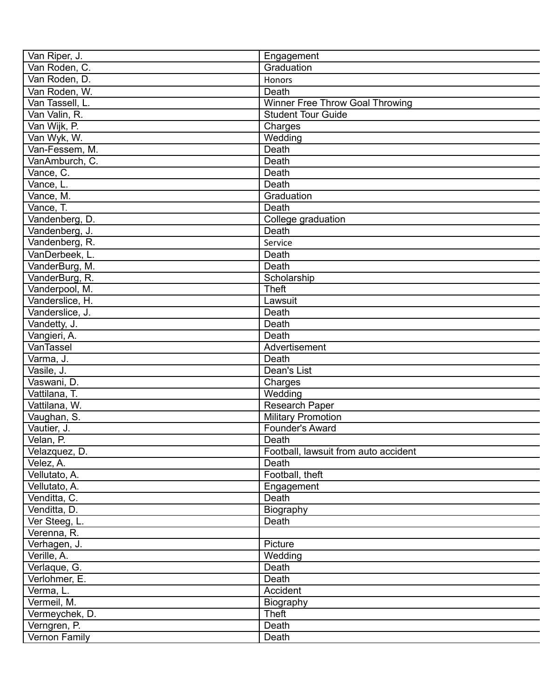| Van Riper, J.   | Engagement                           |
|-----------------|--------------------------------------|
| Van Roden, C.   | Graduation                           |
| Van Roden, D.   | Honors                               |
| Van Roden, W.   | Death                                |
| Van Tassell, L. | Winner Free Throw Goal Throwing      |
| Van Valin, R.   | <b>Student Tour Guide</b>            |
| Van Wijk, P.    | Charges                              |
| Van Wyk, W.     | Wedding                              |
| Van-Fessem, M.  | Death                                |
| VanAmburch, C.  | Death                                |
| Vance, C.       | Death                                |
| Vance, L.       | Death                                |
| Vance, M.       | Graduation                           |
| Vance, T.       | Death                                |
| Vandenberg, D.  | College graduation                   |
| Vandenberg, J.  | Death                                |
| Vandenberg, R.  | Service                              |
| VanDerbeek, L.  | Death                                |
| VanderBurg, M.  | Death                                |
| VanderBurg, R.  | Scholarship                          |
| Vanderpool, M.  | <b>Theft</b>                         |
| Vanderslice, H. | Lawsuit                              |
| Vanderslice, J. | Death                                |
| Vandetty, J.    | Death                                |
| Vangieri, A.    | Death                                |
| VanTassel       | Advertisement                        |
| Varma, J.       | Death                                |
| Vasile, J.      | Dean's List                          |
| Vaswani, D.     | Charges                              |
| Vattilana, T.   | Wedding                              |
| Vattilana, W.   | <b>Research Paper</b>                |
| Vaughan, S.     | <b>Military Promotion</b>            |
| Vautier, J.     | Founder's Award                      |
| Velan, P.       | Death                                |
| Velazquez, D.   | Football, lawsuit from auto accident |
| Velez, A.       | Death                                |
| Vellutato, A.   | Football, theft                      |
| Vellutato, A.   | Engagement                           |
| Venditta, C.    | Death                                |
| Venditta, D.    | Biography                            |
| Ver Steeg, L.   | Death                                |
| Verenna, R.     |                                      |
| Verhagen, J.    | Picture                              |
| Verille, A.     | Wedding                              |
| Verlaque, G.    | Death                                |
| Verlohmer, E.   | Death                                |
| Verma, L.       | Accident                             |
| Vermeil, M.     | Biography                            |
| Vermeychek, D.  | Theft                                |
| Verngren, P.    | Death                                |
| Vernon Family   | Death                                |
|                 |                                      |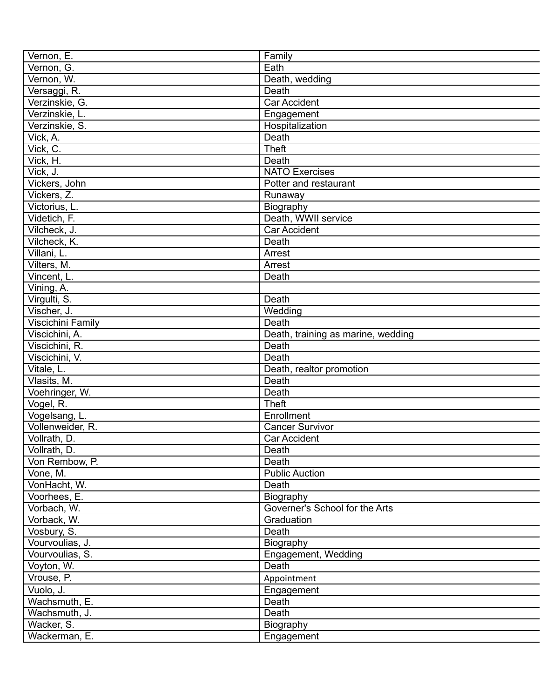| Vernon, E.                     | Family                             |
|--------------------------------|------------------------------------|
| Vernon, G.                     | Eath                               |
| Vernon, W.                     | Death, wedding                     |
| Versaggi, R.                   | Death                              |
| Verzinskie, G.                 | <b>Car Accident</b>                |
| Verzinskie, L.                 | Engagement                         |
| Verzinskie, S.                 | Hospitalization                    |
| Vick, A.                       | Death                              |
| Vick, C.                       | <b>Theft</b>                       |
| Vick, H.                       | Death                              |
| Vick, J.                       | <b>NATO Exercises</b>              |
| Vickers, John                  | Potter and restaurant              |
| Vickers, Z.                    | Runaway                            |
| Victorius, L.                  | Biography                          |
| Videtich, F.                   | Death, WWII service                |
| Vilcheck, J.                   | <b>Car Accident</b>                |
| Vilcheck, K.                   | Death                              |
| Villani, L.                    | Arrest                             |
| Vilters, M.                    | Arrest                             |
| Vincent, L.                    | Death                              |
| Vining, A.                     |                                    |
| Virgulti, S.                   | Death                              |
| Vischer, J.                    | Wedding                            |
| Viscichini Family              | Death                              |
| Viscichini, A.                 | Death, training as marine, wedding |
| Viscichini, R.                 | Death                              |
| Viscichini, V.                 | Death                              |
| Vitale, L.                     | Death, realtor promotion           |
| Vlasits, M.                    | Death                              |
| Voehringer, W.                 | Death                              |
| Vogel, R.                      | <b>Theft</b>                       |
| Vogelsang, L.                  | Enrollment                         |
| Vollenweider, R.               | Cancer Survivor                    |
| Vollrath, D.                   | <b>Car Accident</b>                |
|                                | Death                              |
| Vollrath, D.<br>Von Rembow, P. | Death                              |
|                                | <b>Public Auction</b>              |
| Vone, M.                       |                                    |
| VonHacht, W.                   | Death                              |
| Voorhees, E.                   | Biography                          |
| Vorbach, W.                    | Governer's School for the Arts     |
| Vorback, W.                    | Graduation                         |
| Vosbury, S.                    | Death                              |
| Vourvoulias, J.                | Biography                          |
| Vourvoulias, S.                | Engagement, Wedding                |
| Voyton, W.                     | Death                              |
| Vrouse, P.                     | Appointment                        |
| Vuolo, J.                      | Engagement                         |
| Wachsmuth, E.                  | Death                              |
| Wachsmuth, J.                  | Death                              |
| Wacker, S.                     | Biography                          |
| Wackerman, E.                  | Engagement                         |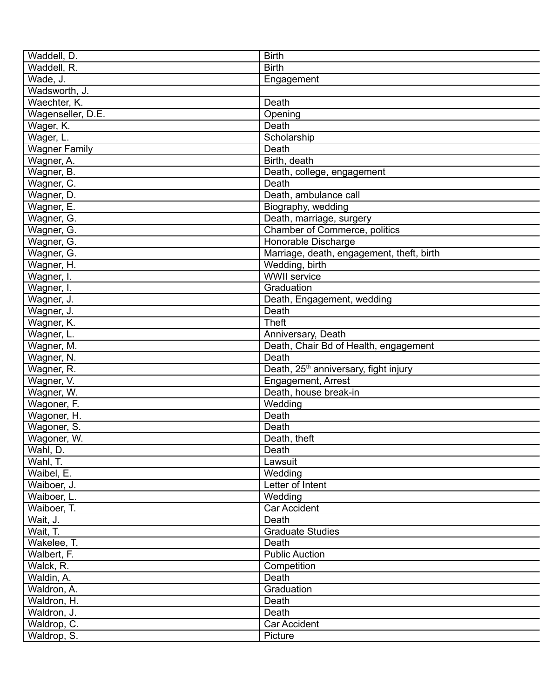| Waddell, D.          | <b>Birth</b>                                      |
|----------------------|---------------------------------------------------|
| Waddell, R.          | <b>Birth</b>                                      |
| Wade, J.             | Engagement                                        |
| Wadsworth, J.        |                                                   |
| Waechter, K.         | Death                                             |
| Wagenseller, D.E.    | Opening                                           |
| Wager, K.            | Death                                             |
| Wager, L.            | Scholarship                                       |
| <b>Wagner Family</b> | Death                                             |
| Wagner, A.           | Birth, death                                      |
| Wagner, B.           | Death, college, engagement                        |
| Wagner, C.           | Death                                             |
| Wagner, D.           | Death, ambulance call                             |
| Wagner, E.           | Biography, wedding                                |
| Wagner, G.           | Death, marriage, surgery                          |
| Wagner, G.           | Chamber of Commerce, politics                     |
| Wagner, G.           | Honorable Discharge                               |
| Wagner, G.           | Marriage, death, engagement, theft, birth         |
| Wagner, H.           | Wedding, birth                                    |
| Wagner, I.           | <b>WWII</b> service                               |
| Wagner, I.           | Graduation                                        |
| Wagner, J.           | Death, Engagement, wedding                        |
| Wagner, J.           | Death                                             |
| Wagner, K.           | <b>Theft</b>                                      |
| Wagner, L.           | Anniversary, Death                                |
| Wagner, M.           | Death, Chair Bd of Health, engagement             |
| Wagner, N.           | Death                                             |
| Wagner, R.           | Death, 25 <sup>th</sup> anniversary, fight injury |
| Wagner, V.           | Engagement, Arrest                                |
| Wagner, W.           | Death, house break-in                             |
| Wagoner, F.          | Wedding                                           |
| Wagoner, H.          | Death                                             |
| Wagoner, S.          | Death                                             |
| Wagoner, W.          | Death, theft                                      |
| Wahl, D.             | Death                                             |
| Wahl, T.             | Lawsuit                                           |
| Waibel, E.           | Wedding                                           |
| Waiboer, J.          | Letter of Intent                                  |
| Waiboer, L.          | Wedding                                           |
| Waiboer, T.          | <b>Car Accident</b>                               |
| Wait, J.             | Death                                             |
| Wait, T.             | <b>Graduate Studies</b>                           |
| Wakelee, T.          | Death                                             |
| Walbert, F.          | <b>Public Auction</b>                             |
| Walck, R.            | Competition                                       |
| Waldin, A.           | Death                                             |
| Waldron, A.          | Graduation                                        |
| Waldron, H.          | Death                                             |
| Waldron, J.          | Death                                             |
| Waldrop, C.          | Car Accident                                      |
| Waldrop, S.          | Picture                                           |
|                      |                                                   |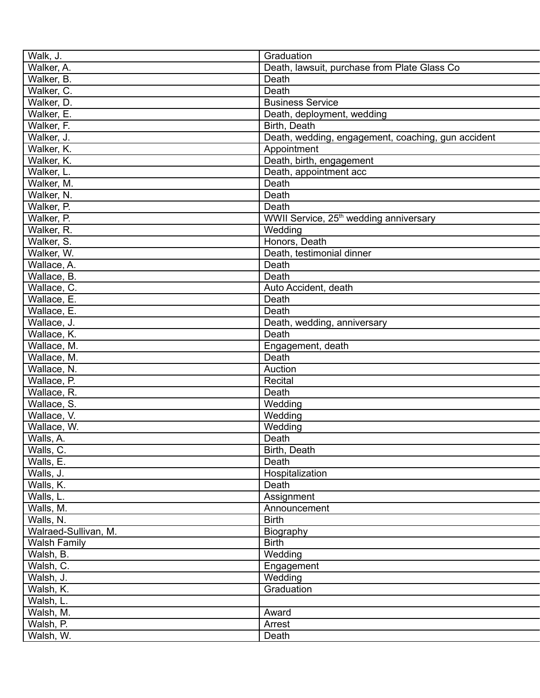| Walk, J.             | Graduation                                         |
|----------------------|----------------------------------------------------|
| Walker, A.           | Death, lawsuit, purchase from Plate Glass Co       |
| Walker, B.           | Death                                              |
| Walker, C.           | Death                                              |
| Walker, D.           | <b>Business Service</b>                            |
| Walker, E.           | Death, deployment, wedding                         |
| Walker, F.           | Birth, Death                                       |
| Walker, J.           | Death, wedding, engagement, coaching, gun accident |
| Walker, K.           | Appointment                                        |
| Walker, K.           | Death, birth, engagement                           |
| Walker, L.           | Death, appointment acc                             |
| Walker, M.           | Death                                              |
| Walker, N.           | Death                                              |
| Walker, P.           | Death                                              |
| Walker, P.           | WWII Service, 25 <sup>th</sup> wedding anniversary |
| Walker, R.           | Wedding                                            |
| Walker, S.           | Honors, Death                                      |
| Walker, W.           | Death, testimonial dinner                          |
| Wallace, A.          | Death                                              |
| Wallace, B.          | Death                                              |
| Wallace, C.          | Auto Accident, death                               |
| Wallace, E.          | Death                                              |
| Wallace, E.          | Death                                              |
| Wallace, J.          | Death, wedding, anniversary                        |
| Wallace, K.          | Death                                              |
| Wallace, M.          | Engagement, death                                  |
| Wallace, M.          | Death                                              |
| Wallace, N.          | Auction                                            |
| Wallace, P.          | Recital                                            |
| Wallace, R.          | Death                                              |
| Wallace, S.          | Wedding                                            |
| Wallace, V.          | Wedding                                            |
| Wallace, W.          | Wedding                                            |
| Walls, A.            | Death                                              |
| Walls, C.            | Birth, Death                                       |
| Walls, E.            | Death                                              |
| Walls, J.            | Hospitalization                                    |
| Walls, K.            | Death                                              |
| Walls, L.            | Assignment                                         |
| Walls, M.            | Announcement                                       |
| Walls, N.            | <b>Birth</b>                                       |
| Walraed-Sullivan, M. | Biography                                          |
| <b>Walsh Family</b>  | <b>Birth</b>                                       |
| Walsh, B.            | Wedding                                            |
| Walsh, C.            | Engagement                                         |
| Walsh, J.            | Wedding                                            |
| Walsh, K.            | Graduation                                         |
| Walsh, L.            |                                                    |
| Walsh, M.            | Award                                              |
| Walsh, P.            | Arrest                                             |
| Walsh, W.            | Death                                              |
|                      |                                                    |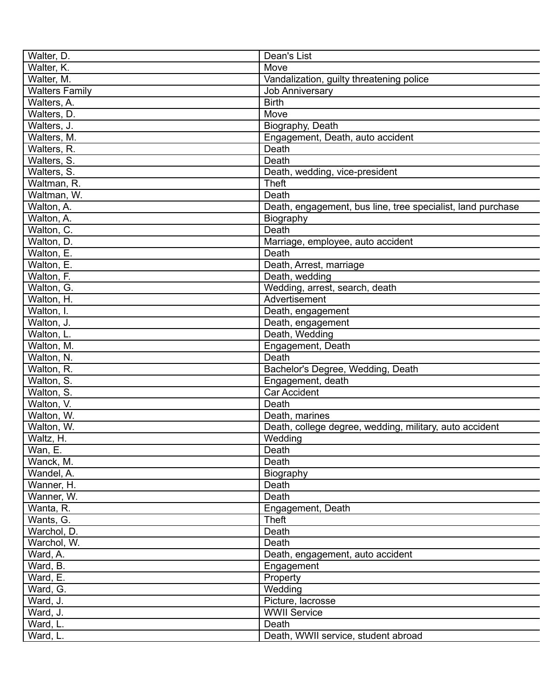| Walter, D.            |                                                             |
|-----------------------|-------------------------------------------------------------|
| Walter, K.            | Dean's List<br>Move                                         |
|                       |                                                             |
| Walter, M.            | Vandalization, guilty threatening police                    |
| <b>Walters Family</b> | <b>Job Anniversary</b><br><b>Birth</b>                      |
| Walters, A.           |                                                             |
| Walters, D.           | Move                                                        |
| Walters, J.           | Biography, Death                                            |
| Walters, M.           | Engagement, Death, auto accident                            |
| Walters, R.           | Death                                                       |
| Walters, S.           | Death                                                       |
| Walters, S.           | Death, wedding, vice-president                              |
| Waltman, R.           | <b>Theft</b>                                                |
| Waltman, W.           | Death                                                       |
| Walton, A.            | Death, engagement, bus line, tree specialist, land purchase |
| Walton, A.            | Biography                                                   |
| Walton, C.            | Death                                                       |
| Walton, D.            | Marriage, employee, auto accident                           |
| Walton, E.            | Death                                                       |
| Walton, E.            | Death, Arrest, marriage                                     |
| Walton, F.            | Death, wedding                                              |
| Walton, G.            | Wedding, arrest, search, death                              |
| Walton, H.            | Advertisement                                               |
| Walton, I.            | Death, engagement                                           |
| Walton, J.            | Death, engagement                                           |
| Walton, L.            | Death, Wedding                                              |
| Walton, M.            | Engagement, Death                                           |
| Walton, N.            | Death                                                       |
| Walton, R.            | Bachelor's Degree, Wedding, Death                           |
| Walton, S.            | Engagement, death                                           |
| Walton, S.            | <b>Car Accident</b>                                         |
| Walton, V.            | Death                                                       |
| Walton, W.            | Death, marines                                              |
| Walton, W.            | Death, college degree, wedding, military, auto accident     |
| Waltz, H.             | Wedding                                                     |
| Wan, E.               | Death                                                       |
| Wanck, M.             | Death                                                       |
| Wandel, A.            | Biography                                                   |
| Wanner, H.            | Death                                                       |
| Wanner, W.            | Death                                                       |
| Wanta, R.             | Engagement, Death                                           |
| Wants, G.             | <b>Theft</b>                                                |
| Warchol, D.           | Death                                                       |
| Warchol, W.           | Death                                                       |
| Ward, A.              | Death, engagement, auto accident                            |
| Ward, B.              | Engagement                                                  |
| Ward, E.              | Property                                                    |
| Ward, G.              | Wedding                                                     |
| Ward, J.              | Picture, lacrosse                                           |
| Ward, J.              | <b>WWII Service</b>                                         |
|                       |                                                             |
| Ward, L.              | Death                                                       |
| Ward, L.              | Death, WWII service, student abroad                         |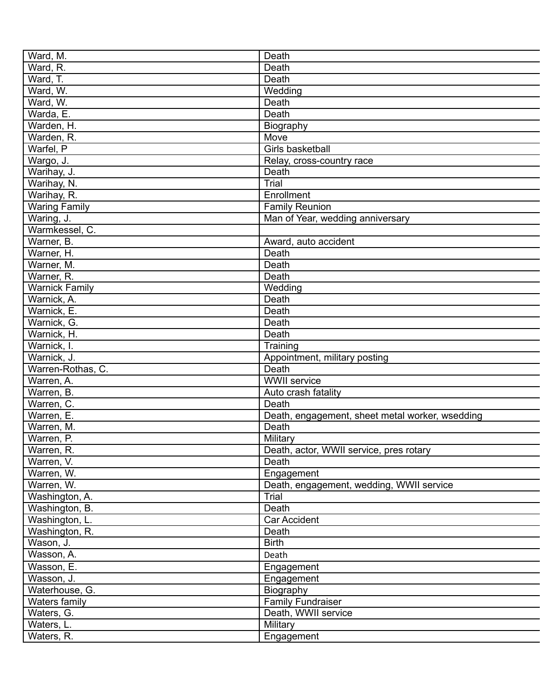| Ward, M.              | Death                                             |
|-----------------------|---------------------------------------------------|
| Ward, R.              | Death                                             |
| Ward, T.              | Death                                             |
| Ward, W.              | Wedding                                           |
| Ward, W.              | Death                                             |
| Warda, E.             | Death                                             |
| Warden, H.            | Biography                                         |
| Warden, R.            | Move                                              |
| Warfel, P             | Girls basketball                                  |
| Wargo, J.             | Relay, cross-country race                         |
| Warihay, J.           | Death                                             |
| Warihay, N.           | <b>Trial</b>                                      |
| Warihay, R.           | Enrollment                                        |
| <b>Waring Family</b>  | <b>Family Reunion</b>                             |
| Waring, J.            | Man of Year, wedding anniversary                  |
| Warmkessel, C.        |                                                   |
| Warner, B.            | Award, auto accident                              |
| Warner, H.            | Death                                             |
| Warner, M.            | Death                                             |
| Warner, R.            | Death                                             |
| <b>Warnick Family</b> | Wedding                                           |
| Warnick, A.           | Death                                             |
| Warnick, E.           | Death                                             |
| Warnick, G.           | Death                                             |
| Warnick, H.           | Death                                             |
| Warnick, I.           | Training                                          |
| Warnick, J.           | Appointment, military posting                     |
| Warren-Rothas, C.     | Death                                             |
| Warren, A.            | WWII service                                      |
| Warren, B.            | Auto crash fatality                               |
| Warren, C.            | Death                                             |
| Warren, E.            | Death, engagement, sheet metal worker, wsedding   |
| Warren, M.            | Death                                             |
| Warren, P.            | Military                                          |
| Warren, R.            | Death, actor, WWII service, pres rotary           |
| Warren, V.            | Death                                             |
| Warren, W.            | Engagement                                        |
| Warren, W.            |                                                   |
| Washington, A.        | Death, engagement, wedding, WWII service<br>Trial |
|                       |                                                   |
| Washington, B.        | Death                                             |
| Washington, L.        | Car Accident                                      |
| Washington, R.        | Death                                             |
| Wason, J.             | <b>Birth</b>                                      |
| Wasson, A.            | Death                                             |
| Wasson, E.            | Engagement                                        |
| Wasson, J.            | Engagement                                        |
| Waterhouse, G.        | Biography                                         |
| Waters family         | <b>Family Fundraiser</b>                          |
| Waters, G.            | Death, WWII service                               |
| Waters, L.            | Military                                          |
| Waters, R.            | Engagement                                        |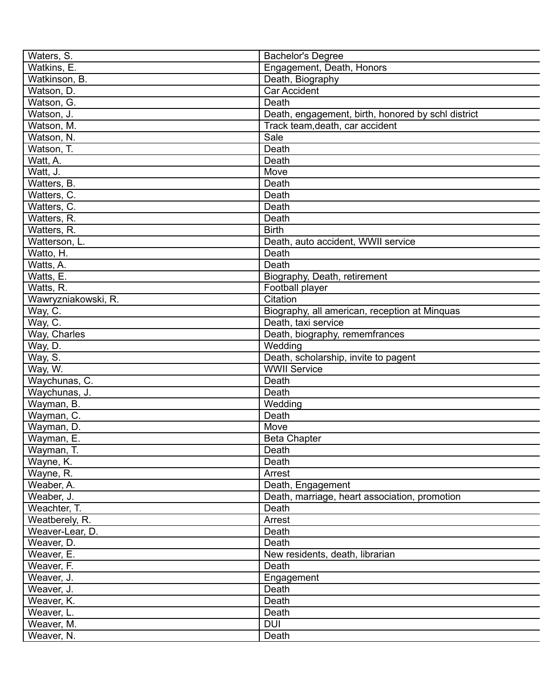| Waters, S.          | <b>Bachelor's Degree</b>                           |
|---------------------|----------------------------------------------------|
| Watkins, E.         | Engagement, Death, Honors                          |
| Watkinson, B.       | Death, Biography                                   |
| Watson, D.          | <b>Car Accident</b>                                |
| Watson, G.          | Death                                              |
| Watson, J.          | Death, engagement, birth, honored by schl district |
| Watson, M.          | Track team, death, car accident                    |
| Watson, N.          | Sale                                               |
| Watson, T.          | Death                                              |
| Watt, A.            | Death                                              |
| Watt, J.            | Move                                               |
| Watters, B.         | Death                                              |
| Watters, C.         | Death                                              |
| Watters, C.         | Death                                              |
| Watters, R.         | Death                                              |
| Watters, R.         | <b>Birth</b>                                       |
| Watterson, L.       | Death, auto accident, WWII service                 |
| Watto, H.           | Death                                              |
| Watts, A.           | Death                                              |
| Watts, E.           | Biography, Death, retirement                       |
| Watts, R.           | Football player                                    |
| Wawryzniakowski, R. | Citation                                           |
| Way, C.             | Biography, all american, reception at Minquas      |
| Way, C.             | Death, taxi service                                |
| Way, Charles        | Death, biography, rememfrances                     |
| Way, D.             | Wedding                                            |
| Way, S.             | Death, scholarship, invite to pagent               |
| Way, W.             | <b>WWII Service</b>                                |
| Waychunas, C.       | Death                                              |
| Waychunas, J.       | Death                                              |
| Wayman, B.          | Wedding                                            |
| Wayman, C.          | Death                                              |
| Wayman, D.          | Move                                               |
| Wayman, E.          | <b>Beta Chapter</b>                                |
| Wayman, T.          | Death                                              |
| Wayne, K.           | Death                                              |
| Wayne, R.           | Arrest                                             |
| Weaber, A.          | Death, Engagement                                  |
| Weaber, J.          | Death, marriage, heart association, promotion      |
| Weachter, T.        | Death                                              |
| Weatberely, R.      | Arrest                                             |
| Weaver-Lear, D.     | Death                                              |
| Weaver, D.          | Death                                              |
| Weaver, E.          | New residents, death, librarian                    |
| Weaver, F.          | Death                                              |
| Weaver, J.          | Engagement                                         |
| Weaver, J.          | Death                                              |
| Weaver, K.          | Death                                              |
| Weaver, L.          | Death                                              |
| Weaver, M.          | <b>DUI</b>                                         |
| Weaver, N.          | Death                                              |
|                     |                                                    |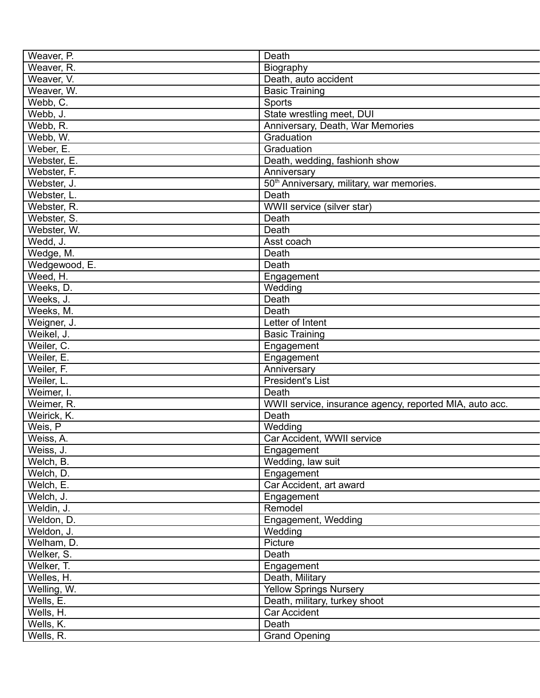| Weaver, P.             | Death                                                   |
|------------------------|---------------------------------------------------------|
| Weaver, R.             | Biography                                               |
| Weaver, V.             | Death, auto accident                                    |
| Weaver, W.             | <b>Basic Training</b>                                   |
| Webb, C.               | Sports                                                  |
| Webb, J.               | State wrestling meet, DUI                               |
| Webb, R.               | Anniversary, Death, War Memories                        |
| Webb, W.               | Graduation                                              |
| Weber, E.              | Graduation                                              |
| Webster, E.            | Death, wedding, fashionh show                           |
| Webster, F.            | Anniversary                                             |
| Webster, J.            | 50 <sup>th</sup> Anniversary, military, war memories.   |
| Webster, L.            | Death                                                   |
| Webster, R.            | WWII service (silver star)                              |
| Webster, S.            | Death                                                   |
| Webster, W.            | Death                                                   |
| Wedd, J.               | Asst coach                                              |
| Wedge, M.              | Death                                                   |
| Wedgewood, E.          | Death                                                   |
| Weed, H.               | Engagement                                              |
| Weeks, D.              | Wedding                                                 |
| Weeks, J.              | Death                                                   |
| Weeks, M.              | Death                                                   |
| Weigner, J.            | Letter of Intent                                        |
| Weikel, J.             | <b>Basic Training</b>                                   |
| Weiler, C.             | Engagement                                              |
| Weiler, E.             | Engagement                                              |
| Weiler, F.             | Anniversary                                             |
| Weiler, L.             | <b>President's List</b>                                 |
| Weimer, I.             | Death                                                   |
| Weimer, R.             | WWII service, insurance agency, reported MIA, auto acc. |
| Weirick, K.            | Death                                                   |
| Weis, P                | Wedding                                                 |
| Weiss, A.              | Car Accident, WWII service                              |
|                        |                                                         |
| Weiss, J.<br>Welch, B. | Engagement<br>Wedding, law suit                         |
| Welch, D.              | Engagement                                              |
| Welch, E.              | Car Accident, art award                                 |
|                        |                                                         |
| Welch, J.              | Engagement                                              |
| Weldin, J.             | Remodel                                                 |
| Weldon, D.             | Engagement, Wedding                                     |
| Weldon, J.             | Wedding                                                 |
| Welham, D.             | Picture                                                 |
| Welker, S.             | Death                                                   |
| Welker, T.             | Engagement                                              |
| Welles, H.             | Death, Military                                         |
| Welling, W.            | <b>Yellow Springs Nursery</b>                           |
| Wells, E.              | Death, military, turkey shoot                           |
| Wells, H.              | Car Accident                                            |
| Wells, K.              | Death                                                   |
| Wells, R.              | <b>Grand Opening</b>                                    |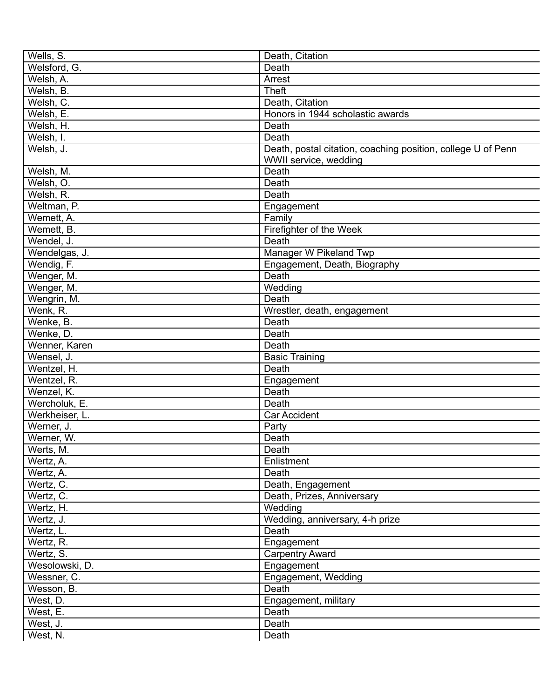| Wells, S.                | Death, Citation                                              |
|--------------------------|--------------------------------------------------------------|
| Welsford, G.             | Death                                                        |
| Welsh, A.                | Arrest                                                       |
| Welsh, B.                | <b>Theft</b>                                                 |
| Welsh, C.                | Death, Citation                                              |
| Welsh, E.                | Honors in 1944 scholastic awards                             |
| Welsh, H.                | Death                                                        |
| Welsh, I.                | Death                                                        |
| Welsh, J.                | Death, postal citation, coaching position, college U of Penn |
|                          | WWII service, wedding                                        |
| Welsh, M.                | Death                                                        |
| Welsh, O.                | Death                                                        |
| Welsh, R.                | Death                                                        |
| Weltman, P.              | Engagement                                                   |
| Wemett, A.               | Family                                                       |
| Wemett, B.               | Firefighter of the Week                                      |
| Wendel, J.               | Death                                                        |
| Wendelgas, J.            | Manager W Pikeland Twp                                       |
| Wendig, $\overline{F}$ . | Engagement, Death, Biography                                 |
| Wenger, M.               | Death                                                        |
| Wenger, M.               | Wedding                                                      |
| Wengrin, M.              | Death                                                        |
| Wenk, R.                 | Wrestler, death, engagement                                  |
| Wenke, B.                | Death                                                        |
| Wenke, D.                | Death                                                        |
| Wenner, Karen            | Death                                                        |
| Wensel, J.               | <b>Basic Training</b>                                        |
| Wentzel, H.              | Death                                                        |
|                          |                                                              |
| Wentzel, R.              | Engagement                                                   |
| Wenzel, K.               | Death                                                        |
| Wercholuk, E.            | Death                                                        |
| Werkheiser, L.           | <b>Car Accident</b>                                          |
| Werner, J.               | Party                                                        |
| Werner, W.               | Death                                                        |
| Werts, M.                | Death                                                        |
| Wertz, A.                | Enlistment                                                   |
| Wertz, A.                | Death                                                        |
| Wertz, C.                | Death, Engagement                                            |
| Wertz, C.                | Death, Prizes, Anniversary                                   |
| Wertz, H.                | Wedding                                                      |
| Wertz, J.                | Wedding, anniversary, 4-h prize                              |
| Wertz, L.                | Death                                                        |
| Wertz, R.                | Engagement                                                   |
| Wertz, S.                | <b>Carpentry Award</b>                                       |
| Wesolowski, D.           | Engagement                                                   |
| Wessner, C.              | Engagement, Wedding                                          |
| Wesson, B.               | Death                                                        |
| West, D.                 | Engagement, military                                         |
| West, E.                 | Death                                                        |
| West, J.                 | Death                                                        |
| West, N.                 | Death                                                        |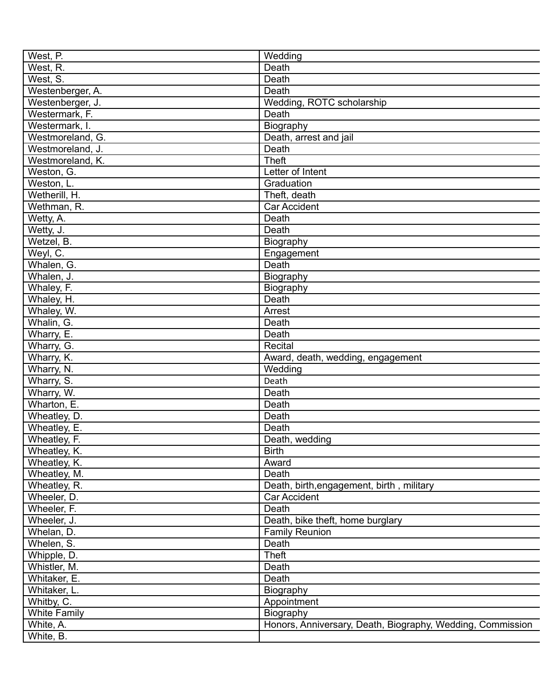| West, P.            | Wedding                                                    |
|---------------------|------------------------------------------------------------|
| West, R.            | Death                                                      |
| West, S.            | Death                                                      |
| Westenberger, A.    | Death                                                      |
| Westenberger, J.    | Wedding, ROTC scholarship                                  |
| Westermark, F.      | Death                                                      |
| Westermark, I.      | Biography                                                  |
| Westmoreland, G.    | Death, arrest and jail                                     |
| Westmoreland, J.    | Death                                                      |
| Westmoreland, K.    | <b>Theft</b>                                               |
| Weston, G.          | Letter of Intent                                           |
| Weston, L.          | Graduation                                                 |
| Wetherill, H.       | Theft, death                                               |
| Wethman, R.         | <b>Car Accident</b>                                        |
| Wetty, A.           | Death                                                      |
| Wetty, J.           | Death                                                      |
| Wetzel, B.          |                                                            |
|                     | Biography                                                  |
| Weyl, C.            | Engagement                                                 |
| Whalen, G.          | Death                                                      |
| Whalen, J.          | Biography                                                  |
| Whaley, F.          | Biography                                                  |
| Whaley, H.          | Death                                                      |
| Whaley, W.          | Arrest                                                     |
| Whalin, G.          | Death                                                      |
| Wharry, E.          | Death                                                      |
| Wharry, G.          | Recital                                                    |
| Wharry, K.          | Award, death, wedding, engagement                          |
| Wharry, N.          | Wedding                                                    |
| Wharry, S.          | Death                                                      |
| Wharry, W.          | Death                                                      |
| Wharton, E.         | Death                                                      |
| Wheatley, D.        | Death                                                      |
| Wheatley, E.        | Death                                                      |
| Wheatley, F.        | Death, wedding                                             |
| Wheatley, K.        | <b>Birth</b>                                               |
| Wheatley, K.        | Award                                                      |
| Wheatley, M.        | Death                                                      |
| Wheatley, R.        | Death, birth, engagement, birth, military                  |
| Wheeler, D.         | Car Accident                                               |
| Wheeler, F.         | Death                                                      |
| Wheeler, J.         | Death, bike theft, home burglary                           |
| Whelan, D.          | <b>Family Reunion</b>                                      |
| Whelen, S.          | Death                                                      |
| Whipple, D.         | <b>Theft</b>                                               |
| Whistler, M.        | Death                                                      |
| Whitaker, E.        | Death                                                      |
| Whitaker, L.        | Biography                                                  |
| Whitby, C.          | Appointment                                                |
| <b>White Family</b> | Biography                                                  |
| White, A.           | Honors, Anniversary, Death, Biography, Wedding, Commission |
| White, B.           |                                                            |
|                     |                                                            |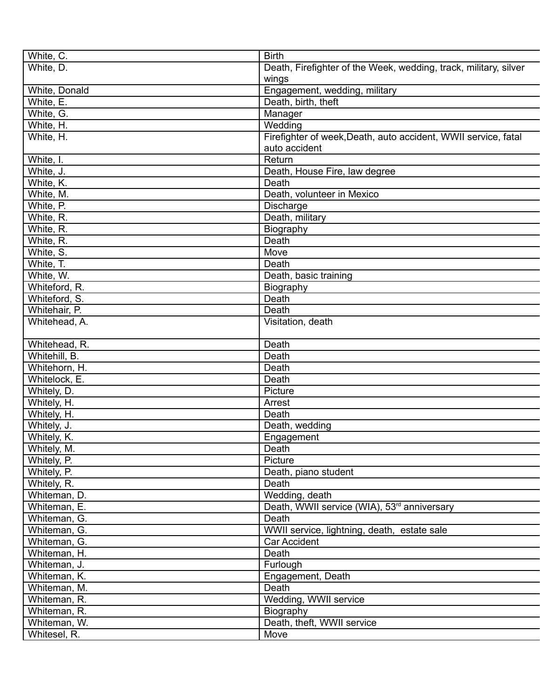| White, C.     | <b>Birth</b>                                                     |
|---------------|------------------------------------------------------------------|
| White, D.     | Death, Firefighter of the Week, wedding, track, military, silver |
|               | wings                                                            |
| White, Donald | Engagement, wedding, military                                    |
| White, E.     |                                                                  |
|               | Death, birth, theft                                              |
| White, G.     | Manager                                                          |
| White, H.     | Wedding                                                          |
| White, H.     | Firefighter of week, Death, auto accident, WWII service, fatal   |
|               | auto accident                                                    |
| White, I.     | Return                                                           |
| White, J.     | Death, House Fire, law degree                                    |
| White, K.     | Death                                                            |
| White, M.     | Death, volunteer in Mexico                                       |
| White, P.     | Discharge                                                        |
| White, R.     | Death, military                                                  |
| White, R.     | Biography                                                        |
| White, R.     | Death                                                            |
| White, S.     | Move                                                             |
| White, T.     | Death                                                            |
| White, W.     | Death, basic training                                            |
| Whiteford, R. | Biography                                                        |
| Whiteford, S. | Death                                                            |
| Whitehair, P. | Death                                                            |
| Whitehead, A. | Visitation, death                                                |
|               |                                                                  |
| Whitehead, R. | Death                                                            |
| Whitehill, B. | Death                                                            |
| Whitehorn, H. | Death                                                            |
| Whitelock, E. | Death                                                            |
| Whitely, D.   | Picture                                                          |
| Whitely, H.   | Arrest                                                           |
| Whitely, H.   | Death                                                            |
| Whitely, J.   | Death, wedding                                                   |
| Whitely, K.   | Engagement                                                       |
| Whitely, M.   | Death                                                            |
|               |                                                                  |
| Whitely, P.   | Picture                                                          |
| Whitely, P.   | Death, piano student                                             |
| Whitely, R.   | Death                                                            |
| Whiteman, D.  | Wedding, death                                                   |
| Whiteman, E.  | Death, WWII service (WIA), 53 <sup>rd</sup> anniversary          |
| Whiteman, G.  | Death                                                            |
| Whiteman, G.  | WWII service, lightning, death, estate sale                      |
| Whiteman, G.  | <b>Car Accident</b>                                              |
| Whiteman, H.  | Death                                                            |
| Whiteman, J.  | Furlough                                                         |
| Whiteman, K.  | Engagement, Death                                                |
| Whiteman, M.  | Death                                                            |
| Whiteman, R.  | Wedding, WWII service                                            |
| Whiteman, R.  | Biography                                                        |
| Whiteman, W.  | Death, theft, WWII service                                       |
| Whitesel, R.  | Move                                                             |
|               |                                                                  |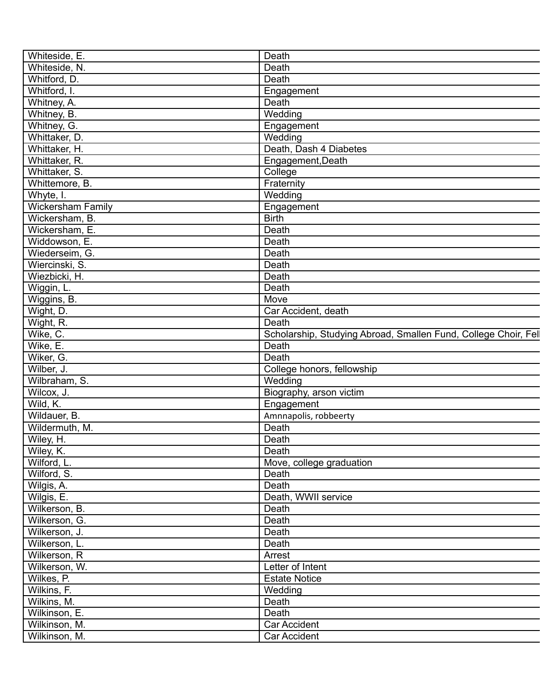| Whiteside, E.            | Death                                                          |
|--------------------------|----------------------------------------------------------------|
| Whiteside, N.            | Death                                                          |
| Whitford, D.             | Death                                                          |
| Whitford, I.             | Engagement                                                     |
| Whitney, A.              | Death                                                          |
| Whitney, B.              | Wedding                                                        |
| Whitney, G.              | Engagement                                                     |
| Whittaker, D.            | Wedding                                                        |
| Whittaker, H.            | Death, Dash 4 Diabetes                                         |
| Whittaker, R.            | Engagement, Death                                              |
| Whittaker, S.            | College                                                        |
| Whittemore, B.           | Fraternity                                                     |
| Whyte, I.                | Wedding                                                        |
| <b>Wickersham Family</b> | Engagement                                                     |
| Wickersham, B.           | <b>Birth</b>                                                   |
| Wickersham, E.           | Death                                                          |
| Widdowson, E.            | Death                                                          |
| Wiederseim, G.           | Death                                                          |
| Wiercinski, S.           | Death                                                          |
| Wiezbicki, H.            | Death                                                          |
| Wiggin, L.               | Death                                                          |
| Wiggins, B.              | Move                                                           |
| Wight, D.                | Car Accident, death                                            |
|                          | Death                                                          |
| Wight, R.                | Scholarship, Studying Abroad, Smallen Fund, College Choir, Fel |
| Wike, C.<br>Wike, E.     | Death                                                          |
|                          | Death                                                          |
| Wiker, G.                |                                                                |
| Wilber, J.               | College honors, fellowship                                     |
| Wilbraham, S.            | Wedding                                                        |
| Wilcox, J.               | Biography, arson victim                                        |
| Wild, K.                 | Engagement                                                     |
| Wildauer, B.             | Amnnapolis, robbeerty                                          |
| Wildermuth, M.           | Death                                                          |
| Wiley, H.                | Death                                                          |
| Wiley, K.                | Death                                                          |
| Wilford, L.              | Move, college graduation                                       |
| Wilford, S.              | Death                                                          |
| Wilgis, A.               | Death                                                          |
| Wilgis, E.               | Death, WWII service                                            |
| Wilkerson, B.            | Death                                                          |
| Wilkerson, G.            | Death                                                          |
| Wilkerson, J.            | Death                                                          |
| Wilkerson, L.            | Death                                                          |
| Wilkerson, R             | Arrest                                                         |
| Wilkerson, W.            | Letter of Intent                                               |
| Wilkes, P.               | <b>Estate Notice</b>                                           |
| Wilkins, F.              | Wedding                                                        |
| Wilkins, M.              | Death                                                          |
| Wilkinson, E.            | Death                                                          |
| Wilkinson, M.            | Car Accident                                                   |
| Wilkinson, M.            | Car Accident                                                   |
|                          |                                                                |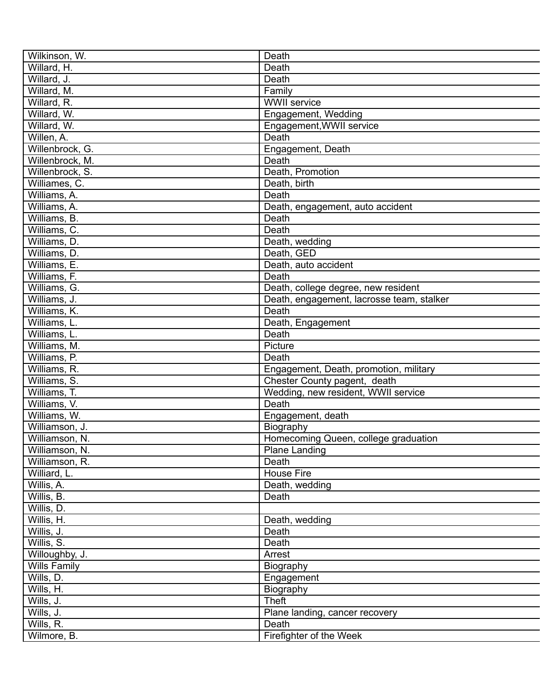| Wilkinson, W.       | Death                                     |
|---------------------|-------------------------------------------|
| Willard, H.         | Death                                     |
| Willard, J.         | Death                                     |
| Willard, M.         | Family                                    |
| Willard, R.         | <b>WWII</b> service                       |
| Willard, W.         | Engagement, Wedding                       |
| Willard, W.         | Engagement, WWII service                  |
| Willen, A.          | Death                                     |
| Willenbrock, G.     | Engagement, Death                         |
| Willenbrock, M.     | Death                                     |
| Willenbrock, S.     | Death, Promotion                          |
| Williames, C.       | Death, birth                              |
| Williams, A.        | Death                                     |
| Williams, A.        | Death, engagement, auto accident          |
| Williams, B.        | Death                                     |
| Williams, C.        | Death                                     |
| Williams, D.        | Death, wedding                            |
| Williams, D.        | Death, GED                                |
| Williams, E.        | Death, auto accident                      |
| Williams, F.        | Death                                     |
| Williams, G.        |                                           |
|                     | Death, college degree, new resident       |
| Williams, J.        | Death, engagement, lacrosse team, stalker |
| Williams, K.        | Death                                     |
| Williams, L.        | Death, Engagement                         |
| Williams, L.        | Death                                     |
| Williams, M.        | Picture                                   |
| Williams, P.        | Death                                     |
| Williams, R.        | Engagement, Death, promotion, military    |
| Williams, S.        | Chester County pagent, death              |
| Williams, T.        | Wedding, new resident, WWII service       |
| Williams, V.        | Death                                     |
| Williams, W.        | Engagement, death                         |
| Williamson, J.      | Biography                                 |
| Williamson, N.      | Homecoming Queen, college graduation      |
| Williamson, N.      | <b>Plane Landing</b>                      |
| Williamson, R.      | Death                                     |
| Williard, L.        | House Fire                                |
| Willis, A.          | Death, wedding                            |
| Willis, B.          | Death                                     |
| Willis, D.          |                                           |
| Willis, H.          | Death, wedding                            |
| Willis, J.          | Death                                     |
| Willis, S.          | Death                                     |
| Willoughby, J.      | Arrest                                    |
| <b>Wills Family</b> | Biography                                 |
| Wills, D.           | Engagement                                |
| Wills, H.           | Biography                                 |
| Wills, J.           | <b>Theft</b>                              |
| Wills, J.           | Plane landing, cancer recovery            |
| Wills, R.           | Death                                     |
| Wilmore, B.         | Firefighter of the Week                   |
|                     |                                           |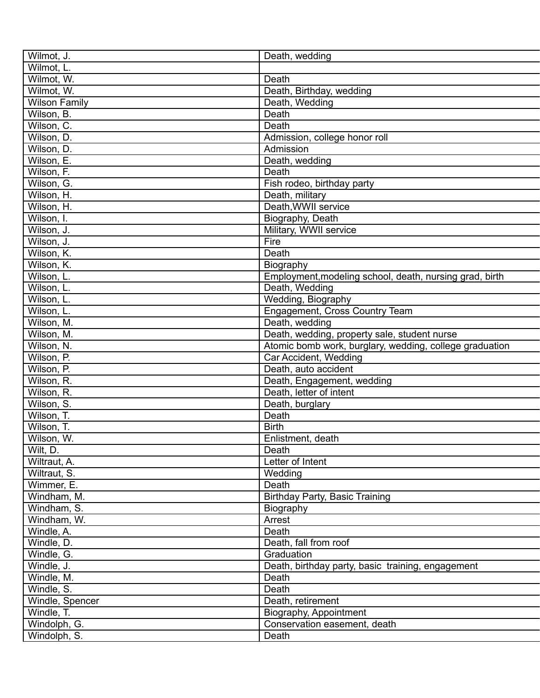| Wilmot, J.           | Death, wedding                                          |
|----------------------|---------------------------------------------------------|
| Wilmot, L.           |                                                         |
| Wilmot, W.           | Death                                                   |
| Wilmot, W.           | Death, Birthday, wedding                                |
| <b>Wilson Family</b> | Death, Wedding                                          |
| Wilson, B.           | Death                                                   |
| Wilson, C.           | Death                                                   |
| Wilson, D.           | Admission, college honor roll                           |
| Wilson, D.           | Admission                                               |
| Wilson, E.           | Death, wedding                                          |
| Wilson, F.           | Death                                                   |
| Wilson, G.           | Fish rodeo, birthday party                              |
| Wilson, H.           | Death, military                                         |
| Wilson, H.           | Death, WWII service                                     |
| Wilson, I.           | Biography, Death                                        |
| Wilson, J.           | Military, WWII service                                  |
| Wilson, J.           | Fire                                                    |
| Wilson, K.           | Death                                                   |
| Wilson, K.           | Biography                                               |
| Wilson, L.           | Employment, modeling school, death, nursing grad, birth |
| Wilson, L.           | Death, Wedding                                          |
| Wilson, L.           | Wedding, Biography                                      |
| Wilson, L.           | Engagement, Cross Country Team                          |
| Wilson, M.           | Death, wedding                                          |
| Wilson, M.           | Death, wedding, property sale, student nurse            |
| Wilson, N.           | Atomic bomb work, burglary, wedding, college graduation |
| Wilson, P.           | Car Accident, Wedding                                   |
| Wilson, P.           | Death, auto accident                                    |
| Wilson, R.           | Death, Engagement, wedding                              |
| Wilson, R.           | Death, letter of intent                                 |
| Wilson, S.           | Death, burglary                                         |
| Wilson, T.           | Death                                                   |
| Wilson, T.           | <b>Birth</b>                                            |
| Wilson, W.           | Enlistment, death                                       |
| Wilt, D.             | Death                                                   |
| Wiltraut, A.         | Letter of Intent                                        |
| Wiltraut, S.         | Wedding                                                 |
| Wimmer, E.           | Death                                                   |
| Windham, M.          | <b>Birthday Party, Basic Training</b>                   |
| Windham, S.          | Biography                                               |
| Windham, W.          | Arrest                                                  |
| Windle, A.           | Death                                                   |
| Windle, D.           | Death, fall from roof                                   |
| Windle, G.           | Graduation                                              |
| Windle, J.           | Death, birthday party, basic training, engagement       |
| Windle, M.           | Death                                                   |
| Windle, S.           | Death                                                   |
| Windle, Spencer      | Death, retirement                                       |
| Windle, T.           | Biography, Appointment                                  |
| Windolph, G.         | Conservation easement, death                            |
| Windolph, S.         | Death                                                   |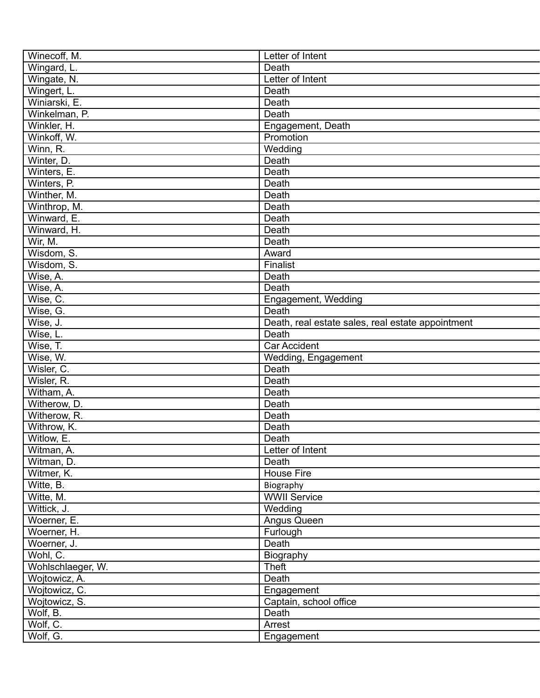| Winecoff, M.      | Letter of Intent                                  |
|-------------------|---------------------------------------------------|
| Wingard, L.       | Death                                             |
| Wingate, N.       | Letter of Intent                                  |
| Wingert, L.       | Death                                             |
| Winiarski, E.     | Death                                             |
| Winkelman, P.     | Death                                             |
| Winkler, H.       | Engagement, Death                                 |
| Winkoff, W.       | Promotion                                         |
| Winn, R.          | Wedding                                           |
| Winter, D.        | Death                                             |
| Winters, E.       | Death                                             |
| Winters, P.       | Death                                             |
| Winther, M.       | Death                                             |
| Winthrop, M.      | Death                                             |
| Winward, E.       | Death                                             |
| Winward, H.       | Death                                             |
| Wir, M.           | Death                                             |
| Wisdom, S.        | Award                                             |
| Wisdom, S.        | Finalist                                          |
| Wise, A.          | Death                                             |
| Wise, A.          | Death                                             |
| Wise, C.          | Engagement, Wedding                               |
| Wise, G.          | Death                                             |
|                   |                                                   |
| Wise, J.          | Death, real estate sales, real estate appointment |
| Wise, L.          | Death                                             |
| Wise, T.          | Car Accident                                      |
| Wise, W.          | Wedding, Engagement                               |
| Wisler, C.        | Death                                             |
| Wisler, R.        | Death                                             |
| Witham, A.        | Death                                             |
| Witherow, D.      | Death                                             |
| Witherow, R.      | Death                                             |
| Withrow, K.       | Death                                             |
| Witlow, E.        | Death                                             |
| Witman, A.        | Letter of Intent                                  |
| Witman, D.        | Death                                             |
| Witmer, K.        | <b>House Fire</b>                                 |
| Witte, B.         | Biography                                         |
| Witte, M.         | <b>WWII Service</b>                               |
| Wittick, J.       | Wedding                                           |
| Woerner, E.       | Angus Queen                                       |
| Woerner, H.       | Furlough                                          |
| Woerner, J.       | Death                                             |
| Wohl, C.          | Biography                                         |
| Wohlschlaeger, W. | <b>Theft</b>                                      |
| Wojtowicz, A.     | Death                                             |
| Wojtowicz, C.     | Engagement                                        |
| Wojtowicz, S.     | Captain, school office                            |
| Wolf, B.          | Death                                             |
| Wolf, C.          | Arrest                                            |
| Wolf, G.          | Engagement                                        |
|                   |                                                   |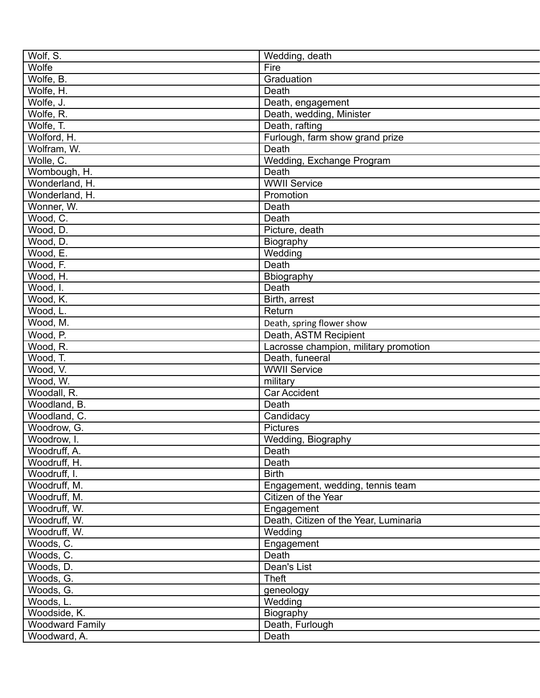| Wolf, S.                 | Wedding, death                           |
|--------------------------|------------------------------------------|
| Wolfe                    | Fire                                     |
| Wolfe, B.                | Graduation                               |
| Wolfe, H.                | Death                                    |
| Wolfe, J.                | Death, engagement                        |
| Wolfe, R.                | Death, wedding, Minister                 |
| Wolfe, T.                | Death, rafting                           |
| Wolford, H.              |                                          |
|                          | Furlough, farm show grand prize<br>Death |
| Wolfram, W.<br>Wolle, C. |                                          |
|                          | Wedding, Exchange Program                |
| Wombough, H.             | Death                                    |
| Wonderland, H.           | <b>WWII</b> Service                      |
| Wonderland, H.           | Promotion                                |
| Wonner, W.               | Death                                    |
| Wood, C.                 | Death                                    |
| Wood, D.                 | Picture, death                           |
| Wood, D.                 | Biography                                |
| Wood, E.                 | Wedding                                  |
| Wood, F.                 | Death                                    |
| Wood, H.                 | Bbiography                               |
| $\overline{W}$ ood, I.   | Death                                    |
| Wood, K.                 | Birth, arrest                            |
| Wood, L.                 | Return                                   |
| Wood, M.                 | Death, spring flower show                |
| Wood, P.                 | Death, ASTM Recipient                    |
| Wood, R.                 | Lacrosse champion, military promotion    |
| Wood, T.                 | Death, funeeral                          |
| Wood, V.                 | <b>WWII Service</b>                      |
| Wood, W.                 | military                                 |
| Woodall, R.              | Car Accident                             |
| Woodland, B.             | Death                                    |
| Woodland, C.             | Candidacy                                |
| Woodrow, G.              | <b>Pictures</b>                          |
| Woodrow, I.              | Wedding, Biography                       |
| Woodruff, A.             | Death                                    |
| Woodruff, H.             | Death                                    |
| Woodruff, I.             | <b>Birth</b>                             |
| Woodruff, M.             | Engagement, wedding, tennis team         |
| Woodruff, M.             | Citizen of the Year                      |
| Woodruff, W.             | Engagement                               |
| Woodruff, W.             | Death, Citizen of the Year, Luminaria    |
| Woodruff, W.             | Wedding                                  |
| Woods, C.                | Engagement                               |
| Woods, C.                | Death                                    |
| Woods, D.                | Dean's List                              |
| Woods, G.                | <b>Theft</b>                             |
| Woods, G.                | geneology                                |
| Woods, L.                | Wedding                                  |
| Woodside, K.             | Biography                                |
| <b>Woodward Family</b>   | Death, Furlough                          |
| Woodward, A.             | Death                                    |
|                          |                                          |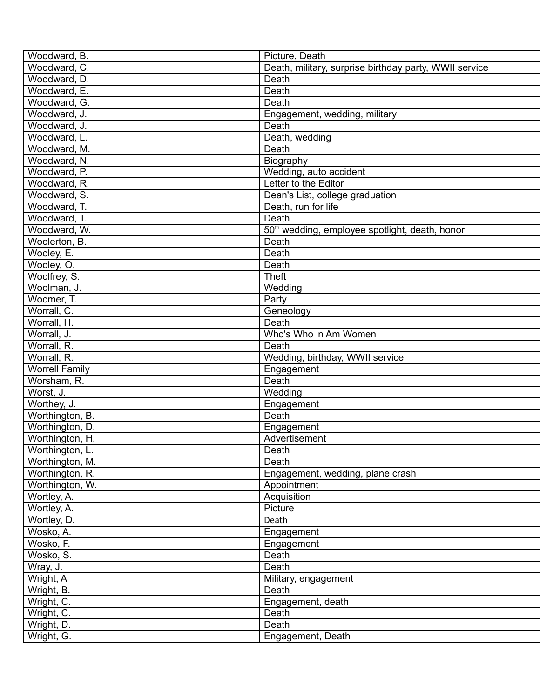| Woodward, B.          | Picture, Death                                             |
|-----------------------|------------------------------------------------------------|
| Woodward, C.          | Death, military, surprise birthday party, WWII service     |
| Woodward, D.          | Death                                                      |
| Woodward, E.          | Death                                                      |
| Woodward, G.          | Death                                                      |
| Woodward, J.          | Engagement, wedding, military                              |
| Woodward, J.          | Death                                                      |
| Woodward, L.          | Death, wedding                                             |
| Woodward, M.          | Death                                                      |
| Woodward, N.          | Biography                                                  |
| Woodward, P.          | Wedding, auto accident                                     |
| Woodward, R.          | Letter to the Editor                                       |
| Woodward, S.          | Dean's List, college graduation                            |
| Woodward, T.          | Death, run for life                                        |
| Woodward, T.          | Death                                                      |
| Woodward, W.          | 50 <sup>th</sup> wedding, employee spotlight, death, honor |
| Woolerton, B.         | Death                                                      |
| Wooley, E.            | Death                                                      |
| Wooley, O.            | Death                                                      |
| Woolfrey, S.          | Theft                                                      |
| Woolman, J.           | Wedding                                                    |
| Woomer, T.            | Party                                                      |
| Worrall, C.           | Geneology                                                  |
| Worrall, H.           | Death                                                      |
| Worrall, J.           | Who's Who in Am Women                                      |
| Worrall, R.           | Death                                                      |
| Worrall, R.           | Wedding, birthday, WWII service                            |
| <b>Worrell Family</b> |                                                            |
| Worsham, R.           | Engagement<br>Death                                        |
| Worst, J.             |                                                            |
|                       | Wedding                                                    |
| Worthey, J.           | Engagement                                                 |
| Worthington, B.       | Death                                                      |
| Worthington, D.       | Engagement                                                 |
| Worthington, H.       | Advertisement                                              |
| Worthington, L.       | Death                                                      |
| Worthington, M.       | Death                                                      |
| Worthington, R.       | Engagement, wedding, plane crash                           |
| Worthington, W.       | Appointment                                                |
| Wortley, A.           | Acquisition                                                |
| Wortley, A.           | Picture                                                    |
| Wortley, D.           | Death                                                      |
| Wosko, A.             | Engagement                                                 |
| Wosko, F.             | Engagement                                                 |
| Wosko, S.             | Death                                                      |
| Wray, J.              | Death                                                      |
| Wright, A             | Military, engagement                                       |
| Wright, B.            | Death                                                      |
| Wright, C.            | Engagement, death                                          |
| Wright, C.            | Death                                                      |
| Wright, D.            | Death                                                      |
| Wright, G.            | Engagement, Death                                          |
|                       |                                                            |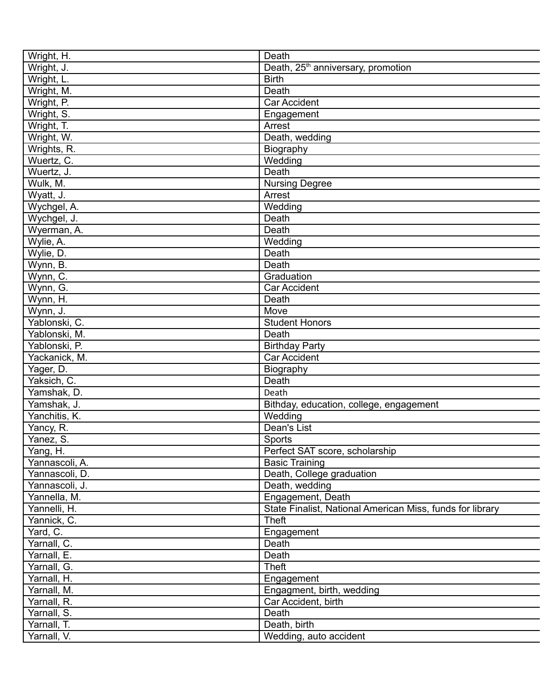| Wright, H.               | Death                                                     |
|--------------------------|-----------------------------------------------------------|
| Wright, J.               | Death, 25 <sup>th</sup> anniversary, promotion            |
| Wright, L.               | <b>Birth</b>                                              |
| Wright, M.               | Death                                                     |
| Wright, P.               | <b>Car Accident</b>                                       |
| Wright, S.               | Engagement                                                |
| Wright, T.               | Arrest                                                    |
| Wright, W.               | Death, wedding                                            |
| Wrights, R.              | Biography                                                 |
| Wuertz, C.               | Wedding                                                   |
| Wuertz, J.               | Death                                                     |
| Wulk, M.                 | Nursing Degree                                            |
| Wyatt, J.                | Arrest                                                    |
| Wychgel, A.              | Wedding                                                   |
| Wychgel, J.              | Death                                                     |
| Wyerman, A.              | Death                                                     |
| Wylie, A.                | Wedding                                                   |
| Wylie, D.                | Death                                                     |
| Wynn, B.                 | Death                                                     |
| Wynn, C.                 | Graduation                                                |
| Wynn, G.                 | <b>Car Accident</b>                                       |
| Wynn, H.                 | Death                                                     |
| Wynn, J.                 | Move                                                      |
| Yablonski, C.            | <b>Student Honors</b>                                     |
| Yablonski, M.            | Death                                                     |
| Yablonski, P.            | <b>Birthday Party</b>                                     |
| Yackanick, M.            | <b>Car Accident</b>                                       |
|                          |                                                           |
| Yager, D.<br>Yaksich, C. | Biography<br>Death                                        |
| Yamshak, D.              |                                                           |
|                          | Death                                                     |
| Yamshak, J.              | Bithday, education, college, engagement                   |
| Yanchitis, K.            | Wedding                                                   |
| Yancy, R.                | Dean's List                                               |
| Yanez, S.                | Sports                                                    |
| Yang, H.                 | Perfect SAT score, scholarship                            |
| Yannascoli, A.           | <b>Basic Training</b>                                     |
| Yannascoli, D.           | Death, College graduation                                 |
| Yannascoli, J.           | Death, wedding                                            |
| Yannella, M.             | Engagement, Death                                         |
| Yannelli, H.             | State Finalist, National American Miss, funds for library |
| Yannick, C.              | <b>Theft</b>                                              |
| Yard, C.                 | Engagement                                                |
| Yarnall, C.              | Death                                                     |
| Yarnall, E.              | Death                                                     |
| Yarnall, G.              | Theft                                                     |
| Yarnall, H.              | Engagement                                                |
| Yarnall, M.              | Engagment, birth, wedding                                 |
| Yarnall, R.              | Car Accident, birth                                       |
| Yarnall, S.              | Death                                                     |
| Yarnall, T.              | Death, birth                                              |
| Yarnall, V.              | Wedding, auto accident                                    |
|                          |                                                           |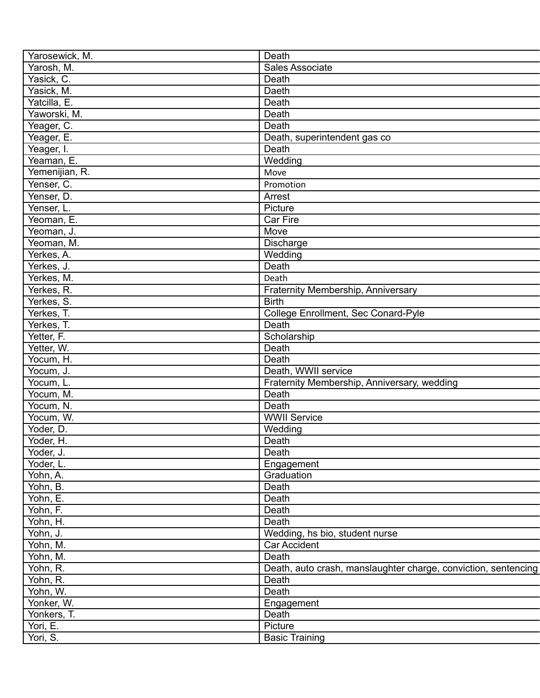| Yarosewick, M. | Death                                                          |
|----------------|----------------------------------------------------------------|
| Yarosh, M.     | Sales Associate                                                |
| Yasick, C.     | Death                                                          |
| Yasick, M.     | Daeth                                                          |
| Yatcilla, E.   | Death                                                          |
| Yaworski, M.   | Death                                                          |
| Yeager, C.     | Death                                                          |
| Yeager, E.     | Death, superintendent gas co                                   |
| Yeager, I.     | Death                                                          |
| Yeaman, E.     | Wedding                                                        |
| Yemenijian, R. | Move                                                           |
| Yenser, C.     | Promotion                                                      |
| Yenser, D.     | Arrest                                                         |
| Yenser, L.     | Picture                                                        |
| Yeoman, E.     | Car Fire                                                       |
| Yeoman, J.     | Move                                                           |
| Yeoman, M.     | Discharge                                                      |
| Yerkes, A.     | Wedding                                                        |
| Yerkes, J.     | Death                                                          |
| Yerkes, M.     | Death                                                          |
|                |                                                                |
| Yerkes, R.     | Fraternity Membership, Anniversary                             |
| Yerkes, S.     | <b>Birth</b>                                                   |
| Yerkes, T.     | College Enrollment, Sec Conard-Pyle                            |
| Yerkes, T.     | Death                                                          |
| Yetter, F.     | Scholarship                                                    |
| Yetter, W.     | Death                                                          |
| Yocum, H.      | Death                                                          |
| Yocum, J.      | Death, WWII service                                            |
| Yocum, L.      | Fraternity Membership, Anniversary, wedding                    |
| Yocum, M.      | Death                                                          |
| Yocum, N.      | Death                                                          |
| Yocum, W.      | <b>WWII Service</b>                                            |
| Yoder, D.      | Wedding                                                        |
| Yoder, H.      | Death                                                          |
| Yoder, J.      | Death                                                          |
| Yoder, L.      | Engagement                                                     |
| Yohn, A.       | Graduation                                                     |
| Yohn, B.       | Death                                                          |
| Yohn, E.       | Death                                                          |
| Yohn, F.       | Death                                                          |
| Yohn, H.       | Death                                                          |
| Yohn, J.       | Wedding, hs bio, student nurse                                 |
| Yohn, M.       | Car Accident                                                   |
| Yohn, M.       | Death                                                          |
| Yohn, R.       | Death, auto crash, manslaughter charge, conviction, sentencing |
| Yohn, R.       | Death                                                          |
| Yohn, W.       | Death                                                          |
| Yonker, W.     | Engagement                                                     |
| Yonkers, T.    | Death                                                          |
| Yori, E.       | Picture                                                        |
| Yori, S.       | <b>Basic Training</b>                                          |
|                |                                                                |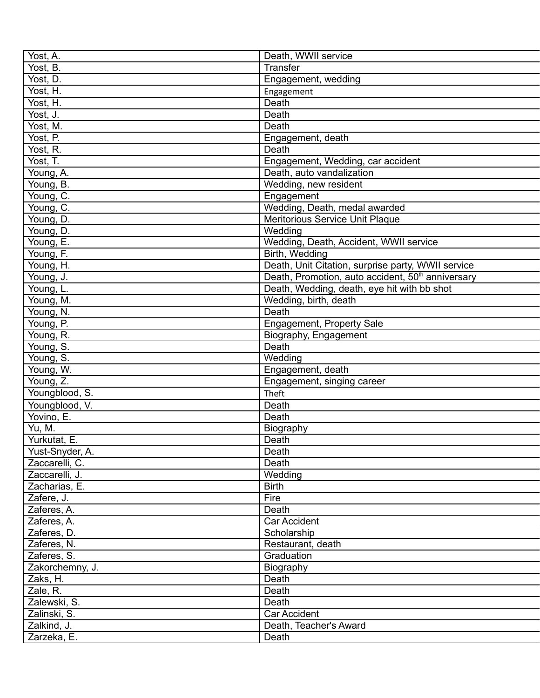| Yost, A.        | Death, WWII service                                           |
|-----------------|---------------------------------------------------------------|
| Yost, B.        | Transfer                                                      |
| Yost, D.        | Engagement, wedding                                           |
| Yost, H.        | Engagement                                                    |
| Yost, H.        | Death                                                         |
| Yost, J.        | Death                                                         |
| Yost, M.        | Death                                                         |
| Yost, P.        | Engagement, death                                             |
| Yost, R.        | Death                                                         |
| Yost, T.        | Engagement, Wedding, car accident                             |
| Young, A.       | Death, auto vandalization                                     |
| Young, B.       | Wedding, new resident                                         |
| Young, C.       | Engagement                                                    |
| Young, C.       | Wedding, Death, medal awarded                                 |
| Young, D.       | Meritorious Service Unit Plaque                               |
| Young, D.       | Wedding                                                       |
| Young, E.       | Wedding, Death, Accident, WWII service                        |
| Young, F.       | Birth, Wedding                                                |
| Young, H.       | Death, Unit Citation, surprise party, WWII service            |
| Young, J.       | Death, Promotion, auto accident, 50 <sup>th</sup> anniversary |
| Young, L.       | Death, Wedding, death, eye hit with bb shot                   |
| Young, M.       | Wedding, birth, death                                         |
| Young, N.       | Death                                                         |
| Young, P.       |                                                               |
| Young, R.       | Engagement, Property Sale<br>Biography, Engagement            |
| Young, S.       | Death                                                         |
| Young, S.       | Wedding                                                       |
| Young, W.       | Engagement, death                                             |
| Young, Z.       |                                                               |
| Youngblood, S.  | Engagement, singing career<br>Theft                           |
|                 |                                                               |
| Youngblood, V.  | Death                                                         |
| Yovino, E.      | Death                                                         |
| Yu, M.          | Biography                                                     |
| Yurkutat, E.    | Death                                                         |
| Yust-Snyder, A. | Death                                                         |
| Zaccarelli, C.  | Death                                                         |
| Zaccarelli, J.  | Wedding                                                       |
| Zacharias, E.   | <b>Birth</b>                                                  |
| Zafere, J.      | Fire                                                          |
| Zaferes, A.     | Death                                                         |
| Zaferes, A.     | Car Accident                                                  |
| Zaferes, D.     | Scholarship                                                   |
| Zaferes, N.     | Restaurant, death                                             |
| Zaferes, S.     | Graduation                                                    |
| Zakorchemny, J. | Biography                                                     |
| Zaks, H.        | Death                                                         |
| Zale, R.        | Death                                                         |
| Zalewski, S.    | Death                                                         |
| Zalinski, S.    | Car Accident                                                  |
| Zalkind, J.     | Death, Teacher's Award                                        |
| Zarzeka, E.     | Death                                                         |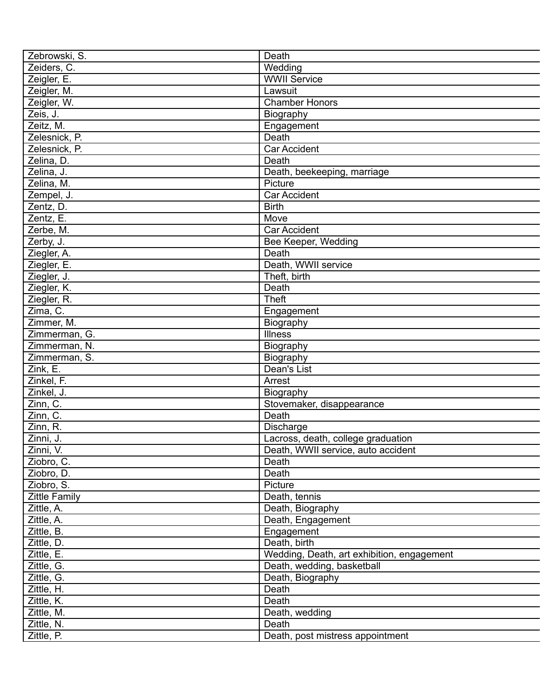| Zebrowski, S.        | Death                                      |
|----------------------|--------------------------------------------|
| Zeiders, C.          | Wedding                                    |
| Zeigler, E.          | <b>WWII Service</b>                        |
| Zeigler, M.          | Lawsuit                                    |
| Zeigler, W.          | <b>Chamber Honors</b>                      |
| Zeis, J.             | Biography                                  |
| Zeitz, M.            | Engagement                                 |
| Zelesnick, P.        | Death                                      |
| Zelesnick, P.        | <b>Car Accident</b>                        |
| Zelina, D.           | Death                                      |
| Zelina, J.           | Death, beekeeping, marriage                |
| Zelina, M.           | Picture                                    |
| Zempel, J.           | <b>Car Accident</b>                        |
| Zentz, D.            | <b>Birth</b>                               |
| Zentz, E.            | Move                                       |
| Zerbe, M.            | Car Accident                               |
| Zerby, J.            | Bee Keeper, Wedding                        |
| Ziegler, A.          | Death                                      |
| Ziegler, E.          | Death, WWII service                        |
| Ziegler, J.          | Theft, birth                               |
| Ziegler, K.          | Death                                      |
| Ziegler, R.          | <b>Theft</b>                               |
| Zima, C.             | Engagement                                 |
| Zimmer, M.           | Biography                                  |
| Zimmerman, G.        | <b>Illness</b>                             |
| Zimmerman, N.        | Biography                                  |
| Zimmerman, S.        |                                            |
|                      | Biography                                  |
| Zink, E.             | Dean's List                                |
| Zinkel, F.           | Arrest                                     |
| Zinkel, J.           | Biography                                  |
| Zinn, C.             | Stovemaker, disappearance                  |
| Zinn, C.             | Death                                      |
| Zinn, R.             | <b>Discharge</b>                           |
| Zinni, J.            | Lacross, death, college graduation         |
| Zinni, V.            | Death, WWII service, auto accident         |
| Ziobro, C.           | Death                                      |
| Ziobro, D.           | Death                                      |
| Ziobro, S.           | Picture                                    |
| <b>Zittle Family</b> | Death, tennis                              |
| Zittle, A.           | Death, Biography                           |
| Zittle, A.           | Death, Engagement                          |
| Zittle, B.           | Engagement                                 |
| Zittle, D.           | Death, birth                               |
| Zittle, E.           | Wedding, Death, art exhibition, engagement |
| Zittle, G.           | Death, wedding, basketball                 |
| Zittle, G.           | Death, Biography                           |
| Zittle, H.           | Death                                      |
| Zittle, K.           | Death                                      |
| Zittle, M.           | Death, wedding                             |
| Zittle, N.           | Death                                      |
| Zittle, P.           | Death, post mistress appointment           |
|                      |                                            |